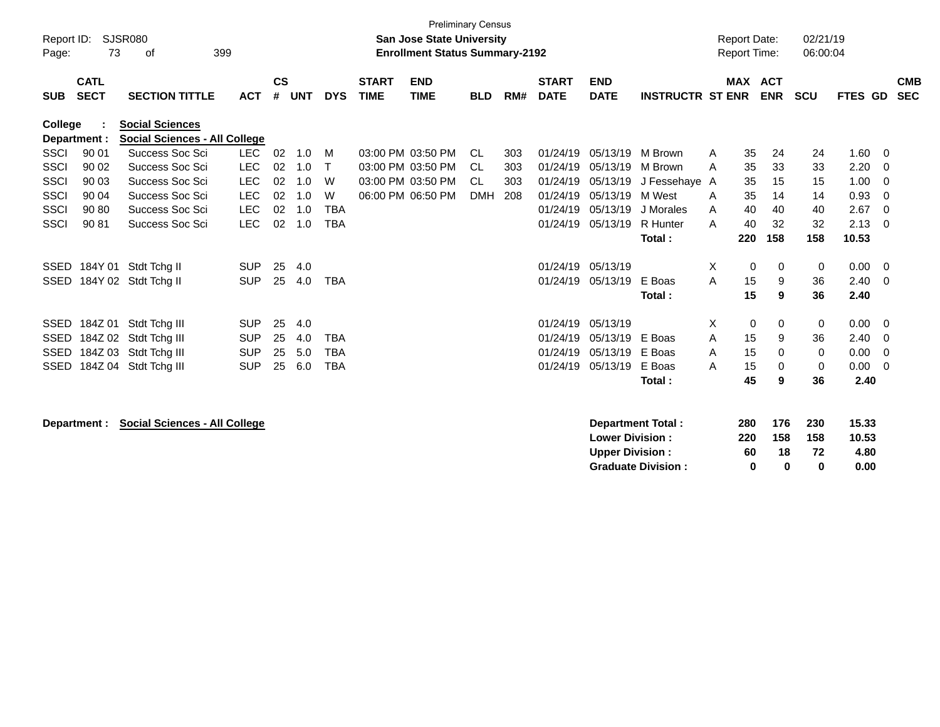|             |              |                                      |            |               |            |              |              | <b>Preliminary Census</b>             |            |     |              |                        |                           |   |                     |             |            |         |             |            |
|-------------|--------------|--------------------------------------|------------|---------------|------------|--------------|--------------|---------------------------------------|------------|-----|--------------|------------------------|---------------------------|---|---------------------|-------------|------------|---------|-------------|------------|
| Report ID:  |              | <b>SJSR080</b>                       |            |               |            |              |              | <b>San Jose State University</b>      |            |     |              |                        |                           |   | <b>Report Date:</b> |             | 02/21/19   |         |             |            |
| Page:       | 73           | оf                                   | 399        |               |            |              |              | <b>Enrollment Status Summary-2192</b> |            |     |              |                        |                           |   | <b>Report Time:</b> |             | 06:00:04   |         |             |            |
|             |              |                                      |            |               |            |              |              |                                       |            |     |              |                        |                           |   |                     |             |            |         |             |            |
|             | <b>CATL</b>  |                                      |            | $\mathsf{cs}$ |            |              | <b>START</b> | <b>END</b>                            |            |     | <b>START</b> | <b>END</b>             |                           |   | MAX ACT             |             |            |         |             | <b>CMB</b> |
| <b>SUB</b>  | <b>SECT</b>  | <b>SECTION TITTLE</b>                | <b>ACT</b> | #             | <b>UNT</b> | <b>DYS</b>   | <b>TIME</b>  | <b>TIME</b>                           | <b>BLD</b> | RM# | <b>DATE</b>  | <b>DATE</b>            | <b>INSTRUCTR ST ENR</b>   |   |                     | <b>ENR</b>  | <b>SCU</b> | FTES GD |             | <b>SEC</b> |
| College     |              | <b>Social Sciences</b>               |            |               |            |              |              |                                       |            |     |              |                        |                           |   |                     |             |            |         |             |            |
|             | Department : | <b>Social Sciences - All College</b> |            |               |            |              |              |                                       |            |     |              |                        |                           |   |                     |             |            |         |             |            |
| <b>SSCI</b> | 90 01        | Success Soc Sci                      | <b>LEC</b> | 02            | 1.0        | M            |              | 03:00 PM 03:50 PM                     | <b>CL</b>  | 303 | 01/24/19     | 05/13/19               | M Brown                   | A | 35                  | 24          | 24         | 1.60    | 0           |            |
| <b>SSCI</b> | 90 02        | Success Soc Sci                      | <b>LEC</b> | 02            | 1.0        | $\mathsf{T}$ |              | 03:00 PM 03:50 PM                     | CL         | 303 | 01/24/19     | 05/13/19               | M Brown                   | A | 35                  | 33          | 33         | 2.20    | 0           |            |
| <b>SSCI</b> | 90 03        | Success Soc Sci                      | <b>LEC</b> | 02            | 1.0        | W            |              | 03:00 PM 03:50 PM                     | CL.        | 303 | 01/24/19     | 05/13/19               | J Fessehaye A             |   | 35                  | 15          | 15         | 1.00    | 0           |            |
| <b>SSCI</b> | 90 04        | Success Soc Sci                      | <b>LEC</b> | 02            | 1.0        | W            |              | 06:00 PM 06:50 PM                     | <b>DMH</b> | 208 | 01/24/19     | 05/13/19               | M West                    | A | 35                  | 14          | 14         | 0.93    | $\mathbf 0$ |            |
| <b>SSCI</b> | 90 80        | Success Soc Sci                      | <b>LEC</b> | 02            | 1.0        | <b>TBA</b>   |              |                                       |            |     | 01/24/19     | 05/13/19               | J Morales                 | A | 40                  | 40          | 40         | 2.67    | $\Omega$    |            |
| <b>SSCI</b> | 90 81        | <b>Success Soc Sci</b>               | <b>LEC</b> | 02            | 1.0        | <b>TBA</b>   |              |                                       |            |     | 01/24/19     | 05/13/19               | R Hunter                  | A | 40                  | 32          | 32         | 2.13    | $\mathbf 0$ |            |
|             |              |                                      |            |               |            |              |              |                                       |            |     |              |                        | Total:                    |   | 220                 | 158         | 158        | 10.53   |             |            |
|             |              |                                      |            |               |            |              |              |                                       |            |     |              |                        |                           |   |                     |             |            |         |             |            |
| SSED        |              | 184Y 01 Stdt Tchg II                 | <b>SUP</b> | 25            | 4.0        |              |              |                                       |            |     | 01/24/19     | 05/13/19               |                           | Χ | 0                   | 0           | 0          | 0.00    | 0           |            |
|             |              | SSED 184Y 02 Stdt Tchg II            | <b>SUP</b> | 25            | 4.0        | <b>TBA</b>   |              |                                       |            |     | 01/24/19     | 05/13/19               | E Boas                    | A | 15                  | 9           | 36         | 2.40    | 0           |            |
|             |              |                                      |            |               |            |              |              |                                       |            |     |              |                        | Total:                    |   | 15                  | 9           | 36         | 2.40    |             |            |
|             |              |                                      |            |               |            |              |              |                                       |            |     |              |                        |                           |   |                     |             |            |         |             |            |
|             | SSED 184Z 01 | Stdt Tchg III                        | <b>SUP</b> | 25            | 4.0        |              |              |                                       |            |     | 01/24/19     | 05/13/19               |                           | X | 0                   | 0           | 0          | 0.00    | 0           |            |
| <b>SSED</b> |              | 184Z 02 Stdt Tchg III                | <b>SUP</b> | 25            | 4.0        | <b>TBA</b>   |              |                                       |            |     | 01/24/19     | 05/13/19               | E Boas                    | A | 15                  | 9           | 36         | 2.40    | 0           |            |
| SSED        |              | 184Z 03 Stdt Tchg III                | <b>SUP</b> | 25            | 5.0        | <b>TBA</b>   |              |                                       |            |     | 01/24/19     | 05/13/19               | E Boas                    | A | 15                  | 0           | 0          | 0.00    | 0           |            |
|             |              | SSED 184Z 04 Stdt Tchg III           | <b>SUP</b> | 25            | 6.0        | <b>TBA</b>   |              |                                       |            |     | 01/24/19     | 05/13/19               | E Boas                    | A | 15                  | $\mathbf 0$ | 0          | 0.00    | $\Omega$    |            |
|             |              |                                      |            |               |            |              |              |                                       |            |     |              |                        | Total:                    |   | 45                  | 9           | 36         | 2.40    |             |            |
|             |              |                                      |            |               |            |              |              |                                       |            |     |              |                        |                           |   |                     |             |            |         |             |            |
|             |              |                                      |            |               |            |              |              |                                       |            |     |              |                        |                           |   |                     |             |            |         |             |            |
|             | Department : | <b>Social Sciences - All College</b> |            |               |            |              |              |                                       |            |     |              |                        | <b>Department Total:</b>  |   | 280                 | 176         | 230        | 15.33   |             |            |
|             |              |                                      |            |               |            |              |              |                                       |            |     |              | <b>Lower Division:</b> |                           |   | 220                 | 158         | 158        | 10.53   |             |            |
|             |              |                                      |            |               |            |              |              |                                       |            |     |              | <b>Upper Division:</b> |                           |   | 60                  | 18          | 72         | 4.80    |             |            |
|             |              |                                      |            |               |            |              |              |                                       |            |     |              |                        | <b>Graduate Division:</b> |   | 0                   | 0           | 0          | 0.00    |             |            |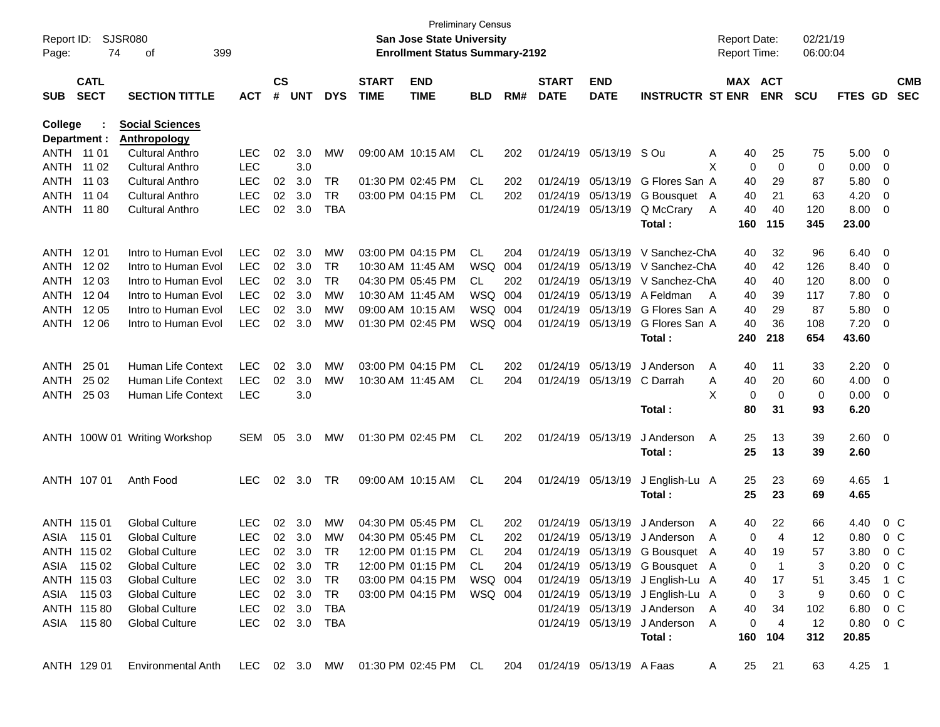| Report ID:<br>Page: | 74                         | SJSR080<br>399<br>οf                                                               |            |                |            |            |                             | <b>Preliminary Census</b><br>San Jose State University<br><b>Enrollment Status Summary-2192</b> |            |     |                             |                           |                                  | <b>Report Date:</b><br>Report Time: |                | 02/21/19<br>06:00:04 |               |                          |                          |
|---------------------|----------------------------|------------------------------------------------------------------------------------|------------|----------------|------------|------------|-----------------------------|-------------------------------------------------------------------------------------------------|------------|-----|-----------------------------|---------------------------|----------------------------------|-------------------------------------|----------------|----------------------|---------------|--------------------------|--------------------------|
| <b>SUB</b>          | <b>CATL</b><br><b>SECT</b> | <b>SECTION TITTLE</b>                                                              | <b>ACT</b> | <b>CS</b><br># | <b>UNT</b> | <b>DYS</b> | <b>START</b><br><b>TIME</b> | <b>END</b><br><b>TIME</b>                                                                       | <b>BLD</b> | RM# | <b>START</b><br><b>DATE</b> | <b>END</b><br><b>DATE</b> | <b>INSTRUCTR ST ENR</b>          | MAX ACT                             | <b>ENR</b>     | <b>SCU</b>           | FTES GD       |                          | <b>CMB</b><br><b>SEC</b> |
| College             |                            | <b>Social Sciences</b>                                                             |            |                |            |            |                             |                                                                                                 |            |     |                             |                           |                                  |                                     |                |                      |               |                          |                          |
| Department :        |                            | <b>Anthropology</b>                                                                |            |                |            |            |                             |                                                                                                 |            |     |                             |                           |                                  |                                     |                |                      |               |                          |                          |
| ANTH 11 01          |                            | <b>Cultural Anthro</b>                                                             | <b>LEC</b> | 02             | 3.0        | MW         |                             | 09:00 AM 10:15 AM                                                                               | CL         | 202 |                             | 01/24/19 05/13/19         | S Ou                             | Α<br>40                             | 25             | 75                   | 5.00          | - 0                      |                          |
| ANTH                | 11 02                      | <b>Cultural Anthro</b>                                                             | <b>LEC</b> |                | 3.0        |            |                             |                                                                                                 |            |     |                             |                           |                                  | X<br>0                              | 0              | 0                    | 0.00          | 0                        |                          |
| ANTH                | 11 03                      | <b>Cultural Anthro</b>                                                             | <b>LEC</b> | 02             | 3.0        | TR         |                             | 01:30 PM 02:45 PM                                                                               | CL.        | 202 |                             | 01/24/19 05/13/19         | G Flores San A                   | 40                                  | 29             | 87                   | 5.80          | 0                        |                          |
| <b>ANTH</b>         | 11 04                      | <b>Cultural Anthro</b>                                                             | <b>LEC</b> | 02             | 3.0        | <b>TR</b>  |                             | 03:00 PM 04:15 PM                                                                               | CL.        | 202 |                             | 01/24/19 05/13/19         | G Bousquet A                     | 40                                  | 21             | 63                   | 4.20          | 0                        |                          |
| ANTH                | 11 80                      | <b>Cultural Anthro</b>                                                             | <b>LEC</b> | 02             | 3.0        | <b>TBA</b> |                             |                                                                                                 |            |     |                             | 01/24/19 05/13/19         | Q McCrary                        | Α<br>40                             | 40             | 120                  | 8.00          | 0                        |                          |
|                     |                            |                                                                                    |            |                |            |            |                             |                                                                                                 |            |     |                             |                           | Total:                           | 160                                 | 115            | 345                  | 23.00         |                          |                          |
| ANTH                | 12 01                      | Intro to Human Evol                                                                | <b>LEC</b> | 02             | 3.0        | MW         |                             | 03:00 PM 04:15 PM                                                                               | CL         | 204 | 01/24/19                    | 05/13/19                  | V Sanchez-ChA                    | 40                                  | 32             | 96                   | 6.40          | $\overline{0}$           |                          |
| ANTH                | 12 02                      | Intro to Human Evol                                                                | <b>LEC</b> | 02             | 3.0        | <b>TR</b>  | 10:30 AM 11:45 AM           |                                                                                                 | <b>WSQ</b> | 004 | 01/24/19                    | 05/13/19                  | V Sanchez-ChA                    | 40                                  | 42             | 126                  | 8.40          | 0                        |                          |
| <b>ANTH</b>         | 12 03                      | Intro to Human Evol                                                                | <b>LEC</b> | 02             | 3.0        | <b>TR</b>  |                             | 04:30 PM 05:45 PM                                                                               | CL         | 202 | 01/24/19                    | 05/13/19                  | V Sanchez-ChA                    | 40                                  | 40             | 120                  | 8.00          | 0                        |                          |
| ANTH                | 12 04                      | Intro to Human Evol                                                                | <b>LEC</b> | 02             | 3.0        | MW         | 10:30 AM 11:45 AM           |                                                                                                 | WSQ        | 004 | 01/24/19                    | 05/13/19                  | A Feldman                        | 40<br>A                             | 39             | 117                  | 7.80          | 0                        |                          |
| ANTH                | 12 05                      | Intro to Human Evol                                                                | <b>LEC</b> | 02             | 3.0        | MW         |                             | 09:00 AM 10:15 AM                                                                               | WSQ        | 004 | 01/24/19                    | 05/13/19                  | G Flores San A                   | 40                                  | 29             | 87                   | 5.80          | 0                        |                          |
| ANTH                | 12 06                      | Intro to Human Evol                                                                | <b>LEC</b> | 02             | 3.0        | MW         |                             | 01:30 PM 02:45 PM                                                                               | WSQ 004    |     |                             | 01/24/19 05/13/19         | G Flores San A                   | 40                                  | 36             | 108                  | 7.20          | 0                        |                          |
|                     |                            |                                                                                    |            |                |            |            |                             |                                                                                                 |            |     |                             |                           | Total:                           | 240                                 | 218            | 654                  | 43.60         |                          |                          |
| ANTH                | 25 01                      | Human Life Context                                                                 | <b>LEC</b> | 02             | 3.0        | MW         |                             | 03:00 PM 04:15 PM                                                                               | CL         | 202 | 01/24/19                    | 05/13/19                  | J Anderson                       | A<br>40                             | 11             | 33                   | 2.20          | $\overline{0}$           |                          |
| <b>ANTH</b>         | 25 02                      | Human Life Context                                                                 | <b>LEC</b> | 02             | 3.0        | MW         |                             | 10:30 AM 11:45 AM                                                                               | CL         | 204 |                             | 01/24/19 05/13/19         | C Darrah                         | Α<br>40                             | 20             | 60                   | 4.00          | 0                        |                          |
| ANTH                | 25 03                      | Human Life Context                                                                 | <b>LEC</b> |                | 3.0        |            |                             |                                                                                                 |            |     |                             |                           |                                  | X<br>0                              | 0              | 0                    | 0.00          | 0                        |                          |
|                     |                            |                                                                                    |            |                |            |            |                             |                                                                                                 |            |     |                             |                           | Total:                           | 80                                  | 31             | 93                   | 6.20          |                          |                          |
|                     |                            | ANTH 100W 01 Writing Workshop                                                      | SEM        | 05             | 3.0        | МW         |                             | 01:30 PM 02:45 PM                                                                               | CL         | 202 |                             | 01/24/19 05/13/19         | J Anderson                       | A<br>25                             | 13             | 39                   | 2.60          | $\overline{\phantom{0}}$ |                          |
|                     |                            |                                                                                    |            |                |            |            |                             |                                                                                                 |            |     |                             |                           | Total:                           | 25                                  | 13             | 39                   | 2.60          |                          |                          |
|                     | ANTH 107 01                | Anth Food                                                                          | <b>LEC</b> |                | 02 3.0     | TR         |                             | 09:00 AM 10:15 AM                                                                               | CL         | 204 |                             | 01/24/19 05/13/19         | J English-Lu A                   | 25                                  | 23             | 69                   | 4.65          | - 1                      |                          |
|                     |                            |                                                                                    |            |                |            |            |                             |                                                                                                 |            |     |                             |                           | Total:                           | 25                                  | 23             | 69                   | 4.65          |                          |                          |
|                     |                            |                                                                                    |            |                |            |            |                             |                                                                                                 |            |     |                             |                           |                                  |                                     |                |                      |               |                          |                          |
|                     | ANTH 115 01                | <b>Global Culture</b>                                                              | <b>LEC</b> | 02             | 3.0        | MW         |                             | 04:30 PM 05:45 PM                                                                               | CL         | 202 |                             | 01/24/19 05/13/19         | J Anderson                       | 40<br>A                             | 22             | 66                   | 4.40          | $0\,$ C                  |                          |
| ASIA                | 115 01                     | <b>Global Culture</b>                                                              | <b>LEC</b> | 02             | 3.0        | MW         |                             | 04:30 PM 05:45 PM                                                                               | CL         | 202 |                             | 01/24/19 05/13/19         | J Anderson                       | 0<br>A                              | $\overline{4}$ | 12                   | 0.80          | $0\,$ C                  |                          |
|                     | ANTH 115 02                | <b>Global Culture</b>                                                              | <b>LEC</b> |                | 02 3.0     | <b>TR</b>  |                             | 12:00 PM 01:15 PM                                                                               | CL         | 204 |                             |                           | 01/24/19 05/13/19 G Bousquet A   | 40                                  | 19             | 57                   | 3.80          | $0\,C$                   |                          |
|                     | ASIA 115 02                | <b>Global Culture</b>                                                              | LEC.       |                | 02 3.0     | TR         |                             | 12:00 PM 01:15 PM CL                                                                            |            | 204 |                             |                           | 01/24/19 05/13/19 G Bousquet A   | 0                                   | $\overline{1}$ | 3                    | $0.20 \t 0 C$ |                          |                          |
|                     | ANTH 115 03                | <b>Global Culture</b>                                                              | <b>LEC</b> |                | 02 3.0     | TR         |                             | 03:00 PM 04:15 PM                                                                               | WSQ 004    |     |                             |                           | 01/24/19 05/13/19 J English-Lu A | 40                                  | 17             | 51                   | 3.45 1 C      |                          |                          |
|                     | ASIA 115 03                | <b>Global Culture</b>                                                              | <b>LEC</b> |                | 02 3.0     | TR         |                             | 03:00 PM 04:15 PM WSQ 004                                                                       |            |     |                             |                           | 01/24/19 05/13/19 J English-Lu A | 0                                   | 3              | 9                    | $0.60 \t 0 C$ |                          |                          |
|                     | ANTH 115 80                | <b>Global Culture</b>                                                              | <b>LEC</b> |                | 02 3.0     | TBA        |                             |                                                                                                 |            |     |                             |                           | 01/24/19 05/13/19 J Anderson A   | 40                                  | 34             | 102                  | 6.80 0 C      |                          |                          |
|                     | ASIA 11580                 | <b>Global Culture</b>                                                              | <b>LEC</b> |                | 02 3.0     | TBA        |                             |                                                                                                 |            |     |                             |                           | 01/24/19 05/13/19 J Anderson A   | 0                                   | 4              | 12                   | $0.80 \t 0 C$ |                          |                          |
|                     |                            |                                                                                    |            |                |            |            |                             |                                                                                                 |            |     |                             |                           | Total:                           |                                     | 160 104        | 312                  | 20.85         |                          |                          |
|                     | ANTH 129 01                | Environmental Anth LEC 02 3.0 MW 01:30 PM 02:45 PM CL 204 01/24/19 05/13/19 A Faas |            |                |            |            |                             |                                                                                                 |            |     |                             |                           |                                  | <b>A</b>                            | 25 21          | 63                   | $4.25$ 1      |                          |                          |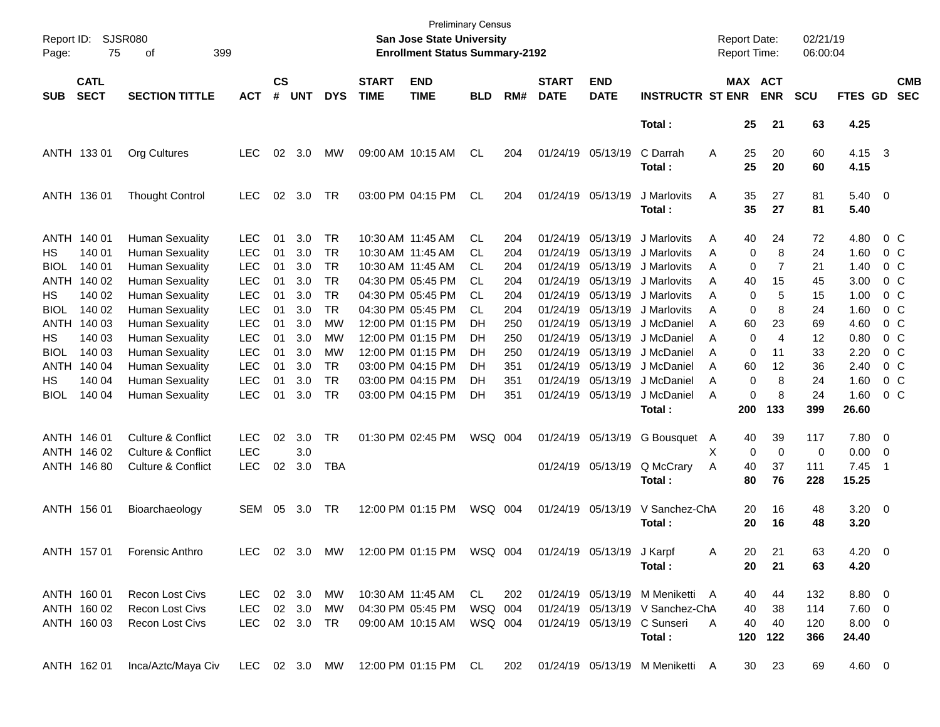| Report ID:<br>Page: | 75                         | SJSR080<br>399<br>of          |               |                    |            |            |                             | <b>San Jose State University</b><br><b>Enrollment Status Summary-2192</b> | <b>Preliminary Census</b> |     |                             |                           |                                     | <b>Report Date:</b><br>Report Time: |                       |                | 02/21/19<br>06:00:04 |                |                          |                          |
|---------------------|----------------------------|-------------------------------|---------------|--------------------|------------|------------|-----------------------------|---------------------------------------------------------------------------|---------------------------|-----|-----------------------------|---------------------------|-------------------------------------|-------------------------------------|-----------------------|----------------|----------------------|----------------|--------------------------|--------------------------|
| <b>SUB</b>          | <b>CATL</b><br><b>SECT</b> | <b>SECTION TITTLE</b>         | <b>ACT</b>    | $\mathsf{cs}$<br># | <b>UNT</b> | <b>DYS</b> | <b>START</b><br><b>TIME</b> | <b>END</b><br><b>TIME</b>                                                 | <b>BLD</b>                | RM# | <b>START</b><br><b>DATE</b> | <b>END</b><br><b>DATE</b> | <b>INSTRUCTR ST ENR</b>             |                                     | MAX ACT<br><b>ENR</b> |                | <b>SCU</b>           | <b>FTES GD</b> |                          | <b>CMB</b><br><b>SEC</b> |
|                     |                            |                               |               |                    |            |            |                             |                                                                           |                           |     |                             |                           | Total:                              |                                     | 25                    | 21             | 63                   | 4.25           |                          |                          |
|                     | ANTH 133 01                | <b>Org Cultures</b>           | <b>LEC</b>    | 02                 | 3.0        | MW         |                             | 09:00 AM 10:15 AM                                                         | <b>CL</b>                 | 204 |                             | 01/24/19 05/13/19         | C Darrah                            | Α                                   | 25<br>25              | 20             | 60                   | 4.15 3         |                          |                          |
|                     |                            |                               |               |                    |            |            |                             |                                                                           |                           |     |                             |                           | Total:                              |                                     |                       | 20             | 60                   | 4.15           |                          |                          |
|                     | ANTH 136 01                | <b>Thought Control</b>        | <b>LEC</b>    | 02                 | 3.0        | TR         |                             | 03:00 PM 04:15 PM                                                         | CL                        | 204 |                             | 01/24/19 05/13/19         | J Marlovits                         | Α                                   | 35                    | 27             | 81                   | $5.40 \ 0$     |                          |                          |
|                     |                            |                               |               |                    |            |            |                             |                                                                           |                           |     |                             |                           | Total:                              |                                     | 35                    | 27             | 81                   | 5.40           |                          |                          |
|                     | ANTH 140 01                | <b>Human Sexuality</b>        | <b>LEC</b>    | 01                 | 3.0        | <b>TR</b>  | 10:30 AM 11:45 AM           |                                                                           | <b>CL</b>                 | 204 |                             | 01/24/19 05/13/19         | J Marlovits                         | Α                                   | 40                    | 24             | 72                   | 4.80           | $0\,$ C                  |                          |
| HS                  | 140 01                     | <b>Human Sexuality</b>        | <b>LEC</b>    | 01                 | 3.0        | <b>TR</b>  | 10:30 AM 11:45 AM           |                                                                           | CL.                       | 204 |                             | 01/24/19 05/13/19         | J Marlovits                         | Α                                   | 0                     | 8              | 24                   | 1.60           | $0\,$ C                  |                          |
| <b>BIOL</b>         | 140 01                     | <b>Human Sexuality</b>        | <b>LEC</b>    | 01                 | 3.0        | TR         |                             | 10:30 AM 11:45 AM                                                         | CL.                       | 204 |                             | 01/24/19 05/13/19         | J Marlovits                         | Α                                   | 0                     | 7              | 21                   | 1.40           | 0 <sup>o</sup>           |                          |
|                     | ANTH 140 02                | <b>Human Sexuality</b>        | <b>LEC</b>    | 01                 | 3.0        | TR         |                             | 04:30 PM 05:45 PM                                                         | CL.                       | 204 |                             | 01/24/19 05/13/19         | J Marlovits                         | A                                   | 40                    | 15             | 45                   | 3.00           | 0 <sup>o</sup>           |                          |
| HS                  | 140 02                     | Human Sexuality               | <b>LEC</b>    | 01                 | 3.0        | <b>TR</b>  |                             | 04:30 PM 05:45 PM                                                         | CL.                       | 204 |                             | 01/24/19 05/13/19         | J Marlovits                         | A                                   | 0                     | 5              | 15                   | 1.00           | 0 <sup>o</sup>           |                          |
| <b>BIOL</b>         | 140 02                     | <b>Human Sexuality</b>        | <b>LEC</b>    | 01                 | 3.0        | <b>TR</b>  |                             | 04:30 PM 05:45 PM                                                         | CL.                       | 204 |                             | 01/24/19 05/13/19         | J Marlovits                         | A                                   | 0                     | 8              | 24                   | 1.60           | 0 <sup>o</sup>           |                          |
|                     | ANTH 140 03                | Human Sexuality               | <b>LEC</b>    | 01                 | 3.0        | <b>MW</b>  |                             | 12:00 PM 01:15 PM                                                         | DH                        | 250 |                             | 01/24/19 05/13/19         | J McDaniel                          | A                                   | 60                    | 23             | 69                   | 4.60           | 0 <sup>o</sup>           |                          |
| HS                  | 140 03                     | Human Sexuality               | <b>LEC</b>    | 01                 | 3.0        | МW         |                             | 12:00 PM 01:15 PM                                                         | DH                        | 250 |                             | 01/24/19 05/13/19         | J McDaniel                          | A                                   | $\mathbf 0$           | $\overline{4}$ | 12                   | 0.80           | 0 <sup>o</sup>           |                          |
| BIOL                | 140 03                     | <b>Human Sexuality</b>        | <b>LEC</b>    | 01                 | 3.0        | MW         |                             | 12:00 PM 01:15 PM                                                         | DH                        | 250 |                             | 01/24/19 05/13/19         | J McDaniel                          | A                                   | 0                     | 11             | 33                   | 2.20           | 0 <sup>o</sup>           |                          |
|                     | ANTH 140 04                | <b>Human Sexuality</b>        | <b>LEC</b>    | 01                 | 3.0        | <b>TR</b>  |                             | 03:00 PM 04:15 PM                                                         | DH.                       | 351 |                             | 01/24/19 05/13/19         | J McDaniel                          | A                                   | 60                    | 12             | 36                   | 2.40           | 0 <sup>o</sup>           |                          |
| НS                  | 140 04                     | <b>Human Sexuality</b>        | <b>LEC</b>    | 01                 | 3.0        | <b>TR</b>  |                             | 03:00 PM 04:15 PM                                                         | DH                        | 351 |                             | 01/24/19 05/13/19         | J McDaniel                          | A                                   | 0                     | 8              | 24                   | 1.60           | 0 <sup>o</sup>           |                          |
| BIOL                | 140 04                     | <b>Human Sexuality</b>        | <b>LEC</b>    | 01                 | 3.0        | TR         |                             | 03:00 PM 04:15 PM                                                         | DH                        | 351 |                             | 01/24/19 05/13/19         | J McDaniel                          | A                                   | 0                     | 8              | 24                   | 1.60           | $0\,$ C                  |                          |
|                     |                            |                               |               |                    |            |            |                             |                                                                           |                           |     |                             |                           | Total:                              | 200                                 |                       | 133            | 399                  | 26.60          |                          |                          |
|                     | ANTH 146 01                | <b>Culture &amp; Conflict</b> | <b>LEC</b>    | 02                 | 3.0        | TR         |                             | 01:30 PM 02:45 PM                                                         | WSQ 004                   |     |                             | 01/24/19 05/13/19         | G Bousquet                          | $\mathsf{A}$                        | 40                    | 39             | 117                  | 7.80 0         |                          |                          |
|                     | ANTH 146 02                | <b>Culture &amp; Conflict</b> | <b>LEC</b>    |                    | 3.0        |            |                             |                                                                           |                           |     |                             |                           |                                     | х                                   | 0                     | $\mathbf 0$    | 0                    | 0.00           | $\overline{\phantom{0}}$ |                          |
|                     | ANTH 146 80                | <b>Culture &amp; Conflict</b> | <b>LEC</b>    | 02                 | 3.0        | <b>TBA</b> |                             |                                                                           |                           |     |                             | 01/24/19 05/13/19         | Q McCrary                           | Α                                   | 40                    | 37             | 111                  | 7.45           | - 1                      |                          |
|                     |                            |                               |               |                    |            |            |                             |                                                                           |                           |     |                             |                           | Total:                              |                                     | 80                    | 76             | 228                  | 15.25          |                          |                          |
|                     | ANTH 156 01                | Bioarchaeology                | SEM           | 05                 | 3.0        | TR         |                             | 12:00 PM 01:15 PM                                                         | WSQ 004                   |     |                             | 01/24/19 05/13/19         | V Sanchez-ChA                       |                                     | 20                    | 16             | 48                   | $3.20 \ 0$     |                          |                          |
|                     |                            |                               |               |                    |            |            |                             |                                                                           |                           |     |                             |                           | Total :                             |                                     | 20                    | 16             | 48                   | 3.20           |                          |                          |
|                     | ANTH 157 01                | <b>Forensic Anthro</b>        | LEC.          |                    | 02 3.0     | MW         |                             | 12:00 PM 01:15 PM                                                         | WSQ 004                   |     |                             | 01/24/19 05/13/19 J Karpf |                                     | A                                   | 20                    | 21             | 63                   | $4.20 \ 0$     |                          |                          |
|                     |                            |                               |               |                    |            |            |                             |                                                                           |                           |     |                             |                           | Total :                             |                                     | 20                    | 21             | 63                   | 4.20           |                          |                          |
|                     | ANTH 160 01                | <b>Recon Lost Civs</b>        | LEC 02 3.0    |                    |            | MW         |                             | 10:30 AM 11:45 AM                                                         | CL                        | 202 |                             |                           | 01/24/19 05/13/19 M Meniketti A     |                                     | 40                    | 44             | 132                  | $8.80\ 0$      |                          |                          |
|                     | ANTH 160 02                | Recon Lost Civs               | LEC           |                    | 02 3.0     | MW         | 04:30 PM 05:45 PM           |                                                                           | WSQ 004                   |     |                             |                           | 01/24/19 05/13/19 V Sanchez-ChA     |                                     | 40                    | 38             | 114                  | $7.60 \t 0$    |                          |                          |
|                     | ANTH 160 03                | Recon Lost Civs               | LEC 02 3.0 TR |                    |            |            |                             | 09:00 AM 10:15 AM                                                         | WSQ 004                   |     |                             |                           | 01/24/19 05/13/19 C Sunseri         | A                                   | 40                    | 40             | 120                  | 8.00 0         |                          |                          |
|                     |                            |                               |               |                    |            |            |                             |                                                                           |                           |     |                             |                           | Total:                              |                                     | 120                   | 122            | 366                  | 24.40          |                          |                          |
|                     | ANTH 162 01                | Inca/Aztc/Maya Civ            |               |                    |            |            |                             | LEC 02 3.0 MW 12:00 PM 01:15 PM CL                                        |                           |     |                             |                           | 202 01/24/19 05/13/19 M Meniketti A |                                     | 30 23                 |                | 69                   | 4.60 0         |                          |                          |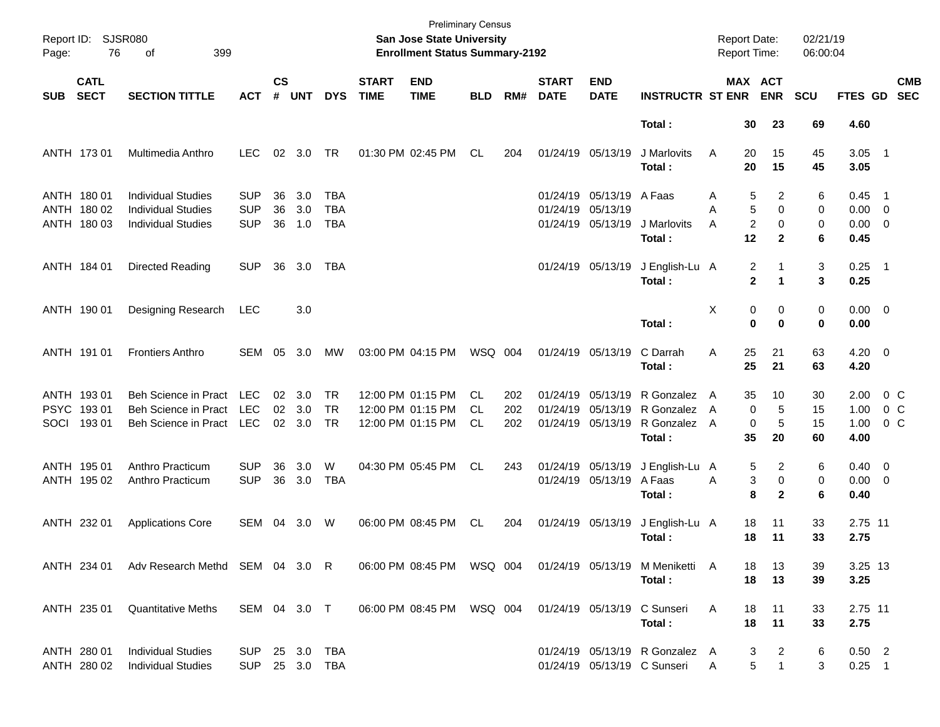| Page:      | <b>SJSR080</b><br>Report ID:<br>76<br>399<br>оf |                                                                                     |                                        |                    |                          |                                     |                             | <b>Preliminary Census</b><br><b>San Jose State University</b><br><b>Enrollment Status Summary-2192</b> |                               |                   |                             |                                                                    |                                                               | <b>Report Date:</b><br>Report Time: |                                        |                              | 02/21/19<br>06:00:04 |                                        |                                            |
|------------|-------------------------------------------------|-------------------------------------------------------------------------------------|----------------------------------------|--------------------|--------------------------|-------------------------------------|-----------------------------|--------------------------------------------------------------------------------------------------------|-------------------------------|-------------------|-----------------------------|--------------------------------------------------------------------|---------------------------------------------------------------|-------------------------------------|----------------------------------------|------------------------------|----------------------|----------------------------------------|--------------------------------------------|
| <b>SUB</b> | <b>CATL</b><br><b>SECT</b>                      | <b>SECTION TITTLE</b>                                                               | <b>ACT</b>                             | $\mathsf{cs}$<br># | <b>UNT</b>               | <b>DYS</b>                          | <b>START</b><br><b>TIME</b> | <b>END</b><br><b>TIME</b>                                                                              | <b>BLD</b>                    | RM#               | <b>START</b><br><b>DATE</b> | <b>END</b><br><b>DATE</b>                                          | <b>INSTRUCTR ST ENR</b>                                       |                                     | MAX ACT<br><b>ENR</b>                  |                              | <b>SCU</b>           | <b>FTES GD</b>                         | <b>CMB</b><br><b>SEC</b>                   |
|            |                                                 |                                                                                     |                                        |                    |                          |                                     |                             |                                                                                                        |                               |                   |                             |                                                                    | Total:                                                        |                                     | 30                                     | 23                           | 69                   | 4.60                                   |                                            |
|            | ANTH 173 01                                     | Multimedia Anthro                                                                   | <b>LEC</b>                             | 02                 | 3.0                      | TR                                  |                             | 01:30 PM 02:45 PM                                                                                      | CL                            | 204               |                             | 01/24/19 05/13/19                                                  | J Marlovits<br>Total:                                         | Α                                   | 20<br>20                               | 15<br>15                     | 45<br>45             | $3.05$ 1<br>3.05                       |                                            |
|            | ANTH 180 01<br>ANTH 180 02<br>ANTH 180 03       | <b>Individual Studies</b><br><b>Individual Studies</b><br><b>Individual Studies</b> | <b>SUP</b><br><b>SUP</b><br><b>SUP</b> | 36<br>36<br>36     | 3.0<br>3.0<br>1.0        | TBA<br><b>TBA</b><br><b>TBA</b>     |                             |                                                                                                        |                               |                   |                             | 01/24/19 05/13/19 A Faas<br>01/24/19 05/13/19<br>01/24/19 05/13/19 | J Marlovits                                                   | Α<br>Α<br>A                         | 5<br>5<br>$\overline{c}$               | 2<br>$\Omega$<br>$\mathbf 0$ | 6<br>0<br>0          | $0.45$ 1<br>$0.00 \t 0$<br>$0.00 \t 0$ |                                            |
|            |                                                 |                                                                                     |                                        |                    |                          |                                     |                             |                                                                                                        |                               |                   |                             |                                                                    | Total:                                                        |                                     | 12                                     | $\mathbf{2}$                 | 6                    | 0.45                                   |                                            |
|            | ANTH 184 01                                     | Directed Reading                                                                    | <b>SUP</b>                             | 36                 | 3.0                      | TBA                                 |                             |                                                                                                        |                               |                   |                             | 01/24/19 05/13/19                                                  | J English-Lu A<br>Total:                                      |                                     | 2<br>$\mathbf{2}$                      | 1<br>1                       | 3<br>3               | $0.25$ 1<br>0.25                       |                                            |
|            | ANTH 190 01                                     | Designing Research                                                                  | <b>LEC</b>                             |                    | 3.0                      |                                     |                             |                                                                                                        |                               |                   |                             |                                                                    | Total:                                                        | Χ                                   | 0<br>$\bf{0}$                          | 0<br>$\bf{0}$                | 0<br>0               | $0.00 \t 0$<br>0.00                    |                                            |
|            | ANTH 191 01                                     | <b>Frontiers Anthro</b>                                                             | SEM                                    | 05                 | 3.0                      | МW                                  |                             | 03:00 PM 04:15 PM                                                                                      | WSQ 004                       |                   |                             | 01/24/19 05/13/19                                                  | C Darrah<br>Total:                                            | A                                   | 25<br>25                               | 21<br>21                     | 63<br>63             | $4.20 \ 0$<br>4.20                     |                                            |
| SOCI       | ANTH 193 01<br>PSYC 19301<br>19301              | Beh Science in Pract<br><b>Beh Science in Pract</b><br>Beh Science in Pract         | LEC<br><b>LEC</b><br>LEC               | 02                 | 02 3.0<br>3.0<br>02 3.0  | <b>TR</b><br><b>TR</b><br><b>TR</b> |                             | 12:00 PM 01:15 PM<br>12:00 PM 01:15 PM<br>12:00 PM 01:15 PM                                            | CL.<br><b>CL</b><br><b>CL</b> | 202<br>202<br>202 |                             | 01/24/19 05/13/19<br>01/24/19 05/13/19<br>01/24/19 05/13/19        | R Gonzalez A<br>R Gonzalez<br>R Gonzalez A<br>Total:          | A                                   | 35<br>$\mathbf 0$<br>$\mathbf 0$<br>35 | 10<br>5<br>$\sqrt{5}$<br>20  | 30<br>15<br>15<br>60 | 2.00<br>1.00<br>1.00<br>4.00           | 0 <sup>o</sup><br>$0\,C$<br>0 <sup>o</sup> |
|            | ANTH 195 01<br>ANTH 195 02                      | Anthro Practicum<br>Anthro Practicum                                                | <b>SUP</b><br><b>SUP</b>               | 36<br>36           | 3.0<br>3.0               | W<br><b>TBA</b>                     |                             | 04:30 PM 05:45 PM                                                                                      | CL                            | 243               |                             | 01/24/19 05/13/19<br>01/24/19 05/13/19 A Faas                      | J English-Lu A<br>Total:                                      | A                                   | 5<br>3<br>8                            | 2<br>0<br>$\mathbf{2}$       | 6<br>0<br>6          | $0.40 \quad 0$<br>$0.00 \t 0$<br>0.40  |                                            |
|            | ANTH 232 01                                     | <b>Applications Core</b>                                                            | SEM                                    | 04                 | 3.0                      | W                                   |                             | 06:00 PM 08:45 PM                                                                                      | CL                            | 204               |                             | 01/24/19 05/13/19                                                  | J English-Lu A<br>Total:                                      |                                     | 18<br>18                               | 11<br>11                     | 33<br>33             | 2.75 11<br>2.75                        |                                            |
|            | ANTH 234 01                                     | Adv Research Methd SEM 04 3.0 R                                                     |                                        |                    |                          |                                     |                             | 06:00 PM 08:45 PM WSQ 004                                                                              |                               |                   |                             |                                                                    | 01/24/19 05/13/19 M Meniketti A<br>Total:                     |                                     | 18<br>18                               | 13<br>13                     | 39<br>39             | 3.25 13<br>3.25                        |                                            |
|            | ANTH 235 01                                     | <b>Quantitative Meths</b>                                                           | SEM 04 3.0 T                           |                    |                          |                                     |                             | 06:00 PM 08:45 PM                                                                                      | WSQ 004                       |                   |                             |                                                                    | 01/24/19 05/13/19 C Sunseri<br>Total:                         | Α                                   | 18<br>18                               | 11<br>11                     | 33<br>33             | 2.75 11<br>2.75                        |                                            |
|            | ANTH 280 01<br>ANTH 280 02                      | <b>Individual Studies</b><br><b>Individual Studies</b>                              | <b>SUP</b><br>SUP                      |                    | 25 3.0 TBA<br>25 3.0 TBA |                                     |                             |                                                                                                        |                               |                   |                             |                                                                    | 01/24/19 05/13/19 R Gonzalez A<br>01/24/19 05/13/19 C Sunseri | A                                   | 3<br>5                                 | 2<br>$\mathbf{1}$            | 6<br>3               | $0.50$ 2<br>$0.25$ 1                   |                                            |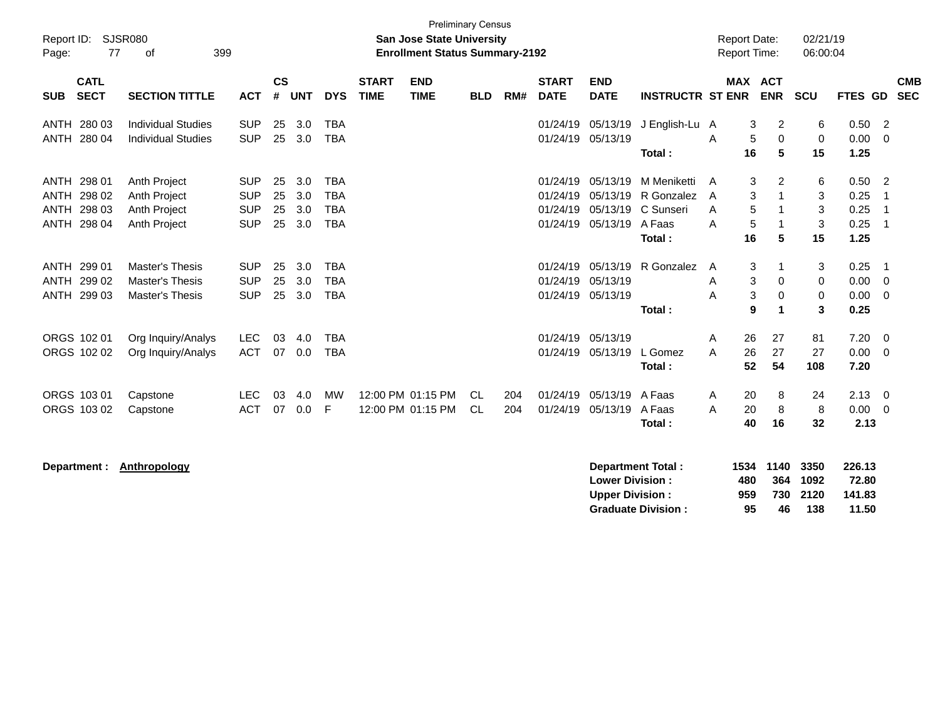| Report ID:<br>Page:                                      | 77                         | <b>SJSR080</b><br>399<br>оf                                                |                                                      |                      |                          |                                                      |                             | <b>Preliminary Census</b><br><b>San Jose State University</b><br><b>Enrollment Status Summary-2192</b> |                  |            |                                              |                                  |                                                                     |                  | <b>Report Date:</b><br><b>Report Time:</b> |                        | 02/21/19<br>06:00:04   |                                      |                                        |
|----------------------------------------------------------|----------------------------|----------------------------------------------------------------------------|------------------------------------------------------|----------------------|--------------------------|------------------------------------------------------|-----------------------------|--------------------------------------------------------------------------------------------------------|------------------|------------|----------------------------------------------|----------------------------------|---------------------------------------------------------------------|------------------|--------------------------------------------|------------------------|------------------------|--------------------------------------|----------------------------------------|
| <b>SUB</b>                                               | <b>CATL</b><br><b>SECT</b> | <b>SECTION TITTLE</b>                                                      | <b>ACT</b>                                           | $\mathsf{cs}$<br>#   | <b>UNT</b>               | <b>DYS</b>                                           | <b>START</b><br><b>TIME</b> | <b>END</b><br><b>TIME</b>                                                                              | <b>BLD</b>       | RM#        | <b>START</b><br><b>DATE</b>                  | <b>END</b><br><b>DATE</b>        | <b>INSTRUCTR ST ENR</b>                                             |                  |                                            | MAX ACT<br><b>ENR</b>  | <b>SCU</b>             | <b>FTES GD</b>                       | <b>CMB</b><br><b>SEC</b>               |
| ANTH 280 03<br>ANTH 280 04                               |                            | <b>Individual Studies</b><br><b>Individual Studies</b>                     | <b>SUP</b><br><b>SUP</b>                             | 25<br>25             | 3.0<br>3.0               | <b>TBA</b><br><b>TBA</b>                             |                             |                                                                                                        |                  |            | 01/24/19<br>01/24/19                         | 05/13/19<br>05/13/19             | J English-Lu A<br>Total:                                            | A                | 3<br>5<br>16                               | 2<br>0<br>5            | 6<br>0<br>15           | 0.50<br>0.00<br>1.25                 | $\overline{2}$<br>$\overline{0}$       |
| ANTH 298 01<br>ANTH 298 02<br>ANTH 298 03<br>ANTH 298 04 |                            | Anth Project<br>Anth Project<br>Anth Project<br>Anth Project               | <b>SUP</b><br><b>SUP</b><br><b>SUP</b><br><b>SUP</b> | 25<br>25<br>25<br>25 | 3.0<br>3.0<br>3.0<br>3.0 | <b>TBA</b><br><b>TBA</b><br><b>TBA</b><br><b>TBA</b> |                             |                                                                                                        |                  |            | 01/24/19<br>01/24/19<br>01/24/19<br>01/24/19 | 05/13/19<br>05/13/19<br>05/13/19 | M Meniketti<br>R Gonzalez<br>05/13/19 C Sunseri<br>A Faas<br>Total: | A<br>A<br>A<br>A | 3<br>3<br>5<br>5<br>16                     | 2<br>1<br>1<br>-1<br>5 | 6<br>3<br>3<br>3<br>15 | 0.50<br>0.25<br>0.25<br>0.25<br>1.25 | $\overline{2}$<br>-1<br>-1<br>-1       |
| ANTH 299 01<br>ANTH 299 02<br>ANTH 299 03                |                            | <b>Master's Thesis</b><br><b>Master's Thesis</b><br><b>Master's Thesis</b> | <b>SUP</b><br><b>SUP</b><br><b>SUP</b>               | 25<br>25<br>25       | 3.0<br>3.0<br>3.0        | <b>TBA</b><br><b>TBA</b><br><b>TBA</b>               |                             |                                                                                                        |                  |            | 01/24/19<br>01/24/19<br>01/24/19             | 05/13/19<br>05/13/19<br>05/13/19 | R Gonzalez<br>Total:                                                | A<br>A<br>A      | 3<br>3<br>$\mathbf{3}$<br>9                | 1<br>0<br>0<br>1       | 3<br>0<br>0<br>3       | 0.25<br>0.00<br>0.00<br>0.25         | -1<br>$\overline{0}$<br>$\overline{0}$ |
| ORGS 102 01<br>ORGS 102 02                               |                            | Org Inquiry/Analys<br>Org Inquiry/Analys                                   | <b>LEC</b><br><b>ACT</b>                             | 03<br>07             | 4.0<br>0.0               | <b>TBA</b><br><b>TBA</b>                             |                             |                                                                                                        |                  |            | 01/24/19<br>01/24/19                         | 05/13/19<br>05/13/19             | L Gomez<br>Total:                                                   | A<br>A           | 26<br>26<br>52                             | 27<br>27<br>54         | 81<br>27<br>108        | 7.20<br>0.00<br>7.20                 | $\overline{0}$<br>$\mathbf 0$          |
| ORGS 103 01<br>ORGS 103 02                               |                            | Capstone<br>Capstone                                                       | <b>LEC</b><br><b>ACT</b>                             | 03<br>07             | 4.0<br>0.0               | <b>MW</b><br>F                                       |                             | 12:00 PM 01:15 PM<br>12:00 PM 01:15 PM                                                                 | CL.<br><b>CL</b> | 204<br>204 | 01/24/19<br>01/24/19                         | 05/13/19<br>05/13/19             | A Faas<br>A Faas<br>Total:                                          | A<br>A           | 20<br>20<br>40                             | 8<br>8<br>16           | 24<br>8<br>32          | 2.13<br>0.00<br>2.13                 | $\overline{\mathbf{0}}$<br>$\mathbf 0$ |
|                                                          |                            | Department: Anthropology                                                   |                                                      |                      |                          |                                                      |                             |                                                                                                        |                  |            |                                              |                                  | <b>Department Total:</b>                                            |                  |                                            | 1534 1140              | 3350                   | 226.13                               |                                        |

| Department Total.         |     | 1994 1140 9990 |          | 220. IJ |
|---------------------------|-----|----------------|----------|---------|
| <b>Lower Division :</b>   | 480 |                | 364 1092 | 72.80   |
| <b>Upper Division :</b>   | 959 |                | 730 2120 | 141.83  |
| <b>Graduate Division:</b> | 95  | 46.            | 138      | 11.50   |
|                           |     |                |          |         |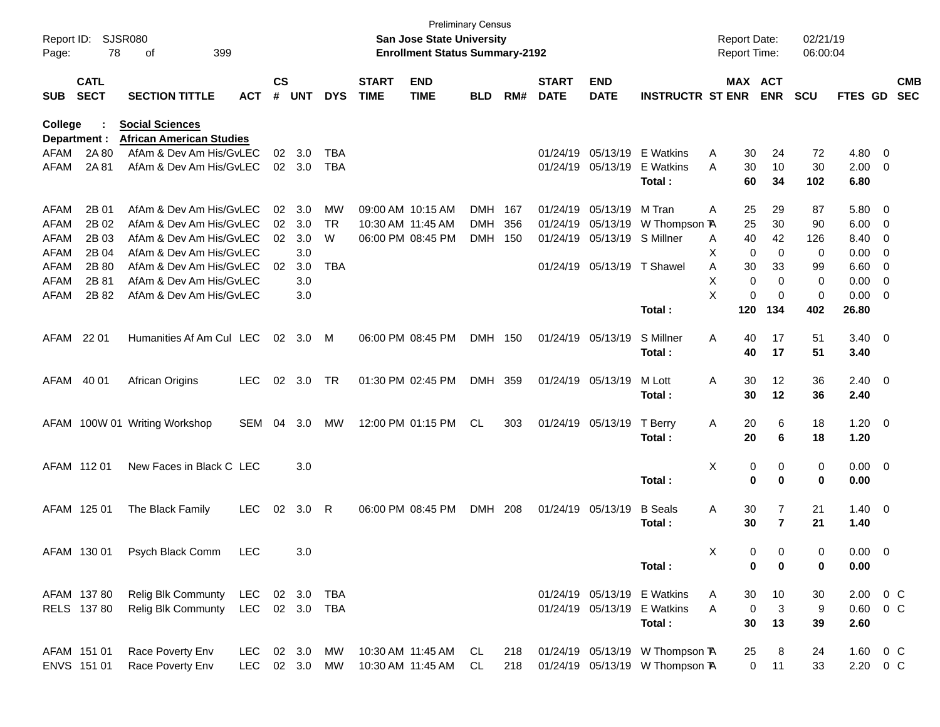| Page:          | Report ID: SJSR080<br>78   | 399<br>of                                                  |                |                    |                |            |                             | San Jose State University<br><b>Enrollment Status Summary-2192</b> | <b>Preliminary Census</b> |     |                             |                           |                                 | <b>Report Date:</b><br><b>Report Time:</b> |                       | 02/21/19<br>06:00:04 |                |                          |                          |
|----------------|----------------------------|------------------------------------------------------------|----------------|--------------------|----------------|------------|-----------------------------|--------------------------------------------------------------------|---------------------------|-----|-----------------------------|---------------------------|---------------------------------|--------------------------------------------|-----------------------|----------------------|----------------|--------------------------|--------------------------|
| <b>SUB</b>     | <b>CATL</b><br><b>SECT</b> | <b>SECTION TITTLE</b>                                      | <b>ACT</b>     | $\mathsf{cs}$<br># | <b>UNT</b>     | <b>DYS</b> | <b>START</b><br><b>TIME</b> | <b>END</b><br><b>TIME</b>                                          | <b>BLD</b>                | RM# | <b>START</b><br><b>DATE</b> | <b>END</b><br><b>DATE</b> | <b>INSTRUCTR ST ENR</b>         |                                            | MAX ACT<br><b>ENR</b> | <b>SCU</b>           | FTES GD        |                          | <b>CMB</b><br><b>SEC</b> |
| <b>College</b> |                            | <b>Social Sciences</b>                                     |                |                    |                |            |                             |                                                                    |                           |     |                             |                           |                                 |                                            |                       |                      |                |                          |                          |
| AFAM           | Department :<br>2A 80      | <b>African American Studies</b><br>AfAm & Dev Am His/GvLEC |                | 02                 | 3.0            | TBA        |                             |                                                                    |                           |     |                             | 01/24/19 05/13/19         | E Watkins                       | Α<br>30                                    | 24                    | 72                   | 4.80 0         |                          |                          |
| AFAM           | 2A 81                      | AfAm & Dev Am His/GvLEC                                    |                |                    | $02 \quad 3.0$ | TBA        |                             |                                                                    |                           |     |                             | 01/24/19 05/13/19         | E Watkins                       | A<br>30                                    | 10                    | 30                   | $2.00 \t 0$    |                          |                          |
|                |                            |                                                            |                |                    |                |            |                             |                                                                    |                           |     |                             |                           | Total:                          | 60                                         | 34                    | 102                  | 6.80           |                          |                          |
| AFAM           | 2B 01                      | AfAm & Dev Am His/GvLEC                                    |                | 02                 | 3.0            | MW         |                             | 09:00 AM 10:15 AM                                                  | DMH 167                   |     |                             | 01/24/19 05/13/19         | M Tran                          | 25<br>Α                                    | 29                    | 87                   | 5.80 0         |                          |                          |
| AFAM           | 2B 02                      | AfAm & Dev Am His/GvLEC                                    |                | 02                 | 3.0            | TR         |                             | 10:30 AM 11:45 AM                                                  | <b>DMH</b>                | 356 |                             | 01/24/19 05/13/19         | W Thompson TA                   | 25                                         | 30                    | 90                   | $6.00 \t 0$    |                          |                          |
| AFAM           | 2B 03                      | AfAm & Dev Am His/GvLEC                                    |                | 02                 | 3.0            | W          |                             | 06:00 PM 08:45 PM                                                  | DMH 150                   |     |                             | 01/24/19 05/13/19         | S Millner                       | 40<br>Α                                    | 42                    | 126                  | 8.40 0         |                          |                          |
| AFAM           | 2B 04                      | AfAm & Dev Am His/GvLEC                                    |                |                    | 3.0            |            |                             |                                                                    |                           |     |                             |                           |                                 | X<br>0                                     | 0                     | 0                    | 0.00           | $\overline{\phantom{0}}$ |                          |
| AFAM           | 2B 80                      | AfAm & Dev Am His/GvLEC                                    |                | 02                 | 3.0            | TBA        |                             |                                                                    |                           |     |                             | 01/24/19 05/13/19         | T Shawel                        | 30<br>A                                    | 33                    | 99                   | 6.60           | $\overline{\phantom{0}}$ |                          |
| <b>AFAM</b>    | 2B 81<br>2B 82             | AfAm & Dev Am His/GvLEC                                    |                |                    | 3.0            |            |                             |                                                                    |                           |     |                             |                           |                                 | 0<br>X<br>X<br>0                           | 0<br>0                | 0                    | 0.00           | $\overline{\phantom{0}}$ |                          |
| AFAM           |                            | AfAm & Dev Am His/GvLEC                                    |                |                    | 3.0            |            |                             |                                                                    |                           |     |                             |                           | Total:                          | 120                                        | 134                   | 0<br>402             | 0.00<br>26.80  | $\overline{\phantom{0}}$ |                          |
|                |                            |                                                            |                |                    |                |            |                             |                                                                    |                           |     |                             |                           |                                 |                                            |                       |                      |                |                          |                          |
| AFAM           | 22 01                      | Humanities Af Am Cul LEC                                   |                | 02                 | 3.0            | M          |                             | 06:00 PM 08:45 PM                                                  | DMH 150                   |     |                             | 01/24/19 05/13/19         | S Millner                       | Α<br>40                                    | 17                    | 51                   | $3.40 \quad 0$ |                          |                          |
|                |                            |                                                            |                |                    |                |            |                             |                                                                    |                           |     |                             |                           | Total :                         | 40                                         | 17                    | 51                   | 3.40           |                          |                          |
| AFAM           | 40 01                      | African Origins                                            | <b>LEC</b>     |                    | 02 3.0         | TR         |                             | 01:30 PM 02:45 PM                                                  | DMH 359                   |     | 01/24/19 05/13/19           |                           | M Lott                          | 30<br>Α                                    | 12                    | 36                   | $2.40 \quad 0$ |                          |                          |
|                |                            |                                                            |                |                    |                |            |                             |                                                                    |                           |     |                             |                           | Total :                         | 30                                         | 12                    | 36                   | 2.40           |                          |                          |
|                |                            | AFAM 100W 01 Writing Workshop                              | <b>SEM</b>     | 04                 | 3.0            | МW         |                             | 12:00 PM 01:15 PM                                                  | CL                        | 303 |                             | 01/24/19 05/13/19         | T Berry                         | 20<br>A                                    | 6                     | 18                   | $1.20 \ 0$     |                          |                          |
|                |                            |                                                            |                |                    |                |            |                             |                                                                    |                           |     |                             |                           | Total:                          | 20                                         | 6                     | 18                   | 1.20           |                          |                          |
|                | AFAM 112 01                | New Faces in Black C LEC                                   |                |                    | 3.0            |            |                             |                                                                    |                           |     |                             |                           |                                 | Χ                                          | 0<br>0                | 0                    | $0.00 \t 0$    |                          |                          |
|                |                            |                                                            |                |                    |                |            |                             |                                                                    |                           |     |                             |                           | Total:                          | 0                                          | $\bf{0}$              | 0                    | 0.00           |                          |                          |
|                | AFAM 125 01                | The Black Family                                           | <b>LEC</b>     | 02                 | 3.0 R          |            |                             | 06:00 PM 08:45 PM                                                  | DMH 208                   |     |                             | 01/24/19 05/13/19         | <b>B</b> Seals                  | Α<br>30                                    | 7                     | 21                   | $1.40 \ 0$     |                          |                          |
|                |                            |                                                            |                |                    |                |            |                             |                                                                    |                           |     |                             |                           | Total :                         | 30                                         | $\overline{7}$        | 21                   | 1.40           |                          |                          |
|                | AFAM 130 01                | Psych Black Comm                                           | LEC            |                    | 3.0            |            |                             |                                                                    |                           |     |                             |                           |                                 | X.                                         | $\Omega$<br>0         | $\Omega$             | $0.00 \quad 0$ |                          |                          |
|                |                            |                                                            |                |                    |                |            |                             |                                                                    |                           |     |                             |                           | Total:                          |                                            | 0<br>$\bf{0}$         | 0                    | 0.00           |                          |                          |
|                | AFAM 137 80                | Relig Blk Communty                                         | LEC 02 3.0 TBA |                    |                |            |                             |                                                                    |                           |     |                             |                           | 01/24/19 05/13/19 E Watkins     | 30<br>A                                    | 10                    | 30                   | 2.00 0 C       |                          |                          |
|                | RELS 137 80                | Relig Blk Communty                                         | LEC 02 3.0 TBA |                    |                |            |                             |                                                                    |                           |     |                             | 01/24/19 05/13/19         | <b>E</b> Watkins                | $\mathbf 0$<br>Α                           | 3                     | 9                    | $0.60 \t 0 C$  |                          |                          |
|                |                            |                                                            |                |                    |                |            |                             |                                                                    |                           |     |                             |                           | Total:                          | 30                                         | 13                    | 39                   | 2.60           |                          |                          |
|                | AFAM 151 01                | Race Poverty Env                                           | LEC 02 3.0 MW  |                    |                |            |                             | 10:30 AM 11:45 AM                                                  | CL.                       | 218 |                             |                           | 01/24/19 05/13/19 W Thompson TA | 25                                         | 8                     | 24                   | 1.60 0 C       |                          |                          |
|                | ENVS 151 01                | Race Poverty Env                                           | LEC 02 3.0 MW  |                    |                |            |                             | 10:30 AM 11:45 AM                                                  | CL.                       | 218 |                             |                           | 01/24/19 05/13/19 W Thompson TA |                                            | 0<br>11               | 33                   | 2.20 0 C       |                          |                          |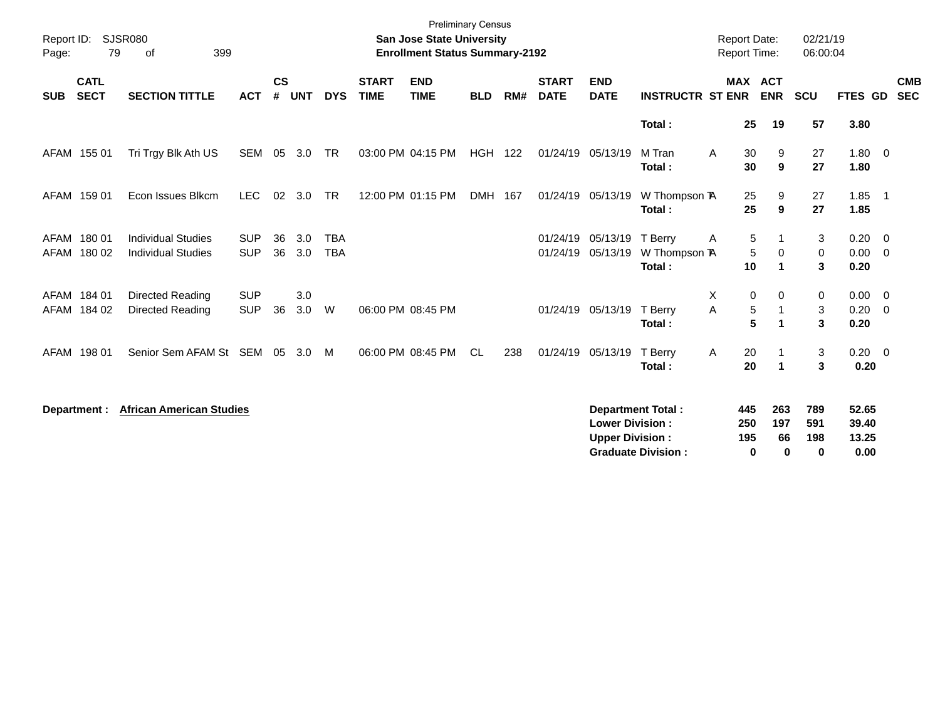| Report ID:<br>Page: | 79                         | SJSR080<br>399<br>οf                                   |                          |                |                |                          |                             | <b>Preliminary Census</b><br><b>San Jose State University</b><br><b>Enrollment Status Summary-2192</b> |            |     |                             |                                                  |                                                       | <b>Report Date:</b><br>Report Time: |                              | 02/21/19<br>06:00:04             |                                 |                          |
|---------------------|----------------------------|--------------------------------------------------------|--------------------------|----------------|----------------|--------------------------|-----------------------------|--------------------------------------------------------------------------------------------------------|------------|-----|-----------------------------|--------------------------------------------------|-------------------------------------------------------|-------------------------------------|------------------------------|----------------------------------|---------------------------------|--------------------------|
| <b>SUB</b>          | <b>CATL</b><br><b>SECT</b> | <b>SECTION TITTLE</b>                                  | <b>ACT</b>               | <b>CS</b><br># | <b>UNT</b>     | <b>DYS</b>               | <b>START</b><br><b>TIME</b> | <b>END</b><br><b>TIME</b>                                                                              | <b>BLD</b> | RM# | <b>START</b><br><b>DATE</b> | <b>END</b><br><b>DATE</b>                        | <b>INSTRUCTR ST ENR</b>                               |                                     | <b>MAX ACT</b><br><b>ENR</b> | <b>SCU</b>                       | <b>FTES GD</b>                  | <b>CMB</b><br><b>SEC</b> |
|                     |                            |                                                        |                          |                |                |                          |                             |                                                                                                        |            |     |                             |                                                  | Total:                                                | 25                                  | 19                           | 57                               | 3.80                            |                          |
|                     | AFAM 155 01                | Tri Trgy Blk Ath US                                    | SEM                      | 05             | 3.0            | <b>TR</b>                |                             | 03:00 PM 04:15 PM                                                                                      | <b>HGH</b> | 122 | 01/24/19 05/13/19           |                                                  | M Tran<br>Total:                                      | A<br>30<br>30                       | 9<br>9                       | 27<br>27                         | $1.80 \t 0$<br>1.80             |                          |
|                     | AFAM 159 01                | Econ Issues Blkcm                                      | <b>LEC</b>               |                | $02 \quad 3.0$ | <b>TR</b>                |                             | 12:00 PM 01:15 PM                                                                                      | DMH 167    |     | 01/24/19 05/13/19           |                                                  | W Thompson TA<br>Total:                               | 25<br>25                            | 9<br>9                       | 27<br>27                         | $1.85$ 1<br>1.85                |                          |
|                     | AFAM 180 01<br>AFAM 180 02 | <b>Individual Studies</b><br><b>Individual Studies</b> | <b>SUP</b><br><b>SUP</b> | 36<br>36       | 3.0<br>3.0     | <b>TBA</b><br><b>TBA</b> |                             |                                                                                                        |            |     | 01/24/19                    | 05/13/19<br>01/24/19 05/13/19                    | T Berry<br>W Thompson TA<br>Total:                    | 5<br>Α<br>$\mathbf 5$<br>10         | 0<br>$\blacktriangleleft$    | 3<br>0<br>3                      | 0.20<br>$0.00 \t 0$<br>0.20     | $\overline{0}$           |
|                     | AFAM 184 01<br>AFAM 184 02 | Directed Reading<br>Directed Reading                   | <b>SUP</b><br><b>SUP</b> | 36             | 3.0<br>3.0     | W                        |                             | 06:00 PM 08:45 PM                                                                                      |            |     |                             | 01/24/19 05/13/19                                | T Berry<br>Total:                                     | Χ<br>0<br>$\mathbf 5$<br>A<br>5     | $\mathbf 0$<br>1             | 0<br>$\sqrt{3}$<br>3             | 0.00<br>$0.20 \ 0$<br>0.20      | $\overline{\mathbf{0}}$  |
|                     | AFAM 198 01                | Senior Sem AFAM St SEM                                 |                          | 05             | 3.0            | M                        |                             | 06:00 PM 08:45 PM                                                                                      | <b>CL</b>  | 238 |                             | 01/24/19 05/13/19                                | T Berry<br>Total:                                     | Α<br>20<br>20                       | $\mathbf 1$                  | 3<br>3                           | $0.20 \ 0$<br>0.20              |                          |
|                     | Department :               | <b>African American Studies</b>                        |                          |                |                |                          |                             |                                                                                                        |            |     |                             | <b>Lower Division:</b><br><b>Upper Division:</b> | <b>Department Total:</b><br><b>Graduate Division:</b> | 445<br>250<br>195<br>$\mathbf 0$    | 263<br>197<br>66<br>$\bf{0}$ | 789<br>591<br>198<br>$\mathbf 0$ | 52.65<br>39.40<br>13.25<br>0.00 |                          |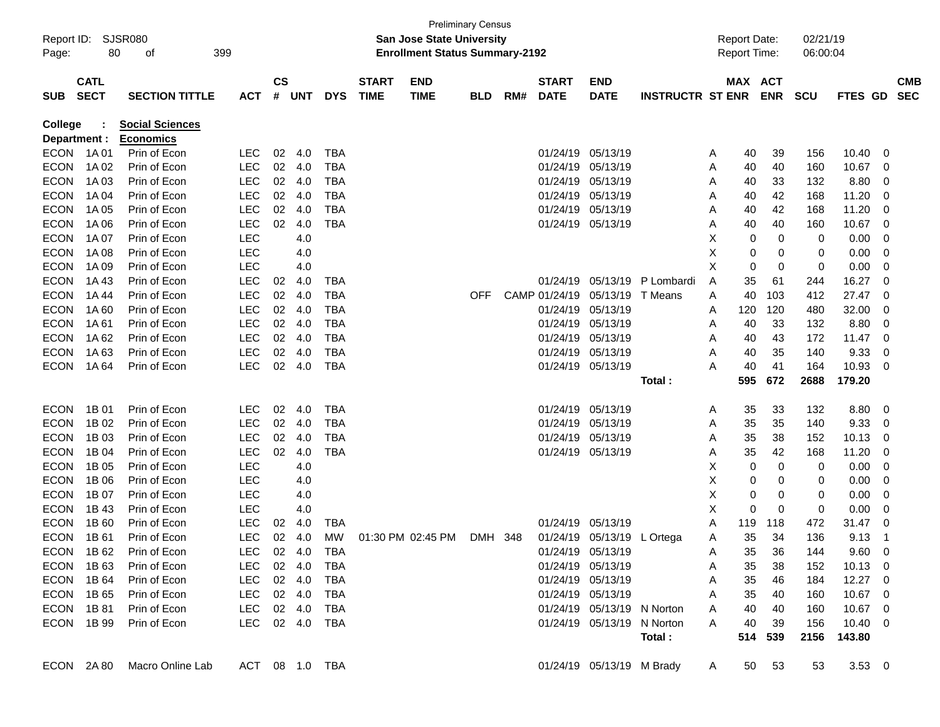| Report ID:<br>Page:            | 80                         | <b>SJSR080</b><br>οf                       | 399            |                    |            |            |                             | <b>Preliminary Census</b><br><b>San Jose State University</b><br><b>Enrollment Status Summary-2192</b> |            |     |                             |                            |                         |   | <b>Report Date:</b><br>Report Time: |                       | 02/21/19<br>06:00:04 |             |                         |                          |
|--------------------------------|----------------------------|--------------------------------------------|----------------|--------------------|------------|------------|-----------------------------|--------------------------------------------------------------------------------------------------------|------------|-----|-----------------------------|----------------------------|-------------------------|---|-------------------------------------|-----------------------|----------------------|-------------|-------------------------|--------------------------|
| <b>SUB</b>                     | <b>CATL</b><br><b>SECT</b> | <b>SECTION TITTLE</b>                      | <b>ACT</b>     | $\mathsf{cs}$<br># | <b>UNT</b> | <b>DYS</b> | <b>START</b><br><b>TIME</b> | <b>END</b><br><b>TIME</b>                                                                              | <b>BLD</b> | RM# | <b>START</b><br><b>DATE</b> | <b>END</b><br><b>DATE</b>  | <b>INSTRUCTR ST ENR</b> |   |                                     | MAX ACT<br><b>ENR</b> | <b>SCU</b>           | FTES GD     |                         | <b>CMB</b><br><b>SEC</b> |
| <b>College</b><br>Department : |                            | <b>Social Sciences</b><br><b>Economics</b> |                |                    |            |            |                             |                                                                                                        |            |     |                             |                            |                         |   |                                     |                       |                      |             |                         |                          |
| <b>ECON</b>                    | 1A 01                      | Prin of Econ                               | <b>LEC</b>     | 02                 | 4.0        | <b>TBA</b> |                             |                                                                                                        |            |     | 01/24/19                    | 05/13/19                   |                         | A | 40                                  | 39                    | 156                  | 10.40       | 0                       |                          |
| <b>ECON</b>                    | 1A 02                      | Prin of Econ                               | <b>LEC</b>     | 02                 | 4.0        | <b>TBA</b> |                             |                                                                                                        |            |     | 01/24/19                    | 05/13/19                   |                         | A | 40                                  | 40                    | 160                  | 10.67       | 0                       |                          |
| <b>ECON</b>                    | 1A03                       | Prin of Econ                               | <b>LEC</b>     | 02                 | 4.0        | <b>TBA</b> |                             |                                                                                                        |            |     | 01/24/19                    | 05/13/19                   |                         | A | 40                                  | 33                    | 132                  | 8.80        | 0                       |                          |
| <b>ECON</b>                    | 1A 04                      | Prin of Econ                               | <b>LEC</b>     | 02                 | 4.0        | <b>TBA</b> |                             |                                                                                                        |            |     | 01/24/19                    | 05/13/19                   |                         | Α | 40                                  | 42                    | 168                  | 11.20       | 0                       |                          |
| <b>ECON</b>                    | 1A 05                      | Prin of Econ                               | <b>LEC</b>     | 02                 | 4.0        | <b>TBA</b> |                             |                                                                                                        |            |     | 01/24/19                    | 05/13/19                   |                         | Α | 40                                  | 42                    | 168                  | 11.20       | 0                       |                          |
| <b>ECON</b>                    | 1A 06                      | Prin of Econ                               | <b>LEC</b>     | 02                 | 4.0        | <b>TBA</b> |                             |                                                                                                        |            |     |                             | 01/24/19 05/13/19          |                         | A | 40                                  | 40                    | 160                  | 10.67       | $\Omega$                |                          |
| <b>ECON</b>                    | 1A 07                      | Prin of Econ                               | LEC            |                    | 4.0        |            |                             |                                                                                                        |            |     |                             |                            |                         | X | 0                                   | 0                     | 0                    | 0.00        | 0                       |                          |
| <b>ECON</b>                    | 1A 08                      | Prin of Econ                               | LEC            |                    | 4.0        |            |                             |                                                                                                        |            |     |                             |                            |                         | X | 0                                   | 0                     | 0                    | 0.00        | 0                       |                          |
| <b>ECON</b>                    | 1A 09                      | Prin of Econ                               | LEC            |                    | 4.0        |            |                             |                                                                                                        |            |     |                             |                            |                         | X | 0                                   | 0                     | 0                    | 0.00        | 0                       |                          |
| <b>ECON</b>                    | 1A 43                      | Prin of Econ                               | <b>LEC</b>     | 02                 | 4.0        | <b>TBA</b> |                             |                                                                                                        |            |     | 01/24/19                    | 05/13/19                   | P Lombardi              | A | 35                                  | 61                    | 244                  | 16.27       | $\Omega$                |                          |
| <b>ECON</b>                    | 1A44                       | Prin of Econ                               | <b>LEC</b>     | 02                 | 4.0        | <b>TBA</b> |                             |                                                                                                        | <b>OFF</b> |     | CAMP 01/24/19               | 05/13/19                   | T Means                 | Α | 40                                  | 103                   | 412                  | 27.47       | $\Omega$                |                          |
| <b>ECON</b>                    | 1A60                       | Prin of Econ                               | <b>LEC</b>     | 02                 | 4.0        | <b>TBA</b> |                             |                                                                                                        |            |     | 01/24/19                    | 05/13/19                   |                         | A | 120                                 | 120                   | 480                  | 32.00       | 0                       |                          |
| <b>ECON</b>                    | 1A61                       | Prin of Econ                               | <b>LEC</b>     | 02                 | 4.0        | <b>TBA</b> |                             |                                                                                                        |            |     | 01/24/19                    | 05/13/19                   |                         | A | 40                                  | 33                    | 132                  | 8.80        | 0                       |                          |
| <b>ECON</b>                    | 1A 62                      | Prin of Econ                               | <b>LEC</b>     | 02                 | 4.0        | <b>TBA</b> |                             |                                                                                                        |            |     | 01/24/19                    | 05/13/19                   |                         | A | 40                                  | 43                    | 172                  | 11.47       | 0                       |                          |
| <b>ECON</b>                    | 1A63                       | Prin of Econ                               | <b>LEC</b>     | 02                 | 4.0        | <b>TBA</b> |                             |                                                                                                        |            |     | 01/24/19                    | 05/13/19                   |                         | A | 40                                  | 35                    | 140                  | 9.33        | 0                       |                          |
| <b>ECON</b>                    | 1A 64                      | Prin of Econ                               | <b>LEC</b>     | 02                 | 4.0        | <b>TBA</b> |                             |                                                                                                        |            |     |                             | 01/24/19 05/13/19          |                         | Α | 40                                  | 41                    | 164                  | 10.93       | $\Omega$                |                          |
|                                |                            |                                            |                |                    |            |            |                             |                                                                                                        |            |     |                             |                            | Total:                  |   | 595                                 | 672                   | 2688                 | 179.20      |                         |                          |
|                                |                            |                                            |                |                    |            |            |                             |                                                                                                        |            |     |                             |                            |                         |   |                                     |                       |                      |             |                         |                          |
| <b>ECON</b>                    | 1B 01                      | Prin of Econ                               | <b>LEC</b>     | 02                 | 4.0        | <b>TBA</b> |                             |                                                                                                        |            |     | 01/24/19                    | 05/13/19                   |                         | A | 35                                  | 33                    | 132                  | 8.80        | 0                       |                          |
| <b>ECON</b>                    | 1B 02                      | Prin of Econ                               | <b>LEC</b>     | 02                 | 4.0        | <b>TBA</b> |                             |                                                                                                        |            |     | 01/24/19                    | 05/13/19                   |                         | A | 35                                  | 35                    | 140                  | 9.33        | 0                       |                          |
| <b>ECON</b>                    | 1B 03                      | Prin of Econ                               | <b>LEC</b>     | 02                 | 4.0        | <b>TBA</b> |                             |                                                                                                        |            |     | 01/24/19                    | 05/13/19                   |                         | A | 35                                  | 38                    | 152                  | 10.13       | 0                       |                          |
| <b>ECON</b>                    | 1B 04                      | Prin of Econ                               | <b>LEC</b>     | 02                 | 4.0        | <b>TBA</b> |                             |                                                                                                        |            |     |                             | 01/24/19 05/13/19          |                         | A | 35                                  | 42                    | 168                  | 11.20       | 0                       |                          |
| <b>ECON</b>                    | 1B 05                      | Prin of Econ                               | <b>LEC</b>     |                    | 4.0        |            |                             |                                                                                                        |            |     |                             |                            |                         | X | 0                                   | 0                     | 0                    | 0.00        | 0                       |                          |
| <b>ECON</b>                    | 1B 06                      | Prin of Econ                               | LEC            |                    | 4.0        |            |                             |                                                                                                        |            |     |                             |                            |                         | X | 0                                   | 0                     | 0                    | 0.00        | 0                       |                          |
| <b>ECON</b>                    | 1B 07                      | Prin of Econ                               | LEC            |                    | 4.0        |            |                             |                                                                                                        |            |     |                             |                            |                         | X | 0                                   | 0                     | 0                    | 0.00        | 0                       |                          |
| <b>ECON</b>                    | 1B 43                      | Prin of Econ                               | <b>LEC</b>     |                    | 4.0        |            |                             |                                                                                                        |            |     |                             |                            |                         | X | 0                                   | $\mathbf 0$           | 0                    | 0.00        | 0                       |                          |
| <b>ECON</b>                    | 1B 60                      | Prin of Econ                               | LEC            | 02                 | 4.0        | <b>TBA</b> |                             |                                                                                                        |            |     | 01/24/19                    | 05/13/19                   |                         | Α | 119                                 | 118                   | 472                  | 31.47       | 0                       |                          |
| <b>ECON</b>                    | 1B 61                      | Prin of Econ                               | <b>LEC</b>     | 02                 | 4.0        | MW         |                             | 01:30 PM 02:45 PM                                                                                      | DMH 348    |     |                             | 01/24/19 05/13/19 L Ortega |                         | A | 35                                  | 34                    | 136                  | 9.13        | $\overline{\mathbf{1}}$ |                          |
| <b>ECON</b>                    | 1B 62                      | Prin of Econ                               | LEC            |                    | 02 4.0     | TBA        |                             |                                                                                                        |            |     |                             | 01/24/19 05/13/19          |                         | A | 35                                  | 36                    | 144                  | 9.60        | $\overline{\mathbf{0}}$ |                          |
| <b>ECON</b>                    | 1B 63                      | Prin of Econ                               | LEC.           |                    | 02 4.0     | TBA        |                             |                                                                                                        |            |     |                             | 01/24/19 05/13/19          |                         | Α | 35                                  | 38                    | 152                  | 10.13       | - 0                     |                          |
| <b>ECON</b>                    | 1B 64                      | Prin of Econ                               | <b>LEC</b>     |                    | 02 4.0     | <b>TBA</b> |                             |                                                                                                        |            |     |                             | 01/24/19 05/13/19          |                         | Α | 35                                  | 46                    | 184                  | $12.27$ 0   |                         |                          |
| <b>ECON</b>                    | 1B 65                      | Prin of Econ                               | <b>LEC</b>     |                    | 02 4.0     | TBA        |                             |                                                                                                        |            |     |                             | 01/24/19 05/13/19          |                         | Α | 35                                  | 40                    | 160                  | 10.67       | - 0                     |                          |
| <b>ECON</b>                    | 1B 81                      | Prin of Econ                               | <b>LEC</b>     |                    | 02 4.0     | TBA        |                             |                                                                                                        |            |     |                             | 01/24/19 05/13/19 N Norton |                         | Α | 40                                  | 40                    | 160                  | 10.67 0     |                         |                          |
| <b>ECON</b>                    | 1B 99                      | Prin of Econ                               | <b>LEC</b>     |                    | 02 4.0     | TBA        |                             |                                                                                                        |            |     |                             | 01/24/19 05/13/19 N Norton |                         | Α | 40                                  | 39                    | 156                  | $10.40 \ 0$ |                         |                          |
|                                |                            |                                            |                |                    |            |            |                             |                                                                                                        |            |     |                             |                            | Total:                  |   | 514                                 | 539                   | 2156                 | 143.80      |                         |                          |
| ECON 2A80                      |                            | Macro Online Lab                           | ACT 08 1.0 TBA |                    |            |            |                             |                                                                                                        |            |     |                             | 01/24/19 05/13/19 M Brady  |                         | A | 50                                  | 53                    | 53                   | $3.53 \ 0$  |                         |                          |
|                                |                            |                                            |                |                    |            |            |                             |                                                                                                        |            |     |                             |                            |                         |   |                                     |                       |                      |             |                         |                          |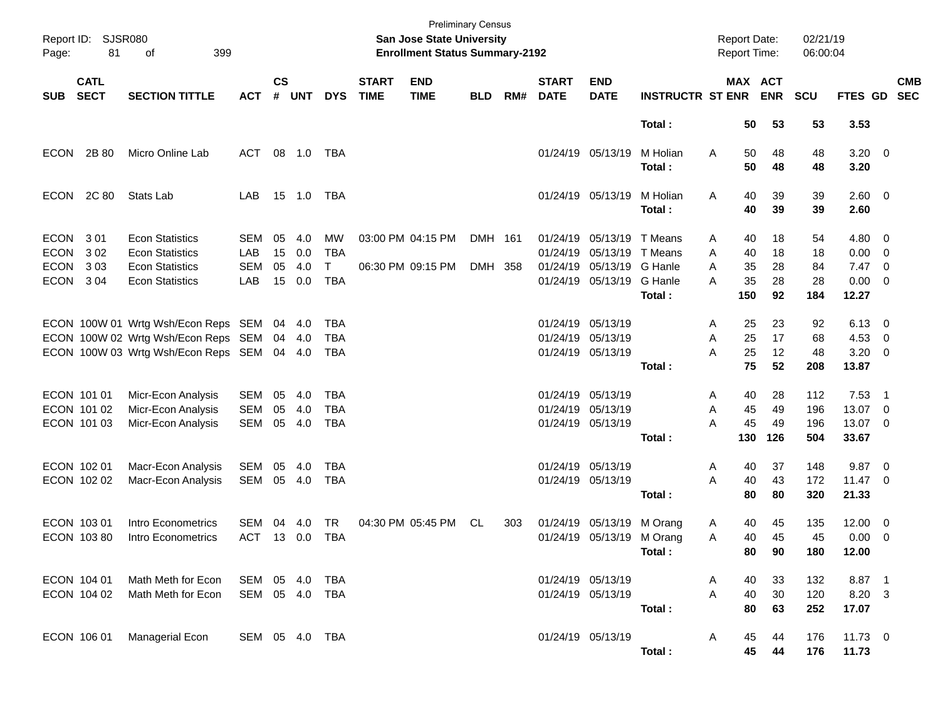| Report ID:<br>Page:                                      | <b>SJSR080</b><br>81       |                                                                                                                   |                                 |                      |                          |                                        | <b>Preliminary Census</b><br><b>San Jose State University</b><br><b>Enrollment Status Summary-2192</b> |                                        |                    |     |                               |                                                                | <b>Report Date:</b><br>Report Time:                |                  |                             | 02/21/19<br>06:00:04       |                             |                                                       |                                                      |                          |
|----------------------------------------------------------|----------------------------|-------------------------------------------------------------------------------------------------------------------|---------------------------------|----------------------|--------------------------|----------------------------------------|--------------------------------------------------------------------------------------------------------|----------------------------------------|--------------------|-----|-------------------------------|----------------------------------------------------------------|----------------------------------------------------|------------------|-----------------------------|----------------------------|-----------------------------|-------------------------------------------------------|------------------------------------------------------|--------------------------|
| <b>SUB</b>                                               | <b>CATL</b><br><b>SECT</b> | <b>SECTION TITTLE</b>                                                                                             | <b>ACT</b>                      | $\mathsf{cs}$<br>#   | <b>UNT</b>               | <b>DYS</b>                             | <b>START</b><br><b>TIME</b>                                                                            | <b>END</b><br><b>TIME</b>              | <b>BLD</b>         | RM# | <b>START</b><br><b>DATE</b>   | <b>END</b><br><b>DATE</b>                                      | <b>INSTRUCTR ST ENR</b>                            |                  |                             | MAX ACT<br><b>ENR</b>      | SCU                         | FTES GD                                               |                                                      | <b>CMB</b><br><b>SEC</b> |
|                                                          |                            |                                                                                                                   |                                 |                      |                          |                                        |                                                                                                        |                                        |                    |     |                               |                                                                | Total:                                             |                  | 50                          | 53                         | 53                          | 3.53                                                  |                                                      |                          |
| <b>ECON</b>                                              | 2B 80                      | Micro Online Lab                                                                                                  | ACT                             | 08                   | 1.0                      | TBA                                    |                                                                                                        |                                        |                    |     |                               | 01/24/19 05/13/19                                              | M Holian<br>Total:                                 | A                | 50<br>50                    | 48<br>48                   | 48<br>48                    | $3.20 \ 0$<br>3.20                                    |                                                      |                          |
| ECON                                                     | 2C 80                      | Stats Lab                                                                                                         | LAB                             |                      | 15 1.0                   | TBA                                    |                                                                                                        |                                        |                    |     |                               | 01/24/19 05/13/19                                              | M Holian<br>Total:                                 | A                | 40<br>40                    | 39<br>39                   | 39<br>39                    | $2.60 \t 0$<br>2.60                                   |                                                      |                          |
| <b>ECON</b><br><b>ECON</b><br><b>ECON</b><br><b>ECON</b> | 3 0 1<br>302<br>303<br>304 | <b>Econ Statistics</b><br><b>Econ Statistics</b><br><b>Econ Statistics</b><br><b>Econ Statistics</b>              | SEM<br>LAB<br><b>SEM</b><br>LAB | 05<br>15<br>05<br>15 | 4.0<br>0.0<br>4.0<br>0.0 | MW<br><b>TBA</b><br>T<br><b>TBA</b>    |                                                                                                        | 03:00 PM 04:15 PM<br>06:30 PM 09:15 PM | DMH 161<br>DMH 358 |     | 01/24/19<br>01/24/19          | 05/13/19<br>05/13/19<br>01/24/19 05/13/19<br>01/24/19 05/13/19 | T Means<br>T Means<br>G Hanle<br>G Hanle<br>Total: | A<br>A<br>A<br>A | 40<br>40<br>35<br>35<br>150 | 18<br>18<br>28<br>28<br>92 | 54<br>18<br>84<br>28<br>184 | 4.80 0<br>$0.00 \t 0$<br>7.47<br>$0.00 \t 0$<br>12.27 | $\overline{\phantom{0}}$                             |                          |
|                                                          |                            | ECON 100W 01 Wrtg Wsh/Econ Reps SEM<br>ECON 100W 02 Wrtg Wsh/Econ Reps SEM<br>ECON 100W 03 Wrtg Wsh/Econ Reps SEM |                                 | 04                   | 04 4.0<br>4.0<br>04 4.0  | TBA<br><b>TBA</b><br><b>TBA</b>        |                                                                                                        |                                        |                    |     | 01/24/19 05/13/19             | 01/24/19 05/13/19<br>01/24/19 05/13/19                         | Total:                                             | A<br>A<br>A      | 25<br>25<br>25<br>75        | 23<br>17<br>12<br>52       | 92<br>68<br>48<br>208       | $6.13 \quad 0$<br>4.53<br>3.20<br>13.87               | $\overline{\phantom{0}}$<br>$\overline{\phantom{0}}$ |                          |
| ECON 101 01<br>ECON 101 02<br>ECON 101 03                |                            | Micr-Econ Analysis<br>Micr-Econ Analysis<br>Micr-Econ Analysis                                                    | SEM<br><b>SEM</b><br><b>SEM</b> | 05<br>05<br>05       | 4.0<br>4.0<br>4.0        | <b>TBA</b><br><b>TBA</b><br><b>TBA</b> |                                                                                                        |                                        |                    |     | 01/24/19 05/13/19<br>01/24/19 | 05/13/19<br>01/24/19 05/13/19                                  | Total:                                             | A<br>A<br>Α      | 40<br>45<br>45<br>130       | 28<br>49<br>49<br>126      | 112<br>196<br>196<br>504    | 7.53<br>13.07<br>13.07 0<br>33.67                     | - 1<br>$\overline{\mathbf{0}}$                       |                          |
| ECON 102 01<br>ECON 102 02                               |                            | Macr-Econ Analysis<br>Macr-Econ Analysis                                                                          | SEM<br>SEM                      | 05<br>05             | 4.0<br>4.0               | <b>TBA</b><br><b>TBA</b>               |                                                                                                        |                                        |                    |     |                               | 01/24/19 05/13/19<br>01/24/19 05/13/19                         | Total:                                             | A<br>A           | 40<br>40<br>80              | 37<br>43<br>80             | 148<br>172<br>320           | 9.87<br>$11.47$ 0<br>21.33                            | $\overline{\phantom{0}}$                             |                          |
| ECON 103 01<br>ECON 103 80                               |                            | Intro Econometrics<br>Intro Econometrics                                                                          | SEM<br><b>ACT</b>               | 04                   | 4.0<br>13 0.0            | <b>TR</b><br><b>TBA</b>                |                                                                                                        | 04:30 PM 05:45 PM                      | CL                 | 303 | 01/24/19                      | 05/13/19<br>01/24/19 05/13/19 M Orang                          | M Orang<br>Total :                                 | A<br>A           | 40<br>40<br>80              | 45<br>45<br>90             | 135<br>45<br>180            | 12.00 0<br>$0.00 \t 0$<br>12.00                       |                                                      |                          |
| ECON 104 01                                              | ECON 104 02                | Math Meth for Econ<br>Math Meth for Econ                                                                          | SEM 05 4.0<br>SEM 05 4.0        |                      |                          | TBA<br><b>TBA</b>                      |                                                                                                        |                                        |                    |     |                               | 01/24/19 05/13/19<br>01/24/19 05/13/19                         | Total:                                             | A<br>A           | 40<br>40<br>80              | 33<br>$30\,$<br>63         | 132<br>120<br>252           | 8.87 1<br>8.20 3<br>17.07                             |                                                      |                          |
| ECON 106 01                                              |                            | Managerial Econ                                                                                                   | SEM 05 4.0 TBA                  |                      |                          |                                        |                                                                                                        |                                        |                    |     |                               | 01/24/19 05/13/19                                              | Total:                                             | A                | 45<br>45                    | 44<br>44                   | 176<br>176                  | 11.73 0<br>11.73                                      |                                                      |                          |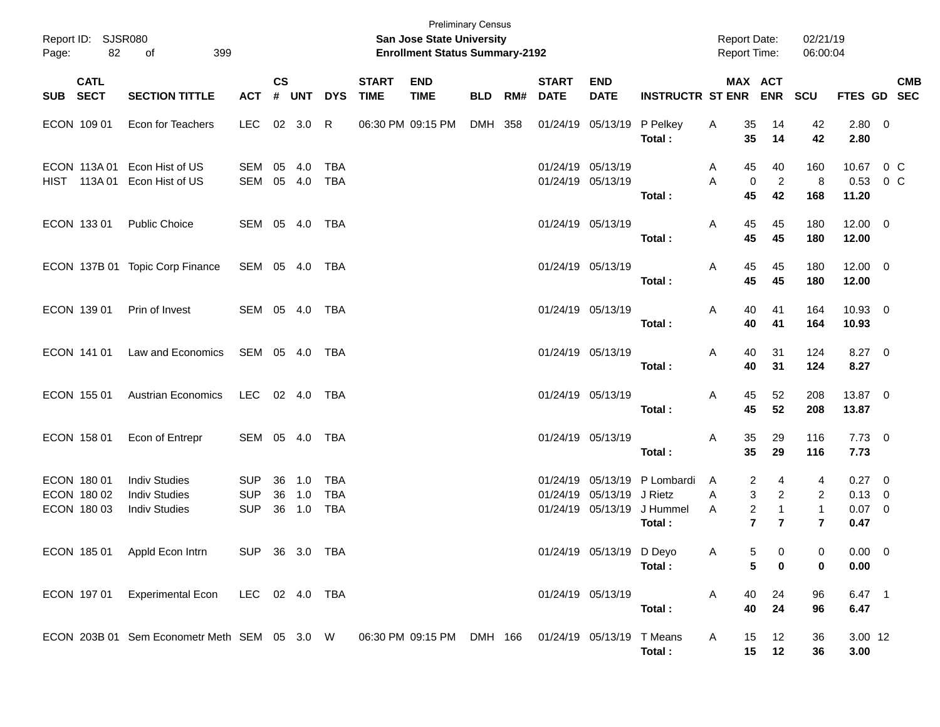| Page:    | Report ID: SJSR080<br>82                  |                                                                                                  |                                        |                    |                   |                                 | <b>Preliminary Census</b><br><b>San Jose State University</b><br><b>Enrollment Status Summary-2192</b> |                           |            |     |                             |                                                | <b>Report Date:</b><br>Report Time:                |             | 02/21/19<br>06:00:04                                                                                |                                          |                                               |         |            |
|----------|-------------------------------------------|--------------------------------------------------------------------------------------------------|----------------------------------------|--------------------|-------------------|---------------------------------|--------------------------------------------------------------------------------------------------------|---------------------------|------------|-----|-----------------------------|------------------------------------------------|----------------------------------------------------|-------------|-----------------------------------------------------------------------------------------------------|------------------------------------------|-----------------------------------------------|---------|------------|
| SUB SECT | <b>CATL</b>                               | <b>SECTION TITTLE</b>                                                                            | <b>ACT</b>                             | $\mathsf{cs}$<br># | <b>UNT</b>        | <b>DYS</b>                      | <b>START</b><br><b>TIME</b>                                                                            | <b>END</b><br><b>TIME</b> | <b>BLD</b> | RM# | <b>START</b><br><b>DATE</b> | <b>END</b><br><b>DATE</b>                      | <b>INSTRUCTR ST ENR ENR</b>                        |             | MAX ACT                                                                                             | <b>SCU</b>                               | FTES GD SEC                                   |         | <b>CMB</b> |
|          | ECON 109 01                               | Econ for Teachers                                                                                | <b>LEC</b>                             |                    | 02 3.0 R          |                                 |                                                                                                        | 06:30 PM 09:15 PM         | DMH 358    |     |                             | 01/24/19 05/13/19                              | P Pelkey<br>Total:                                 | Α           | 35<br>14<br>35<br>14                                                                                | 42<br>42                                 | 2.80 0<br>2.80                                |         |            |
|          | ECON 113A 01                              | Econ Hist of US<br>HIST 113A 01 Econ Hist of US                                                  | SEM<br>SEM                             | 05                 | 4.0<br>05 4.0     | TBA<br><b>TBA</b>               |                                                                                                        |                           |            |     |                             | 01/24/19 05/13/19<br>01/24/19 05/13/19         | Total:                                             | Α<br>A      | 45<br>40<br>$\overline{2}$<br>0<br>45<br>42                                                         | 160<br>8<br>168                          | 10.67 0 C<br>0.53<br>11.20                    | $0\,$ C |            |
|          | ECON 133 01                               | <b>Public Choice</b>                                                                             | SEM 05 4.0 TBA                         |                    |                   |                                 |                                                                                                        |                           |            |     |                             | 01/24/19 05/13/19                              | Total:                                             | Α           | 45<br>45<br>45<br>45                                                                                | 180<br>180                               | $12.00 \t 0$<br>12.00                         |         |            |
|          |                                           | ECON 137B 01 Topic Corp Finance                                                                  | SEM 05 4.0 TBA                         |                    |                   |                                 |                                                                                                        |                           |            |     |                             | 01/24/19 05/13/19                              | Total:                                             | Α           | 45<br>45<br>45<br>45                                                                                | 180<br>180                               | $12.00 \t 0$<br>12.00                         |         |            |
|          | ECON 139 01                               | Prin of Invest                                                                                   | SEM 05 4.0 TBA                         |                    |                   |                                 |                                                                                                        |                           |            |     |                             | 01/24/19 05/13/19                              | Total:                                             | Α           | 40<br>41<br>40<br>41                                                                                | 164<br>164                               | 10.93 0<br>10.93                              |         |            |
|          | ECON 141 01                               | Law and Economics                                                                                | SEM 05 4.0 TBA                         |                    |                   |                                 |                                                                                                        |                           |            |     |                             | 01/24/19 05/13/19                              | Total:                                             | Α           | 31<br>40<br>40<br>31                                                                                | 124<br>124                               | $8.27$ 0<br>8.27                              |         |            |
|          | ECON 155 01                               | <b>Austrian Economics</b>                                                                        | LEC 02 4.0                             |                    |                   | TBA                             |                                                                                                        |                           |            |     |                             | 01/24/19 05/13/19                              | Total:                                             | Α           | 45<br>52<br>45<br>52                                                                                | 208<br>208                               | 13.87 0<br>13.87                              |         |            |
|          | ECON 158 01                               | Econ of Entrepr                                                                                  | SEM 05 4.0 TBA                         |                    |                   |                                 |                                                                                                        |                           |            |     |                             | 01/24/19 05/13/19                              | Total:                                             | Α           | 35<br>29<br>35<br>29                                                                                | 116<br>116                               | $7.73 \t 0$<br>7.73                           |         |            |
|          | ECON 180 01<br>ECON 180 02<br>ECON 180 03 | <b>Indiv Studies</b><br><b>Indiv Studies</b><br><b>Indiv Studies</b>                             | <b>SUP</b><br><b>SUP</b><br><b>SUP</b> | 36<br>36<br>36     | 1.0<br>1.0<br>1.0 | TBA<br><b>TBA</b><br><b>TBA</b> |                                                                                                        |                           |            |     |                             | 01/24/19 05/13/19 J Rietz<br>01/24/19 05/13/19 | 01/24/19 05/13/19 P Lombardi<br>J Hummel<br>Total: | A<br>A<br>A | 2<br>4<br>3<br>$\overline{2}$<br>$\overline{c}$<br>$\mathbf{1}$<br>$\overline{7}$<br>$\overline{7}$ | 4<br>2<br>$\mathbf{1}$<br>$\overline{7}$ | $0.27 \t 0$<br>$0.13 \ 0$<br>$0.07$ 0<br>0.47 |         |            |
|          |                                           | ECON 185 01 Appld Econ Intrn                                                                     | SUP 36 3.0 TBA                         |                    |                   |                                 |                                                                                                        |                           |            |     |                             | 01/24/19 05/13/19 D Deyo                       | Total:                                             | Α           | 0<br>5<br>5<br>$\bf{0}$                                                                             | 0<br>0                                   | $0.00 \t 0$<br>0.00                           |         |            |
|          |                                           | ECON 197 01 Experimental Econ LEC 02 4.0 TBA                                                     |                                        |                    |                   |                                 |                                                                                                        |                           |            |     |                             | 01/24/19 05/13/19                              | Total:                                             | A           | 40<br>24<br>40<br>24                                                                                | 96<br>96                                 | $6.47$ 1<br>6.47                              |         |            |
|          |                                           | ECON 203B 01 Sem Econometr Meth SEM 05 3.0 W 06:30 PM 09:15 PM DMH 166 01/24/19 05/13/19 T Means |                                        |                    |                   |                                 |                                                                                                        |                           |            |     |                             |                                                | Total:                                             | A           | 12<br>15<br>$15 \qquad 12$                                                                          | 36<br>36                                 | 3.00 12<br>3.00                               |         |            |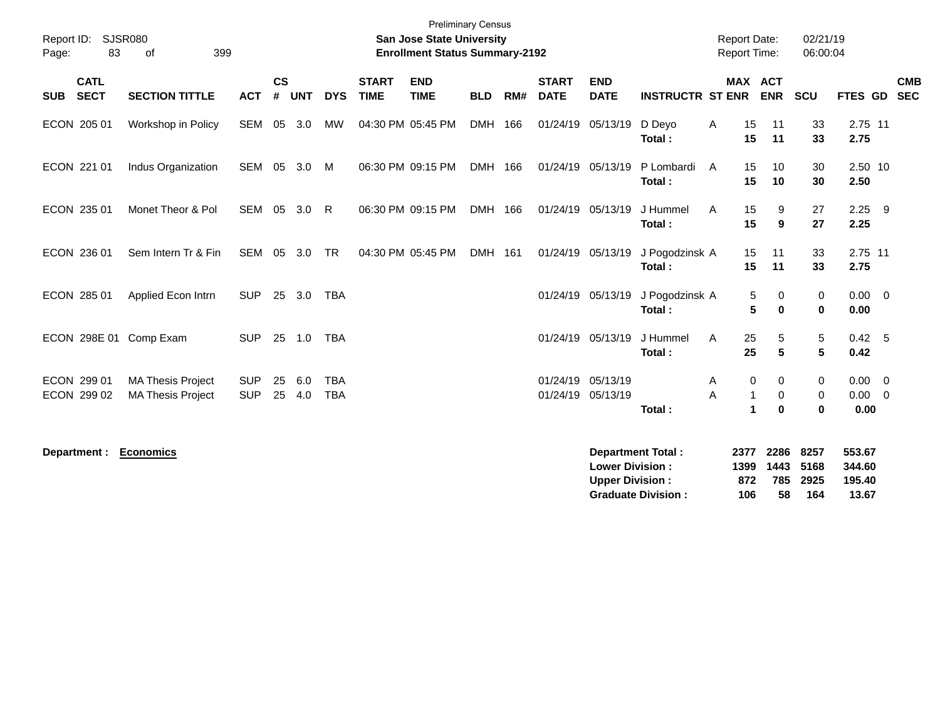| Report ID:<br>Page:        | <b>SJSR080</b><br>83       | 399<br>of                                            |                          |                    |            |                          |                             | <b>Preliminary Census</b><br><b>San Jose State University</b><br><b>Enrollment Status Summary-2192</b> |            |     |                             |                                                  |                          |        | <b>Report Date:</b><br>Report Time: |                              | 02/21/19<br>06:00:04 |                             |                           |
|----------------------------|----------------------------|------------------------------------------------------|--------------------------|--------------------|------------|--------------------------|-----------------------------|--------------------------------------------------------------------------------------------------------|------------|-----|-----------------------------|--------------------------------------------------|--------------------------|--------|-------------------------------------|------------------------------|----------------------|-----------------------------|---------------------------|
| <b>SUB</b>                 | <b>CATL</b><br><b>SECT</b> | <b>SECTION TITTLE</b>                                | <b>ACT</b>               | $\mathsf{cs}$<br># | <b>UNT</b> | <b>DYS</b>               | <b>START</b><br><b>TIME</b> | <b>END</b><br><b>TIME</b>                                                                              | <b>BLD</b> | RM# | <b>START</b><br><b>DATE</b> | <b>END</b><br><b>DATE</b>                        | <b>INSTRUCTR ST ENR</b>  |        | <b>MAX ACT</b>                      | <b>ENR</b>                   | <b>SCU</b>           |                             | <b>CMB</b><br>FTES GD SEC |
| ECON 205 01                |                            | Workshop in Policy                                   | SEM                      | 05                 | 3.0        | <b>MW</b>                |                             | 04:30 PM 05:45 PM                                                                                      | <b>DMH</b> | 166 |                             | 01/24/19 05/13/19                                | D Deyo<br>Total:         | A      | 15<br>15                            | 11<br>11                     | 33<br>33             | 2.75 11<br>2.75             |                           |
| ECON 221 01                |                            | Indus Organization                                   | SEM 05 3.0               |                    |            | M                        |                             | 06:30 PM 09:15 PM                                                                                      | DMH 166    |     | 01/24/19 05/13/19           |                                                  | P Lombardi<br>Total:     | A      | 15<br>15                            | 10<br>10                     | 30<br>30             | 2.50 10<br>2.50             |                           |
| ECON 235 01                |                            | Monet Theor & Pol                                    | SEM                      | 05                 | 3.0        | R                        |                             | 06:30 PM 09:15 PM                                                                                      | <b>DMH</b> | 166 |                             | 01/24/19 05/13/19                                | J Hummel<br>Total:       | A      | 15<br>15                            | 9<br>9                       | 27<br>27             | $2.25$ 9<br>2.25            |                           |
| ECON 236 01                |                            | Sem Intern Tr & Fin                                  | SEM                      |                    | 05 3.0     | <b>TR</b>                |                             | 04:30 PM 05:45 PM                                                                                      | DMH 161    |     |                             | 01/24/19 05/13/19                                | J Pogodzinsk A<br>Total: |        | 15<br>15                            | 11<br>11                     | 33<br>33             | 2.75 11<br>2.75             |                           |
| ECON 285 01                |                            | Applied Econ Intrn                                   | <b>SUP</b>               |                    | 25 3.0     | <b>TBA</b>               |                             |                                                                                                        |            |     |                             | 01/24/19 05/13/19                                | J Pogodzinsk A<br>Total: |        | 5<br>5                              | 0<br>$\bf{0}$                | 0<br>$\mathbf{0}$    | $0.00 \t 0$<br>0.00         |                           |
|                            |                            | ECON 298E 01 Comp Exam                               | <b>SUP</b>               |                    | 25 1.0     | <b>TBA</b>               |                             |                                                                                                        |            |     |                             | 01/24/19 05/13/19                                | J Hummel<br>Total:       | A      | 25<br>25                            | 5<br>5                       | 5<br>5               | 0.42 5<br>0.42              |                           |
| ECON 299 01<br>ECON 299 02 |                            | <b>MA Thesis Project</b><br><b>MA Thesis Project</b> | <b>SUP</b><br><b>SUP</b> | 25<br>25           | 6.0<br>4.0 | <b>TBA</b><br><b>TBA</b> |                             |                                                                                                        |            |     |                             | 01/24/19 05/13/19<br>01/24/19 05/13/19           | Total:                   | A<br>A | 0<br>1<br>$\mathbf{1}$              | 0<br>$\mathbf 0$<br>$\bf{0}$ | 0<br>0<br>$\bf{0}$   | $0.00 \t 0$<br>0.00<br>0.00 | $\overline{0}$            |
|                            |                            | Department : Economics                               |                          |                    |            |                          |                             |                                                                                                        |            |     |                             | <b>Lower Division:</b><br><b>Upper Division:</b> | <b>Department Total:</b> |        | 2377<br>1399<br>872                 | 2286<br>1443<br>785          | 8257<br>5168<br>2925 | 553.67<br>344.60<br>195.40  |                           |

**Graduate Division : 106 58 164 13.67**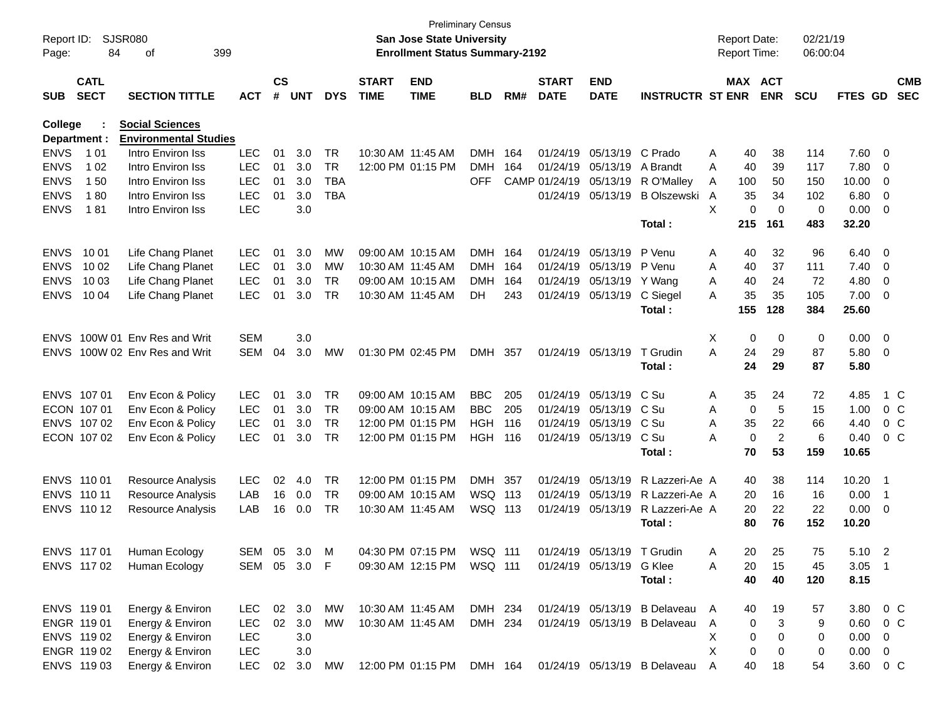| Report ID:  |                 | SJSR080                      |              |               |            |            |                   | <b>San Jose State University</b>      | <b>Preliminary Census</b> |     |               |                            |                                | <b>Report Date:</b> |     |                | 02/21/19   |                |                          |            |
|-------------|-----------------|------------------------------|--------------|---------------|------------|------------|-------------------|---------------------------------------|---------------------------|-----|---------------|----------------------------|--------------------------------|---------------------|-----|----------------|------------|----------------|--------------------------|------------|
| Page:       | 84<br>399<br>οf |                              |              |               |            |            |                   | <b>Enrollment Status Summary-2192</b> |                           |     |               |                            |                                | <b>Report Time:</b> |     |                | 06:00:04   |                |                          |            |
|             | <b>CATL</b>     |                              |              | $\mathsf{cs}$ |            |            | <b>START</b>      | <b>END</b>                            |                           |     | <b>START</b>  | <b>END</b>                 |                                |                     |     | MAX ACT        |            |                |                          | <b>CMB</b> |
| <b>SUB</b>  | <b>SECT</b>     | <b>SECTION TITTLE</b>        | <b>ACT</b>   | #             | <b>UNT</b> | <b>DYS</b> | <b>TIME</b>       | <b>TIME</b>                           | <b>BLD</b>                | RM# | <b>DATE</b>   | <b>DATE</b>                | <b>INSTRUCTR ST ENR</b>        |                     |     | <b>ENR</b>     | <b>SCU</b> | FTES GD        |                          | <b>SEC</b> |
| College     |                 | <b>Social Sciences</b>       |              |               |            |            |                   |                                       |                           |     |               |                            |                                |                     |     |                |            |                |                          |            |
|             | Department :    | <b>Environmental Studies</b> |              |               |            |            |                   |                                       |                           |     |               |                            |                                |                     |     |                |            |                |                          |            |
| <b>ENVS</b> | 1 0 1           | Intro Environ Iss            | <b>LEC</b>   | 01            | 3.0        | TR         | 10:30 AM 11:45 AM |                                       | <b>DMH</b>                | 164 | 01/24/19      | 05/13/19                   | C Prado                        | Α                   | 40  | 38             | 114        | 7.60           | $\overline{\mathbf{0}}$  |            |
| <b>ENVS</b> | 1 0 2           | Intro Environ Iss            | <b>LEC</b>   | 01            | 3.0        | <b>TR</b>  |                   | 12:00 PM 01:15 PM                     | <b>DMH</b>                | 164 | 01/24/19      | 05/13/19                   | A Brandt                       | A                   | 40  | 39             | 117        | 7.80           | 0                        |            |
| <b>ENVS</b> | 150             | Intro Environ Iss            | <b>LEC</b>   | 01            | 3.0        | <b>TBA</b> |                   |                                       | <b>OFF</b>                |     | CAMP 01/24/19 | 05/13/19                   | R O'Malley                     | A                   | 100 | 50             | 150        | 10.00          | 0                        |            |
| <b>ENVS</b> | 180             | Intro Environ Iss            | <b>LEC</b>   | 01            | 3.0        | <b>TBA</b> |                   |                                       |                           |     |               | 01/24/19 05/13/19          | <b>B Olszewski</b>             | A                   | 35  | 34             | 102        | 6.80           | 0                        |            |
| <b>ENVS</b> | 181             | Intro Environ Iss            | <b>LEC</b>   |               | 3.0        |            |                   |                                       |                           |     |               |                            |                                | X                   | 0   | 0              | 0          | 0.00           | 0                        |            |
|             |                 |                              |              |               |            |            |                   |                                       |                           |     |               |                            | Total:                         |                     | 215 | 161            | 483        | 32.20          |                          |            |
| <b>ENVS</b> | 10 01           | Life Chang Planet            | LEC          | 01            | 3.0        | МW         |                   | 09:00 AM 10:15 AM                     | <b>DMH</b>                | 164 |               | 01/24/19 05/13/19          | P Venu                         | Α                   | 40  | 32             | 96         | 6.40           | $\overline{\mathbf{0}}$  |            |
| <b>ENVS</b> | 10 02           | Life Chang Planet            | <b>LEC</b>   | 01            | 3.0        | MW         | 10:30 AM 11:45 AM |                                       | <b>DMH</b>                | 164 | 01/24/19      | 05/13/19                   | P Venu                         | Α                   | 40  | 37             | 111        | 7.40           | 0                        |            |
| <b>ENVS</b> | 10 03           | Life Chang Planet            | <b>LEC</b>   | 01            | 3.0        | <b>TR</b>  |                   | 09:00 AM 10:15 AM                     | <b>DMH</b>                | 164 | 01/24/19      | 05/13/19                   | Y Wang                         | Α                   | 40  | 24             | 72         | 4.80           | 0                        |            |
| <b>ENVS</b> | 10 04           | Life Chang Planet            | <b>LEC</b>   | 01            | 3.0        | <b>TR</b>  | 10:30 AM 11:45 AM |                                       | DH.                       | 243 |               | 01/24/19 05/13/19          | C Siegel                       | A                   | 35  | 35             | 105        | 7.00           | 0                        |            |
|             |                 |                              |              |               |            |            |                   |                                       |                           |     |               |                            | Total:                         |                     | 155 | 128            | 384        | 25.60          |                          |            |
| <b>ENVS</b> |                 | 100W 01 Env Res and Writ     | <b>SEM</b>   |               | 3.0        |            |                   |                                       |                           |     |               |                            |                                | Χ                   | 0   | 0              | 0          | 0.00           | $\overline{\phantom{0}}$ |            |
| <b>ENVS</b> |                 | 100W 02 Env Res and Writ     | <b>SEM</b>   | 04            | 3.0        | МW         |                   | 01:30 PM 02:45 PM                     | <b>DMH</b>                | 357 |               | 01/24/19 05/13/19          | T Grudin                       | A                   | 24  | 29             | 87         | 5.80           | $\overline{\mathbf{0}}$  |            |
|             |                 |                              |              |               |            |            |                   |                                       |                           |     |               |                            | Total:                         |                     | 24  | 29             | 87         | 5.80           |                          |            |
| <b>ENVS</b> | 107 01          | Env Econ & Policy            | LEC          | 01            | 3.0        | TR         |                   | 09:00 AM 10:15 AM                     | <b>BBC</b>                | 205 | 01/24/19      | 05/13/19                   | C Su                           | Α                   | 35  | 24             | 72         | 4.85           |                          | 1 C        |
|             | ECON 107 01     | Env Econ & Policy            | <b>LEC</b>   | 01            | 3.0        | <b>TR</b>  |                   | 09:00 AM 10:15 AM                     | <b>BBC</b>                | 205 | 01/24/19      | 05/13/19                   | C Su                           | Α                   | 0   | 5              | 15         | 1.00           |                          | $0\,$ C    |
| <b>ENVS</b> | 107 02          | Env Econ & Policy            | <b>LEC</b>   | 01            | 3.0        | <b>TR</b>  |                   | 12:00 PM 01:15 PM                     | <b>HGH</b>                | 116 | 01/24/19      | 05/13/19                   | C Su                           | Α                   | 35  | 22             | 66         | 4.40           |                          | $0\,C$     |
|             | ECON 107 02     | Env Econ & Policy            | <b>LEC</b>   | 01            | 3.0        | <b>TR</b>  |                   | 12:00 PM 01:15 PM                     | <b>HGH 116</b>            |     |               | 01/24/19 05/13/19          | C Su                           | Α                   | 0   | $\overline{2}$ | 6          | 0.40           |                          | $0\,$ C    |
|             |                 |                              |              |               |            |            |                   |                                       |                           |     |               |                            | Total:                         |                     | 70  | 53             | 159        | 10.65          |                          |            |
|             | ENVS 110 01     | <b>Resource Analysis</b>     | LEC          | 02            | 4.0        | TR         |                   | 12:00 PM 01:15 PM                     | <b>DMH</b>                | 357 | 01/24/19      | 05/13/19                   | R Lazzeri-Ae A                 |                     | 40  | 38             | 114        | 10.20          | - 1                      |            |
| <b>ENVS</b> | 110 11          | <b>Resource Analysis</b>     | LAB          | 16            | 0.0        | <b>TR</b>  |                   | 09:00 AM 10:15 AM                     | WSQ 113                   |     | 01/24/19      | 05/13/19                   | R Lazzeri-Ae A                 |                     | 20  | 16             | 16         | 0.00           | -1                       |            |
|             | ENVS 110 12     | <b>Resource Analysis</b>     | LAB          | 16            | 0.0        | <b>TR</b>  |                   | 10:30 AM 11:45 AM                     | WSQ 113                   |     |               | 01/24/19 05/13/19          | R Lazzeri-Ae A                 |                     | 20  | 22             | 22         | 0.00           | 0                        |            |
|             |                 |                              |              |               |            |            |                   |                                       |                           |     |               |                            | Total:                         |                     | 80  | 76             | 152        | 10.20          |                          |            |
|             | ENVS 117 01     | Human Ecology                | SEM          |               | 05 3.0     | M          |                   | 04:30 PM 07:15 PM                     | WSQ 111                   |     |               | 01/24/19 05/13/19 T Grudin |                                | A                   | 20  | 25             | 75         | 5.10           | $\overline{2}$           |            |
|             | ENVS 117 02     | Human Ecology                | SEM 05 3.0 F |               |            |            |                   | 09:30 AM 12:15 PM WSQ 111             |                           |     |               | 01/24/19 05/13/19 G Klee   |                                | Α                   | 20  | 15             | 45         | $3.05$ 1       |                          |            |
|             |                 |                              |              |               |            |            |                   |                                       |                           |     |               |                            | Total:                         |                     | 40  | 40             | 120        | 8.15           |                          |            |
|             | ENVS 119 01     | Energy & Environ             | LEC.         |               | 02 3.0     | MW         | 10:30 AM 11:45 AM |                                       | DMH 234                   |     |               |                            | 01/24/19 05/13/19 B Delaveau A |                     | 40  | 19             | 57         | 3.80 0 C       |                          |            |
|             | ENGR 119 01     | Energy & Environ             | <b>LEC</b>   | 02            | 3.0        | MW         |                   | 10:30 AM 11:45 AM                     | DMH 234                   |     |               | 01/24/19 05/13/19          | B Delaveau                     | A                   | 0   | 3              | 9          | 0.60           |                          | $0\,C$     |
|             | ENVS 119 02     | Energy & Environ             | LEC          |               | 3.0        |            |                   |                                       |                           |     |               |                            |                                | Χ                   | 0   | 0              | 0          | 0.00           | $\overline{\phantom{0}}$ |            |
|             | ENGR 119 02     | Energy & Environ             | <b>LEC</b>   |               | 3.0        |            |                   |                                       |                           |     |               |                            |                                | X                   | 0   | 0              | 0          | $0.00 \quad 0$ |                          |            |
|             | ENVS 119 03     | Energy & Environ             | <b>LEC</b>   | 02            | 3.0        | MW         |                   | 12:00 PM 01:15 PM DMH 164             |                           |     |               |                            | 01/24/19 05/13/19 B Delaveau   | A                   | 40  | 18             | 54         | 3.60 0 C       |                          |            |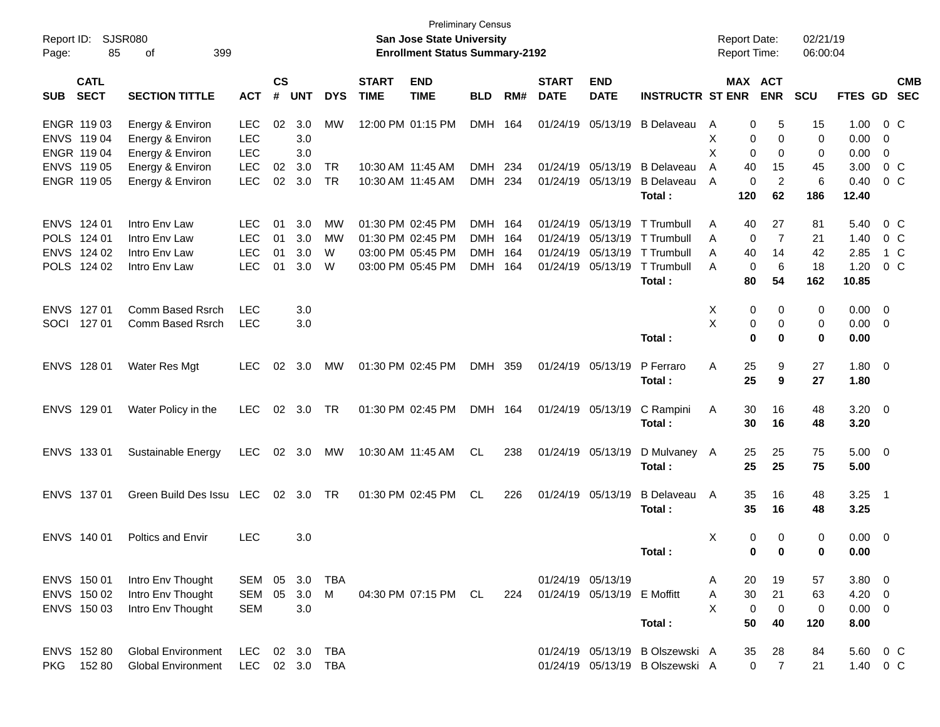| Report ID:<br>Page:                                      | 85                         | SJSR080<br>399<br>оf                                             |                                                      |                      |                          |                        |                                                                                  | <b>Preliminary Census</b><br><b>San Jose State University</b><br><b>Enrollment Status Summary-2192</b> |                                                      |                          |                                              |                                                  |                                                                    | <b>Report Date:</b><br><b>Report Time:</b> |                               |                               | 02/21/19<br>06:00:04        |                                                |            |                                      |
|----------------------------------------------------------|----------------------------|------------------------------------------------------------------|------------------------------------------------------|----------------------|--------------------------|------------------------|----------------------------------------------------------------------------------|--------------------------------------------------------------------------------------------------------|------------------------------------------------------|--------------------------|----------------------------------------------|--------------------------------------------------|--------------------------------------------------------------------|--------------------------------------------|-------------------------------|-------------------------------|-----------------------------|------------------------------------------------|------------|--------------------------------------|
| <b>SUB</b>                                               | <b>CATL</b><br><b>SECT</b> | <b>SECTION TITTLE</b>                                            | <b>ACT</b>                                           | $\mathsf{cs}$<br>#   | <b>UNT</b>               | <b>DYS</b>             | <b>START</b><br><b>TIME</b>                                                      | <b>END</b><br><b>TIME</b>                                                                              | <b>BLD</b>                                           | RM#                      | <b>START</b><br><b>DATE</b>                  | <b>END</b><br><b>DATE</b>                        | <b>INSTRUCTR ST ENR</b>                                            |                                            |                               | MAX ACT<br><b>ENR</b>         | SCU                         | <b>FTES GD</b>                                 |            | <b>CMB</b><br><b>SEC</b>             |
| ENGR 119 03<br>ENVS 119 04<br>ENGR 119 04                |                            | Energy & Environ<br>Energy & Environ<br>Energy & Environ         | <b>LEC</b><br><b>LEC</b><br><b>LEC</b>               | 02                   | 3.0<br>3.0<br>3.0        | МW                     |                                                                                  | 12:00 PM 01:15 PM                                                                                      | DMH                                                  | 164                      | 01/24/19                                     | 05/13/19                                         | B Delaveau                                                         | A<br>X<br>X                                | 0<br>0<br>0                   | 5<br>0<br>0                   | 15<br>$\mathbf 0$<br>0      | 1.00<br>0.00<br>0.00                           | - 0<br>- 0 | $0\,C$                               |
| ENVS 119 05<br>ENGR 119 05                               |                            | Energy & Environ<br>Energy & Environ                             | <b>LEC</b><br><b>LEC</b>                             | 02<br>02             | 3.0<br>3.0               | <b>TR</b><br><b>TR</b> | 10:30 AM 11:45 AM                                                                | 10:30 AM 11:45 AM                                                                                      | <b>DMH</b><br><b>DMH</b>                             | 234<br>234               | 01/24/19                                     | 01/24/19 05/13/19<br>05/13/19                    | <b>B</b> Delaveau<br><b>B</b> Delaveau<br>Total:                   | A<br>A                                     | 40<br>0<br>120                | 15<br>$\overline{c}$<br>62    | 45<br>6<br>186              | 3.00<br>0.40<br>12.40                          |            | $0\,C$<br>$0\,$ C                    |
| ENVS 124 01<br>POLS 124 01<br>ENVS 124 02<br>POLS 124 02 |                            | Intro Env Law<br>Intro Env Law<br>Intro Env Law<br>Intro Env Law | <b>LEC</b><br><b>LEC</b><br><b>LEC</b><br><b>LEC</b> | 01<br>01<br>01<br>01 | 3.0<br>3.0<br>3.0<br>3.0 | МW<br>MW<br>W<br>W     | 01:30 PM 02:45 PM<br>01:30 PM 02:45 PM<br>03:00 PM 05:45 PM<br>03:00 PM 05:45 PM |                                                                                                        | <b>DMH</b><br><b>DMH</b><br><b>DMH</b><br><b>DMH</b> | 164<br>164<br>164<br>164 | 01/24/19<br>01/24/19<br>01/24/19<br>01/24/19 | 05/13/19<br>05/13/19<br>05/13/19<br>05/13/19     | T Trumbull<br>T Trumbull<br>T Trumbull<br>T Trumbull<br>Total:     | Α<br>A<br>Α<br>A                           | 40<br>0<br>40<br>0<br>80      | 27<br>7<br>14<br>6<br>54      | 81<br>21<br>42<br>18<br>162 | 5.40<br>1.40<br>2.85<br>1.20<br>10.85          |            | $0\,$ C<br>$0\,$ C<br>1 C<br>$0\,$ C |
| ENVS 127 01<br>SOCI                                      | 127 01                     | Comm Based Rsrch<br>Comm Based Rsrch                             | <b>LEC</b><br><b>LEC</b>                             |                      | 3.0<br>3.0               |                        |                                                                                  |                                                                                                        |                                                      |                          |                                              |                                                  | Total:                                                             | X<br>X                                     | 0<br>0<br>0                   | 0<br>0<br>$\bf{0}$            | 0<br>0<br>0                 | $0.00 \t 0$<br>$0.00 \t 0$<br>0.00             |            |                                      |
| ENVS 128 01                                              |                            | Water Res Mgt                                                    | <b>LEC</b>                                           | 02                   | 3.0                      | МW                     | 01:30 PM 02:45 PM                                                                |                                                                                                        | DMH 359                                              |                          |                                              | 01/24/19 05/13/19                                | P Ferraro<br>Total:                                                | A                                          | 25<br>25                      | 9<br>9                        | 27<br>27                    | $1.80 \ 0$<br>1.80                             |            |                                      |
| ENVS 129 01                                              |                            | Water Policy in the                                              | <b>LEC</b>                                           | 02                   | 3.0                      | TR                     |                                                                                  | 01:30 PM 02:45 PM                                                                                      | DMH 164                                              |                          |                                              | 01/24/19 05/13/19                                | C Rampini<br>Total:                                                | Α                                          | 30<br>30                      | 16<br>16                      | 48<br>48                    | $3.20 \ 0$<br>3.20                             |            |                                      |
| ENVS 133 01                                              |                            | Sustainable Energy                                               | <b>LEC</b>                                           | 02                   | 3.0                      | МW                     | 10:30 AM 11:45 AM                                                                |                                                                                                        | CL                                                   | 238                      |                                              | 01/24/19 05/13/19                                | D Mulvaney A<br>Total:                                             |                                            | 25<br>25                      | 25<br>25                      | 75<br>75                    | $5.00 \t 0$<br>5.00                            |            |                                      |
| ENVS 137 01                                              |                            | Green Build Des Issu LEC                                         |                                                      | 02                   | 3.0                      | TR                     |                                                                                  | 01:30 PM 02:45 PM                                                                                      | <b>CL</b>                                            | 226                      |                                              | 01/24/19 05/13/19                                | <b>B</b> Delaveau<br>Total:                                        | A                                          | 35<br>35                      | 16<br>16                      | 48<br>48                    | $3.25$ 1<br>3.25                               |            |                                      |
| ENVS 140 01                                              |                            | <b>Poltics and Envir</b>                                         | <b>LEC</b>                                           |                      | 3.0                      |                        |                                                                                  |                                                                                                        |                                                      |                          |                                              |                                                  | Total:                                                             | X                                          | 0<br>$\mathbf 0$              | $\mathbf 0$<br>$\mathbf 0$    | 0<br>0                      | $0.00 \t 0$<br>0.00                            |            |                                      |
| ENVS 150 01<br>ENVS 150 02<br>ENVS 150 03                |                            | Intro Env Thought<br>Intro Env Thought<br>Intro Env Thought      | SEM 05<br>SEM<br><b>SEM</b>                          | 05                   | 3.0<br>3.0<br>3.0        | <b>TBA</b><br>M        |                                                                                  | 04:30 PM 07:15 PM CL                                                                                   |                                                      | 224                      |                                              | 01/24/19 05/13/19<br>01/24/19 05/13/19 E Moffitt | Total:                                                             | A<br>Α<br>X                                | 20<br>30<br>$\mathbf 0$<br>50 | 19<br>21<br>$\mathbf 0$<br>40 | 57<br>63<br>0<br>120        | $3.80\ 0$<br>$4.20 \ 0$<br>$0.00 \t 0$<br>8.00 |            |                                      |
| ENVS 152 80                                              | PKG 152 80                 | <b>Global Environment</b><br><b>Global Environment</b>           | LEC<br><b>LEC</b>                                    |                      | 02 3.0                   | TBA<br>02 3.0 TBA      |                                                                                  |                                                                                                        |                                                      |                          |                                              |                                                  | 01/24/19 05/13/19 B Olszewski A<br>01/24/19 05/13/19 B Olszewski A |                                            | 35<br>$\mathbf 0$             | 28<br>$\overline{7}$          | 84<br>21                    | 5.60 0 C<br>1.40 0 C                           |            |                                      |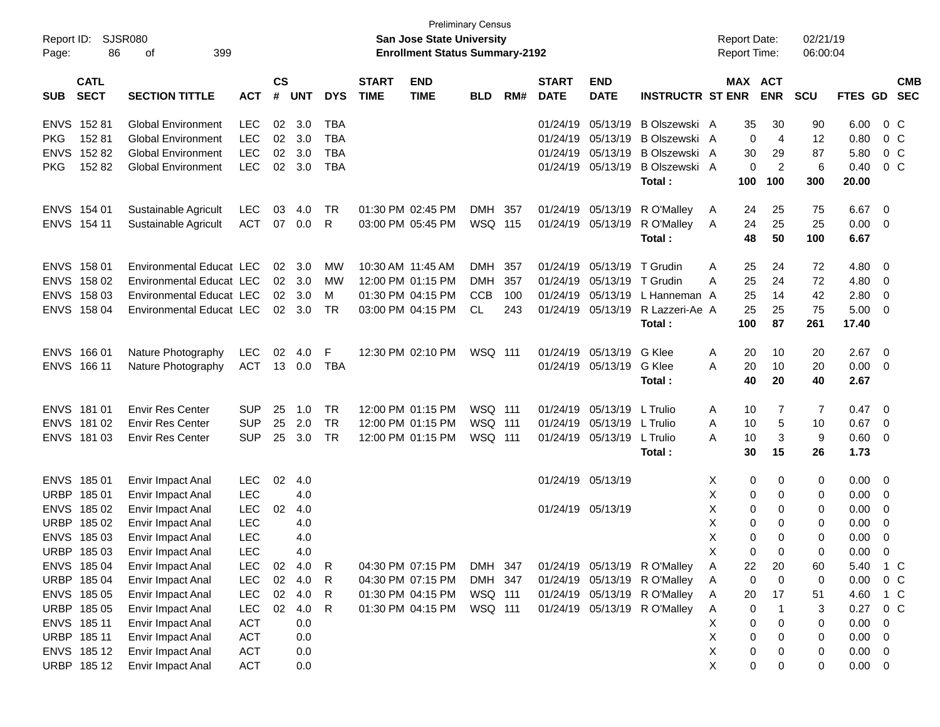| Report ID:  |                            | <b>SJSR080</b>                  |            |                    |                |            |                             | <b>Preliminary Census</b><br><b>San Jose State University</b> |            |     |                             |                           |                              |              | <b>Report Date:</b> |                | 02/21/19    |                |                          |                          |
|-------------|----------------------------|---------------------------------|------------|--------------------|----------------|------------|-----------------------------|---------------------------------------------------------------|------------|-----|-----------------------------|---------------------------|------------------------------|--------------|---------------------|----------------|-------------|----------------|--------------------------|--------------------------|
| Page:       | 399<br>86<br>оf            |                                 |            |                    |                |            |                             | <b>Enrollment Status Summary-2192</b>                         |            |     |                             |                           |                              |              | <b>Report Time:</b> |                | 06:00:04    |                |                          |                          |
| <b>SUB</b>  | <b>CATL</b><br><b>SECT</b> | <b>SECTION TITTLE</b>           | <b>ACT</b> | $\mathsf{cs}$<br># | <b>UNT</b>     | <b>DYS</b> | <b>START</b><br><b>TIME</b> | <b>END</b><br><b>TIME</b>                                     | <b>BLD</b> | RM# | <b>START</b><br><b>DATE</b> | <b>END</b><br><b>DATE</b> | <b>INSTRUCTR ST ENR</b>      |              | <b>MAX ACT</b>      | <b>ENR</b>     | <b>SCU</b>  | <b>FTES GD</b> |                          | <b>CMB</b><br><b>SEC</b> |
| <b>ENVS</b> | 15281                      | <b>Global Environment</b>       | <b>LEC</b> | 02                 | 3.0            | <b>TBA</b> |                             |                                                               |            |     | 01/24/19                    | 05/13/19                  | B Olszewski A                |              | 35                  | 30             | 90          | 6.00           | $0\,C$                   |                          |
| <b>PKG</b>  | 15281                      | <b>Global Environment</b>       | <b>LEC</b> | 02                 | 3.0            | <b>TBA</b> |                             |                                                               |            |     | 01/24/19                    | 05/13/19                  | B Olszewski A                |              | 0                   | $\overline{4}$ | 12          | 0.80           | 0 <sup>C</sup>           |                          |
| <b>ENVS</b> | 15282                      | <b>Global Environment</b>       | <b>LEC</b> | 02                 | 3.0            | <b>TBA</b> |                             |                                                               |            |     | 01/24/19                    | 05/13/19                  | B Olszewski A                |              | 30                  | 29             | 87          | 5.80           | 0 <sup>C</sup>           |                          |
| <b>PKG</b>  | 15282                      | <b>Global Environment</b>       | <b>LEC</b> |                    | 02 3.0         | <b>TBA</b> |                             |                                                               |            |     | 01/24/19                    | 05/13/19                  | B Olszewski A                |              | $\mathbf 0$         | $\overline{2}$ | 6           | 0.40           | $0\,C$                   |                          |
|             |                            |                                 |            |                    |                |            |                             |                                                               |            |     |                             |                           | Total:                       |              | 100                 | 100            | 300         | 20.00          |                          |                          |
| <b>ENVS</b> | 154 01                     | Sustainable Agricult            | <b>LEC</b> | 03                 | 4.0            | <b>TR</b>  | 01:30 PM 02:45 PM           |                                                               | DMH        | 357 | 01/24/19                    | 05/13/19                  | R O'Malley                   | A            | 24                  | 25             | 75          | 6.67           | $\overline{0}$           |                          |
|             | ENVS 154 11                | Sustainable Agricult            | <b>ACT</b> | 07                 | 0.0            | R          |                             | 03:00 PM 05:45 PM                                             | WSQ 115    |     | 01/24/19                    | 05/13/19                  | R O'Malley                   | A            | 24                  | 25             | 25          | 0.00           | $\overline{\mathbf{0}}$  |                          |
|             |                            |                                 |            |                    |                |            |                             |                                                               |            |     |                             |                           | Total:                       |              | 48                  | 50             | 100         | 6.67           |                          |                          |
| <b>ENVS</b> | 158 01                     | <b>Environmental Educat LEC</b> |            | 02                 | 3.0            | MW         | 10:30 AM 11:45 AM           |                                                               | <b>DMH</b> | 357 | 01/24/19                    | 05/13/19                  | T Grudin                     | A            | 25                  | 24             | 72          | 4.80           | $\overline{\mathbf{0}}$  |                          |
| <b>ENVS</b> | 158 02                     | <b>Environmental Educat LEC</b> |            | 02 <sub>2</sub>    | 3.0            | MW         | 12:00 PM 01:15 PM           |                                                               | <b>DMH</b> | 357 | 01/24/19                    | 05/13/19                  | T Grudin                     | A            | 25                  | 24             | 72          | 4.80           | - 0                      |                          |
| <b>ENVS</b> | 158 03                     | <b>Environmental Educat LEC</b> |            | 02                 | 3.0            | M          |                             | 01:30 PM 04:15 PM                                             | <b>CCB</b> | 100 | 01/24/19                    | 05/13/19                  | L Hanneman A                 |              | 25                  | 14             | 42          | 2.80           | $\overline{0}$           |                          |
| <b>ENVS</b> | 158 04                     | Environmental Educat LEC        |            |                    | $02 \quad 3.0$ | <b>TR</b>  |                             | 03:00 PM 04:15 PM                                             | CL         | 243 | 01/24/19                    | 05/13/19                  | R Lazzeri-Ae A               |              | 25                  | 25             | 75          | 5.00           | $\overline{\mathbf{0}}$  |                          |
|             |                            |                                 |            |                    |                |            |                             |                                                               |            |     |                             |                           | Total:                       |              | 100                 | 87             | 261         | 17.40          |                          |                          |
| <b>ENVS</b> | 166 01                     | Nature Photography              | <b>LEC</b> | 02                 | 4.0            | F          |                             | 12:30 PM 02:10 PM                                             | WSQ 111    |     | 01/24/19                    | 05/13/19                  | G Klee                       | Α            | 20                  | 10             | 20          | 2.67           | $\overline{0}$           |                          |
|             | ENVS 166 11                | Nature Photography              | ACT        |                    | 13 0.0         | <b>TBA</b> |                             |                                                               |            |     |                             | 01/24/19 05/13/19         | G Klee                       | A            | 20                  | 10             | 20          | 0.00           | - 0                      |                          |
|             |                            |                                 |            |                    |                |            |                             |                                                               |            |     |                             |                           | Total:                       |              | 40                  | 20             | 40          | 2.67           |                          |                          |
| <b>ENVS</b> | 181 01                     | <b>Envir Res Center</b>         | <b>SUP</b> | 25                 | 1.0            | <b>TR</b>  |                             | 12:00 PM 01:15 PM                                             | WSQ 111    |     | 01/24/19                    | 05/13/19                  | L Trulio                     | A            | 10                  | 7              | 7           | 0.47           | - 0                      |                          |
| <b>ENVS</b> | 181 02                     | <b>Envir Res Center</b>         | <b>SUP</b> | 25                 | 2.0            | <b>TR</b>  |                             | 12:00 PM 01:15 PM                                             | WSQ 111    |     | 01/24/19                    | 05/13/19                  | L Trulio                     | A            | 10                  | 5              | 10          | 0.67           | $\overline{0}$           |                          |
|             | ENVS 181 03                | <b>Envir Res Center</b>         | <b>SUP</b> | 25                 | 3.0            | <b>TR</b>  |                             | 12:00 PM 01:15 PM                                             | WSQ 111    |     | 01/24/19                    | 05/13/19                  | L Trulio                     | A            | 10                  | 3              | 9           | 0.60           | $\overline{\phantom{0}}$ |                          |
|             |                            |                                 |            |                    |                |            |                             |                                                               |            |     |                             |                           | Total:                       |              | 30                  | 15             | 26          | 1.73           |                          |                          |
| <b>ENVS</b> | 185 01                     | <b>Envir Impact Anal</b>        | <b>LEC</b> | 02                 | 4.0            |            |                             |                                                               |            |     | 01/24/19 05/13/19           |                           |                              | х            | 0                   | 0              | 0           | 0.00           | $\overline{\phantom{0}}$ |                          |
| <b>URBP</b> | 18501                      | Envir Impact Anal               | <b>LEC</b> |                    | 4.0            |            |                             |                                                               |            |     |                             |                           |                              | X            | 0                   | 0              | 0           | 0.00           | - 0                      |                          |
| <b>ENVS</b> | 185 02                     | Envir Impact Anal               | <b>LEC</b> | 02                 | 4.0            |            |                             |                                                               |            |     | 01/24/19 05/13/19           |                           |                              | X            | 0                   | 0              | 0           | 0.00           | $\overline{0}$           |                          |
| <b>URBP</b> | 185 02                     | Envir Impact Anal               | <b>LEC</b> |                    | 4.0            |            |                             |                                                               |            |     |                             |                           |                              | X            | 0                   | 0              | 0           | 0.00           | $\overline{0}$           |                          |
|             | ENVS 185 03                | Envir Impact Anal               | <b>LEC</b> |                    | 4.0            |            |                             |                                                               |            |     |                             |                           |                              | X            | 0                   | $\Omega$       | 0           | 0.00           | 0                        |                          |
|             | URBP 18503                 | Envir Impact Anal               | LEC        |                    | 4.0            |            |                             |                                                               |            |     |                             |                           |                              | $\mathsf{X}$ | 0                   | 0              | 0           | 0.00           | $\overline{0}$           |                          |
|             | ENVS 185 04                | Envir Impact Anal               | <b>LEC</b> | 02                 | 4.0            | R          |                             | 04:30 PM 07:15 PM                                             | DMH 347    |     |                             |                           | 01/24/19 05/13/19 R O'Malley | A            | 22                  | 20             | 60          | 5.40           | 1 C                      |                          |
|             | URBP 185 04                | Envir Impact Anal               | <b>LEC</b> | $02\,$             | 4.0            | R          |                             | 04:30 PM 07:15 PM                                             | DMH 347    |     |                             |                           | 01/24/19 05/13/19 R O'Malley | A            | $\mathbf 0$         | $\mathbf 0$    | $\mathbf 0$ | 0.00           | $0\,C$                   |                          |
|             | ENVS 185 05                | Envir Impact Anal               | <b>LEC</b> | $02\,$             | 4.0            | R          |                             | 01:30 PM 04:15 PM                                             | WSQ 111    |     |                             |                           | 01/24/19 05/13/19 R O'Malley | A            | 20                  | 17             | 51          | 4.60           | $1\,C$                   |                          |
|             | URBP 185 05                | Envir Impact Anal               | <b>LEC</b> | 02                 | 4.0            | R          |                             | 01:30 PM 04:15 PM                                             | WSQ 111    |     |                             |                           | 01/24/19 05/13/19 R O'Malley | Α            | 0                   | $\mathbf{1}$   | 3           | 0.27           | $0\,C$                   |                          |
|             | ENVS 185 11                | Envir Impact Anal               | <b>ACT</b> |                    | 0.0            |            |                             |                                                               |            |     |                             |                           |                              | х            | 0                   | 0              | 0           | 0.00           | - 0                      |                          |
|             | URBP 185 11                | Envir Impact Anal               | <b>ACT</b> |                    | 0.0            |            |                             |                                                               |            |     |                             |                           |                              | X            | 0                   | 0              | 0           | $0.00 \t 0$    |                          |                          |
|             | ENVS 18512                 | Envir Impact Anal               | <b>ACT</b> |                    | 0.0            |            |                             |                                                               |            |     |                             |                           |                              | Χ            | 0                   | 0              | 0           | $0.00 \t 0$    |                          |                          |
|             | URBP 18512                 | Envir Impact Anal               | <b>ACT</b> |                    | 0.0            |            |                             |                                                               |            |     |                             |                           |                              | X            | 0                   | 0              | $\pmb{0}$   | $0.00 \t 0$    |                          |                          |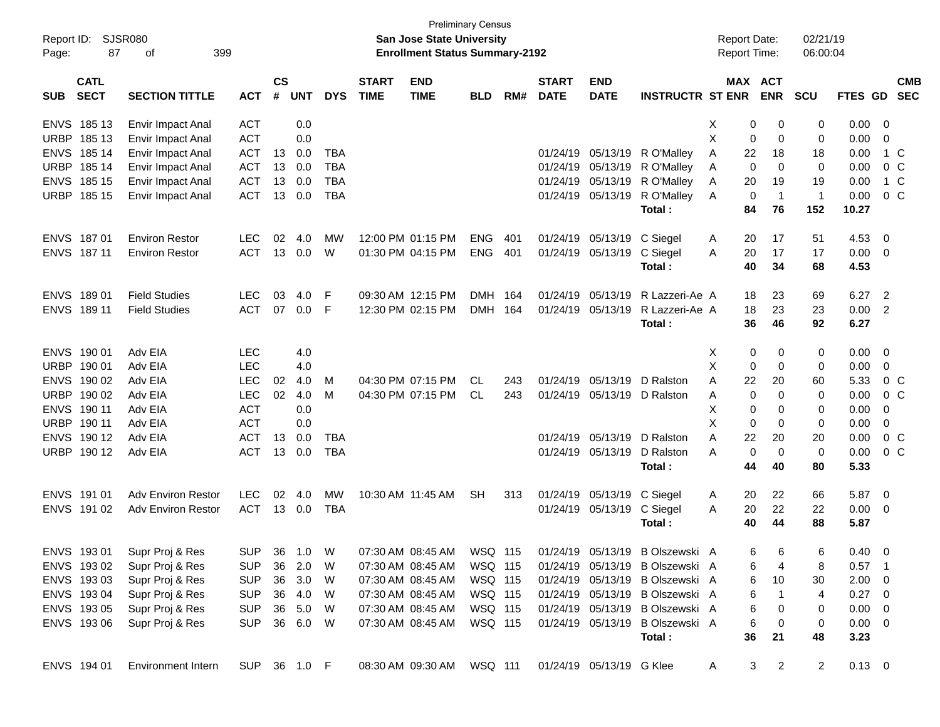| Report ID:<br>Page: | 87                         | <b>SJSR080</b><br>399<br>оf |              |                    |            |            |                             | <b>Preliminary Census</b><br><b>San Jose State University</b><br><b>Enrollment Status Summary-2192</b> |            |     |                             |                           |                                 |   | <b>Report Date:</b> | <b>Report Time:</b>          | 02/21/19<br>06:00:04 |                |                         |                          |
|---------------------|----------------------------|-----------------------------|--------------|--------------------|------------|------------|-----------------------------|--------------------------------------------------------------------------------------------------------|------------|-----|-----------------------------|---------------------------|---------------------------------|---|---------------------|------------------------------|----------------------|----------------|-------------------------|--------------------------|
| <b>SUB</b>          | <b>CATL</b><br><b>SECT</b> | <b>SECTION TITTLE</b>       | <b>ACT</b>   | $\mathsf{cs}$<br># | <b>UNT</b> | <b>DYS</b> | <b>START</b><br><b>TIME</b> | <b>END</b><br><b>TIME</b>                                                                              | <b>BLD</b> | RM# | <b>START</b><br><b>DATE</b> | <b>END</b><br><b>DATE</b> | <b>INSTRUCTR ST ENR</b>         |   |                     | <b>MAX ACT</b><br><b>ENR</b> | <b>SCU</b>           | FTES GD        |                         | <b>CMB</b><br><b>SEC</b> |
| <b>ENVS</b>         | 185 13                     | <b>Envir Impact Anal</b>    | <b>ACT</b>   |                    | 0.0        |            |                             |                                                                                                        |            |     |                             |                           |                                 | Х | 0                   | 0                            | 0                    | 0.00           | $\overline{\mathbf{0}}$ |                          |
| <b>URBP</b>         | 185 13                     | Envir Impact Anal           | <b>ACT</b>   |                    | 0.0        |            |                             |                                                                                                        |            |     |                             |                           |                                 | X | 0                   | 0                            | 0                    | 0.00           | 0                       |                          |
| <b>ENVS</b>         | 185 14                     | Envir Impact Anal           | <b>ACT</b>   | 13                 | 0.0        | <b>TBA</b> |                             |                                                                                                        |            |     | 01/24/19                    | 05/13/19                  | R O'Malley                      | Α | 22                  | 18                           | 18                   | 0.00           | 1 C                     |                          |
| <b>URBP</b>         | 185 14                     | Envir Impact Anal           | <b>ACT</b>   | 13                 | 0.0        | <b>TBA</b> |                             |                                                                                                        |            |     | 01/24/19                    | 05/13/19                  | R O'Malley                      | A | 0                   | $\mathbf 0$                  | 0                    | 0.00           | 0 <sup>C</sup>          |                          |
| <b>ENVS</b>         | 185 15                     | Envir Impact Anal           | <b>ACT</b>   | 13                 | 0.0        | <b>TBA</b> |                             |                                                                                                        |            |     | 01/24/19                    | 05/13/19                  | R O'Malley                      | A | 20                  | 19                           | 19                   | 0.00           | 1 C                     |                          |
| <b>URBP</b>         | 185 15                     | Envir Impact Anal           | <b>ACT</b>   | 13                 | 0.0        | <b>TBA</b> |                             |                                                                                                        |            |     | 01/24/19                    | 05/13/19                  | R O'Malley                      | A | 0                   | $\overline{1}$               | $\overline{1}$       | 0.00           | 0 <sup>C</sup>          |                          |
|                     |                            |                             |              |                    |            |            |                             |                                                                                                        |            |     |                             |                           | Total:                          |   | 84                  | 76                           | 152                  | 10.27          |                         |                          |
| <b>ENVS</b>         | 18701                      | <b>Environ Restor</b>       | <b>LEC</b>   | 02                 | 4.0        | MW         |                             | 12:00 PM 01:15 PM                                                                                      | <b>ENG</b> | 401 | 01/24/19                    | 05/13/19                  | C Siegel                        | A | 20                  | 17                           | 51                   | 4.53           | $\overline{0}$          |                          |
|                     | ENVS 187 11                | <b>Environ Restor</b>       | <b>ACT</b>   | 13                 | 0.0        | W          |                             | 01:30 PM 04:15 PM                                                                                      | <b>ENG</b> | 401 | 01/24/19                    | 05/13/19                  | C Siegel                        | A | 20                  | 17                           | 17                   | 0.00           | $\overline{\mathbf{0}}$ |                          |
|                     |                            |                             |              |                    |            |            |                             |                                                                                                        |            |     |                             |                           | Total:                          |   | 40                  | 34                           | 68                   | 4.53           |                         |                          |
| <b>ENVS</b>         | 18901                      | <b>Field Studies</b>        | <b>LEC</b>   | 03                 | 4.0        | F          |                             | 09:30 AM 12:15 PM                                                                                      | DMH 164    |     | 01/24/19                    | 05/13/19                  | R Lazzeri-Ae A                  |   | 18                  | 23                           | 69                   | 6.27           | $\overline{2}$          |                          |
|                     | ENVS 189 11                | <b>Field Studies</b>        | <b>ACT</b>   | 07                 | 0.0        | F          |                             | 12:30 PM 02:15 PM                                                                                      | DMH 164    |     | 01/24/19                    | 05/13/19                  | R Lazzeri-Ae A                  |   | 18                  | 23                           | 23                   | 0.00           | $\overline{2}$          |                          |
|                     |                            |                             |              |                    |            |            |                             |                                                                                                        |            |     |                             |                           | Total:                          |   | 36                  | 46                           | 92                   | 6.27           |                         |                          |
| <b>ENVS</b>         | 190 01                     | Adv EIA                     | <b>LEC</b>   |                    | 4.0        |            |                             |                                                                                                        |            |     |                             |                           |                                 | Х | 0                   | 0                            | 0                    | 0.00           | $\overline{0}$          |                          |
| URBP                | 190 01                     | Adv EIA                     | <b>LEC</b>   |                    | 4.0        |            |                             |                                                                                                        |            |     |                             |                           |                                 | X | 0                   | 0                            | 0                    | 0.00           | 0                       |                          |
| <b>ENVS</b>         | 190 02                     | Adv EIA                     | <b>LEC</b>   | 02                 | 4.0        | м          |                             | 04:30 PM 07:15 PM                                                                                      | CL         | 243 | 01/24/19                    | 05/13/19                  | D Ralston                       | A | 22                  | 20                           | 60                   | 5.33           | 0 <sup>C</sup>          |                          |
| <b>URBP</b>         | 190 02                     | Adv EIA                     | <b>LEC</b>   | 02                 | 4.0        | м          |                             | 04:30 PM 07:15 PM                                                                                      | CL.        | 243 | 01/24/19                    | 05/13/19                  | D Ralston                       | A | 0                   | 0                            | 0                    | 0.00           | $0\,C$                  |                          |
| <b>ENVS</b>         | 190 11                     | Adv EIA                     | <b>ACT</b>   |                    | 0.0        |            |                             |                                                                                                        |            |     |                             |                           |                                 | Х | 0                   | 0                            | 0                    | 0.00           | 0                       |                          |
| <b>URBP</b>         | 190 11                     | Adv EIA                     | <b>ACT</b>   |                    | 0.0        |            |                             |                                                                                                        |            |     |                             |                           |                                 | X | 0                   | 0                            | 0                    | 0.00           | 0                       |                          |
| <b>ENVS</b>         | 190 12                     | Adv EIA                     | <b>ACT</b>   | 13                 | 0.0        | <b>TBA</b> |                             |                                                                                                        |            |     | 01/24/19                    | 05/13/19                  | D Ralston                       | A | 22                  | 20                           | 20                   | 0.00           | $0\,C$                  |                          |
|                     | URBP 19012                 | Adv EIA                     | <b>ACT</b>   | 13                 | 0.0        | <b>TBA</b> |                             |                                                                                                        |            |     | 01/24/19 05/13/19           |                           | D Ralston                       | А | 0                   | $\mathbf 0$                  | 0                    | 0.00           | 0 <sup>C</sup>          |                          |
|                     |                            |                             |              |                    |            |            |                             |                                                                                                        |            |     |                             |                           | Total:                          |   | 44                  | 40                           | 80                   | 5.33           |                         |                          |
| <b>ENVS</b>         | 191 01                     | <b>Adv Environ Restor</b>   | <b>LEC</b>   | 02                 | 4.0        | MW         |                             | 10:30 AM 11:45 AM                                                                                      | <b>SH</b>  | 313 | 01/24/19                    | 05/13/19                  | C Siegel                        | A | 20                  | 22                           | 66                   | 5.87           | $\overline{0}$          |                          |
|                     | ENVS 191 02                | <b>Adv Environ Restor</b>   | <b>ACT</b>   | 13                 | 0.0        | TBA        |                             |                                                                                                        |            |     |                             | 01/24/19 05/13/19         | C Siegel                        | A | 20                  | 22                           | 22                   | 0.00           | $\overline{\mathbf{0}}$ |                          |
|                     |                            |                             |              |                    |            |            |                             |                                                                                                        |            |     |                             |                           | Total:                          |   | 40                  | 44                           | 88                   | 5.87           |                         |                          |
|                     | ENVS 19301                 | Supr Proj & Res             | SUP 36 1.0 W |                    |            |            |                             | 07:30 AM 08:45 AM   WSQ 115                                                                            |            |     |                             |                           | 01/24/19 05/13/19 B Olszewski A |   | 6                   | 6                            | 6                    | $0.40 \quad 0$ |                         |                          |
|                     | ENVS 19302                 | Supr Proj & Res             | <b>SUP</b>   |                    | 36 2.0     | W          |                             | 07:30 AM 08:45 AM                                                                                      | WSQ 115    |     |                             |                           | 01/24/19 05/13/19 B Olszewski A |   | 6                   | 4                            | 8                    | $0.57$ 1       |                         |                          |
|                     | ENVS 19303                 | Supr Proj & Res             | <b>SUP</b>   |                    | 36 3.0     | W          |                             | 07:30 AM 08:45 AM                                                                                      | WSQ 115    |     |                             |                           | 01/24/19 05/13/19 B Olszewski A |   | 6                   | 10                           | 30                   | $2.00 \t 0$    |                         |                          |
|                     | ENVS 193 04                | Supr Proj & Res             | <b>SUP</b>   |                    | 36 4.0     | W          |                             | 07:30 AM 08:45 AM                                                                                      | WSQ 115    |     |                             |                           | 01/24/19 05/13/19 B Olszewski A |   | 6                   | $\mathbf{1}$                 | 4                    | $0.27$ 0       |                         |                          |
|                     | ENVS 193 05                | Supr Proj & Res             | <b>SUP</b>   |                    | 36 5.0     | W          |                             | 07:30 AM 08:45 AM                                                                                      | WSQ 115    |     |                             |                           | 01/24/19 05/13/19 B Olszewski A |   | 6                   | 0                            | 0                    | $0.00 \t 0$    |                         |                          |
|                     | ENVS 193 06                | Supr Proj & Res             | <b>SUP</b>   |                    | 36 6.0     | W          |                             | 07:30 AM 08:45 AM                                                                                      | WSQ 115    |     |                             | 01/24/19 05/13/19         | B Olszewski A                   |   | 6                   | 0                            | 0                    | $0.00 \t 0$    |                         |                          |
|                     |                            |                             |              |                    |            |            |                             |                                                                                                        |            |     |                             |                           | Total:                          |   | 36                  | 21                           | 48                   | 3.23           |                         |                          |
|                     | ENVS 194 01                | <b>Environment Intern</b>   | SUP 36 1.0 F |                    |            |            |                             | 08:30 AM 09:30 AM WSQ 111                                                                              |            |     |                             | 01/24/19 05/13/19 G Klee  |                                 | A | 3                   | $\overline{2}$               | $\overline{2}$       | $0.13 \ 0$     |                         |                          |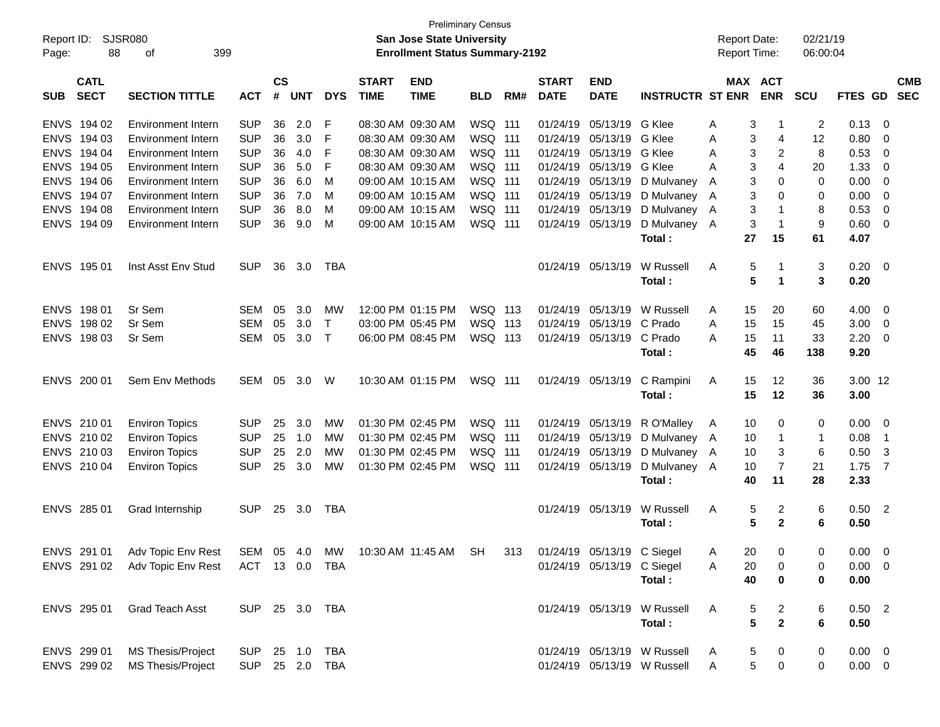| Report ID:<br>88<br>Page:                | SJSR080<br>399<br>οf                                                  |                          |           |            |              |              | San Jose State University<br><b>Enrollment Status Summary-2192</b> | <b>Preliminary Census</b>        |     |                      |                            |                              |              | <b>Report Date:</b><br>Report Time: |                         | 02/21/19<br>06:00:04 |                |                            |            |
|------------------------------------------|-----------------------------------------------------------------------|--------------------------|-----------|------------|--------------|--------------|--------------------------------------------------------------------|----------------------------------|-----|----------------------|----------------------------|------------------------------|--------------|-------------------------------------|-------------------------|----------------------|----------------|----------------------------|------------|
|                                          |                                                                       |                          | <b>CS</b> |            |              | <b>START</b> |                                                                    |                                  |     | <b>START</b>         | <b>END</b>                 |                              |              | MAX ACT                             |                         |                      |                |                            | <b>CMB</b> |
| <b>CATL</b><br><b>SECT</b><br><b>SUB</b> | <b>SECTION TITTLE</b>                                                 | <b>ACT</b>               | #         | <b>UNT</b> | <b>DYS</b>   | <b>TIME</b>  | <b>END</b><br><b>TIME</b>                                          | <b>BLD</b>                       | RM# | <b>DATE</b>          | <b>DATE</b>                | <b>INSTRUCTR ST ENR</b>      |              |                                     | <b>ENR</b>              | <b>SCU</b>           | <b>FTES GD</b> |                            | <b>SEC</b> |
| <b>ENVS</b><br>194 02                    | <b>Environment Intern</b>                                             | <b>SUP</b>               | 36        | 2.0        | F            |              | 08:30 AM 09:30 AM                                                  | WSQ 111                          |     | 01/24/19             | 05/13/19                   | G Klee                       | Α            | 3                                   | $\mathbf 1$             | 2                    | 0.13           | - 0                        |            |
| <b>ENVS</b><br>194 03                    | <b>Environment Intern</b>                                             | <b>SUP</b>               | 36        | 3.0        | F            |              | 08:30 AM 09:30 AM                                                  | WSQ 111                          |     | 01/24/19             | 05/13/19                   | G Klee                       | Α            | 3                                   | 4                       | 12                   | 0.80           | - 0                        |            |
| <b>ENVS</b><br>194 04                    | <b>Environment Intern</b>                                             | <b>SUP</b>               | 36        | 4.0        | F            |              | 08:30 AM 09:30 AM                                                  | WSQ 111                          |     | 01/24/19             | 05/13/19                   | G Klee                       | A            | 3                                   | 2                       | 8                    | 0.53           | - 0                        |            |
| <b>ENVS</b><br>194 05                    | Environment Intern                                                    | <b>SUP</b>               | 36        | 5.0        | F            |              | 08:30 AM 09:30 AM                                                  | WSQ 111                          |     | 01/24/19             | 05/13/19                   | G Klee                       | A            | 3                                   | 4                       | 20                   | 1.33           | - 0                        |            |
| <b>ENVS</b><br>194 06                    | <b>Environment Intern</b>                                             | <b>SUP</b>               | 36        | 6.0        | M            |              | 09:00 AM 10:15 AM                                                  | WSQ 111                          |     | 01/24/19             | 05/13/19                   | D Mulvaney                   | A            | 3                                   | 0                       | 0                    | 0.00           | - 0                        |            |
| <b>ENVS</b><br>194 07                    | <b>Environment Intern</b>                                             | <b>SUP</b>               | 36        | 7.0        | M            |              | 09:00 AM 10:15 AM                                                  | WSQ 111                          |     | 01/24/19             | 05/13/19                   | D Mulvaney A                 |              | 3                                   | 0                       | 0                    | 0.00           | - 0                        |            |
| <b>ENVS</b><br>194 08                    | <b>Environment Intern</b>                                             | <b>SUP</b>               | 36        | 8.0        | M            |              | 09:00 AM 10:15 AM                                                  | WSQ 111                          |     | 01/24/19             | 05/13/19                   | D Mulvaney A                 |              | 3                                   | 1                       | 8                    | 0.53           | - 0                        |            |
| ENVS 194 09                              | Environment Intern                                                    | <b>SUP</b>               | 36        | 9.0        | M            |              | 09:00 AM 10:15 AM                                                  | WSQ 111                          |     | 01/24/19             | 05/13/19                   | D Mulvaney A                 |              | 3                                   | $\mathbf{1}$            | 9                    | 0.60           | $\overline{\mathbf{0}}$    |            |
|                                          |                                                                       |                          |           |            |              |              |                                                                    |                                  |     |                      |                            | Total:                       |              | 27                                  | 15                      | 61                   | 4.07           |                            |            |
| ENVS 195 01                              | Inst Asst Env Stud                                                    | <b>SUP</b>               | 36        | 3.0        | TBA          |              |                                                                    |                                  |     |                      | 01/24/19 05/13/19          | W Russell                    | A            | 5                                   | -1                      | 3                    | 0.20           | $\overline{\phantom{0}}$   |            |
|                                          |                                                                       |                          |           |            |              |              |                                                                    |                                  |     |                      |                            | Total:                       |              | 5                                   | $\blacktriangleleft$    | 3                    | 0.20           |                            |            |
| 198 01<br><b>ENVS</b>                    | Sr Sem                                                                | <b>SEM</b>               | 05        | 3.0        | MW           |              | 12:00 PM 01:15 PM                                                  | WSQ 113                          |     | 01/24/19             | 05/13/19                   | W Russell                    | A            | 15                                  | 20                      | 60                   | 4.00           | - 0                        |            |
| <b>ENVS</b><br>198 02                    | Sr Sem                                                                | <b>SEM</b>               | 05        | 3.0        | $\mathsf{T}$ |              | 03:00 PM 05:45 PM                                                  | WSQ 113                          |     | 01/24/19             | 05/13/19                   | C Prado                      | A            | 15                                  | 15                      | 45                   | 3.00           | $\overline{\mathbf{0}}$    |            |
| ENVS 198 03                              | Sr Sem                                                                | <b>SEM</b>               | 05        | 3.0        | $\top$       |              | 06:00 PM 08:45 PM                                                  | WSQ 113                          |     |                      | 01/24/19 05/13/19          | C Prado                      | Α            | 15                                  | 11                      | 33                   | 2.20           | $\overline{\mathbf{0}}$    |            |
|                                          |                                                                       |                          |           |            |              |              |                                                                    |                                  |     |                      |                            | Total:                       |              | 45                                  | 46                      | 138                  | 9.20           |                            |            |
| ENVS 200 01                              | Sem Env Methods                                                       | SEM                      | 05        | 3.0        | W            |              | 10:30 AM 01:15 PM                                                  | WSQ 111                          |     |                      | 01/24/19 05/13/19          | C Rampini                    | A            | 15                                  | 12                      | 36                   | 3.00 12        |                            |            |
|                                          |                                                                       |                          |           |            |              |              |                                                                    |                                  |     |                      |                            | Total:                       |              | 15                                  | 12                      | 36                   | 3.00           |                            |            |
|                                          |                                                                       |                          |           |            |              |              |                                                                    |                                  |     |                      |                            |                              |              |                                     |                         |                      |                |                            |            |
| ENVS 210 01<br>ENVS 210 02               | <b>Environ Topics</b>                                                 | <b>SUP</b><br><b>SUP</b> | 25<br>25  | 3.0<br>1.0 | МW<br>МW     |              | 01:30 PM 02:45 PM<br>01:30 PM 02:45 PM                             | <b>WSQ 111</b><br><b>WSQ 111</b> |     | 01/24/19<br>01/24/19 | 05/13/19<br>05/13/19       | R O'Malley                   | A            | 10<br>10                            | 0<br>$\mathbf 1$        | 0<br>1               | 0.00<br>0.08   | - 0<br>$\overline{1}$      |            |
| ENVS 210 03                              | <b>Environ Topics</b><br><b>Environ Topics</b>                        | <b>SUP</b>               | 25        | 2.0        | MW           |              | 01:30 PM 02:45 PM                                                  | WSQ 111                          |     | 01/24/19             | 05/13/19                   | D Mulvaney A<br>D Mulvaney A |              | 10                                  | 3                       | 6                    | 0.50           | -3                         |            |
| ENVS 210 04                              | <b>Environ Topics</b>                                                 | <b>SUP</b>               | 25        | 3.0        | МW           |              | 01:30 PM 02:45 PM                                                  | WSQ 111                          |     |                      | 01/24/19 05/13/19          | D Mulvaney A                 |              | 10                                  | $\overline{7}$          | 21                   | 1.75           | $\overline{7}$             |            |
|                                          |                                                                       |                          |           |            |              |              |                                                                    |                                  |     |                      |                            | Total:                       |              | 40                                  | 11                      | 28                   | 2.33           |                            |            |
|                                          |                                                                       |                          |           |            |              |              |                                                                    |                                  |     |                      |                            |                              |              |                                     |                         |                      |                |                            |            |
| ENVS 285 01                              | Grad Internship                                                       | <b>SUP</b>               | 25        | 3.0        | TBA          |              |                                                                    |                                  |     |                      | 01/24/19 05/13/19          | W Russell                    | A            | 5                                   | 2                       | 6                    | 0.50           | $\overline{\phantom{0}}^2$ |            |
|                                          |                                                                       |                          |           |            |              |              |                                                                    |                                  |     |                      |                            | Total:                       |              | 5                                   | $\mathbf{2}$            | 6                    | 0.50           |                            |            |
|                                          | ENVS 291 01 Adv Topic Env Rest SEM 05 4.0 MW 10:30 AM 11:45 AM SH 313 |                          |           |            |              |              |                                                                    |                                  |     |                      | 01/24/19 05/13/19 C Siegel |                              | A            | 20                                  | 0                       | 0                    | $0.00 \t 0$    |                            |            |
|                                          | ENVS 291 02 Adv Topic Env Rest ACT 13 0.0 TBA                         |                          |           |            |              |              |                                                                    |                                  |     |                      | 01/24/19 05/13/19 C Siegel |                              | A            | 20                                  | 0                       | 0                    | $0.00 \t 0$    |                            |            |
|                                          |                                                                       |                          |           |            |              |              |                                                                    |                                  |     |                      |                            | Total:                       |              | 40                                  | 0                       | 0                    | 0.00           |                            |            |
| ENVS 295 01                              | Grad Teach Asst                                                       | SUP 25 3.0 TBA           |           |            |              |              |                                                                    |                                  |     |                      |                            | 01/24/19 05/13/19 W Russell  | A            | 5                                   | $\overline{\mathbf{c}}$ | 6                    | $0.50$ 2       |                            |            |
|                                          |                                                                       |                          |           |            |              |              |                                                                    |                                  |     |                      |                            | Total:                       |              | 5                                   | $\mathbf{2}$            | 6                    | 0.50           |                            |            |
| ENVS 299 01                              | MS Thesis/Project                                                     | SUP 25 1.0 TBA           |           |            |              |              |                                                                    |                                  |     |                      |                            | 01/24/19 05/13/19 W Russell  | A            | 5                                   | 0                       | 0                    | $0.00 \t 0$    |                            |            |
|                                          | ENVS 299 02 MS Thesis/Project                                         | SUP 25 2.0 TBA           |           |            |              |              |                                                                    |                                  |     |                      |                            | 01/24/19 05/13/19 W Russell  | $\mathsf{A}$ | $5\phantom{.0}$                     | 0                       | 0                    | $0.00 \t 0$    |                            |            |
|                                          |                                                                       |                          |           |            |              |              |                                                                    |                                  |     |                      |                            |                              |              |                                     |                         |                      |                |                            |            |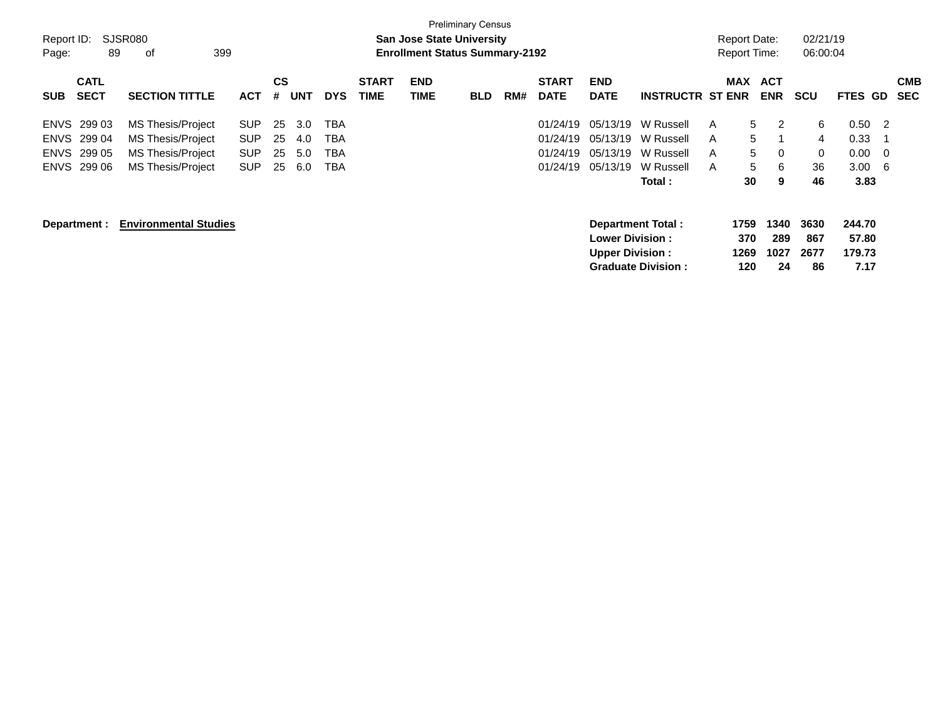| Report ID:<br>Page: | 89                         | SJSR080<br>399<br>оf         |            |         |            |            |                             | <b>San Jose State University</b><br><b>Enrollment Status Summary-2192</b> | <b>Preliminary Census</b> |     |                             |                                                   |                           |   | <b>Report Date:</b><br><b>Report Time:</b> |                          | 02/21/19<br>06:00:04 |                           |                          |
|---------------------|----------------------------|------------------------------|------------|---------|------------|------------|-----------------------------|---------------------------------------------------------------------------|---------------------------|-----|-----------------------------|---------------------------------------------------|---------------------------|---|--------------------------------------------|--------------------------|----------------------|---------------------------|--------------------------|
| <b>SUB</b>          | <b>CATL</b><br><b>SECT</b> | <b>SECTION TITTLE</b>        | <b>ACT</b> | CS<br># | <b>UNT</b> | <b>DYS</b> | <b>START</b><br><b>TIME</b> | <b>END</b><br><b>TIME</b>                                                 | <b>BLD</b>                | RM# | <b>START</b><br><b>DATE</b> | <b>END</b><br><b>DATE</b>                         | <b>INSTRUCTR ST ENR</b>   |   | <b>MAX</b>                                 | <b>ACT</b><br><b>ENR</b> | <b>SCU</b>           | FTES GD                   | <b>CMB</b><br><b>SEC</b> |
|                     | ENVS 299 03                | MS Thesis/Project            | <b>SUP</b> | 25      | 3.0        | TBA        |                             |                                                                           |                           |     | 01/24/19                    | 05/13/19                                          | W Russell                 | A | 5                                          | 2                        | 6                    | 0.50                      | -2                       |
| <b>ENVS</b>         | 299 04                     | MS Thesis/Project            | <b>SUP</b> | 25      | 4.0        | TBA        |                             |                                                                           |                           |     | 01/24/19                    | 05/13/19                                          | W Russell                 | A | 5                                          | 1                        | 4                    | 0.33                      |                          |
|                     | ENVS 299 05                | MS Thesis/Project            | <b>SUP</b> | 25      | 5.0        | TBA        |                             |                                                                           |                           |     | 01/24/19                    | 05/13/19                                          | W Russell                 | A | 5                                          | 0                        | 0                    | 0.00                      | - 0                      |
|                     | ENVS 299 06                | <b>MS Thesis/Project</b>     | <b>SUP</b> | 25      | 6.0        | TBA        |                             |                                                                           |                           |     | 01/24/19                    | 05/13/19                                          | W Russell                 | A | 5                                          | 6                        | 36                   | 3.00                      | -6                       |
|                     |                            |                              |            |         |            |            |                             |                                                                           |                           |     |                             |                                                   | Total :                   |   | 30                                         | 9                        | 46                   | 3.83                      |                          |
|                     | Department :               | <b>Environmental Studies</b> |            |         |            |            |                             |                                                                           |                           |     |                             | <b>Lower Division :</b><br><b>Upper Division:</b> | <b>Department Total:</b>  |   | 1759<br>370<br>1269                        | 1340<br>289<br>1027      | 3630<br>867<br>2677  | 244.70<br>57.80<br>179.73 |                          |
|                     |                            |                              |            |         |            |            |                             |                                                                           |                           |     |                             |                                                   | <b>Graduate Division:</b> |   | 120                                        | 24                       | 86                   | 7.17                      |                          |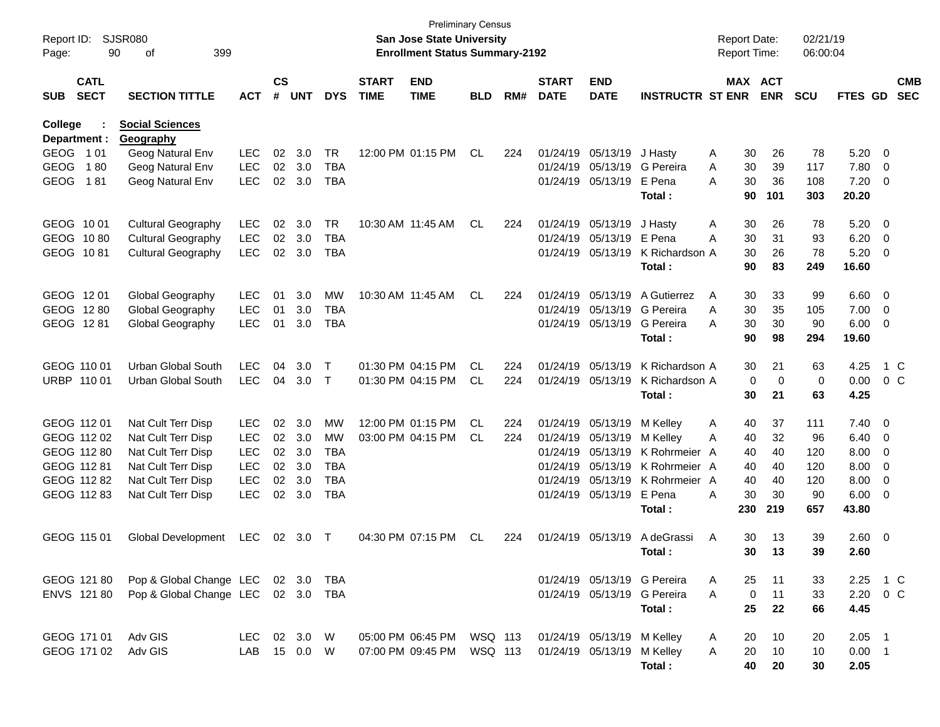| Report ID:<br>Page:                      | SJSR080<br>90 | 399<br>οf                                |            |                    |            |            |                             | <b>Preliminary Census</b><br><b>San Jose State University</b><br><b>Enrollment Status Summary-2192</b> |            |     |                             |                           |                             | <b>Report Date:</b><br><b>Report Time:</b> |          |            | 02/21/19<br>06:00:04 |               |        |                          |
|------------------------------------------|---------------|------------------------------------------|------------|--------------------|------------|------------|-----------------------------|--------------------------------------------------------------------------------------------------------|------------|-----|-----------------------------|---------------------------|-----------------------------|--------------------------------------------|----------|------------|----------------------|---------------|--------|--------------------------|
| <b>CATL</b><br><b>SECT</b><br><b>SUB</b> |               | <b>SECTION TITTLE</b>                    | <b>ACT</b> | $\mathsf{cs}$<br># | <b>UNT</b> | <b>DYS</b> | <b>START</b><br><b>TIME</b> | <b>END</b><br><b>TIME</b>                                                                              | <b>BLD</b> | RM# | <b>START</b><br><b>DATE</b> | <b>END</b><br><b>DATE</b> | <b>INSTRUCTR ST ENR</b>     |                                            | MAX ACT  | <b>ENR</b> | <b>SCU</b>           | FTES GD       |        | <b>CMB</b><br><b>SEC</b> |
| <b>College</b><br>Department :           |               | <b>Social Sciences</b><br>Geography      |            |                    |            |            |                             |                                                                                                        |            |     |                             |                           |                             |                                            |          |            |                      |               |        |                          |
| <b>GEOG</b>                              | 1 0 1         | Geog Natural Env                         | <b>LEC</b> | 02                 | 3.0        | <b>TR</b>  |                             | 12:00 PM 01:15 PM                                                                                      | CL         | 224 | 01/24/19                    | 05/13/19                  | J Hasty                     | A                                          | 30       | 26         | 78                   | 5.20          | 0      |                          |
| <b>GEOG</b>                              | 180           | Geog Natural Env                         | <b>LEC</b> | 02                 | 3.0        | TBA        |                             |                                                                                                        |            |     | 01/24/19                    | 05/13/19                  | G Pereira                   | A                                          | 30       | 39         | 117                  | 7.80          | 0      |                          |
| <b>GEOG</b>                              | 181           | Geog Natural Env                         | <b>LEC</b> | 02                 | 3.0        | <b>TBA</b> |                             |                                                                                                        |            |     | 01/24/19                    | 05/13/19                  | E Pena<br>Total:            | A                                          | 30<br>90 | 36<br>101  | 108<br>303           | 7.20<br>20.20 | 0      |                          |
| GEOG 1001                                |               | <b>Cultural Geography</b>                | <b>LEC</b> | 02                 | 3.0        | TR         |                             | 10:30 AM 11:45 AM                                                                                      | CL         | 224 | 01/24/19                    | 05/13/19                  | J Hasty                     | Α                                          | 30       | 26         | 78                   | 5.20          | 0      |                          |
| GEOG 1080                                |               | <b>Cultural Geography</b>                | <b>LEC</b> | 02                 | 3.0        | <b>TBA</b> |                             |                                                                                                        |            |     | 01/24/19                    | 05/13/19                  | E Pena                      | A                                          | 30       | 31         | 93                   | 6.20          | - 0    |                          |
| GEOG 1081                                |               | <b>Cultural Geography</b>                | <b>LEC</b> | 02                 | 3.0        | <b>TBA</b> |                             |                                                                                                        |            |     | 01/24/19                    | 05/13/19                  | K Richardson A<br>Total:    |                                            | 30<br>90 | 26<br>83   | 78<br>249            | 5.20<br>16.60 | 0      |                          |
| GEOG 1201                                |               | Global Geography                         | <b>LEC</b> | 01                 | 3.0        | <b>MW</b>  |                             | 10:30 AM 11:45 AM                                                                                      | CL         | 224 | 01/24/19                    | 05/13/19                  | A Gutierrez                 | A                                          | 30       | 33         | 99                   | 6.60          | 0      |                          |
| GEOG 1280                                |               | Global Geography                         | <b>LEC</b> | 01                 | 3.0        | <b>TBA</b> |                             |                                                                                                        |            |     | 01/24/19                    | 05/13/19                  | G Pereira                   | A                                          | 30       | 35         | 105                  | 7.00          | 0      |                          |
| GEOG 1281                                |               | Global Geography                         | <b>LEC</b> | 01                 | 3.0        | <b>TBA</b> |                             |                                                                                                        |            |     | 01/24/19                    | 05/13/19                  | G Pereira                   | A                                          | 30       | 30         | 90                   | 6.00          | 0      |                          |
|                                          |               |                                          |            |                    |            |            |                             |                                                                                                        |            |     |                             |                           | Total:                      |                                            | 90       | 98         | 294                  | 19.60         |        |                          |
| GEOG 110 01                              |               | Urban Global South                       | <b>LEC</b> | 04                 | 3.0        | $\top$     |                             | 01:30 PM 04:15 PM                                                                                      | CL         | 224 | 01/24/19                    | 05/13/19                  | K Richardson A              |                                            | 30       | 21         | 63                   | 4.25          |        | 1 C                      |
| URBP 110 01                              |               | Urban Global South                       | <b>LEC</b> | 04                 | 3.0        | $\top$     |                             | 01:30 PM 04:15 PM                                                                                      | CL         | 224 | 01/24/19                    | 05/13/19                  | K Richardson A<br>Total:    |                                            | 0<br>30  | 0<br>21    | 0<br>63              | 0.00<br>4.25  |        | $0\,C$                   |
| GEOG 112 01                              |               |                                          | <b>LEC</b> | 02                 | 3.0        | <b>MW</b>  |                             | 12:00 PM 01:15 PM                                                                                      | CL         | 224 | 01/24/19                    |                           |                             |                                            |          |            |                      | 7.40          | 0      |                          |
| GEOG 112 02                              |               | Nat Cult Terr Disp<br>Nat Cult Terr Disp | <b>LEC</b> | 02                 | 3.0        | <b>MW</b>  |                             | 03:00 PM 04:15 PM                                                                                      | CL.        | 224 | 01/24/19                    | 05/13/19<br>05/13/19      | M Kelley<br>M Kelley        | A<br>A                                     | 40<br>40 | 37<br>32   | 111<br>96            | 6.40          | - 0    |                          |
| GEOG 112 80                              |               | Nat Cult Terr Disp                       | <b>LEC</b> | 02                 | 3.0        | <b>TBA</b> |                             |                                                                                                        |            |     | 01/24/19                    | 05/13/19                  | K Rohrmeier A               |                                            | 40       | 40         | 120                  | 8.00          | 0      |                          |
| GEOG 112 81                              |               | Nat Cult Terr Disp                       | <b>LEC</b> | 02                 | 3.0        | TBA        |                             |                                                                                                        |            |     | 01/24/19                    | 05/13/19                  | K Rohrmeier A               |                                            | 40       | 40         | 120                  | 8.00          | 0      |                          |
| GEOG 112 82                              |               | Nat Cult Terr Disp                       | <b>LEC</b> | 02                 | 3.0        | <b>TBA</b> |                             |                                                                                                        |            |     | 01/24/19                    | 05/13/19                  | K Rohrmeier A               |                                            | 40       | 40         | 120                  | 8.00          | 0      |                          |
| GEOG 112 83                              |               | Nat Cult Terr Disp                       | <b>LEC</b> | 02                 | 3.0        | <b>TBA</b> |                             |                                                                                                        |            |     | 01/24/19                    | 05/13/19                  | E Pena                      | A                                          | 30       | 30         | 90                   | 6.00          | 0      |                          |
|                                          |               |                                          |            |                    |            |            |                             |                                                                                                        |            |     |                             |                           | Total:                      |                                            | 230      | 219        | 657                  | 43.80         |        |                          |
| GEOG 115 01                              |               | Global Development                       | <b>LEC</b> | 02                 | 3.0        | $\top$     |                             | 04:30 PM 07:15 PM                                                                                      | CL         | 224 | 01/24/19                    | 05/13/19                  | A deGrassi                  | A                                          | 30       | 13         | 39                   | 2.60          | 0      |                          |
|                                          |               |                                          |            |                    |            |            |                             |                                                                                                        |            |     |                             |                           | Total:                      |                                            | 30       | 13         | 39                   | 2.60          |        |                          |
| GEOG 121 80                              |               | Pop & Global Change LEC 02 3.0           |            |                    |            | TBA        |                             |                                                                                                        |            |     |                             |                           | 01/24/19 05/13/19 G Pereira | A                                          | 25       | 11         | 33                   | 2.25          | 1 C    |                          |
| ENVS 121 80                              |               | Pop & Global Change LEC 02 3.0           |            |                    |            | TBA        |                             |                                                                                                        |            |     |                             | 01/24/19 05/13/19         | G Pereira                   | Α                                          | 0        | 11         | 33                   | 2.20          | $0\,C$ |                          |
|                                          |               |                                          |            |                    |            |            |                             |                                                                                                        |            |     |                             |                           | Total:                      |                                            | 25       | 22         | 66                   | 4.45          |        |                          |
| GEOG 171 01                              |               | Adv GIS                                  | LEC 02 3.0 |                    |            | W          |                             | 05:00 PM 06:45 PM WSQ 113                                                                              |            |     | 01/24/19 05/13/19           |                           | M Kelley                    | A                                          | 20       | 10         | 20                   | $2.05$ 1      |        |                          |
| GEOG 171 02                              |               | Adv GIS                                  | LAB        |                    | 15 0.0     | W          |                             | 07:00 PM 09:45 PM                                                                                      | WSQ 113    |     | 01/24/19 05/13/19           |                           | M Kelley                    | Α                                          | 20       | 10         | 10                   | $0.00$ 1      |        |                          |
|                                          |               |                                          |            |                    |            |            |                             |                                                                                                        |            |     |                             |                           | Total:                      |                                            | 40       | 20         | 30                   | 2.05          |        |                          |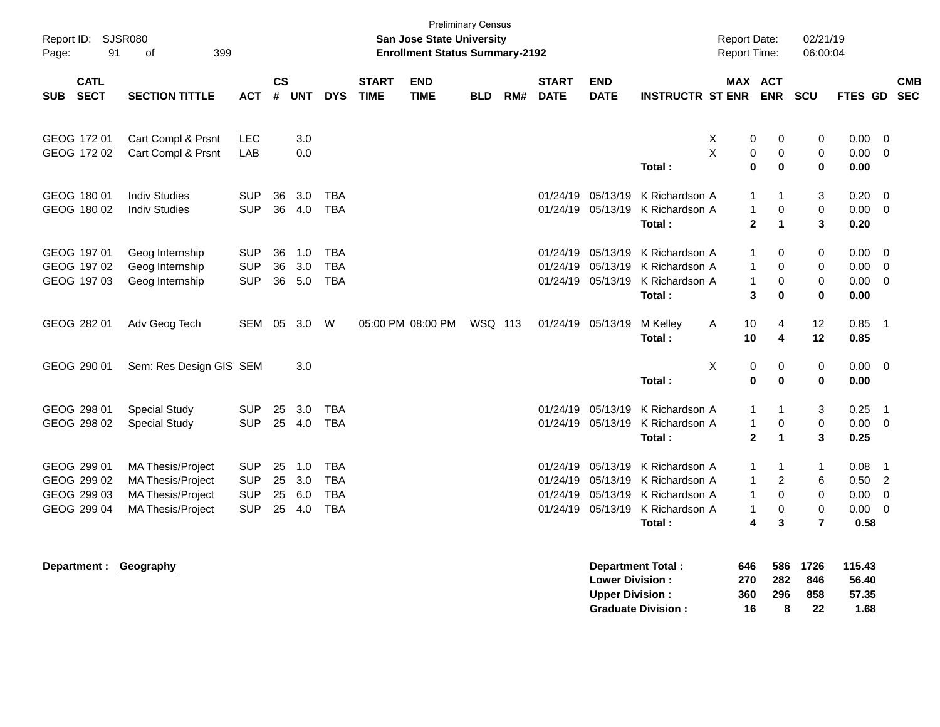| Report ID: SJSR080<br>91<br>Page:                        | 399<br>of                                                                                             |                                                      |                      |                          |                                                      |                             | <b>San Jose State University</b><br><b>Enrollment Status Summary-2192</b> | <b>Preliminary Census</b> |     |                                              |                                                  |                                                                                |        | <b>Report Date:</b><br><b>Report Time:</b>                                              |                                              | 02/21/19<br>06:00:04                                            |                                      |                                                                                  |                          |
|----------------------------------------------------------|-------------------------------------------------------------------------------------------------------|------------------------------------------------------|----------------------|--------------------------|------------------------------------------------------|-----------------------------|---------------------------------------------------------------------------|---------------------------|-----|----------------------------------------------|--------------------------------------------------|--------------------------------------------------------------------------------|--------|-----------------------------------------------------------------------------------------|----------------------------------------------|-----------------------------------------------------------------|--------------------------------------|----------------------------------------------------------------------------------|--------------------------|
| <b>CATL</b><br><b>SECT</b><br><b>SUB</b>                 | <b>SECTION TITTLE</b>                                                                                 | <b>ACT</b>                                           | <b>CS</b><br>#       | <b>UNT</b>               | <b>DYS</b>                                           | <b>START</b><br><b>TIME</b> | <b>END</b><br><b>TIME</b>                                                 | <b>BLD</b>                | RM# | <b>START</b><br><b>DATE</b>                  | <b>END</b><br><b>DATE</b>                        | <b>INSTRUCTR ST ENR</b>                                                        |        | MAX ACT                                                                                 | <b>ENR</b>                                   | <b>SCU</b>                                                      | <b>FTES GD</b>                       |                                                                                  | <b>CMB</b><br><b>SEC</b> |
| GEOG 172 01<br>GEOG 172 02                               | Cart Compl & Prsnt<br>Cart Compl & Prsnt                                                              | <b>LEC</b><br>LAB                                    |                      | 3.0<br>0.0               |                                                      |                             |                                                                           |                           |     |                                              |                                                  | Total:                                                                         | X<br>X | 0<br>0<br>$\bf{0}$                                                                      | 0<br>$\mathbf 0$<br>$\bf{0}$                 | 0<br>$\mathbf 0$<br>0                                           | 0.00<br>0.00<br>0.00                 | $\overline{0}$<br>$\overline{0}$                                                 |                          |
| GEOG 180 01<br>GEOG 180 02                               | <b>Indiv Studies</b><br><b>Indiv Studies</b>                                                          | <b>SUP</b><br><b>SUP</b>                             | 36<br>36             | 3.0<br>4.0               | <b>TBA</b><br><b>TBA</b>                             |                             |                                                                           |                           |     | 01/24/19                                     | 05/13/19<br>01/24/19 05/13/19                    | K Richardson A<br>K Richardson A<br>Total:                                     |        | $\mathbf{1}$<br>$\mathbf{1}$<br>$\mathbf{2}$                                            | $\mathbf{1}$<br>$\mathbf 0$<br>$\mathbf{1}$  | 3<br>$\pmb{0}$<br>3                                             | 0.20<br>$0.00 \t 0$<br>0.20          | 0                                                                                |                          |
| GEOG 197 01<br>GEOG 197 02<br>GEOG 197 03                | Geog Internship<br>Geog Internship<br>Geog Internship                                                 | <b>SUP</b><br><b>SUP</b><br><b>SUP</b>               | 36<br>36             | 1.0<br>3.0<br>36 5.0     | <b>TBA</b><br><b>TBA</b><br><b>TBA</b>               |                             |                                                                           |                           |     | 01/24/19<br>01/24/19                         | 05/13/19<br>05/13/19                             | K Richardson A<br>K Richardson A<br>01/24/19 05/13/19 K Richardson A<br>Total: |        | $\mathbf{1}$<br>$\mathbf{1}$<br>$\mathbf{1}$<br>3                                       | 0<br>$\Omega$<br>$\mathbf 0$<br>$\bf{0}$     | $\mathbf 0$<br>0<br>$\pmb{0}$<br>$\bf{0}$                       | 0.00<br>0.00<br>0.00<br>0.00         | - 0<br>$\overline{0}$<br>$\overline{\mathbf{0}}$                                 |                          |
| GEOG 282 01                                              | Adv Geog Tech                                                                                         | SEM                                                  | 05                   | 3.0                      | W                                                    |                             | 05:00 PM 08:00 PM                                                         | WSQ 113                   |     |                                              | 01/24/19 05/13/19                                | M Kelley<br>Total:                                                             | Α      | 10<br>10                                                                                | 4<br>4                                       | 12<br>12                                                        | 0.85<br>0.85                         | $\overline{\phantom{1}}$                                                         |                          |
| GEOG 290 01                                              | Sem: Res Design GIS SEM                                                                               |                                                      |                      | 3.0                      |                                                      |                             |                                                                           |                           |     |                                              |                                                  | Total:                                                                         | Χ      | 0<br>$\mathbf 0$                                                                        | 0<br>$\mathbf 0$                             | $\pmb{0}$<br>$\bf{0}$                                           | 0.00<br>0.00                         | $\overline{\mathbf{0}}$                                                          |                          |
| GEOG 298 01<br>GEOG 298 02                               | Special Study<br><b>Special Study</b>                                                                 | <b>SUP</b><br><b>SUP</b>                             | 25<br>25             | 3.0<br>4.0               | <b>TBA</b><br><b>TBA</b>                             |                             |                                                                           |                           |     | 01/24/19                                     | 05/13/19<br>01/24/19 05/13/19                    | K Richardson A<br>K Richardson A<br>Total:                                     |        | $\mathbf{1}$<br>$\mathbf{1}$<br>$\overline{2}$                                          | $\mathbf{1}$<br>0<br>$\mathbf{1}$            | 3<br>$\pmb{0}$<br>3                                             | 0.25<br>0.00 0<br>0.25               | $\overline{1}$                                                                   |                          |
| GEOG 299 01<br>GEOG 299 02<br>GEOG 299 03<br>GEOG 299 04 | MA Thesis/Project<br><b>MA Thesis/Project</b><br><b>MA Thesis/Project</b><br><b>MA Thesis/Project</b> | <b>SUP</b><br><b>SUP</b><br><b>SUP</b><br><b>SUP</b> | 25<br>25<br>25<br>25 | 1.0<br>3.0<br>6.0<br>4.0 | <b>TBA</b><br><b>TBA</b><br><b>TBA</b><br><b>TBA</b> |                             |                                                                           |                           |     | 01/24/19<br>01/24/19<br>01/24/19<br>01/24/19 | 05/13/19<br>05/13/19<br>05/13/19<br>05/13/19     | K Richardson A<br>K Richardson A<br>K Richardson A<br>K Richardson A<br>Total: |        | $\mathbf{1}$<br>$\mathbf{1}$<br>$\mathbf{1}$<br>$\mathbf{1}$<br>$\overline{\mathbf{4}}$ | $\mathbf 1$<br>$\overline{c}$<br>0<br>0<br>3 | $\mathbf{1}$<br>6<br>$\mathbf 0$<br>$\pmb{0}$<br>$\overline{7}$ | 0.08<br>0.50<br>0.00<br>0.00<br>0.58 | $\overline{1}$<br>$\overline{\phantom{0}}^2$<br>$\overline{0}$<br>$\overline{0}$ |                          |
| Department :                                             | Geography                                                                                             |                                                      |                      |                          |                                                      |                             |                                                                           |                           |     |                                              | <b>Lower Division:</b><br><b>Upper Division:</b> | <b>Department Total:</b><br><b>Graduate Division:</b>                          |        | 646<br>270<br>360<br>16                                                                 | 586<br>282<br>296<br>8                       | 1726<br>846<br>858<br>22                                        | 115.43<br>56.40<br>57.35<br>1.68     |                                                                                  |                          |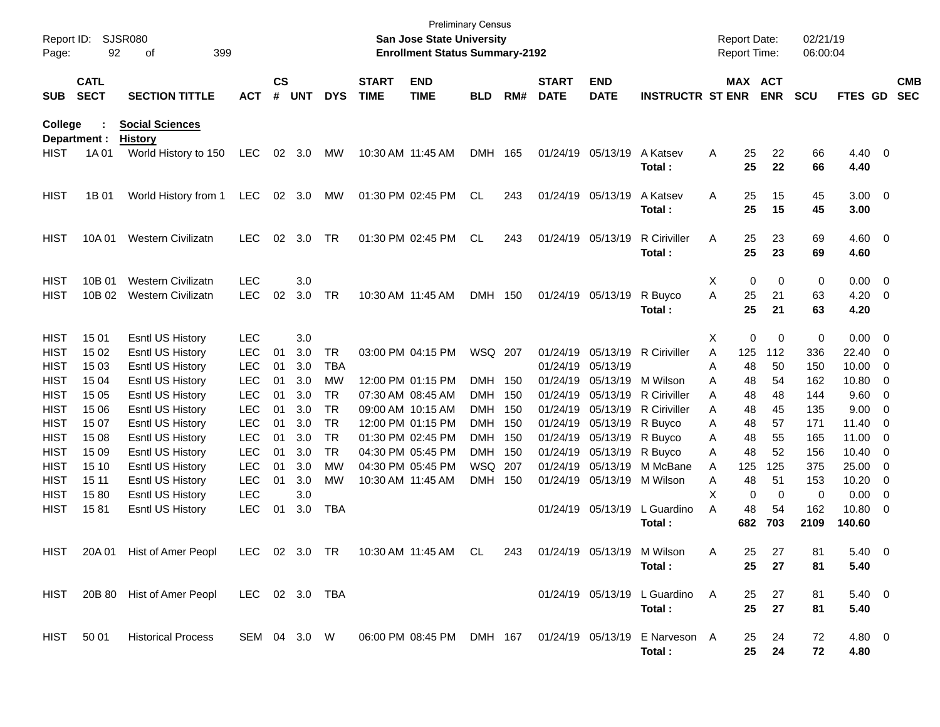| Report ID:<br>Page:        | 92                         | <b>SJSR080</b><br>399<br>οf              |                          |                    |            |            |                             | <b>Preliminary Census</b><br><b>San Jose State University</b><br><b>Enrollment Status Summary-2192</b> |            |       |                             |                            |                                                                    | <b>Report Date:</b><br>Report Time: |             |                | 02/21/19<br>06:00:04 |                    |                          |                          |
|----------------------------|----------------------------|------------------------------------------|--------------------------|--------------------|------------|------------|-----------------------------|--------------------------------------------------------------------------------------------------------|------------|-------|-----------------------------|----------------------------|--------------------------------------------------------------------|-------------------------------------|-------------|----------------|----------------------|--------------------|--------------------------|--------------------------|
| <b>SUB</b>                 | <b>CATL</b><br><b>SECT</b> | <b>SECTION TITTLE</b>                    | ACT                      | $\mathsf{cs}$<br># | <b>UNT</b> | <b>DYS</b> | <b>START</b><br><b>TIME</b> | <b>END</b><br><b>TIME</b>                                                                              | <b>BLD</b> | RM#   | <b>START</b><br><b>DATE</b> | <b>END</b><br><b>DATE</b>  | <b>INSTRUCTR ST ENR</b>                                            |                                     |             | MAX ACT<br>ENR | <b>SCU</b>           | FTES GD            |                          | <b>CMB</b><br><b>SEC</b> |
| College                    | Department :               | <b>Social Sciences</b><br><b>History</b> |                          |                    |            |            |                             |                                                                                                        |            |       |                             |                            |                                                                    |                                     |             |                |                      |                    |                          |                          |
| <b>HIST</b>                | 1A 01                      | World History to 150                     | LEC 02 3.0               |                    |            | МW         | 10:30 AM 11:45 AM           |                                                                                                        | DMH 165    |       |                             | 01/24/19 05/13/19          | A Katsev<br>Total:                                                 | A                                   | 25<br>25    | 22<br>22       | 66<br>66             | $4.40 \ 0$<br>4.40 |                          |                          |
| <b>HIST</b>                | 1B 01                      | World History from 1                     | LEC                      |                    | 02 3.0     | МW         |                             | 01:30 PM 02:45 PM                                                                                      | CL         | 243   |                             | 01/24/19 05/13/19          | A Katsev<br>Total:                                                 | A                                   | 25<br>25    | 15<br>15       | 45<br>45             | $3.00 \ 0$<br>3.00 |                          |                          |
| <b>HIST</b>                | 10A 01                     | Western Civilizatn                       | <b>LEC</b>               | 02                 | 3.0        | TR         |                             | 01:30 PM 02:45 PM                                                                                      | CL         | 243   |                             | 01/24/19 05/13/19          | R Ciriviller<br>Total:                                             | A                                   | 25<br>25    | 23<br>23       | 69<br>69             | $4.60 \ 0$<br>4.60 |                          |                          |
| <b>HIST</b>                | 10B 01                     | <b>Western Civilizatn</b>                | <b>LEC</b>               |                    | 3.0        |            |                             |                                                                                                        |            |       |                             |                            |                                                                    | Χ                                   | $\mathbf 0$ | $\mathbf 0$    | 0                    | $0.00 \t 0$        |                          |                          |
| <b>HIST</b>                | 10B 02                     | <b>Western Civilizatn</b>                | <b>LEC</b>               | 02                 | 3.0        | <b>TR</b>  | 10:30 AM 11:45 AM           |                                                                                                        | DMH 150    |       |                             | 01/24/19 05/13/19          | R Buyco<br>Total:                                                  | A                                   | 25<br>25    | 21<br>21       | 63<br>63             | 4.20<br>4.20       | $\overline{\phantom{0}}$ |                          |
| <b>HIST</b>                | 15 01                      | Esntl US History                         | <b>LEC</b>               |                    | 3.0        |            |                             |                                                                                                        |            |       |                             |                            |                                                                    | X                                   | 0           | $\mathbf 0$    | 0                    | $0.00 \ 0$         |                          |                          |
| <b>HIST</b>                | 15 02                      | Esntl US History                         | <b>LEC</b>               | 01                 | 3.0        | <b>TR</b>  |                             | 03:00 PM 04:15 PM                                                                                      | WSQ 207    |       |                             |                            | 01/24/19 05/13/19 R Ciriviller                                     | A                                   | 125         | 112            | 336                  | 22.40              | - 0                      |                          |
| <b>HIST</b>                | 15 03                      | Esntl US History                         | <b>LEC</b>               | 01                 | 3.0        | <b>TBA</b> |                             |                                                                                                        |            |       |                             | 01/24/19 05/13/19          |                                                                    | Α                                   | 48          | 50             | 150                  | 10.00              | $\overline{0}$           |                          |
| <b>HIST</b>                | 15 04                      | <b>Esntl US History</b>                  | <b>LEC</b>               | 01                 | 3.0        | МW         |                             | 12:00 PM 01:15 PM                                                                                      | DMH 150    |       |                             | 01/24/19 05/13/19          | M Wilson                                                           | A                                   | 48          | 54             | 162                  | 10.80              | 0                        |                          |
| <b>HIST</b>                | 15 05                      | Esntl US History                         | <b>LEC</b>               | 01                 | 3.0        | TR.        |                             | 07:30 AM 08:45 AM                                                                                      | DMH.       | 150   |                             |                            | 01/24/19 05/13/19 R Ciriviller                                     | A                                   | 48          | 48             | 144                  | 9.60               | $\overline{0}$           |                          |
| <b>HIST</b>                | 15 06                      | Esntl US History                         | <b>LEC</b>               | 01                 | 3.0        | <b>TR</b>  |                             | 09:00 AM 10:15 AM                                                                                      | DMH.       | 150   | 01/24/19                    |                            | 05/13/19 R Ciriviller                                              | A                                   | 48          | 45             | 135                  | 9.00               | 0                        |                          |
| <b>HIST</b>                | 15 07                      | Esntl US History                         | <b>LEC</b>               | 01                 | 3.0        | <b>TR</b>  |                             | 12:00 PM 01:15 PM                                                                                      | <b>DMH</b> | 150   |                             | 01/24/19 05/13/19 R Buyco  |                                                                    | A                                   | 48          | 57             | 171                  | 11.40              | -0                       |                          |
| <b>HIST</b>                | 15 08                      | Esntl US History                         | <b>LEC</b>               | 01                 | 3.0        | <b>TR</b>  |                             | 01:30 PM 02:45 PM                                                                                      | <b>DMH</b> | - 150 |                             | 01/24/19 05/13/19 R Buyco  |                                                                    | Α                                   | 48          | 55             | 165                  | 11.00              | $\overline{0}$           |                          |
| <b>HIST</b>                | 15 09                      | Esntl US History                         | <b>LEC</b>               | 01                 | 3.0        | <b>TR</b>  |                             | 04:30 PM 05:45 PM                                                                                      | <b>DMH</b> | - 150 |                             | 01/24/19 05/13/19 R Buyco  |                                                                    | A                                   | 48          | 52             | 156                  | 10.40              | - 0                      |                          |
| <b>HIST</b>                | 15 10                      | <b>Esntl US History</b>                  | <b>LEC</b>               | 01                 | 3.0        | МW         |                             | 04:30 PM 05:45 PM                                                                                      | WSQ 207    |       |                             | 01/24/19 05/13/19          | M McBane                                                           | A                                   | 125         | 125            | 375                  | 25.00              | 0                        |                          |
| <b>HIST</b>                | 15 11                      | <b>Esntl US History</b>                  | <b>LEC</b>               | 01                 | 3.0        | МW         | 10:30 AM 11:45 AM           |                                                                                                        | <b>DMH</b> | 150   |                             | 01/24/19 05/13/19 M Wilson |                                                                    | Α<br>X                              | 48          | 51             | 153                  | 10.20              | $\overline{0}$           |                          |
| <b>HIST</b><br><b>HIST</b> | 1580<br>1581               | Esntl US History<br>Esntl US History     | <b>LEC</b><br><b>LEC</b> | 01                 | 3.0<br>3.0 | <b>TBA</b> |                             |                                                                                                        |            |       |                             |                            | 01/24/19 05/13/19 L Guardino                                       | A                                   | 0<br>48     | 0<br>54        | 0<br>162             | 0.00<br>10.80      | 0<br>- 0                 |                          |
|                            |                            |                                          |                          |                    |            |            |                             |                                                                                                        |            |       |                             |                            | Total:                                                             |                                     | 682         | 703            | 2109                 | 140.60             |                          |                          |
|                            |                            | HIST 20A 01 Hist of Amer Peopl           |                          |                    |            |            |                             | LEC 02 3.0 TR  10:30 AM  11:45 AM  CL  243  01/24/19  05/13/19  M  Wilson                              |            |       |                             |                            | Total:                                                             | Α                                   | 25<br>25    | 27<br>27       | 81<br>81             | $5.40 \ 0$<br>5.40 |                          |                          |
|                            |                            | HIST 20B 80 Hist of Amer Peopl           | LEC 02 3.0 TBA           |                    |            |            |                             |                                                                                                        |            |       |                             |                            | 01/24/19 05/13/19 L Guardino<br>Total:                             | <b>A</b>                            | 25<br>25    | 27<br>27       | 81<br>81             | $5.40 \ 0$<br>5.40 |                          |                          |
|                            | HIST 50 01                 | <b>Historical Process</b>                | SEM 04 3.0 W             |                    |            |            |                             |                                                                                                        |            |       |                             |                            | 06:00 PM 08:45 PM DMH 167 01/24/19 05/13/19 E Narveson A<br>Total: |                                     | 25<br>25    | 24<br>24       | 72<br>72             | 4.80 0<br>4.80     |                          |                          |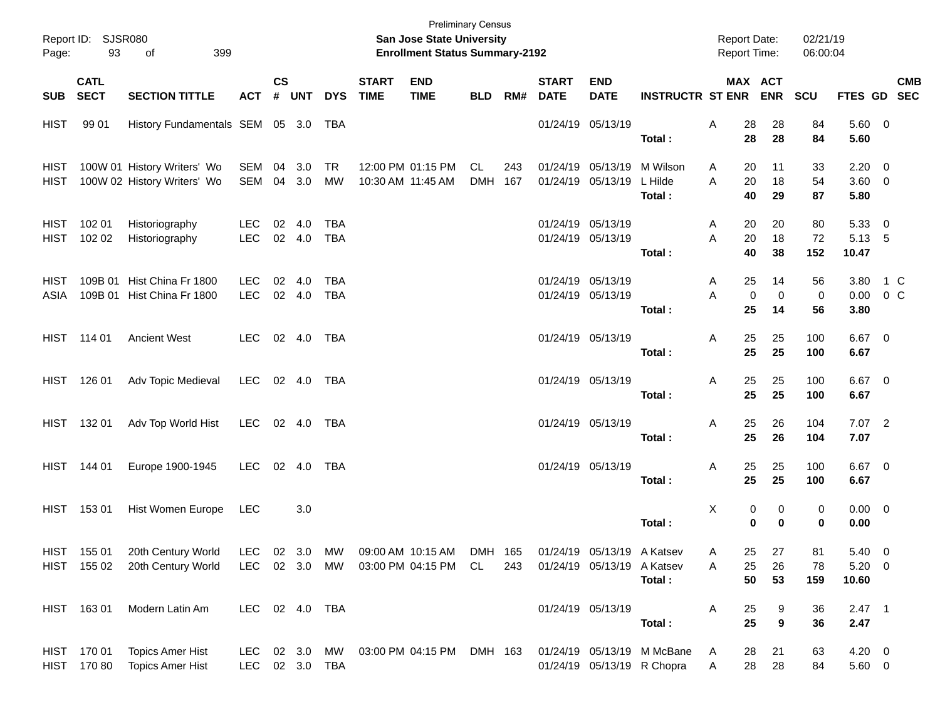| Page:        | Report ID: SJSR080<br>93   | 399<br>of                                                  |                    |           |                        |                          |                             | <b>San Jose State University</b><br><b>Enrollment Status Summary-2192</b> | <b>Preliminary Census</b> |            |                             |                                                 |                                                          | <b>Report Date:</b><br>Report Time: |                         | 02/21/19<br>06:00:04    |                                   |                |            |
|--------------|----------------------------|------------------------------------------------------------|--------------------|-----------|------------------------|--------------------------|-----------------------------|---------------------------------------------------------------------------|---------------------------|------------|-----------------------------|-------------------------------------------------|----------------------------------------------------------|-------------------------------------|-------------------------|-------------------------|-----------------------------------|----------------|------------|
| SUB          | <b>CATL</b><br><b>SECT</b> | <b>SECTION TITTLE</b>                                      | <b>ACT</b>         | <b>CS</b> | # UNT                  | <b>DYS</b>               | <b>START</b><br><b>TIME</b> | <b>END</b><br><b>TIME</b>                                                 |                           | BLD RM#    | <b>START</b><br><b>DATE</b> | <b>END</b><br><b>DATE</b>                       | <b>INSTRUCTR ST ENR</b>                                  | MAX ACT                             | <b>ENR</b>              | <b>SCU</b>              | FTES GD SEC                       |                | <b>CMB</b> |
| HIST         | 99 01                      | History Fundamentals SEM 05 3.0                            |                    |           |                        | TBA                      |                             |                                                                           |                           |            |                             | 01/24/19 05/13/19                               | Total:                                                   | 28<br>Α<br>28                       | 28<br>28                | 84<br>84                | 5.60 0<br>5.60                    |                |            |
| HIST<br>HIST |                            | 100W 01 History Writers' Wo<br>100W 02 History Writers' Wo | SEM<br>SEM         | 04        | 3.0<br>04 3.0          | TR<br>MW                 |                             | 12:00 PM 01:15 PM<br>10:30 AM 11:45 AM                                    | CL<br><b>DMH</b>          | 243<br>167 |                             | 01/24/19 05/13/19<br>01/24/19 05/13/19          | M Wilson<br>L Hilde<br>Total:                            | 20<br>A<br>20<br>A<br>40            | 11<br>18<br>29          | 33<br>54<br>87          | $2.20 \t 0$<br>$3.60 \ 0$<br>5.80 |                |            |
| HIST<br>HIST | 102 01<br>102 02           | Historiography<br>Historiography                           | LEC.<br><b>LEC</b> | 02        | 4.0<br>02 4.0          | <b>TBA</b><br><b>TBA</b> |                             |                                                                           |                           |            |                             | 01/24/19 05/13/19<br>01/24/19 05/13/19          | Total:                                                   | 20<br>A<br>20<br>A<br>40            | 20<br>18<br>38          | 80<br>72<br>152         | 5.3300<br>5.13 5<br>10.47         |                |            |
| HIST<br>ASIA |                            | 109B 01 Hist China Fr 1800<br>109B 01 Hist China Fr 1800   | LEC.<br><b>LEC</b> | 02        | 4.0<br>02 4.0          | TBA<br><b>TBA</b>        |                             |                                                                           |                           |            |                             | 01/24/19 05/13/19<br>01/24/19 05/13/19          | Total:                                                   | 25<br>A<br>A<br>$\mathbf 0$<br>25   | 14<br>$\mathbf 0$<br>14 | 56<br>$\mathbf 0$<br>56 | 3.80<br>0.00<br>3.80              | 1 C<br>$0\,$ C |            |
|              | HIST 114 01                | <b>Ancient West</b>                                        | <b>LEC</b>         |           | 02 4.0                 | TBA                      |                             |                                                                           |                           |            |                             | 01/24/19 05/13/19                               | Total:                                                   | 25<br>Α<br>25                       | 25<br>25                | 100<br>100              | $6.67$ 0<br>6.67                  |                |            |
|              | HIST 126 01                | Adv Topic Medieval                                         | LEC                |           | 02 4.0                 | TBA                      |                             |                                                                           |                           |            |                             | 01/24/19 05/13/19                               | Total:                                                   | 25<br>Α<br>25                       | 25<br>25                | 100<br>100              | $6.67$ 0<br>6.67                  |                |            |
|              | HIST 132 01                | Adv Top World Hist                                         | LEC 02 4.0         |           |                        | TBA                      |                             |                                                                           |                           |            |                             | 01/24/19 05/13/19                               | Total:                                                   | 25<br>Α<br>25                       | 26<br>26                | 104<br>104              | $7.07$ 2<br>7.07                  |                |            |
|              | HIST 144 01                | Europe 1900-1945                                           | <b>LEC</b>         |           | 02 4.0                 | TBA                      |                             |                                                                           |                           |            |                             | 01/24/19 05/13/19                               | Total:                                                   | 25<br>Α<br>25                       | 25<br>25                | 100<br>100              | $6.67$ 0<br>6.67                  |                |            |
|              | HIST 153 01                | Hist Women Europe                                          | LEC                |           | 3.0                    |                          |                             |                                                                           |                           |            |                             |                                                 | Total:                                                   | Χ<br>0<br>$\mathbf 0$               | 0<br>0                  | 0<br>0                  | $0.00 \t 0$<br>0.00               |                |            |
|              | HIST 155 01<br>HIST 155 02 | 20th Century World<br>20th Century World                   | LEC<br>LEC         |           | 02 3.0 MW<br>02 3.0 MW |                          |                             | 09:00 AM 10:15 AM DMH 165<br>03:00 PM 04:15 PM                            | CL                        | 243        |                             | 01/24/19 05/13/19 A Katsev<br>01/24/19 05/13/19 | A Katsev<br>Total:                                       | 25<br>A<br>25<br>Α<br>50            | 27<br>26<br>53          | 81<br>78<br>159         | 5.40 0<br>$5.20 \ 0$<br>10.60     |                |            |
|              | HIST 163 01                | Modern Latin Am                                            | LEC 02 4.0 TBA     |           |                        |                          |                             |                                                                           |                           |            |                             | 01/24/19 05/13/19                               | Total:                                                   | 25<br>A<br>25                       | 9<br>9                  | 36<br>36                | $2.47$ 1<br>2.47                  |                |            |
|              | HIST 170 01<br>HIST 170 80 | <b>Topics Amer Hist</b><br><b>Topics Amer Hist</b>         | LEC.<br>LEC        |           | 02 3.0 MW              | 02 3.0 TBA               |                             | 03:00 PM 04:15 PM                                                         | DMH 163                   |            |                             |                                                 | 01/24/19 05/13/19 M McBane<br>01/24/19 05/13/19 R Chopra | 28<br>A<br>28<br>A                  | 21<br>28                | 63<br>84                | $4.20 \ 0$<br>$5.60\ 0$           |                |            |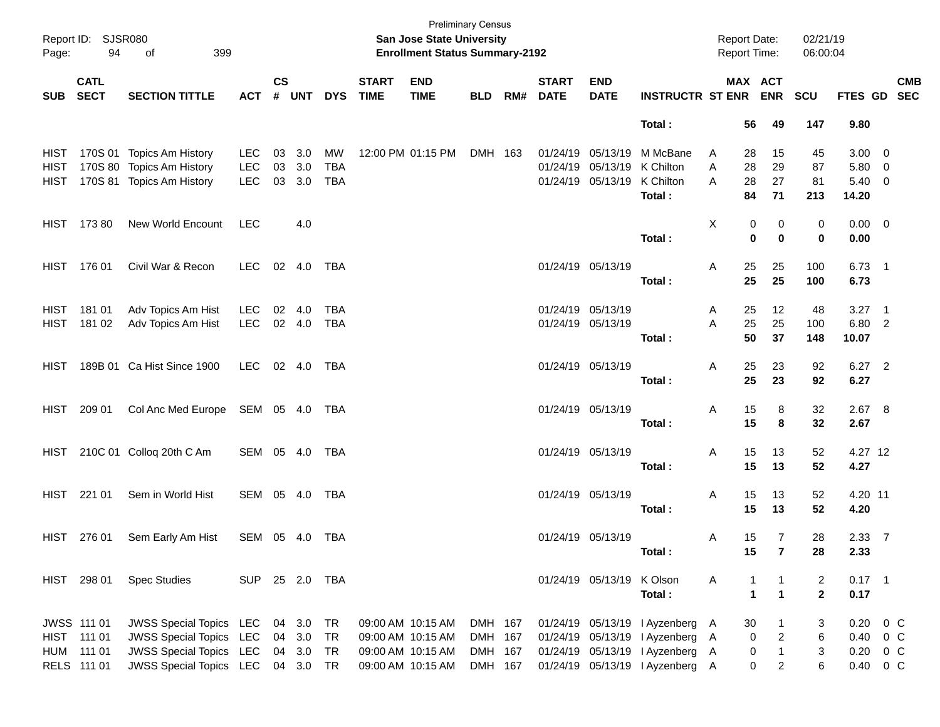| Page:      | Report ID: SJSR080<br>94   | 399<br>of                                                           |                |               |                  |                  |                             | <b>Preliminary Census</b><br>San Jose State University<br><b>Enrollment Status Summary-2192</b> |                    |                          |                               |                                                  |        |                          | <b>Report Date:</b><br><b>Report Time:</b> | 02/21/19<br>06:00:04 |                                |        |            |
|------------|----------------------------|---------------------------------------------------------------------|----------------|---------------|------------------|------------------|-----------------------------|-------------------------------------------------------------------------------------------------|--------------------|--------------------------|-------------------------------|--------------------------------------------------|--------|--------------------------|--------------------------------------------|----------------------|--------------------------------|--------|------------|
| <b>SUB</b> | <b>CATL</b><br><b>SECT</b> | <b>SECTION TITTLE</b>                                               | <b>ACT</b>     | $\mathsf{cs}$ | # UNT            | <b>DYS</b>       | <b>START</b><br><b>TIME</b> | <b>END</b><br><b>TIME</b>                                                                       | <b>BLD</b>         | <b>START</b><br>RM# DATE | <b>END</b><br><b>DATE</b>     | <b>INSTRUCTR ST ENR ENR</b>                      |        |                          | MAX ACT                                    | <b>SCU</b>           | FTES GD SEC                    |        | <b>CMB</b> |
|            |                            |                                                                     |                |               |                  |                  |                             |                                                                                                 |                    |                          |                               | Total:                                           |        | 56                       | 49                                         | 147                  | 9.80                           |        |            |
| HIST       |                            | HIST 170S 01 Topics Am History<br>170S 80 Topics Am History         | LEC<br>LEC     | 03<br>03      | 3.0<br>3.0       | MW<br><b>TBA</b> |                             | 12:00 PM 01:15 PM                                                                               | DMH 163            | 01/24/19                 | 01/24/19 05/13/19<br>05/13/19 | M McBane<br>K Chilton                            | A<br>A | 28<br>28                 | 15<br>29                                   | 45<br>87             | $3.00 \ 0$<br>5.80 0           |        |            |
|            |                            | HIST 170S 81 Topics Am History                                      | LEC            |               | 03 3.0           | TBA              |                             |                                                                                                 |                    |                          | 01/24/19 05/13/19 K Chilton   | Total:                                           | A      | 28<br>84                 | 27<br>71                                   | 81<br>213            | 5.40 0<br>14.20                |        |            |
|            | HIST 173 80                | New World Encount                                                   | <b>LEC</b>     |               | 4.0              |                  |                             |                                                                                                 |                    |                          |                               |                                                  | Χ      | 0                        | 0                                          | 0                    | $0.00 \t 0$                    |        |            |
|            |                            |                                                                     |                |               |                  |                  |                             |                                                                                                 |                    |                          |                               | Total:                                           |        | 0                        | $\bf{0}$                                   | 0                    | 0.00                           |        |            |
|            | HIST 176 01                | Civil War & Recon                                                   | LEC            |               |                  |                  |                             |                                                                                                 |                    | 01/24/19 05/13/19        |                               | Total:                                           | Α      | 25<br>25                 | 25<br>25                                   | 100<br>100           | $6.73$ 1<br>6.73               |        |            |
|            | HIST 181 01                | Adv Topics Am Hist                                                  | LEC            |               | 02 4.0           | <b>TBA</b>       |                             |                                                                                                 |                    | 01/24/19 05/13/19        |                               |                                                  | A      | 25                       | 12                                         | 48                   | $3.27$ 1                       |        |            |
|            | HIST 181 02                | Adv Topics Am Hist                                                  | <b>LEC</b>     |               | 02 4.0           | TBA              |                             |                                                                                                 |                    | 01/24/19 05/13/19        |                               | Total:                                           | A      | 25<br>50                 | 25<br>37                                   | 100<br>148           | 6.80 2<br>10.07                |        |            |
|            |                            | HIST 189B 01 Ca Hist Since 1900                                     | LEC 02 4.0 TBA |               |                  |                  |                             |                                                                                                 |                    | 01/24/19 05/13/19        |                               | Total:                                           | Α      | 25<br>25                 | 23<br>23                                   | 92<br>92             | 6.27 2<br>6.27                 |        |            |
|            | HIST 209 01                | Col Anc Med Europe SEM 05 4.0 TBA                                   |                |               |                  |                  |                             |                                                                                                 |                    | 01/24/19 05/13/19        |                               |                                                  | Α      | 15                       | 8                                          | 32                   | 2.67 8                         |        |            |
|            |                            |                                                                     |                |               |                  |                  |                             |                                                                                                 |                    |                          |                               | Total:                                           |        | 15                       | 8                                          | 32                   | 2.67                           |        |            |
|            |                            | HIST 210C 01 Colloq 20th C Am                                       | SEM 05 4.0 TBA |               |                  |                  |                             |                                                                                                 |                    | 01/24/19 05/13/19        |                               | Total:                                           | Α      | 15<br>15                 | 13<br>13                                   | 52<br>52             | 4.27 12<br>4.27                |        |            |
|            | HIST 221 01                | Sem in World Hist                                                   | SEM 05 4.0     |               |                  | TBA              |                             |                                                                                                 |                    | 01/24/19 05/13/19        |                               |                                                  | Α      | 15                       | 13                                         | 52                   | 4.20 11                        |        |            |
|            |                            |                                                                     |                |               |                  |                  |                             |                                                                                                 |                    |                          |                               | Total:                                           |        | 15                       | 13                                         | 52                   | 4.20                           |        |            |
|            | HIST 276 01                | Sem Early Am Hist                                                   | SEM 05 4.0 TBA |               |                  |                  |                             |                                                                                                 |                    | 01/24/19 05/13/19        |                               | Total:                                           | A      | 15<br>15                 | 7<br>$\overline{7}$                        | 28<br>28             | 2.33 7<br>2.33                 |        |            |
|            | HIST 298 01                | <b>Spec Studies</b>                                                 | SUP 25 2.0 TBA |               |                  |                  |                             |                                                                                                 |                    |                          | 01/24/19 05/13/19 K Olson     |                                                  | A      | $\mathbf{1}$             | $\mathbf{1}$                               | $\overline{2}$       | $0.17$ 1                       |        |            |
|            |                            |                                                                     |                |               |                  |                  |                             |                                                                                                 |                    |                          |                               | Total:                                           |        | $\mathbf{1}$             | $\overline{1}$                             | $\overline{2}$       | 0.17                           |        |            |
|            | JWSS 111 01<br>HIST 111 01 | <b>JWSS Special Topics LEC</b><br><b>JWSS Special Topics LEC</b>    |                |               | 04 3.0<br>04 3.0 | TR<br>TR         |                             | 09:00 AM 10:15 AM<br>09:00 AM 10:15 AM                                                          | DMH 167<br>DMH 167 |                          | 01/24/19 05/13/19             | 01/24/19 05/13/19 l Ayzenberg A<br>I Ayzenberg A |        | 30<br>$\pmb{0}$          | $\mathbf{1}$<br>$\overline{a}$             | 3<br>6               | 0.20<br>$0.40 \quad 0 \quad C$ | $0\,C$ |            |
|            | HUM 111 01<br>RELS 111 01  | <b>JWSS Special Topics LEC</b><br>JWSS Special Topics LEC 04 3.0 TR |                |               | 04 3.0           | TR               |                             | 09:00 AM 10:15 AM<br>09:00 AM 10:15 AM                                                          | DMH 167<br>DMH 167 |                          | 01/24/19 05/13/19             | I Ayzenberg A<br>01/24/19 05/13/19 l Ayzenberg A |        | $\pmb{0}$<br>$\mathbf 0$ | $\overline{1}$<br>$\overline{2}$           | 3<br>6               | $0.20 \t 0 C$<br>0.40 0 C      |        |            |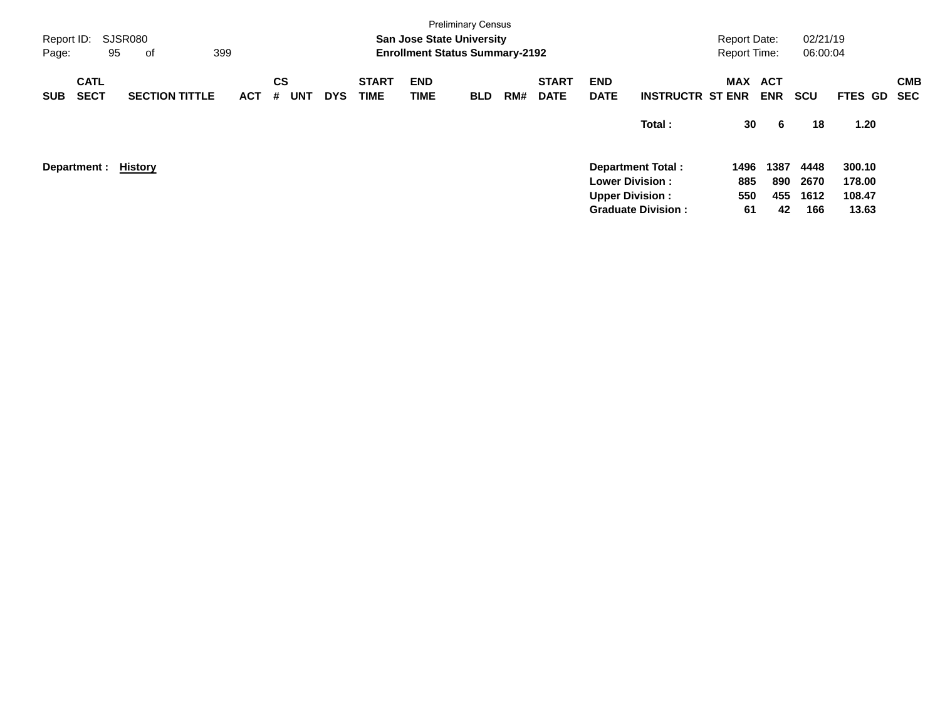| Report ID:<br>Page: |                            | <b>SJSR080</b><br>95<br>0f | 399        |                              |            |                             | <b>San Jose State University</b><br><b>Enrollment Status Summary-2192</b> | <b>Preliminary Census</b> |     |                             |                           |                           | <b>Report Date:</b><br><b>Report Time:</b> |                          | 02/21/19<br>06:00:04 |                  |                          |
|---------------------|----------------------------|----------------------------|------------|------------------------------|------------|-----------------------------|---------------------------------------------------------------------------|---------------------------|-----|-----------------------------|---------------------------|---------------------------|--------------------------------------------|--------------------------|----------------------|------------------|--------------------------|
| <b>SUB</b>          | <b>CATL</b><br><b>SECT</b> | <b>SECTION TITTLE</b>      | <b>ACT</b> | <b>CS</b><br><b>UNT</b><br># | <b>DYS</b> | <b>START</b><br><b>TIME</b> | <b>END</b><br>TIME                                                        | <b>BLD</b>                | RM# | <b>START</b><br><b>DATE</b> | <b>END</b><br><b>DATE</b> | <b>INSTRUCTR ST ENR</b>   | <b>MAX</b>                                 | <b>ACT</b><br><b>ENR</b> | <b>SCU</b>           | <b>FTES GD</b>   | <b>CMB</b><br><b>SEC</b> |
|                     |                            |                            |            |                              |            |                             |                                                                           |                           |     |                             |                           | Total:                    | 30                                         | -6                       | 18                   | 1.20             |                          |
|                     | Department :               | History                    |            |                              |            |                             |                                                                           |                           |     |                             | <b>Lower Division:</b>    | <b>Department Total:</b>  | 1496<br>885                                | 1387<br>890              | 4448<br>2670         | 300.10<br>178.00 |                          |
|                     |                            |                            |            |                              |            |                             |                                                                           |                           |     |                             | <b>Upper Division:</b>    | <b>Graduate Division:</b> | 550<br>61                                  | 455<br>42                | 1612<br>166          | 108.47<br>13.63  |                          |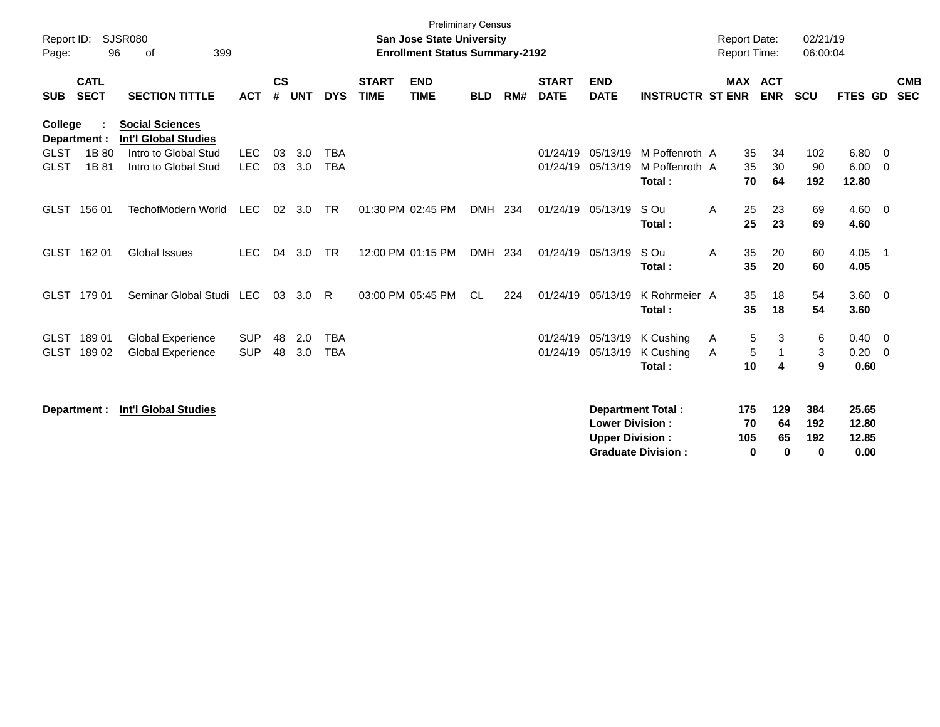| Report ID:<br>Page:        | 96                         | <b>SJSR080</b><br>399<br>οf                           |                          |                    |            |                          |                             | <b>San Jose State University</b><br><b>Enrollment Status Summary-2192</b> | <b>Preliminary Census</b> |     |                             |                                                  |                                                       | <b>Report Date:</b><br>Report Time: |                                            | 02/21/19<br>06:00:04          |                                 |                            |
|----------------------------|----------------------------|-------------------------------------------------------|--------------------------|--------------------|------------|--------------------------|-----------------------------|---------------------------------------------------------------------------|---------------------------|-----|-----------------------------|--------------------------------------------------|-------------------------------------------------------|-------------------------------------|--------------------------------------------|-------------------------------|---------------------------------|----------------------------|
| <b>SUB</b>                 | <b>CATL</b><br><b>SECT</b> | <b>SECTION TITTLE</b>                                 | <b>ACT</b>               | $\mathsf{cs}$<br># | <b>UNT</b> | <b>DYS</b>               | <b>START</b><br><b>TIME</b> | <b>END</b><br><b>TIME</b>                                                 | <b>BLD</b>                | RM# | <b>START</b><br><b>DATE</b> | <b>END</b><br><b>DATE</b>                        | <b>INSTRUCTR ST ENR</b>                               |                                     | <b>MAX ACT</b><br><b>ENR</b>               | <b>SCU</b>                    | <b>FTES GD</b>                  | <b>CMB</b><br><b>SEC</b>   |
| <b>College</b>             | Department :               | <b>Social Sciences</b><br><b>Int'l Global Studies</b> |                          |                    |            |                          |                             |                                                                           |                           |     |                             |                                                  |                                                       |                                     |                                            |                               |                                 |                            |
| <b>GLST</b><br><b>GLST</b> | 1B 80<br>1B 81             | Intro to Global Stud<br>Intro to Global Stud          | <b>LEC</b><br><b>LEC</b> | 03<br>03           | 3.0<br>3.0 | <b>TBA</b><br><b>TBA</b> |                             |                                                                           |                           |     | 01/24/19<br>01/24/19        | 05/13/19<br>05/13/19                             | M Poffenroth A<br>M Poffenroth A<br>Total:            | 70                                  | 34<br>35<br>35<br>30<br>64                 | 102<br>90<br>192              | $6.80$ 0<br>6.00<br>12.80       | $\overline{\mathbf{0}}$    |
|                            | GLST 156 01                | TechofModern World                                    | <b>LEC</b>               | 02                 | 3.0        | <b>TR</b>                |                             | 01:30 PM 02:45 PM                                                         | <b>DMH</b>                | 234 | 01/24/19                    | 05/13/19                                         | S Ou<br>Total:                                        | A                                   | 25<br>23<br>25<br>23                       | 69<br>69                      | $4.60$ 0<br>4.60                |                            |
|                            | GLST 16201                 | Global Issues                                         | <b>LEC</b>               | 04                 | 3.0        | <b>TR</b>                |                             | 12:00 PM 01:15 PM                                                         | DMH 234                   |     |                             | 01/24/19 05/13/19                                | S Ou<br>Total:                                        | 35<br>A<br>35                       | 20<br>20                                   | 60<br>60                      | 4.05<br>4.05                    | $\overline{\phantom{0}}$ 1 |
|                            | GLST 179 01                | Seminar Global Studi LEC                              |                          | 03                 | 3.0        | R.                       |                             | 03:00 PM 05:45 PM                                                         | <b>CL</b>                 | 224 | 01/24/19                    | 05/13/19                                         | K Rohrmeier A<br>Total:                               | 35<br>35                            | 18<br>18                                   | 54<br>54                      | 3.60 0<br>3.60                  |                            |
| GLST<br><b>GLST</b>        | 18901<br>18902             | <b>Global Experience</b><br><b>Global Experience</b>  | <b>SUP</b><br><b>SUP</b> | 48<br>48           | 2.0<br>3.0 | <b>TBA</b><br><b>TBA</b> |                             |                                                                           |                           |     | 01/24/19<br>01/24/19        | 05/13/19<br>05/13/19                             | K Cushing<br>K Cushing<br>Total:                      | A<br>A                              | 5<br>3<br>$\sqrt{5}$<br>10<br>4            | 6<br>3<br>9                   | $0.40 \quad 0$<br>0.20<br>0.60  | $\overline{\mathbf{0}}$    |
|                            | Department :               | <b>Int'l Global Studies</b>                           |                          |                    |            |                          |                             |                                                                           |                           |     |                             | <b>Lower Division:</b><br><b>Upper Division:</b> | <b>Department Total:</b><br><b>Graduate Division:</b> | 175<br>70<br>105                    | 129<br>64<br>65<br>$\mathbf 0$<br>$\bf{0}$ | 384<br>192<br>192<br>$\bf{0}$ | 25.65<br>12.80<br>12.85<br>0.00 |                            |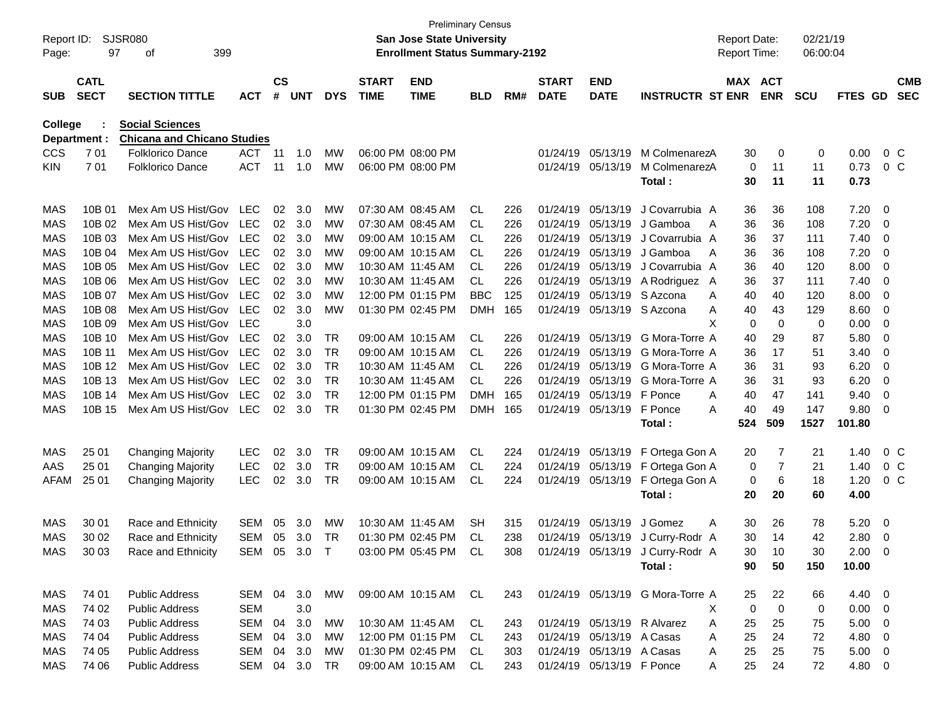| Report ID:<br>Page: | 97                         | <b>SJSR080</b><br>399<br>οf        |              |                    |            |            |                             | <b>Preliminary Census</b><br><b>San Jose State University</b><br><b>Enrollment Status Summary-2192</b> |            |     |                             |                           |                                  | <b>Report Date:</b><br>Report Time: |                | 02/21/19<br>06:00:04 |                |                         |                          |
|---------------------|----------------------------|------------------------------------|--------------|--------------------|------------|------------|-----------------------------|--------------------------------------------------------------------------------------------------------|------------|-----|-----------------------------|---------------------------|----------------------------------|-------------------------------------|----------------|----------------------|----------------|-------------------------|--------------------------|
| <b>SUB</b>          | <b>CATL</b><br><b>SECT</b> | <b>SECTION TITTLE</b>              | <b>ACT</b>   | $\mathsf{cs}$<br># | <b>UNT</b> | <b>DYS</b> | <b>START</b><br><b>TIME</b> | <b>END</b><br><b>TIME</b>                                                                              | <b>BLD</b> | RM# | <b>START</b><br><b>DATE</b> | <b>END</b><br><b>DATE</b> | <b>INSTRUCTR ST ENR</b>          | MAX ACT                             | <b>ENR</b>     | <b>SCU</b>           | <b>FTES GD</b> |                         | <b>CMB</b><br><b>SEC</b> |
| <b>College</b>      |                            | <b>Social Sciences</b>             |              |                    |            |            |                             |                                                                                                        |            |     |                             |                           |                                  |                                     |                |                      |                |                         |                          |
| Department :        |                            | <b>Chicana and Chicano Studies</b> |              |                    |            |            |                             |                                                                                                        |            |     |                             |                           |                                  |                                     |                |                      |                |                         |                          |
| <b>CCS</b>          | 701                        | <b>Folklorico Dance</b>            | <b>ACT</b>   | -11                | 1.0        | <b>MW</b>  |                             | 06:00 PM 08:00 PM                                                                                      |            |     | 01/24/19                    | 05/13/19                  | M ColmenarezA                    | 30                                  | 0              | 0                    | 0.00           | $0\,C$                  |                          |
| <b>KIN</b>          | 701                        | <b>Folklorico Dance</b>            | <b>ACT</b>   | -11                | 1.0        | <b>MW</b>  |                             | 06:00 PM 08:00 PM                                                                                      |            |     | 01/24/19                    | 05/13/19                  | M ColmenarezA<br>Total:          | $\mathbf 0$<br>30                   | 11<br>11       | 11<br>11             | 0.73<br>0.73   | 0 <sup>o</sup>          |                          |
|                     |                            |                                    |              |                    |            |            |                             |                                                                                                        |            |     |                             |                           |                                  |                                     |                |                      |                |                         |                          |
| MAS                 | 10B 01                     | Mex Am US Hist/Gov LEC             |              | 02                 | 3.0        | МW         |                             | 07:30 AM 08:45 AM                                                                                      | CL.        | 226 | 01/24/19                    | 05/13/19                  | J Covarrubia A                   | 36                                  | 36             | 108                  | 7.20           | - 0                     |                          |
| MAS                 | 10B 02                     | Mex Am US Hist/Gov                 | <b>LEC</b>   | 02                 | 3.0        | МW         |                             | 07:30 AM 08:45 AM                                                                                      | CL.        | 226 | 01/24/19                    | 05/13/19                  | J Gamboa<br>A                    | 36                                  | 36             | 108                  | 7.20           | $\overline{0}$          |                          |
| MAS                 | 10B 03                     | Mex Am US Hist/Gov                 | LEC          | 02                 | 3.0        | МW         |                             | 09:00 AM 10:15 AM                                                                                      | CL.        | 226 | 01/24/19                    | 05/13/19                  | J Covarrubia A                   | 36                                  | 37             | 111                  | 7.40           | 0                       |                          |
| MAS                 | 10B 04                     | Mex Am US Hist/Gov                 | LEC          | 02                 | 3.0        | МW         |                             | 09:00 AM 10:15 AM                                                                                      | CL.        | 226 | 01/24/19                    | 05/13/19                  | J Gamboa<br>A                    | 36                                  | 36             | 108                  | 7.20           | 0                       |                          |
| MAS                 | 10B 05                     | Mex Am US Hist/Gov                 | <b>LEC</b>   | 02                 | 3.0        | МW         |                             | 10:30 AM 11:45 AM                                                                                      | CL.        | 226 | 01/24/19                    | 05/13/19                  | J Covarrubia A                   | 36                                  | 40             | 120                  | 8.00           | 0                       |                          |
| MAS                 | 10B 06                     | Mex Am US Hist/Gov                 | LEC          | 02                 | 3.0        | МW         |                             | 10:30 AM 11:45 AM                                                                                      | CL.        | 226 | 01/24/19                    | 05/13/19                  | A Rodriguez A                    | 36                                  | 37             | 111                  | 7.40           | 0                       |                          |
| MAS                 | 10B 07                     | Mex Am US Hist/Gov                 | LEC          | 02                 | 3.0        | МW         |                             | 12:00 PM 01:15 PM                                                                                      | <b>BBC</b> | 125 | 01/24/19                    |                           | 05/13/19 S Azcona<br>A           | 40                                  | 40             | 120                  | 8.00           | 0                       |                          |
| MAS                 | 10B 08                     | Mex Am US Hist/Gov                 | <b>LEC</b>   | 02                 | 3.0        | <b>MW</b>  |                             | 01:30 PM 02:45 PM                                                                                      | <b>DMH</b> | 165 | 01/24/19                    |                           | 05/13/19 S Azcona<br>Α           | 40                                  | 43             | 129                  | 8.60           | 0                       |                          |
| MAS                 | 10B 09                     | Mex Am US Hist/Gov                 | LEC          |                    | 3.0        |            |                             |                                                                                                        |            |     |                             |                           | X                                | 0                                   | $\mathbf 0$    | 0                    | 0.00           | 0                       |                          |
| MAS                 | 10B 10                     | Mex Am US Hist/Gov                 | LEC          | 02                 | 3.0        | TR.        |                             | 09:00 AM 10:15 AM                                                                                      | CL.        | 226 | 01/24/19                    |                           | 05/13/19 G Mora-Torre A          | 40                                  | 29             | 87                   | 5.80           | 0                       |                          |
| MAS                 | 10B 11                     | Mex Am US Hist/Gov                 | <b>LEC</b>   | 02                 | 3.0        | <b>TR</b>  |                             | 09:00 AM 10:15 AM                                                                                      | <b>CL</b>  | 226 | 01/24/19                    | 05/13/19                  | G Mora-Torre A                   | 36                                  | 17             | 51                   | 3.40           | 0                       |                          |
| MAS                 | 10B 12                     | Mex Am US Hist/Gov                 | <b>LEC</b>   | 02                 | 3.0        | <b>TR</b>  |                             | 10:30 AM 11:45 AM                                                                                      | CL.        | 226 | 01/24/19                    | 05/13/19                  | G Mora-Torre A                   | 36                                  | 31             | 93                   | 6.20           | 0                       |                          |
| MAS                 | 10B 13                     | Mex Am US Hist/Gov                 | LEC          | 02                 | 3.0        | <b>TR</b>  |                             | 10:30 AM 11:45 AM                                                                                      | CL.        | 226 | 01/24/19                    | 05/13/19                  | G Mora-Torre A                   | 36                                  | 31             | 93                   | 6.20           | 0                       |                          |
| MAS                 | 10B 14                     | Mex Am US Hist/Gov                 | LEC          | 02                 | 3.0        | <b>TR</b>  |                             | 12:00 PM 01:15 PM                                                                                      | <b>DMH</b> | 165 | 01/24/19                    | 05/13/19                  | F Ponce<br>A                     | 40                                  | 47             | 141                  | 9.40           | 0                       |                          |
| MAS                 | 10B 15                     | Mex Am US Hist/Gov                 | <b>LEC</b>   | 02                 | 3.0        | <b>TR</b>  |                             | 01:30 PM 02:45 PM                                                                                      | <b>DMH</b> | 165 | 01/24/19                    | 05/13/19 F Ponce          | A                                | 40                                  | 49             | 147                  | 9.80           | 0                       |                          |
|                     |                            |                                    |              |                    |            |            |                             |                                                                                                        |            |     |                             |                           | Total:                           | 524                                 | 509            | 1527                 | 101.80         |                         |                          |
| MAS                 | 25 01                      | <b>Changing Majority</b>           | <b>LEC</b>   | 02                 | 3.0        | TR.        |                             | 09:00 AM 10:15 AM                                                                                      | CL         | 224 | 01/24/19                    | 05/13/19                  | F Ortega Gon A                   | 20                                  | 7              | 21                   | 1.40           | $0\,$ C                 |                          |
| AAS                 | 25 01                      | <b>Changing Majority</b>           | <b>LEC</b>   | 02                 | 3.0        | TR         |                             | 09:00 AM 10:15 AM                                                                                      | CL.        | 224 | 01/24/19                    | 05/13/19                  | F Ortega Gon A                   | 0                                   | $\overline{7}$ | 21                   | 1.40           | 0 <sup>o</sup>          |                          |
| <b>AFAM</b>         | 25 01                      | <b>Changing Majority</b>           | <b>LEC</b>   | 02                 | 3.0        | TR         |                             | 09:00 AM 10:15 AM                                                                                      | CL         | 224 |                             | 01/24/19 05/13/19         | F Ortega Gon A                   | 0                                   | 6              | 18                   | 1.20           | $0\,C$                  |                          |
|                     |                            |                                    |              |                    |            |            |                             |                                                                                                        |            |     |                             |                           | Total:                           | 20                                  | 20             | 60                   | 4.00           |                         |                          |
|                     |                            |                                    |              |                    |            |            |                             |                                                                                                        |            |     |                             |                           |                                  |                                     |                |                      |                |                         |                          |
| MAS                 | 30 01                      | Race and Ethnicity                 | SEM          | 05                 | 3.0        | МW         |                             | 10:30 AM 11:45 AM                                                                                      | SН         | 315 | 01/24/19                    | 05/13/19                  | J Gomez<br>A                     | 30                                  | 26             | 78                   | 5.20           | - 0                     |                          |
| MAS                 | 30 02                      | Race and Ethnicity                 | SEM          | 05                 | 3.0        | TR         |                             | 01:30 PM 02:45 PM                                                                                      | CL         | 238 |                             |                           | 01/24/19 05/13/19 J Curry-Rodr A | 30                                  | 14             | 42                   | 2.80           | $\overline{\mathbf{0}}$ |                          |
| MAS                 | 30 03                      | Race and Ethnicity                 | SEM 05 3.0 T |                    |            |            |                             | 03:00 PM 05:45 PM CL                                                                                   |            | 308 |                             |                           | 01/24/19 05/13/19 J Curry-Rodr A | 30                                  | 10             | 30                   | $2.00 \t 0$    |                         |                          |
|                     |                            |                                    |              |                    |            |            |                             |                                                                                                        |            |     |                             |                           | Total:                           | 90                                  | 50             | 150                  | 10.00          |                         |                          |
|                     |                            | <b>Public Address</b>              | SEM 04       |                    |            |            |                             |                                                                                                        |            | 243 |                             |                           | 01/24/19 05/13/19 G Mora-Torre A |                                     |                |                      | 4.40 0         |                         |                          |
| MAS                 | 74 01                      |                                    |              |                    | 3.0        | MW         |                             | 09:00 AM 10:15 AM CL                                                                                   |            |     |                             |                           |                                  | 25                                  | 22             | 66                   |                |                         |                          |
| MAS                 | 74 02                      | <b>Public Address</b>              | SEM          |                    | 3.0        |            |                             |                                                                                                        |            |     |                             |                           | Χ                                | 0                                   | $\mathbf 0$    | 0                    | $0.00 \t 0$    |                         |                          |
| MAS                 | 74 03                      | <b>Public Address</b>              | SEM          | 04                 | 3.0        | MW         |                             | 10:30 AM 11:45 AM                                                                                      | CL         | 243 |                             |                           | 01/24/19 05/13/19 R Alvarez<br>A | 25                                  | 25             | 75                   | $5.00 \t 0$    |                         |                          |
| MAS                 | 74 04                      | <b>Public Address</b>              | SEM 04       |                    | 3.0        | MW         |                             | 12:00 PM 01:15 PM                                                                                      | - CL       | 243 |                             | 01/24/19 05/13/19 A Casas | A                                | 25                                  | 24             | 72                   | 4.80 0         |                         |                          |
| MAS                 | 74 05                      | <b>Public Address</b>              | SEM 04       |                    | 3.0        | MW         |                             | 01:30 PM 02:45 PM CL                                                                                   |            | 303 |                             | 01/24/19 05/13/19 A Casas | A                                | 25                                  | 25             | 75                   | $5.00 \t 0$    |                         |                          |
| MAS                 | 74 06                      | <b>Public Address</b>              | SEM 04 3.0   |                    |            | TR         |                             | 09:00 AM 10:15 AM                                                                                      | CL.        | 243 |                             | 01/24/19 05/13/19 F Ponce | A                                | 25                                  | 24             | 72                   | 4.80 0         |                         |                          |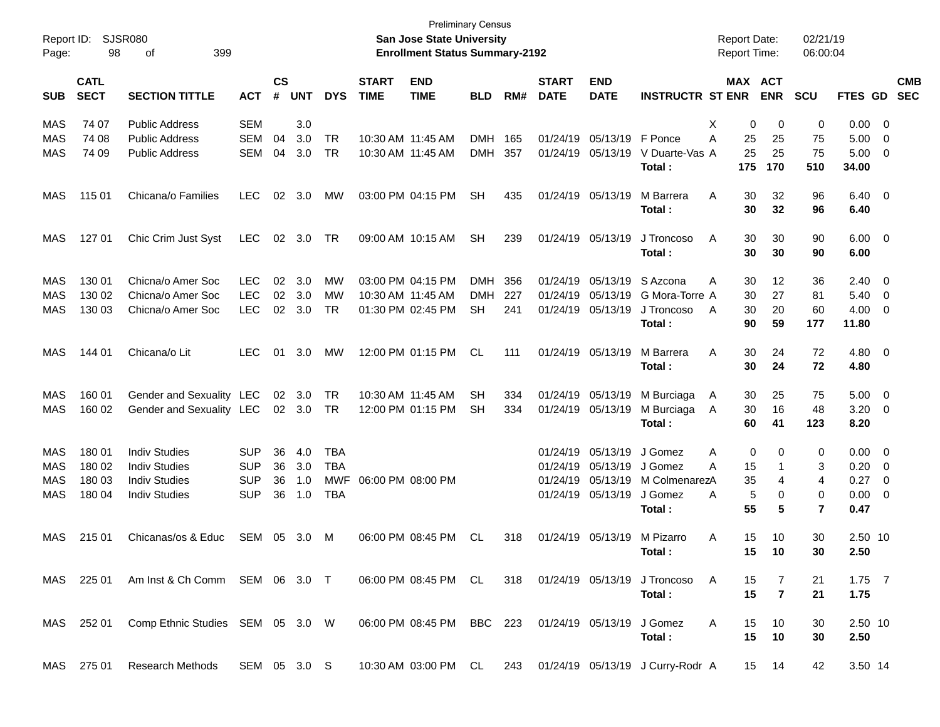| Report ID:<br>Page: | 98                         | <b>SJSR080</b><br>399<br>οf               |              |                    |                |            |                             | <b>Preliminary Census</b><br><b>San Jose State University</b><br><b>Enrollment Status Summary-2192</b> |            |     |                             |                           |                                  | <b>Report Date:</b><br><b>Report Time:</b> |                       | 02/21/19<br>06:00:04 |                |                          |                          |
|---------------------|----------------------------|-------------------------------------------|--------------|--------------------|----------------|------------|-----------------------------|--------------------------------------------------------------------------------------------------------|------------|-----|-----------------------------|---------------------------|----------------------------------|--------------------------------------------|-----------------------|----------------------|----------------|--------------------------|--------------------------|
| <b>SUB</b>          | <b>CATL</b><br><b>SECT</b> | <b>SECTION TITTLE</b>                     | <b>ACT</b>   | $\mathsf{cs}$<br># | <b>UNT</b>     | <b>DYS</b> | <b>START</b><br><b>TIME</b> | <b>END</b><br><b>TIME</b>                                                                              | <b>BLD</b> | RM# | <b>START</b><br><b>DATE</b> | <b>END</b><br><b>DATE</b> | <b>INSTRUCTR ST ENR</b>          |                                            | MAX ACT<br><b>ENR</b> | <b>SCU</b>           | FTES GD        |                          | <b>CMB</b><br><b>SEC</b> |
| MAS                 | 74 07                      | <b>Public Address</b>                     | <b>SEM</b>   |                    | 3.0            |            |                             |                                                                                                        |            |     |                             |                           |                                  | Х                                          | 0<br>0                | 0                    | 0.00           | $\overline{\phantom{0}}$ |                          |
| MAS                 | 74 08                      | <b>Public Address</b>                     | <b>SEM</b>   | 04                 | 3.0            | <b>TR</b>  | 10:30 AM 11:45 AM           |                                                                                                        | <b>DMH</b> | 165 | 01/24/19                    | 05/13/19                  | F Ponce                          | Α<br>25                                    | 25                    | 75                   | 5.00           | 0                        |                          |
| MAS                 | 74 09                      | <b>Public Address</b>                     | <b>SEM</b>   | 04                 | 3.0            | TR         | 10:30 AM 11:45 AM           |                                                                                                        | <b>DMH</b> | 357 | 01/24/19                    | 05/13/19                  | V Duarte-Vas A                   | 25                                         | 25                    | 75                   | 5.00           | $\overline{\mathbf{0}}$  |                          |
|                     |                            |                                           |              |                    |                |            |                             |                                                                                                        |            |     |                             |                           | Total:                           | 175                                        | 170                   | 510                  | 34.00          |                          |                          |
| MAS                 | 115 01                     | Chicana/o Families                        | <b>LEC</b>   | 02                 | 3.0            | MW         |                             | 03:00 PM 04:15 PM                                                                                      | <b>SH</b>  | 435 |                             | 01/24/19 05/13/19         | M Barrera                        | A<br>30                                    | 32                    | 96                   | $6.40 \quad 0$ |                          |                          |
|                     |                            |                                           |              |                    |                |            |                             |                                                                                                        |            |     |                             |                           | Total:                           | 30                                         | 32                    | 96                   | 6.40           |                          |                          |
| MAS                 | 127 01                     | Chic Crim Just Syst                       | <b>LEC</b>   | 02                 | 3.0            | TR         |                             | 09:00 AM 10:15 AM                                                                                      | <b>SH</b>  | 239 |                             | 01/24/19 05/13/19         | J Troncoso                       | A<br>30                                    | 30                    | 90                   | $6.00 \quad 0$ |                          |                          |
|                     |                            |                                           |              |                    |                |            |                             |                                                                                                        |            |     |                             |                           | Total:                           | 30                                         | 30                    | 90                   | 6.00           |                          |                          |
| MAS                 | 130 01                     | Chicna/o Amer Soc                         | <b>LEC</b>   | 02                 | 3.0            | MW         |                             | 03:00 PM 04:15 PM                                                                                      | <b>DMH</b> | 356 | 01/24/19                    | 05/13/19                  | S Azcona                         | 30<br>A                                    | 12                    | 36                   | 2.40           | $\overline{\phantom{0}}$ |                          |
| <b>MAS</b>          | 130 02                     | Chicna/o Amer Soc                         | <b>LEC</b>   | 02                 | 3.0            | MW         | 10:30 AM 11:45 AM           |                                                                                                        | <b>DMH</b> | 227 | 01/24/19                    | 05/13/19                  | G Mora-Torre A                   | 30                                         | 27                    | 81                   | 5.40           | $\overline{\mathbf{0}}$  |                          |
| <b>MAS</b>          | 130 03                     | Chicna/o Amer Soc                         | <b>LEC</b>   | 02                 | 3.0            | <b>TR</b>  |                             | 01:30 PM 02:45 PM                                                                                      | <b>SH</b>  | 241 | 01/24/19                    | 05/13/19                  | J Troncoso                       | 30<br>A                                    | 20                    | 60                   | 4.00           | $\overline{\mathbf{0}}$  |                          |
|                     |                            |                                           |              |                    |                |            |                             |                                                                                                        |            |     |                             |                           | Total:                           | 90                                         | 59                    | 177                  | 11.80          |                          |                          |
| <b>MAS</b>          | 144 01                     | Chicana/o Lit                             | <b>LEC</b>   | 01                 | 3.0            | МW         |                             | 12:00 PM 01:15 PM                                                                                      | CL.        | 111 |                             | 01/24/19 05/13/19         | M Barrera                        | 30<br>A                                    | 24                    | 72                   | $4.80\ 0$      |                          |                          |
|                     |                            |                                           |              |                    |                |            |                             |                                                                                                        |            |     |                             |                           | Total:                           | 30                                         | 24                    | 72                   | 4.80           |                          |                          |
| MAS                 | 160 01                     | Gender and Sexuality LEC                  |              | 02                 | 3.0            | TR         |                             | 10:30 AM 11:45 AM                                                                                      | <b>SH</b>  | 334 |                             | 01/24/19 05/13/19         | M Burciaga                       | 30<br>A                                    | 25                    | 75                   | 5.00           | $\overline{\mathbf{0}}$  |                          |
| <b>MAS</b>          | 160 02                     | Gender and Sexuality LEC                  |              |                    | $02 \quad 3.0$ | TR         |                             | 12:00 PM 01:15 PM                                                                                      | <b>SH</b>  | 334 |                             | 01/24/19 05/13/19         | M Burciaga                       | 30<br>A                                    | 16                    | 48                   | 3.20           | $\overline{\mathbf{0}}$  |                          |
|                     |                            |                                           |              |                    |                |            |                             |                                                                                                        |            |     |                             |                           | Total:                           | 60                                         | 41                    | 123                  | 8.20           |                          |                          |
| MAS                 | 180 01                     | <b>Indiv Studies</b>                      | <b>SUP</b>   | 36                 | 4.0            | <b>TBA</b> |                             |                                                                                                        |            |     | 01/24/19                    | 05/13/19                  | J Gomez                          | Α                                          | 0<br>0                | 0                    | 0.00           | $\overline{\mathbf{0}}$  |                          |
| MAS                 | 180 02                     | <b>Indiv Studies</b>                      | <b>SUP</b>   | 36                 | 3.0            | <b>TBA</b> |                             |                                                                                                        |            |     | 01/24/19                    | 05/13/19                  | J Gomez                          | A<br>15                                    | 1                     | 3                    | 0.20           | $\overline{\mathbf{0}}$  |                          |
| <b>MAS</b>          | 180 03                     | <b>Indiv Studies</b>                      | <b>SUP</b>   | 36                 | 1.0            | MWF        | 06:00 PM 08:00 PM           |                                                                                                        |            |     | 01/24/19                    | 05/13/19                  | M ColmenarezA                    | 35                                         | 4                     | 4                    | 0.27           | $\overline{\mathbf{0}}$  |                          |
| <b>MAS</b>          | 180 04                     | <b>Indiv Studies</b>                      | <b>SUP</b>   | 36                 | 1.0            | <b>TBA</b> |                             |                                                                                                        |            |     |                             | 01/24/19 05/13/19         | J Gomez                          | A                                          | 5<br>0                | 0                    | 0.00           | $\overline{\mathbf{0}}$  |                          |
|                     |                            |                                           |              |                    |                |            |                             |                                                                                                        |            |     |                             |                           | Total:                           | 55                                         | 5                     | 7                    | 0.47           |                          |                          |
| MAS                 | 215 01                     | Chicanas/os & Educ                        | SEM          | 05                 | 3.0            | M          |                             | 06:00 PM 08:45 PM                                                                                      | CL         | 318 |                             | 01/24/19 05/13/19         | M Pizarro                        | 15<br>Α                                    | 10                    | 30                   | 2.50 10        |                          |                          |
|                     |                            |                                           |              |                    |                |            |                             |                                                                                                        |            |     |                             |                           | Total:                           | 15                                         | 10                    | 30                   | 2.50           |                          |                          |
|                     |                            | MAS 225 01 Am Inst & Ch Comm SEM 06 3.0 T |              |                    |                |            |                             | 06:00 PM 08:45 PM CL                                                                                   |            | 318 |                             | 01/24/19 05/13/19         | J Troncoso                       | A<br>15                                    | 7                     | 21                   | $1.75$ 7       |                          |                          |
|                     |                            |                                           |              |                    |                |            |                             |                                                                                                        |            |     |                             |                           | Total:                           | 15                                         | $\overline{7}$        | 21                   | 1.75           |                          |                          |
| MAS                 | 252 01                     | Comp Ethnic Studies SEM 05 3.0 W          |              |                    |                |            |                             | 06:00 PM 08:45 PM BBC 223                                                                              |            |     |                             | 01/24/19 05/13/19         | J Gomez                          | A<br>15                                    | 10                    | 30                   | 2.50 10        |                          |                          |
|                     |                            |                                           |              |                    |                |            |                             |                                                                                                        |            |     |                             |                           | Total:                           | 15                                         | 10                    | 30                   | 2.50           |                          |                          |
|                     | MAS 275 01                 | <b>Research Methods</b>                   | SEM 05 3.0 S |                    |                |            |                             | 10:30 AM 03:00 PM CL                                                                                   |            | 243 |                             |                           | 01/24/19 05/13/19 J Curry-Rodr A |                                            | 15 14                 | 42                   | 3.50 14        |                          |                          |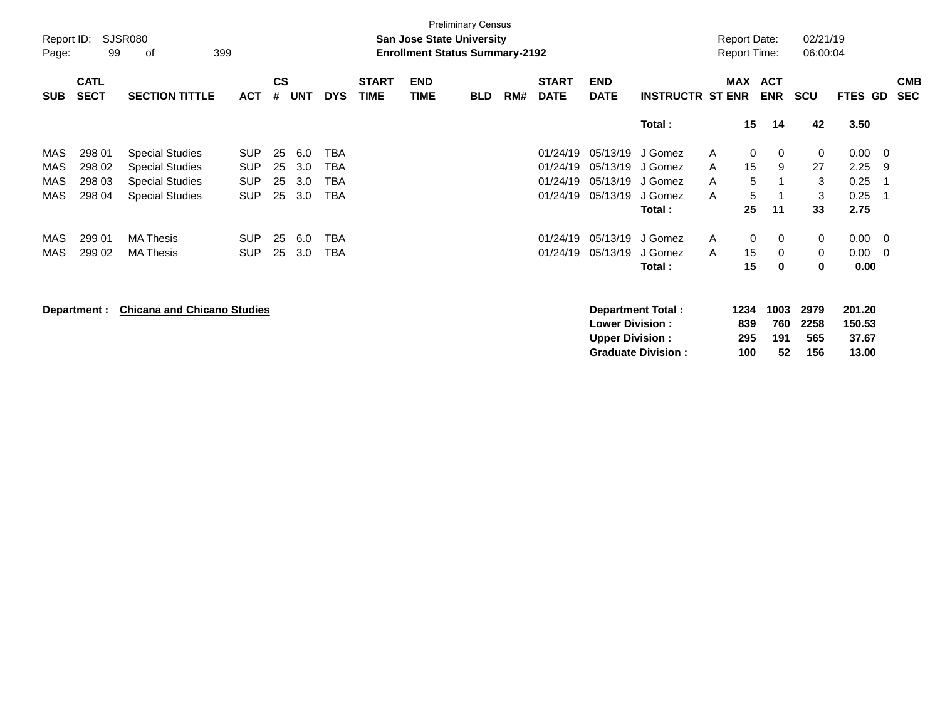|                     | <b>Preliminary Census</b> |                                    |            |               |            |            |              |                                                                           |            |     |              |                                                  |                         |   |                                            |                    |                      |                           |     |            |
|---------------------|---------------------------|------------------------------------|------------|---------------|------------|------------|--------------|---------------------------------------------------------------------------|------------|-----|--------------|--------------------------------------------------|-------------------------|---|--------------------------------------------|--------------------|----------------------|---------------------------|-----|------------|
| Report ID:<br>Page: | 99                        | <b>SJSR080</b><br>399<br>οf        |            |               |            |            |              | <b>San Jose State University</b><br><b>Enrollment Status Summary-2192</b> |            |     |              |                                                  |                         |   | <b>Report Date:</b><br><b>Report Time:</b> |                    | 02/21/19<br>06:00:04 |                           |     |            |
|                     |                           |                                    |            |               |            |            |              |                                                                           |            |     |              |                                                  |                         |   |                                            |                    |                      |                           |     |            |
|                     | <b>CATL</b>               |                                    |            | $\mathsf{cs}$ |            |            | <b>START</b> | <b>END</b>                                                                |            |     | <b>START</b> | <b>END</b>                                       |                         |   | <b>MAX</b>                                 | <b>ACT</b>         |                      |                           |     | <b>CMB</b> |
| <b>SUB</b>          | <b>SECT</b>               | <b>SECTION TITTLE</b>              | <b>ACT</b> | #             | <b>UNT</b> | <b>DYS</b> | <b>TIME</b>  | <b>TIME</b>                                                               | <b>BLD</b> | RM# | <b>DATE</b>  | <b>DATE</b>                                      | <b>INSTRUCTR ST ENR</b> |   |                                            | <b>ENR</b>         | <b>SCU</b>           | FTES GD                   |     | <b>SEC</b> |
|                     |                           |                                    |            |               |            |            |              |                                                                           |            |     |              |                                                  | Total:                  |   | 15                                         | 14                 | 42                   | 3.50                      |     |            |
| MAS                 | 298 01                    | <b>Special Studies</b>             | <b>SUP</b> | 25            | 6.0        | TBA        |              |                                                                           |            |     | 01/24/19     | 05/13/19                                         | J Gomez                 | A | 0                                          | 0                  | 0                    | 0.00                      | - 0 |            |
| MAS                 | 298 02                    | <b>Special Studies</b>             | <b>SUP</b> | 25            | 3.0        | TBA        |              |                                                                           |            |     | 01/24/19     | 05/13/19                                         | J Gomez                 | A | 15                                         | 9                  | 27                   | 2.25                      | 9   |            |
| MAS                 | 298 03                    | <b>Special Studies</b>             | <b>SUP</b> | 25            | 3.0        | TBA        |              |                                                                           |            |     | 01/24/19     | 05/13/19 J Gomez                                 |                         | A | 5                                          |                    | 3                    | 0.25                      | -1  |            |
| MAS                 | 298 04                    | <b>Special Studies</b>             | <b>SUP</b> | 25            | 3.0        | TBA        |              |                                                                           |            |     | 01/24/19     | 05/13/19                                         | J Gomez                 | A | 5                                          |                    | 3                    | 0.25                      | -1  |            |
|                     |                           |                                    |            |               |            |            |              |                                                                           |            |     |              |                                                  | Total:                  |   | 25                                         | 11                 | 33                   | 2.75                      |     |            |
| MAS                 | 299 01                    | <b>MA Thesis</b>                   | <b>SUP</b> | 25            | 6.0        | TBA        |              |                                                                           |            |     | 01/24/19     | 05/13/19                                         | J Gomez                 | A | $\mathbf{0}$                               | 0                  | 0                    | 0.00                      | - 0 |            |
| MAS                 | 299 02                    | <b>MA Thesis</b>                   | <b>SUP</b> | 25            | 3.0        | TBA        |              |                                                                           |            |     | 01/24/19     | 05/13/19                                         | J Gomez                 | A | 15                                         | 0                  | 0                    | 0.00                      | 0   |            |
|                     |                           |                                    |            |               |            |            |              |                                                                           |            |     |              |                                                  | Total:                  |   | 15                                         | 0                  | 0                    | 0.00                      |     |            |
|                     | Department :              | <b>Chicana and Chicano Studies</b> |            |               |            |            |              |                                                                           |            |     |              | <b>Lower Division:</b><br><b>Upper Division:</b> | Department Total:       |   | 1234<br>839<br>295                         | 1003<br>760<br>191 | 2979<br>2258<br>565  | 201.20<br>150.53<br>37.67 |     |            |

**Graduate Division : 100 52 156 13.00**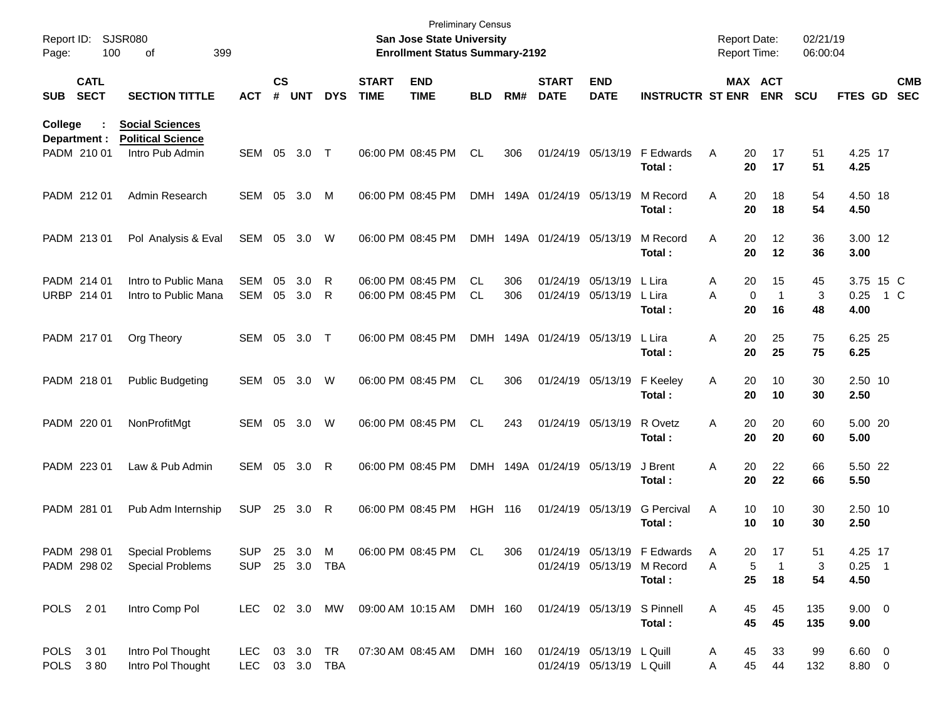| Page:          | Report ID: SJSR080<br>100   | 399<br>οf                                                             |                              |                    |            |            |                             | <b>Preliminary Census</b><br>San Jose State University<br><b>Enrollment Status Summary-2192</b> |            |            |                             |                                                        |                                                                     | <b>Report Date:</b><br><b>Report Time:</b> |                                           | 02/21/19<br>06:00:04 |                             |     |                          |
|----------------|-----------------------------|-----------------------------------------------------------------------|------------------------------|--------------------|------------|------------|-----------------------------|-------------------------------------------------------------------------------------------------|------------|------------|-----------------------------|--------------------------------------------------------|---------------------------------------------------------------------|--------------------------------------------|-------------------------------------------|----------------------|-----------------------------|-----|--------------------------|
| <b>SUB</b>     | <b>CATL</b><br><b>SECT</b>  | <b>SECTION TITTLE</b>                                                 | <b>ACT</b>                   | $\mathsf{cs}$<br># | <b>UNT</b> | <b>DYS</b> | <b>START</b><br><b>TIME</b> | <b>END</b><br><b>TIME</b>                                                                       | <b>BLD</b> | RM#        | <b>START</b><br><b>DATE</b> | <b>END</b><br><b>DATE</b>                              | <b>INSTRUCTR ST ENR</b>                                             |                                            | MAX ACT<br><b>ENR</b>                     | <b>SCU</b>           | FTES GD                     |     | <b>CMB</b><br><b>SEC</b> |
| <b>College</b> | Department :<br>PADM 210 01 | <b>Social Sciences</b><br><b>Political Science</b><br>Intro Pub Admin | SEM                          | 05                 | 3.0        | T          |                             | 06:00 PM 08:45 PM                                                                               | CL         | 306        |                             | 01/24/19 05/13/19                                      | F Edwards<br>Total:                                                 | Α                                          | 20<br>17<br>20<br>17                      | 51<br>51             | 4.25 17<br>4.25             |     |                          |
|                | PADM 212 01                 | Admin Research                                                        | <b>SEM</b>                   | 05                 | 3.0        | M          |                             | 06:00 PM 08:45 PM                                                                               |            |            | DMH 149A 01/24/19 05/13/19  |                                                        | M Record<br>Total:                                                  | 20<br>Α<br>20                              | 18<br>18                                  | 54<br>54             | 4.50 18<br>4.50             |     |                          |
|                | PADM 213 01                 | Pol Analysis & Eval                                                   | SEM                          | 05                 | 3.0        | W          |                             | 06:00 PM 08:45 PM                                                                               |            |            | DMH 149A 01/24/19 05/13/19  |                                                        | M Record<br>Total:                                                  | Α<br>20                                    | 20<br>12<br>12                            | 36<br>36             | 3.00 12<br>3.00             |     |                          |
|                | PADM 214 01<br>URBP 214 01  | Intro to Public Mana<br>Intro to Public Mana                          | <b>SEM</b><br>SEM            | 05<br>05           | 3.0<br>3.0 | R<br>R     |                             | 06:00 PM 08:45 PM<br>06:00 PM 08:45 PM                                                          | CL<br>CL   | 306<br>306 |                             | 01/24/19 05/13/19<br>01/24/19 05/13/19                 | L Lira<br>L Lira<br>Total :                                         | 20<br>A<br>A                               | 15<br>0<br>$\mathbf 1$<br>20<br>16        | 45<br>3<br>48        | 3.75 15 C<br>0.25<br>4.00   | 1 C |                          |
|                | PADM 217 01                 | Org Theory                                                            | SEM                          | 05                 | 3.0        | $\top$     |                             | 06:00 PM 08:45 PM                                                                               |            |            | DMH 149A 01/24/19 05/13/19  |                                                        | L Lira<br>Total:                                                    | 20<br>Α<br>20                              | 25<br>25                                  | 75<br>75             | 6.25 25<br>6.25             |     |                          |
|                | PADM 218 01                 | <b>Public Budgeting</b>                                               | SEM                          | 05                 | 3.0        | W          |                             | 06:00 PM 08:45 PM                                                                               | CL         | 306        |                             | 01/24/19 05/13/19                                      | F Keeley<br>Total:                                                  | 20<br>A<br>20                              | 10<br>10                                  | 30<br>30             | 2.50 10<br>2.50             |     |                          |
|                | PADM 220 01                 | NonProfitMgt                                                          | SEM                          | 05                 | 3.0        | W          |                             | 06:00 PM 08:45 PM                                                                               | <b>CL</b>  | 243        |                             | 01/24/19 05/13/19                                      | R Ovetz<br>Total:                                                   | 20<br>Α<br>20                              | 20<br>20                                  | 60<br>60             | 5.00 20<br>5.00             |     |                          |
|                | PADM 223 01                 | Law & Pub Admin                                                       | SEM                          | 05                 | 3.0        | R          |                             | 06:00 PM 08:45 PM                                                                               |            |            | DMH 149A 01/24/19 05/13/19  |                                                        | J Brent<br>Total:                                                   | 20<br>Α<br>20                              | 22<br>22                                  | 66<br>66             | 5.50 22<br>5.50             |     |                          |
|                | PADM 281 01                 | Pub Adm Internship                                                    | <b>SUP</b>                   |                    | 25 3.0     | R          |                             | 06:00 PM 08:45 PM                                                                               | <b>HGH</b> | 116        |                             | 01/24/19 05/13/19                                      | <b>G</b> Percival<br>Total :                                        | Α                                          | 10<br>10<br>10<br>10                      | 30<br>30             | 2.50 10<br>2.50             |     |                          |
|                | PADM 298 01                 | <b>Special Problems</b><br>PADM 298 02 Special Problems               | <b>SUP</b><br>SUP 25 3.0 TBA |                    | 25 3.0 M   |            |                             | 06:00 PM 08:45 PM                                                                               | -CL        | 306        |                             |                                                        | 01/24/19 05/13/19 F Edwards<br>01/24/19 05/13/19 M Record<br>Total: | A<br>A                                     | 20<br>17<br>5<br>$\mathbf{1}$<br>25<br>18 | 51<br>3<br>54        | 4.25 17<br>$0.25$ 1<br>4.50 |     |                          |
|                | POLS 201                    | Intro Comp Pol                                                        |                              |                    |            |            |                             | LEC 02 3.0 MW 09:00 AM 10:15 AM DMH 160 01/24/19 05/13/19 S Pinnell                             |            |            |                             |                                                        | Total:                                                              | A                                          | 45<br>45<br>45<br>45                      | 135<br>135           | $9.00 \t 0$<br>9.00         |     |                          |
|                | POLS 301<br>POLS 380        | Intro Pol Thought<br>Intro Pol Thought                                | LEC 03 3.0 TBA               |                    |            |            |                             | LEC 03 3.0 TR  07:30 AM  08:45 AM  DMH  160                                                     |            |            |                             | 01/24/19 05/13/19 L Quill<br>01/24/19 05/13/19 L Quill |                                                                     | 45<br>A<br>A                               | 33<br>45<br>44                            | 99<br>132            | $6.60 \quad 0$<br>8.80 0    |     |                          |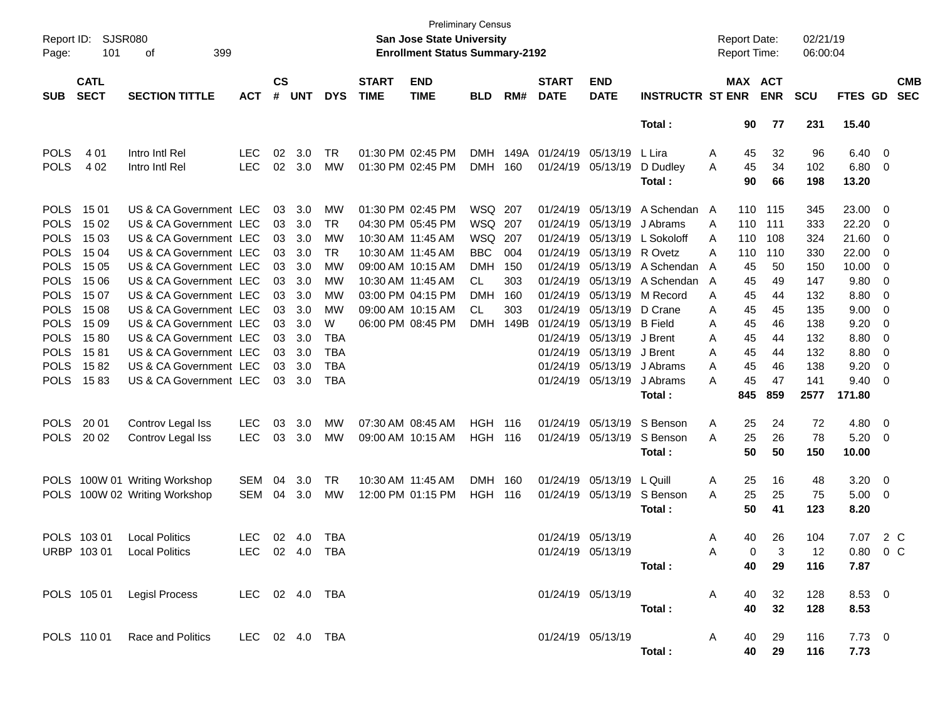| Page:       | Report ID:<br><b>SJSR080</b><br>101<br>399<br>οf<br><b>CATL</b> |                               |                |                    |            |            |                             | San Jose State University<br><b>Enrollment Status Summary-2192</b> | <b>Preliminary Census</b> |      |                             |                           |                         | <b>Report Date:</b><br><b>Report Time:</b> |          |                       | 02/21/19<br>06:00:04 |                |                          |                          |
|-------------|-----------------------------------------------------------------|-------------------------------|----------------|--------------------|------------|------------|-----------------------------|--------------------------------------------------------------------|---------------------------|------|-----------------------------|---------------------------|-------------------------|--------------------------------------------|----------|-----------------------|----------------------|----------------|--------------------------|--------------------------|
| <b>SUB</b>  | <b>SECT</b>                                                     | <b>SECTION TITTLE</b>         | <b>ACT</b>     | $\mathsf{cs}$<br># | <b>UNT</b> | <b>DYS</b> | <b>START</b><br><b>TIME</b> | <b>END</b><br><b>TIME</b>                                          | <b>BLD</b>                | RM#  | <b>START</b><br><b>DATE</b> | <b>END</b><br><b>DATE</b> | <b>INSTRUCTR ST ENR</b> |                                            |          | MAX ACT<br><b>ENR</b> | <b>SCU</b>           | <b>FTES GD</b> |                          | <b>CMB</b><br><b>SEC</b> |
|             |                                                                 |                               |                |                    |            |            |                             |                                                                    |                           |      |                             |                           | Total:                  |                                            | 90       | 77                    | 231                  | 15.40          |                          |                          |
| <b>POLS</b> | 4 0 1                                                           | Intro Intl Rel                | LEC.           | 02                 | 3.0        | TR         |                             | 01:30 PM 02:45 PM                                                  | <b>DMH</b>                | 149A | 01/24/19 05/13/19           |                           | L Lira                  | A                                          | 45       | 32                    | 96                   | 6.40           | $\overline{\phantom{0}}$ |                          |
| <b>POLS</b> | 4 0 2                                                           | Intro Intl Rel                | <b>LEC</b>     | 02                 | 3.0        | MW         |                             | 01:30 PM 02:45 PM                                                  | <b>DMH</b>                | 160  |                             | 01/24/19 05/13/19         | D Dudley                | A                                          | 45       | 34                    | 102                  | 6.80           | $\overline{\mathbf{0}}$  |                          |
|             |                                                                 |                               |                |                    |            |            |                             |                                                                    |                           |      |                             |                           | Total:                  |                                            | 90       | 66                    | 198                  | 13.20          |                          |                          |
| <b>POLS</b> | 15 01                                                           | US & CA Government LEC        |                | 03                 | 3.0        | MW         |                             | 01:30 PM 02:45 PM                                                  | WSQ 207                   |      | 01/24/19                    | 05/13/19                  | A Schendan A            |                                            | 110      | 115                   | 345                  | 23.00          | $\overline{\mathbf{0}}$  |                          |
| <b>POLS</b> | 15 02                                                           | US & CA Government LEC        |                | 03                 | 3.0        | TR         |                             | 04:30 PM 05:45 PM                                                  | WSQ 207                   |      | 01/24/19                    | 05/13/19                  | J Abrams                | A                                          | 110      | 111                   | 333                  | 22.20          | 0                        |                          |
| <b>POLS</b> | 15 03                                                           | US & CA Government LEC        |                | 03                 | 3.0        | MW         |                             | 10:30 AM 11:45 AM                                                  | WSQ                       | 207  | 01/24/19                    | 05/13/19                  | L Sokoloff              | A                                          | 110      | 108                   | 324                  | 21.60          | 0                        |                          |
| <b>POLS</b> | 15 04                                                           | US & CA Government LEC        |                | 03                 | 3.0        | <b>TR</b>  |                             | 10:30 AM 11:45 AM                                                  | <b>BBC</b>                | 004  | 01/24/19                    | 05/13/19                  | R Ovetz                 | A                                          | 110      | 110                   | 330                  | 22.00          | 0                        |                          |
| <b>POLS</b> | 15 05                                                           | US & CA Government LEC        |                | 03                 | 3.0        | МW         |                             | 09:00 AM 10:15 AM                                                  | <b>DMH</b>                | 150  | 01/24/19                    | 05/13/19                  | A Schendan              | A                                          | 45       | 50                    | 150                  | 10.00          | 0                        |                          |
| <b>POLS</b> | 15 06                                                           | US & CA Government LEC        |                | 03                 | 3.0        | MW         |                             | 10:30 AM 11:45 AM                                                  | CL                        | 303  | 01/24/19                    | 05/13/19                  | A Schendan              | A                                          | 45       | 49                    | 147                  | 9.80           | 0                        |                          |
| <b>POLS</b> | 15 07                                                           | US & CA Government LEC        |                | 03                 | 3.0        | MW         |                             | 03:00 PM 04:15 PM                                                  | <b>DMH</b>                | 160  | 01/24/19                    | 05/13/19                  | M Record                | A                                          | 45       | 44                    | 132                  | 8.80           | 0                        |                          |
| <b>POLS</b> | 15 08                                                           | US & CA Government LEC        |                | 03                 | 3.0        | MW         |                             | 09:00 AM 10:15 AM                                                  | CL                        | 303  | 01/24/19                    | 05/13/19                  | D Crane                 | A                                          | 45       | 45                    | 135                  | 9.00           | 0                        |                          |
| <b>POLS</b> | 15 09                                                           | US & CA Government LEC        |                | 03                 | 3.0        | W          |                             | 06:00 PM 08:45 PM                                                  | <b>DMH</b>                | 149B | 01/24/19                    | 05/13/19                  | <b>B</b> Field          | A                                          | 45       | 46                    | 138                  | 9.20           | 0                        |                          |
| <b>POLS</b> | 1580                                                            | US & CA Government LEC        |                | 03                 | 3.0        | <b>TBA</b> |                             |                                                                    |                           |      | 01/24/19                    | 05/13/19                  | J Brent                 | A                                          | 45       | 44                    | 132                  | 8.80           | 0                        |                          |
| <b>POLS</b> | 1581                                                            | US & CA Government LEC        |                | 03                 | 3.0        | <b>TBA</b> |                             |                                                                    |                           |      | 01/24/19                    | 05/13/19                  | J Brent                 | A                                          | 45       | 44                    | 132                  | 8.80           | 0                        |                          |
| <b>POLS</b> | 1582                                                            | US & CA Government LEC        |                | 03                 | 3.0        | <b>TBA</b> |                             |                                                                    |                           |      | 01/24/19                    | 05/13/19                  | J Abrams                | A                                          | 45       | 46                    | 138                  | 9.20           | 0                        |                          |
| <b>POLS</b> | 1583                                                            | US & CA Government LEC        |                | 03                 | 3.0        | <b>TBA</b> |                             |                                                                    |                           |      |                             | 01/24/19 05/13/19         | J Abrams                | A                                          | 45       | 47                    | 141                  | 9.40           | 0                        |                          |
|             |                                                                 |                               |                |                    |            |            |                             |                                                                    |                           |      |                             |                           | Total:                  |                                            | 845      | 859                   | 2577                 | 171.80         |                          |                          |
| <b>POLS</b> | 20 01                                                           | Controv Legal Iss             | <b>LEC</b>     | 03                 | 3.0        | MW         |                             | 07:30 AM 08:45 AM                                                  | <b>HGH</b>                | 116  |                             | 01/24/19 05/13/19         | S Benson                | Α                                          | 25       | 24                    | 72                   | 4.80           | $\overline{\mathbf{0}}$  |                          |
| <b>POLS</b> | 20 02                                                           | Controv Legal Iss             | <b>LEC</b>     | 03                 | 3.0        | MW         |                             | 09:00 AM 10:15 AM                                                  | <b>HGH</b>                | 116  |                             | 01/24/19 05/13/19         | S Benson                | A                                          | 25       | 26                    | 78                   | 5.20           | $\overline{\mathbf{0}}$  |                          |
|             |                                                                 |                               |                |                    |            |            |                             |                                                                    |                           |      |                             |                           | Total:                  |                                            | 50       | 50                    | 150                  | 10.00          |                          |                          |
| <b>POLS</b> |                                                                 | 100W 01 Writing Workshop      | <b>SEM</b>     | 04                 | 3.0        | TR         |                             | 10:30 AM 11:45 AM                                                  | <b>DMH</b>                | 160  |                             | 01/24/19 05/13/19         | L Quill                 | A                                          | 25       | 16                    | 48                   | 3.20           | $\overline{\mathbf{0}}$  |                          |
| <b>POLS</b> |                                                                 | 100W 02 Writing Workshop      | <b>SEM</b>     | 04                 | 3.0        | MW         |                             | 12:00 PM 01:15 PM                                                  | <b>HGH</b>                | 116  |                             | 01/24/19 05/13/19         | S Benson                | A                                          | 25       | 25                    | 75                   | 5.00           | $\overline{\mathbf{0}}$  |                          |
|             |                                                                 |                               |                |                    |            |            |                             |                                                                    |                           |      |                             |                           | Total:                  |                                            | 50       | 41                    | 123                  | 8.20           |                          |                          |
|             |                                                                 |                               |                |                    |            |            |                             |                                                                    |                           |      |                             |                           |                         |                                            |          |                       |                      |                |                          |                          |
|             | POLS 103 01                                                     | <b>Local Politics</b>         | <b>LEC</b>     | 02                 | 4.0        | TBA        |                             |                                                                    |                           |      |                             | 01/24/19 05/13/19         |                         | Α                                          | 40       | 26                    | 104                  | 7.07           | 2 C                      |                          |
|             | URBP 103 01                                                     | <b>Local Politics</b>         | LEC            |                    | 02 4.0     | <b>TBA</b> |                             |                                                                    |                           |      |                             | 01/24/19 05/13/19         |                         | A                                          | $\Omega$ | 3                     | 12                   | 0.80           |                          | $0\,$ C                  |
|             |                                                                 |                               |                |                    |            |            |                             |                                                                    |                           |      |                             |                           | Total:                  |                                            | 40       | 29                    | 116                  | 7.87           |                          |                          |
|             |                                                                 |                               |                |                    |            |            |                             |                                                                    |                           |      |                             |                           |                         |                                            |          |                       |                      |                |                          |                          |
|             |                                                                 | POLS 105 01 Legisl Process    | LEC 02 4.0 TBA |                    |            |            |                             |                                                                    |                           |      |                             | 01/24/19 05/13/19         |                         | A                                          | 40       | 32                    | 128                  | 8.53 0         |                          |                          |
|             |                                                                 |                               |                |                    |            |            |                             |                                                                    |                           |      |                             |                           | Total:                  |                                            | 40       | 32                    | 128                  | 8.53           |                          |                          |
|             |                                                                 |                               |                |                    |            |            |                             |                                                                    |                           |      |                             |                           |                         |                                            |          |                       |                      |                |                          |                          |
|             |                                                                 | POLS 110 01 Race and Politics | LEC 02 4.0 TBA |                    |            |            |                             |                                                                    |                           |      |                             | 01/24/19 05/13/19         |                         | A                                          | 40       | 29                    | 116                  | $7.73 \t 0$    |                          |                          |
|             |                                                                 |                               |                |                    |            |            |                             |                                                                    |                           |      |                             |                           | Total:                  |                                            | 40       | 29                    | 116                  | 7.73           |                          |                          |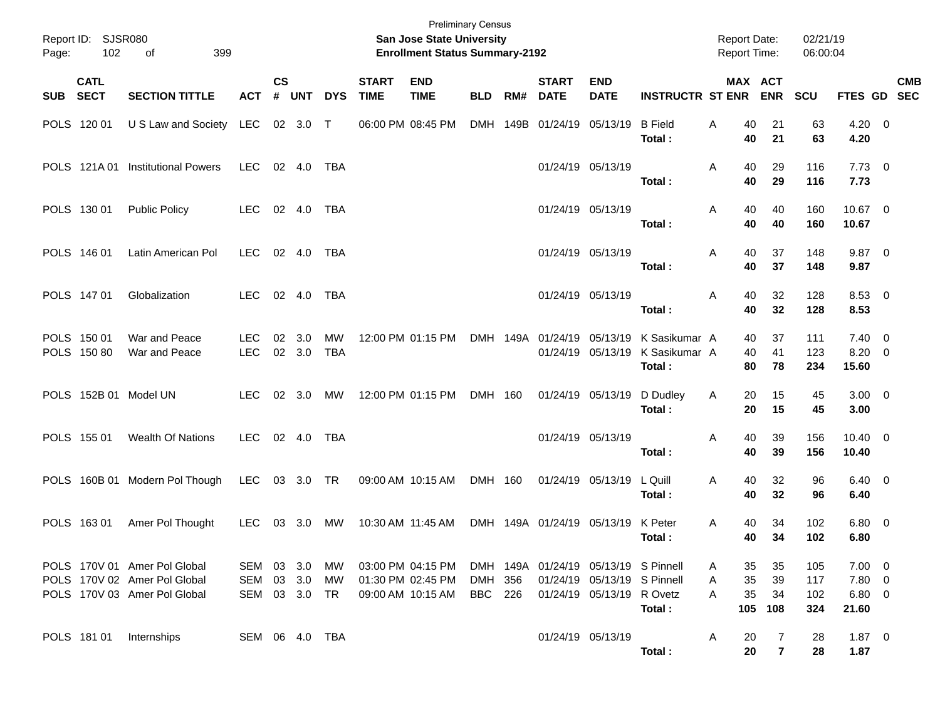| Page: | Report ID: SJSR080<br>102  | 399<br>of                                                                                    |                             |                    |                  |                  |                             | <b>Preliminary Census</b><br>San Jose State University<br><b>Enrollment Status Summary-2192</b> |                           |          |                             |                                                                                                  |                                          | <b>Report Date:</b><br><b>Report Time:</b> |                       | 02/21/19<br>06:00:04     |                                            |            |
|-------|----------------------------|----------------------------------------------------------------------------------------------|-----------------------------|--------------------|------------------|------------------|-----------------------------|-------------------------------------------------------------------------------------------------|---------------------------|----------|-----------------------------|--------------------------------------------------------------------------------------------------|------------------------------------------|--------------------------------------------|-----------------------|--------------------------|--------------------------------------------|------------|
| SUB   | <b>CATL</b><br><b>SECT</b> | <b>SECTION TITTLE</b>                                                                        | <b>ACT</b>                  | $\mathsf{cs}$<br># | <b>UNT</b>       | <b>DYS</b>       | <b>START</b><br><b>TIME</b> | <b>END</b><br><b>TIME</b>                                                                       | <b>BLD</b>                | RM#      | <b>START</b><br><b>DATE</b> | <b>END</b><br><b>DATE</b>                                                                        | <b>INSTRUCTR ST ENR</b>                  | <b>MAX ACT</b>                             | <b>ENR</b>            | <b>SCU</b>               | FTES GD SEC                                | <b>CMB</b> |
|       | POLS 120 01                | U S Law and Society LEC                                                                      |                             |                    | 02 3.0 T         |                  |                             | 06:00 PM 08:45 PM                                                                               |                           | DMH 149B | 01/24/19 05/13/19           |                                                                                                  | <b>B</b> Field<br>Total:                 | A<br>40<br>40                              | 21<br>21              | 63<br>63                 | $4.20 \ 0$<br>4.20                         |            |
|       | POLS 121A01                | <b>Institutional Powers</b>                                                                  | <b>LEC</b>                  |                    | 02 4.0           | TBA              |                             |                                                                                                 |                           |          |                             | 01/24/19 05/13/19                                                                                | Total:                                   | Α<br>40<br>40                              | 29<br>29              | 116<br>116               | $7.73 \t 0$<br>7.73                        |            |
|       | POLS 130 01                | <b>Public Policy</b>                                                                         | LEC.                        |                    | 02 4.0           | TBA              |                             |                                                                                                 |                           |          |                             | 01/24/19 05/13/19                                                                                | Total:                                   | Α<br>40<br>40                              | 40<br>40              | 160<br>160               | 10.67 0<br>10.67                           |            |
|       | POLS 146 01                | Latin American Pol                                                                           | <b>LEC</b>                  |                    | 02 4.0           | TBA              |                             |                                                                                                 |                           |          | 01/24/19 05/13/19           |                                                                                                  | Total:                                   | Α<br>40<br>40                              | 37<br>37              | 148<br>148               | $9.87$ 0<br>9.87                           |            |
|       | POLS 147 01                | Globalization                                                                                | <b>LEC</b>                  |                    | 02 4.0           | TBA              |                             |                                                                                                 |                           |          |                             | 01/24/19 05/13/19                                                                                | Total:                                   | Α<br>40<br>40                              | 32<br>32              | 128<br>128               | 8.53 0<br>8.53                             |            |
|       | POLS 150 01<br>POLS 150 80 | War and Peace<br>War and Peace                                                               | LEC.<br><b>LEC</b>          | 02                 | 3.0<br>02 3.0    | МW<br><b>TBA</b> |                             | 12:00 PM 01:15 PM                                                                               |                           |          | DMH 149A 01/24/19 05/13/19  | 01/24/19 05/13/19                                                                                | K Sasikumar A<br>K Sasikumar A<br>Total: | 40<br>40<br>80                             | 37<br>41<br>78        | 111<br>123<br>234        | $7.40 \quad 0$<br>$8.20 \ 0$<br>15.60      |            |
|       |                            | POLS 152B 01 Model UN                                                                        | <b>LEC</b>                  |                    | $02 \quad 3.0$   | MW               |                             | 12:00 PM 01:15 PM                                                                               | DMH 160                   |          |                             | 01/24/19 05/13/19                                                                                | D Dudley<br>Total:                       | A<br>20<br>20                              | 15<br>15              | 45<br>45                 | $3.00 \ 0$<br>3.00                         |            |
|       | POLS 155 01                | <b>Wealth Of Nations</b>                                                                     | <b>LEC</b>                  |                    | 02 4.0           | TBA              |                             |                                                                                                 |                           |          | 01/24/19 05/13/19           |                                                                                                  | Total:                                   | Α<br>40<br>40                              | 39<br>39              | 156<br>156               | $10.40 \quad 0$<br>10.40                   |            |
|       |                            | POLS 160B 01 Modern Pol Though                                                               | <b>LEC</b>                  |                    | 03 3.0 TR        |                  |                             | 09:00 AM 10:15 AM                                                                               | DMH 160                   |          |                             | 01/24/19 05/13/19                                                                                | L Quill<br>Total:                        | A<br>40<br>40                              | 32<br>32              | 96<br>96                 | $6.40 \quad 0$<br>6.40                     |            |
|       | POLS 163 01                | Amer Pol Thought                                                                             | <b>LEC</b>                  | 03                 | 3.0              | МW               |                             | 10:30 AM 11:45 AM                                                                               |                           |          | DMH 149A 01/24/19 05/13/19  |                                                                                                  | K Peter<br>Total:                        | 40<br>A<br>40                              | 34<br>34              | 102<br>102               | $6.80$ 0<br>6.80                           |            |
|       |                            | POLS 170V 01 Amer Pol Global<br>POLS 170V 02 Amer Pol Global<br>POLS 170V 03 Amer Pol Global | SEM<br>SEM<br>SEM 03 3.0 TR |                    | 03 3.0<br>03 3.0 | MW<br>МW         |                             | 03:00 PM 04:15 PM<br>01:30 PM 02:45 PM<br>09:00 AM 10:15 AM                                     | DMH 356<br><b>BBC</b> 226 |          |                             | DMH 149A 01/24/19 05/13/19 S Pinnell<br>01/24/19 05/13/19 S Pinnell<br>01/24/19 05/13/19 R Ovetz | Total:                                   | 35<br>Α<br>35<br>Α<br>35<br>Α<br>105       | 35<br>39<br>34<br>108 | 105<br>117<br>102<br>324 | $7.00 \t 0$<br>7.80 0<br>$6.80$ 0<br>21.60 |            |
|       | POLS 181 01                | Internships                                                                                  | SEM 06 4.0 TBA              |                    |                  |                  |                             |                                                                                                 |                           |          |                             | 01/24/19 05/13/19                                                                                | Total:                                   | 20<br>A<br>20                              | 7<br>$\overline{7}$   | 28<br>28                 | $1.87 \t 0$<br>1.87                        |            |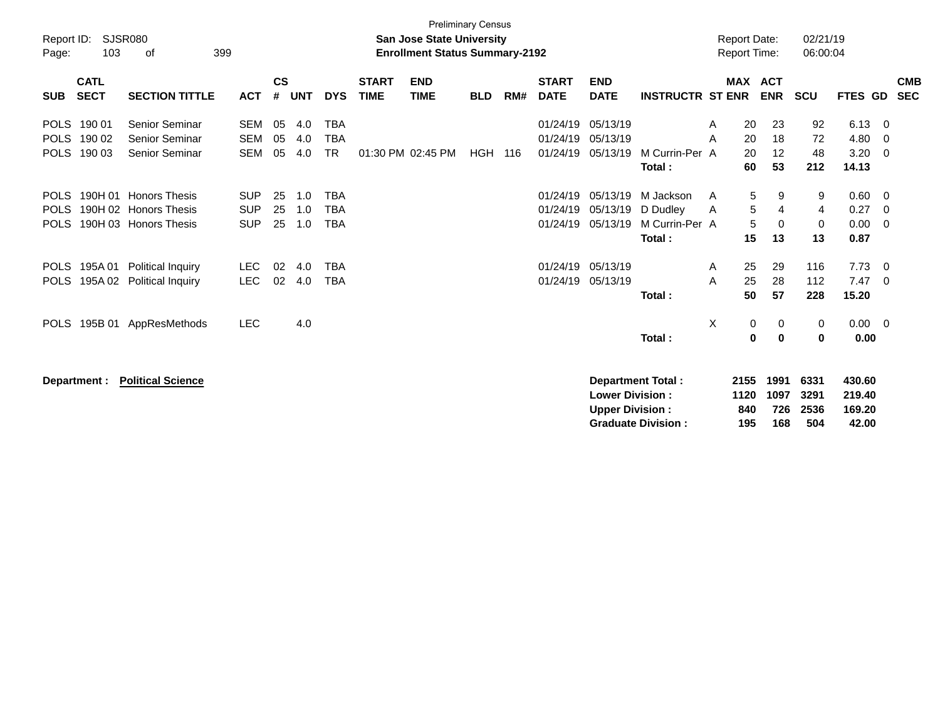| Report ID:<br>103<br>Page:                                    | SJSR080<br>399<br>οf                                  |                                 |                    |                   |                                       |                             | <b>Preliminary Census</b><br><b>San Jose State University</b><br><b>Enrollment Status Summary-2192</b> |            |     |                                  |                                                  |                                                       |        | <b>Report Date:</b><br><b>Report Time:</b> |                            | 02/21/19<br>06:00:04        |                                     |                       |                          |
|---------------------------------------------------------------|-------------------------------------------------------|---------------------------------|--------------------|-------------------|---------------------------------------|-----------------------------|--------------------------------------------------------------------------------------------------------|------------|-----|----------------------------------|--------------------------------------------------|-------------------------------------------------------|--------|--------------------------------------------|----------------------------|-----------------------------|-------------------------------------|-----------------------|--------------------------|
| <b>CATL</b><br><b>SECT</b><br><b>SUB</b>                      | <b>SECTION TITTLE</b>                                 | <b>ACT</b>                      | $\mathsf{cs}$<br># | <b>UNT</b>        | <b>DYS</b>                            | <b>START</b><br><b>TIME</b> | <b>END</b><br><b>TIME</b>                                                                              | <b>BLD</b> | RM# | <b>START</b><br><b>DATE</b>      | <b>END</b><br><b>DATE</b>                        | <b>INSTRUCTR ST ENR</b>                               |        | <b>MAX ACT</b>                             | <b>ENR</b>                 | <b>SCU</b>                  | FTES GD                             |                       | <b>CMB</b><br><b>SEC</b> |
| POLS 190 01<br><b>POLS</b><br>190 02<br><b>POLS</b><br>190 03 | Senior Seminar<br>Senior Seminar<br>Senior Seminar    | SEM<br><b>SEM</b><br><b>SEM</b> | 05<br>05<br>05     | 4.0<br>4.0<br>4.0 | <b>TBA</b><br><b>TBA</b><br><b>TR</b> |                             | 01:30 PM 02:45 PM                                                                                      | <b>HGH</b> | 116 | 01/24/19<br>01/24/19<br>01/24/19 | 05/13/19<br>05/13/19<br>05/13/19                 | M Currin-Per A                                        | A<br>A | 20<br>20<br>20                             | 23<br>18<br>12             | 92<br>72<br>48              | 6.13<br>4.80<br>3.20                | 0<br>0<br>$\mathbf 0$ |                          |
| <b>POLS</b>                                                   | 190H 01 Honors Thesis                                 | <b>SUP</b>                      | 25                 | 1.0               | <b>TBA</b>                            |                             |                                                                                                        |            |     | 01/24/19                         | 05/13/19                                         | Total:<br>M Jackson                                   | A      | 60<br>5                                    | 53<br>9                    | 212<br>9                    | 14.13<br>0.60                       | 0                     |                          |
| <b>POLS</b><br><b>POLS</b>                                    | 190H 02 Honors Thesis<br>190H 03 Honors Thesis        | <b>SUP</b><br><b>SUP</b>        | 25<br>25           | 1.0<br>1.0        | <b>TBA</b><br><b>TBA</b>              |                             |                                                                                                        |            |     | 01/24/19<br>01/24/19             | 05/13/19<br>05/13/19                             | D Dudley<br>M Currin-Per A<br>Total:                  | A      | 5<br>5<br>15                               | 4<br>$\Omega$<br>13        | 4<br>0<br>13                | 0.27<br>0.00<br>0.87                | 0<br>$\Omega$         |                          |
| 195A 01<br><b>POLS</b><br><b>POLS</b>                         | <b>Political Inquiry</b><br>195A 02 Political Inquiry | <b>LEC</b><br><b>LEC</b>        | 02<br>02           | 4.0<br>4.0        | <b>TBA</b><br><b>TBA</b>              |                             |                                                                                                        |            |     | 01/24/19<br>01/24/19             | 05/13/19<br>05/13/19                             | Total:                                                | A<br>A | 25<br>25<br>50                             | 29<br>28<br>57             | 116<br>112<br>228           | 7.73<br>7.47<br>15.20               | 0<br>$\Omega$         |                          |
| 195B 01<br><b>POLS</b>                                        | AppResMethods                                         | <b>LEC</b>                      |                    | 4.0               |                                       |                             |                                                                                                        |            |     |                                  |                                                  | Total:                                                | X      | 0<br>0                                     | 0<br>0                     | 0<br>0                      | $0.00 \t 0$<br>0.00                 |                       |                          |
| Department :                                                  | <b>Political Science</b>                              |                                 |                    |                   |                                       |                             |                                                                                                        |            |     |                                  | <b>Lower Division:</b><br><b>Upper Division:</b> | <b>Department Total:</b><br><b>Graduate Division:</b> |        | 2155<br>1120<br>840<br>195                 | 1991<br>1097<br>726<br>168 | 6331<br>3291<br>2536<br>504 | 430.60<br>219.40<br>169.20<br>42.00 |                       |                          |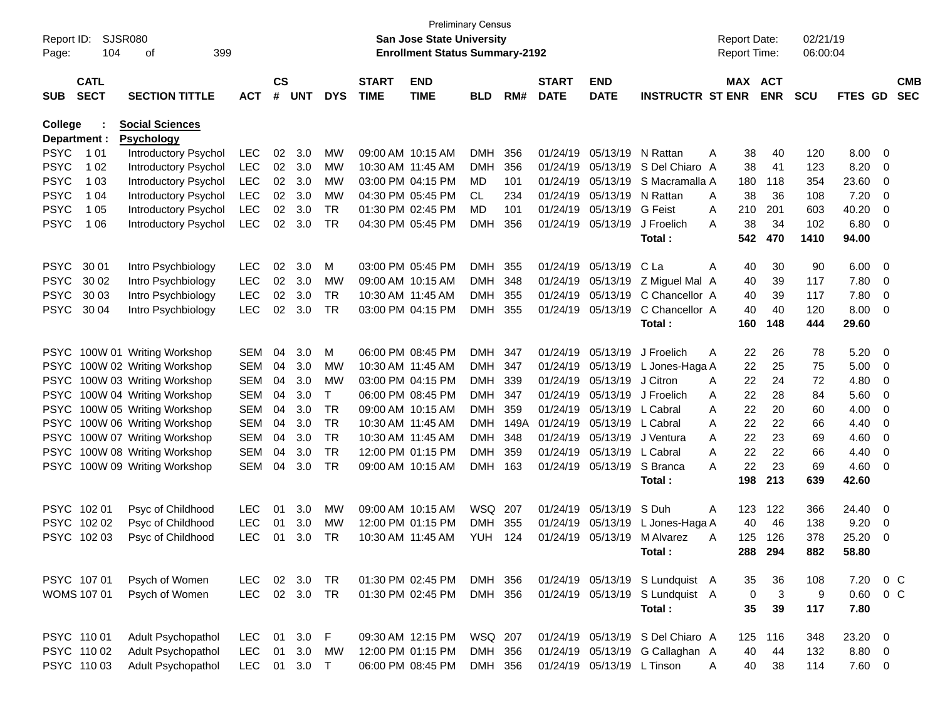| Report ID:<br>Page: | SJSR080<br>104             | 399<br>оf                                   |            |                    |            |             |                             | <b>Preliminary Census</b><br><b>San Jose State University</b><br><b>Enrollment Status Summary-2192</b> |            |      |                             |                            |                                  |   | <b>Report Date:</b><br>Report Time: |              | 02/21/19<br>06:00:04 |         |                          |
|---------------------|----------------------------|---------------------------------------------|------------|--------------------|------------|-------------|-----------------------------|--------------------------------------------------------------------------------------------------------|------------|------|-----------------------------|----------------------------|----------------------------------|---|-------------------------------------|--------------|----------------------|---------|--------------------------|
| <b>SUB</b>          | <b>CATL</b><br><b>SECT</b> | <b>SECTION TITTLE</b>                       | <b>ACT</b> | $\mathsf{cs}$<br># | <b>UNT</b> | <b>DYS</b>  | <b>START</b><br><b>TIME</b> | <b>END</b><br><b>TIME</b>                                                                              | <b>BLD</b> | RM#  | <b>START</b><br><b>DATE</b> | <b>END</b><br><b>DATE</b>  | <b>INSTRUCTR ST ENR</b>          |   | MAX ACT                             | <b>ENR</b>   | <b>SCU</b>           | FTES GD | <b>CMB</b><br><b>SEC</b> |
| College             | Department :               | <b>Social Sciences</b><br><b>Psychology</b> |            |                    |            |             |                             |                                                                                                        |            |      |                             |                            |                                  |   |                                     |              |                      |         |                          |
| <b>PSYC</b>         | 1 0 1                      | Introductory Psychol                        | <b>LEC</b> | 02                 | 3.0        | МW          |                             | 09:00 AM 10:15 AM                                                                                      | <b>DMH</b> | 356  | 01/24/19                    | 05/13/19                   | N Rattan                         | A | 38                                  | 40           | 120                  | 8.00    | - 0                      |
| <b>PSYC</b>         | 1 0 2                      | Introductory Psychol                        | LEC        | 02                 | 3.0        | МW          |                             | 10:30 AM 11:45 AM                                                                                      | <b>DMH</b> | 356  | 01/24/19                    | 05/13/19                   | S Del Chiaro A                   |   | 38                                  | 41           | 123                  | 8.20    | 0                        |
| <b>PSYC</b>         | 1 0 3                      | Introductory Psychol                        | <b>LEC</b> | 02                 | 3.0        | МW          |                             | 03:00 PM 04:15 PM                                                                                      | MD         | 101  | 01/24/19                    | 05/13/19                   | S Macramalla A                   |   | 180                                 | 118          | 354                  | 23.60   | 0                        |
| <b>PSYC</b>         | 1 04                       | Introductory Psychol                        | <b>LEC</b> | 02                 | 3.0        | МW          |                             | 04:30 PM 05:45 PM                                                                                      | CL.        | 234  | 01/24/19                    | 05/13/19                   | N Rattan                         | A | 38                                  | 36           | 108                  | 7.20    | 0                        |
| <b>PSYC</b>         | 1 0 5                      | Introductory Psychol                        | <b>LEC</b> | 02                 | 3.0        | <b>TR</b>   |                             | 01:30 PM 02:45 PM                                                                                      | MD         | 101  | 01/24/19                    | 05/13/19                   | <b>G</b> Feist                   | A | 210                                 | 201          | 603                  | 40.20   | 0                        |
| <b>PSYC</b>         | 1 0 6                      | Introductory Psychol                        | LEC        | 02                 | 3.0        | <b>TR</b>   |                             | 04:30 PM 05:45 PM                                                                                      | <b>DMH</b> | 356  | 01/24/19                    | 05/13/19                   | J Froelich                       | A | 38                                  | 34           | 102                  | 6.80    | - 0                      |
|                     |                            |                                             |            |                    |            |             |                             |                                                                                                        |            |      |                             |                            | Total:                           |   | 542                                 | 470          | 1410                 | 94.00   |                          |
| <b>PSYC</b>         | 30 01                      | Intro Psychbiology                          | <b>LEC</b> | 02                 | 3.0        | м           |                             | 03:00 PM 05:45 PM                                                                                      | <b>DMH</b> | 355  | 01/24/19                    | 05/13/19                   | C La                             | A | 40                                  | 30           | 90                   | 6.00    | - 0                      |
| <b>PSYC</b>         | 30 02                      | Intro Psychbiology                          | <b>LEC</b> | 02                 | 3.0        | МW          |                             | 09:00 AM 10:15 AM                                                                                      | <b>DMH</b> | 348  | 01/24/19                    | 05/13/19                   | Z Miguel Mal A                   |   | 40                                  | 39           | 117                  | 7.80    | 0                        |
| <b>PSYC</b>         | 30 03                      | Intro Psychbiology                          | <b>LEC</b> | 02                 | 3.0        | <b>TR</b>   |                             | 10:30 AM 11:45 AM                                                                                      | <b>DMH</b> | 355  | 01/24/19                    | 05/13/19                   | C Chancellor A                   |   | 40                                  | 39           | 117                  | 7.80    | 0                        |
| <b>PSYC</b>         | 30 04                      | Intro Psychbiology                          | LEC        | 02                 | 3.0        | <b>TR</b>   |                             | 03:00 PM 04:15 PM                                                                                      | <b>DMH</b> | 355  | 01/24/19                    | 05/13/19                   | C Chancellor A                   |   | 40                                  | 40           | 120                  | 8.00    | - 0                      |
|                     |                            |                                             |            |                    |            |             |                             |                                                                                                        |            |      |                             |                            | Total:                           |   | 160                                 | 148          | 444                  | 29.60   |                          |
|                     |                            | PSYC 100W 01 Writing Workshop               | <b>SEM</b> | 04                 | 3.0        | м           |                             | 06:00 PM 08:45 PM                                                                                      | DMH        | -347 | 01/24/19                    | 05/13/19                   | J Froelich                       | A | 22                                  | 26           | 78                   | 5.20    | - 0                      |
|                     |                            | PSYC 100W 02 Writing Workshop               | <b>SEM</b> | 04                 | 3.0        | МW          |                             | 10:30 AM 11:45 AM                                                                                      | <b>DMH</b> | 347  | 01/24/19                    | 05/13/19                   | L Jones-Haga A                   |   | 22                                  | 25           | 75                   | 5.00    | - 0                      |
|                     |                            | PSYC 100W 03 Writing Workshop               | <b>SEM</b> | 04                 | 3.0        | МW          |                             | 03:00 PM 04:15 PM                                                                                      | <b>DMH</b> | 339  | 01/24/19                    | 05/13/19                   | J Citron                         | A | 22                                  | 24           | 72                   | 4.80    | 0                        |
|                     |                            | PSYC 100W 04 Writing Workshop               | <b>SEM</b> | 04                 | 3.0        | т           |                             | 06:00 PM 08:45 PM                                                                                      | <b>DMH</b> | 347  | 01/24/19                    | 05/13/19                   | J Froelich                       | A | 22                                  | 28           | 84                   | 5.60    | 0                        |
|                     |                            | PSYC 100W 05 Writing Workshop               | <b>SEM</b> | 04                 | 3.0        | <b>TR</b>   |                             | 09:00 AM 10:15 AM                                                                                      | <b>DMH</b> | 359  | 01/24/19                    | 05/13/19                   | L Cabral                         | A | 22                                  | 20           | 60                   | 4.00    | 0                        |
|                     |                            | PSYC 100W 06 Writing Workshop               | <b>SEM</b> | 04                 | 3.0        | <b>TR</b>   |                             | 10:30 AM 11:45 AM                                                                                      | <b>DMH</b> | 149A | 01/24/19                    | 05/13/19                   | L Cabral                         | A | 22                                  | 22           | 66                   | 4.40    | 0                        |
|                     |                            | PSYC 100W 07 Writing Workshop               | <b>SEM</b> | 04                 | 3.0        | <b>TR</b>   |                             | 10:30 AM 11:45 AM                                                                                      | <b>DMH</b> | 348  | 01/24/19                    | 05/13/19                   | J Ventura                        | A | 22                                  | 23           | 69                   | 4.60    | 0                        |
| <b>PSYC</b>         |                            | 100W 08 Writing Workshop                    | <b>SEM</b> | 04                 | 3.0        | <b>TR</b>   |                             | 12:00 PM 01:15 PM                                                                                      | <b>DMH</b> | 359  | 01/24/19                    | 05/13/19                   | L Cabral                         | A | 22                                  | 22           | 66                   | 4.40    | 0                        |
| <b>PSYC</b>         |                            | 100W 09 Writing Workshop                    | <b>SEM</b> | 04                 | 3.0        | <b>TR</b>   |                             | 09:00 AM 10:15 AM                                                                                      | <b>DMH</b> | 163  | 01/24/19                    | 05/13/19                   | S Branca                         | A | 22                                  | 23           | 69                   | 4.60    | - 0                      |
|                     |                            |                                             |            |                    |            |             |                             |                                                                                                        |            |      |                             |                            | Total:                           |   | 198                                 | 213          | 639                  | 42.60   |                          |
|                     | PSYC 102 01                | Psyc of Childhood                           | <b>LEC</b> | 01                 | 3.0        | МW          |                             | 09:00 AM 10:15 AM                                                                                      | WSQ 207    |      | 01/24/19                    | 05/13/19                   | S Duh                            | A | 123                                 | 122          | 366                  | 24.40   | - 0                      |
| <b>PSYC</b>         | 102 02                     | Psyc of Childhood                           | <b>LEC</b> | 01                 | 3.0        | МW          |                             | 12:00 PM 01:15 PM                                                                                      | <b>DMH</b> | 355  | 01/24/19                    | 05/13/19                   | L Jones-Haga A                   |   | 40                                  | 46           | 138                  | 9.20    | 0                        |
|                     | PSYC 102 03                | Psyc of Childhood                           | <b>LEC</b> | 01                 | 3.0        | TR          |                             | 10:30 AM 11:45 AM                                                                                      | <b>YUH</b> | 124  | 01/24/19                    | 05/13/19                   | M Alvarez                        | A | 125                                 | 126          | 378                  | 25.20   | 0                        |
|                     |                            |                                             |            |                    |            |             |                             |                                                                                                        |            |      |                             |                            | Total:                           |   |                                     | 288 294      | 882                  | 58.80   |                          |
|                     | PSYC 107 01                | Psych of Women                              | LEC        |                    | 02 3.0     | <b>TR</b>   |                             | 01:30 PM 02:45 PM                                                                                      | DMH 356    |      |                             |                            | 01/24/19 05/13/19 S Lundquist A  |   | 35                                  | $36\,$       | 108                  | 7.20    | 0 C                      |
|                     | WOMS 107 01                | Psych of Women                              | <b>LEC</b> |                    | 02 3.0     | TR          |                             | 01:30 PM 02:45 PM                                                                                      | DMH 356    |      |                             | 01/24/19 05/13/19          | S Lundquist A                    |   | $\mathbf 0$                         | $\mathbf{3}$ | 9                    | 0.60    | $0\,$ C                  |
|                     |                            |                                             |            |                    |            |             |                             |                                                                                                        |            |      |                             |                            | Total:                           |   | 35                                  | 39           | 117                  | 7.80    |                          |
|                     | PSYC 110 01                | Adult Psychopathol                          | <b>LEC</b> | 01                 | 3.0        | $\mathsf F$ |                             | 09:30 AM 12:15 PM                                                                                      | WSQ 207    |      |                             |                            | 01/24/19 05/13/19 S Del Chiaro A |   | 125                                 | 116          | 348                  | 23.20 0 |                          |
|                     | PSYC 110 02                | Adult Psychopathol                          | <b>LEC</b> | 01                 | 3.0        | MW          |                             | 12:00 PM 01:15 PM                                                                                      | DMH 356    |      |                             |                            | 01/24/19 05/13/19 G Callaghan A  |   | 40                                  | 44           | 132                  | 8.80 0  |                          |
|                     | PSYC 11003                 | Adult Psychopathol                          | <b>LEC</b> |                    | 01 3.0 T   |             |                             | 06:00 PM 08:45 PM                                                                                      | DMH 356    |      |                             | 01/24/19 05/13/19 L Tinson |                                  | A | 40                                  | 38           | 114                  | 7.60 0  |                          |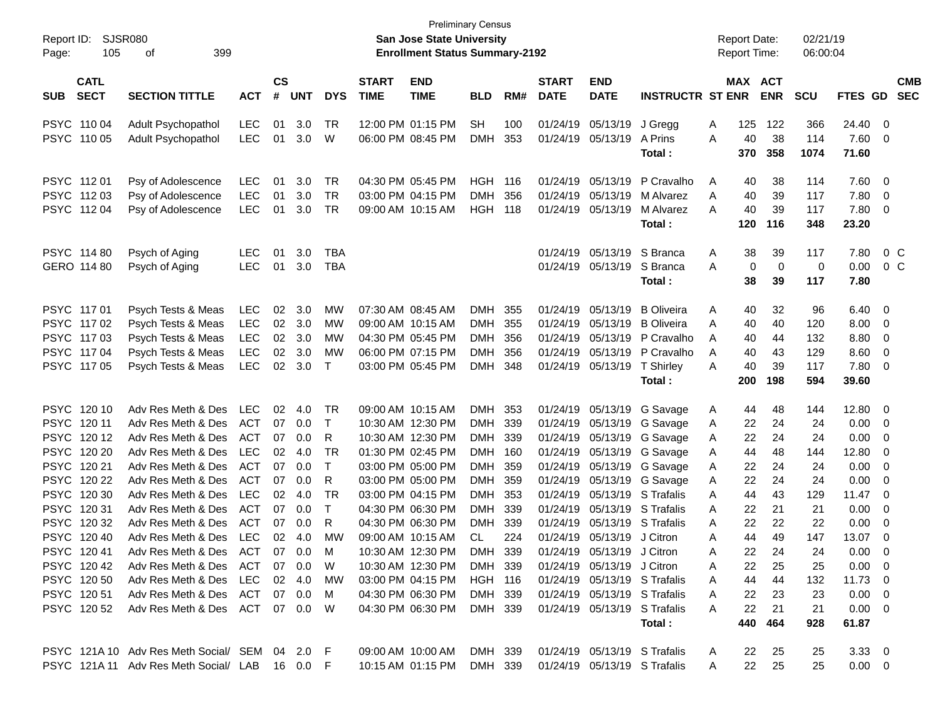| Report ID:<br>105<br>Page:               | <b>SJSR080</b><br>399<br>οf                    |            |                    |                       |                |                             | <b>Preliminary Census</b><br><b>San Jose State University</b><br><b>Enrollment Status Summary-2192</b> |                          |            |                                      |                            |                                                   |        | <b>Report Date:</b><br><b>Report Time:</b> |             | 02/21/19<br>06:00:04 |                |                |                          |
|------------------------------------------|------------------------------------------------|------------|--------------------|-----------------------|----------------|-----------------------------|--------------------------------------------------------------------------------------------------------|--------------------------|------------|--------------------------------------|----------------------------|---------------------------------------------------|--------|--------------------------------------------|-------------|----------------------|----------------|----------------|--------------------------|
| <b>CATL</b><br><b>SECT</b><br><b>SUB</b> | <b>SECTION TITTLE</b>                          | <b>ACT</b> | $\mathsf{cs}$<br># | <b>UNT</b>            | <b>DYS</b>     | <b>START</b><br><b>TIME</b> | <b>END</b><br><b>TIME</b>                                                                              | <b>BLD</b>               | RM#        | <b>START</b><br><b>DATE</b>          | <b>END</b><br><b>DATE</b>  | <b>INSTRUCTR ST ENR</b>                           |        | MAX ACT                                    | <b>ENR</b>  | <b>SCU</b>           | <b>FTES GD</b> |                | <b>CMB</b><br><b>SEC</b> |
| PSYC 110 04                              | Adult Psychopathol                             | <b>LEC</b> | 01                 | 3.0                   | TR             |                             | 12:00 PM 01:15 PM                                                                                      | <b>SH</b>                | 100        |                                      | 01/24/19 05/13/19          | J Gregg                                           | Α      | 125                                        | 122         | 366                  | 24.40          | 0              |                          |
| PSYC 110 05                              | Adult Psychopathol                             | <b>LEC</b> | 01                 | 3.0                   | W              |                             | 06:00 PM 08:45 PM                                                                                      | <b>DMH</b>               | 353        |                                      | 01/24/19 05/13/19          | A Prins<br>Total :                                | A      | 40<br>370                                  | 38<br>358   | 114<br>1074          | 7.60<br>71.60  | - 0            |                          |
| PSYC 11201                               | Psy of Adolescence                             | LEC        | 01                 | 3.0                   | TR             |                             | 04:30 PM 05:45 PM                                                                                      | HGH                      | 116        |                                      | 01/24/19 05/13/19          | P Cravalho                                        | Α      | 40                                         | 38          | 114                  | 7.60           | 0              |                          |
| PSYC 112 03                              | Psy of Adolescence                             | <b>LEC</b> | 01                 | 3.0                   | <b>TR</b>      |                             | 03:00 PM 04:15 PM                                                                                      | <b>DMH</b>               | 356        |                                      | 01/24/19 05/13/19          | M Alvarez                                         | A      | 40                                         | 39          | 117                  | 7.80           | $\mathbf 0$    |                          |
| PSYC 11204                               | Psy of Adolescence                             | <b>LEC</b> | 01                 | 3.0                   | TR             |                             | 09:00 AM 10:15 AM                                                                                      | HGH                      | 118        |                                      | 01/24/19 05/13/19          | M Alvarez<br>Total:                               | A      | 40<br>120                                  | 39<br>116   | 117<br>348           | 7.80<br>23.20  | 0              |                          |
| PSYC 114 80                              | Psych of Aging                                 | <b>LEC</b> | 01                 | 3.0                   | TBA            |                             |                                                                                                        |                          |            |                                      | 01/24/19 05/13/19          | S Branca                                          | Α      | 38                                         | 39          | 117                  | 7.80           |                | $0\,$ C                  |
| GERO 114 80                              | Psych of Aging                                 | <b>LEC</b> | 01                 | 3.0                   | <b>TBA</b>     |                             |                                                                                                        |                          |            |                                      | 01/24/19 05/13/19          | S Branca                                          | Α      | 0                                          | $\mathbf 0$ | 0                    | 0.00           |                | $0\,C$                   |
|                                          |                                                |            |                    |                       |                |                             |                                                                                                        |                          |            |                                      |                            | Total:                                            |        | 38                                         | 39          | 117                  | 7.80           |                |                          |
| PSYC 11701                               | Psych Tests & Meas                             | <b>LEC</b> | 02                 | 3.0                   | MW             |                             | 07:30 AM 08:45 AM                                                                                      | <b>DMH</b>               | 355        |                                      | 01/24/19 05/13/19          | <b>B</b> Oliveira                                 | Α      | 40                                         | 32          | 96                   | 6.40           | $\overline{0}$ |                          |
| PSYC 117 02                              | Psych Tests & Meas                             | <b>LEC</b> | 02                 | 3.0                   | <b>MW</b>      |                             | 09:00 AM 10:15 AM                                                                                      | <b>DMH</b>               | 355        |                                      | 01/24/19 05/13/19          | <b>B</b> Oliveira                                 | A      | 40                                         | 40          | 120                  | 8.00           | 0              |                          |
| PSYC 117 03                              | Psych Tests & Meas                             | <b>LEC</b> | 02                 | 3.0                   | MW             |                             | 04:30 PM 05:45 PM                                                                                      | <b>DMH</b>               | 356        |                                      | 01/24/19 05/13/19          | P Cravalho                                        | A      | 40                                         | 44          | 132                  | 8.80           | $\mathbf 0$    |                          |
| PSYC 117 04                              | Psych Tests & Meas                             | <b>LEC</b> | 02                 | 3.0                   | MW             |                             | 06:00 PM 07:15 PM                                                                                      | <b>DMH</b>               | 356        |                                      | 01/24/19 05/13/19          | P Cravalho                                        | A      | 40                                         | 43          | 129                  | 8.60           | 0              |                          |
| PSYC 117 05                              | Psych Tests & Meas                             | <b>LEC</b> | 02                 | 3.0                   | $\top$         |                             | 03:00 PM 05:45 PM                                                                                      | <b>DMH</b>               | 348        |                                      | 01/24/19 05/13/19          | <b>T</b> Shirley                                  | A      | 40                                         | 39          | 117                  | 7.80           | 0              |                          |
|                                          |                                                |            |                    |                       |                |                             |                                                                                                        |                          |            |                                      |                            | Total:                                            |        | 200                                        | 198         | 594                  | 39.60          |                |                          |
| PSYC 120 10                              | Adv Res Meth & Des                             | LEC        | 02                 | 4.0                   | TR             |                             | 09:00 AM 10:15 AM                                                                                      | <b>DMH</b>               | 353        |                                      | 01/24/19 05/13/19          | G Savage                                          | Α      | 44                                         | 48          | 144                  | 12.80          | 0              |                          |
| PSYC 120 11                              | Adv Res Meth & Des                             | ACT        | 07                 | 0.0                   | $\top$         |                             | 10:30 AM 12:30 PM                                                                                      | <b>DMH</b>               | 339        |                                      |                            | 01/24/19 05/13/19 G Savage                        | Α      | 22                                         | 24          | 24                   | 0.00           | 0              |                          |
| PSYC 12012                               | Adv Res Meth & Des                             | ACT        | 07                 | 0.0                   | R              |                             | 10:30 AM 12:30 PM                                                                                      | <b>DMH</b>               | 339        |                                      | 01/24/19 05/13/19          | G Savage                                          | Α      | 22                                         | 24          | 24                   | 0.00           | $\mathbf 0$    |                          |
| PSYC 120 20                              | Adv Res Meth & Des                             | LEC        | 02                 | 4.0                   | <b>TR</b>      |                             | 01:30 PM 02:45 PM                                                                                      | <b>DMH</b>               | 160        |                                      | 01/24/19 05/13/19          | G Savage                                          | Α      | 44                                         | 48          | 144                  | 12.80          | 0              |                          |
| PSYC 120 21                              | Adv Res Meth & Des                             | ACT        | 07                 | 0.0                   | $\top$         |                             | 03:00 PM 05:00 PM                                                                                      | <b>DMH</b>               | 359        |                                      |                            | 01/24/19 05/13/19 G Savage                        | Α      | 22                                         | 24          | 24                   | 0.00           | 0              |                          |
| PSYC 120 22<br>PSYC 120 30               | Adv Res Meth & Des<br>Adv Res Meth & Des       | ACT<br>LEC | 07                 | 0.0<br>$02 \quad 4.0$ | R<br><b>TR</b> |                             | 03:00 PM 05:00 PM<br>03:00 PM 04:15 PM                                                                 | <b>DMH</b><br><b>DMH</b> | 359<br>353 | 01/24/19                             |                            | 01/24/19 05/13/19 G Savage<br>05/13/19 S Trafalis | Α<br>A | 22<br>44                                   | 24<br>43    | 24<br>129            | 0.00<br>11.47  | 0<br>0         |                          |
| PSYC 12031                               | Adv Res Meth & Des                             | ACT        | 07                 | 0.0                   | $\top$         |                             | 04:30 PM 06:30 PM                                                                                      | <b>DMH</b>               | 339        | 01/24/19                             |                            | 05/13/19 S Trafalis                               | A      | 22                                         | 21          | 21                   | 0.00           | 0              |                          |
| PSYC 120 32                              | Adv Res Meth & Des                             | ACT        | 07                 | 0.0                   | R              |                             | 04:30 PM 06:30 PM                                                                                      | <b>DMH</b>               | 339        | 01/24/19                             |                            | 05/13/19 S Trafalis                               | A      | 22                                         | 22          | 22                   | 0.00           | 0              |                          |
| PSYC 120 40                              | Adv Res Meth & Des                             | LEC        | 02                 | 4.0                   | MW             |                             | 09:00 AM 10:15 AM                                                                                      | <b>CL</b>                | 224        |                                      | 01/24/19 05/13/19 J Citron |                                                   | Α      | 44                                         | 49          | 147                  | 13.07          | 0              |                          |
| PSYC 120 41                              | Adv Res Meth & Des ACT                         |            |                    | $07 \quad 0.0$        | м              |                             | 10:30 AM 12:30 PM                                                                                      | <b>DMH</b>               | 339        |                                      | 01/24/19 05/13/19 J Citron |                                                   | А      | 22                                         | 24          | 24                   | 0.00           | 0              |                          |
| PSYC 12042                               | Adv Res Meth & Des ACT 07 0.0 W                |            |                    |                       |                |                             | 10:30 AM 12:30 PM                                                                                      | DMH 339                  |            |                                      | 01/24/19 05/13/19 J Citron |                                                   | Α      | 22                                         | 25          | 25                   | $0.00 \t 0$    |                |                          |
| PSYC 120 50                              | Adv Res Meth & Des LEC                         |            |                    | 02 4.0                | <b>MW</b>      |                             | 03:00 PM 04:15 PM                                                                                      | <b>HGH 116</b>           |            |                                      |                            | 01/24/19 05/13/19 S Trafalis                      | Α      | 44                                         | 44          | 132                  | $11.73 \t 0$   |                |                          |
| PSYC 12051                               | Adv Res Meth & Des ACT 07 0.0                  |            |                    |                       | - M            |                             | 04:30 PM 06:30 PM                                                                                      | DMH 339                  |            |                                      |                            | 01/24/19 05/13/19 S Trafalis                      | A      | 22                                         | 23          | 23                   | $0.00 \quad 0$ |                |                          |
| PSYC 12052                               | Adv Res Meth & Des ACT 07 0.0 W                |            |                    |                       |                |                             | 04:30 PM 06:30 PM                                                                                      | DMH 339                  |            |                                      |                            | 01/24/19 05/13/19 S Trafalis                      | A      | 22                                         | 21          | 21                   | $0.00 \quad 0$ |                |                          |
|                                          |                                                |            |                    |                       |                |                             |                                                                                                        |                          |            |                                      |                            | Total:                                            |        |                                            | 440 464     | 928                  | 61.87          |                |                          |
|                                          | PSYC 121A 10 Adv Res Meth Social/ SEM 04 2.0 F |            |                    |                       |                |                             | 09:00 AM 10:00 AM                                                                                      | DMH 339                  |            |                                      |                            | 01/24/19 05/13/19 S Trafalis                      | A      | 22                                         | 25          | 25                   | $3.33 \quad 0$ |                |                          |
|                                          | PSYC 121A 11 Adv Res Meth Social/ LAB 16 0.0 F |            |                    |                       |                |                             | 10:15 AM 01:15 PM                                                                                      |                          |            | DMH 339 01/24/19 05/13/19 S Trafalis |                            |                                                   | A      | 22                                         | 25          | 25                   | $0.00 \t 0$    |                |                          |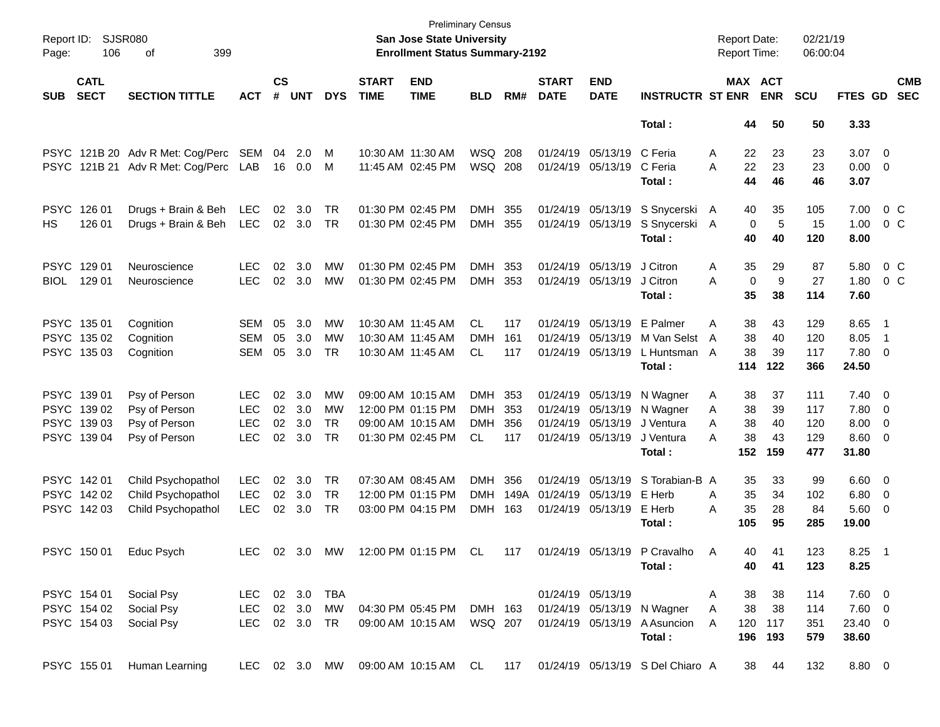| Page:       | Report ID: SJSR080<br>106  | 399<br>οf                            |                   |                    |            |            |                             | <b>Preliminary Census</b><br>San Jose State University<br><b>Enrollment Status Summary-2192</b> |                |            |                             |                           |                                        | <b>Report Date:</b><br><b>Report Time:</b> |            |                       | 02/21/19<br>06:00:04 |                     |                           |                          |
|-------------|----------------------------|--------------------------------------|-------------------|--------------------|------------|------------|-----------------------------|-------------------------------------------------------------------------------------------------|----------------|------------|-----------------------------|---------------------------|----------------------------------------|--------------------------------------------|------------|-----------------------|----------------------|---------------------|---------------------------|--------------------------|
| <b>SUB</b>  | <b>CATL</b><br><b>SECT</b> | <b>SECTION TITTLE</b>                | <b>ACT</b>        | $\mathsf{cs}$<br># | <b>UNT</b> | <b>DYS</b> | <b>START</b><br><b>TIME</b> | <b>END</b><br><b>TIME</b>                                                                       | <b>BLD</b>     | RM#        | <b>START</b><br><b>DATE</b> | <b>END</b><br><b>DATE</b> | <b>INSTRUCTR ST ENR</b>                |                                            |            | MAX ACT<br><b>ENR</b> | <b>SCU</b>           | FTES GD             |                           | <b>CMB</b><br><b>SEC</b> |
|             |                            |                                      |                   |                    |            |            |                             |                                                                                                 |                |            |                             |                           | Total:                                 |                                            | 44         | 50                    | 50                   | 3.33                |                           |                          |
|             |                            | PSYC 121B 20 Adv R Met: Cog/Perc SEM |                   | 04                 | 2.0        | M          |                             | 10:30 AM 11:30 AM                                                                               | <b>WSQ 208</b> |            |                             | 01/24/19 05/13/19         | C Feria                                | Α                                          | 22         | 23                    | 23                   | $3.07$ 0            |                           |                          |
|             |                            | PSYC 121B 21 Adv R Met: Cog/Perc LAB |                   |                    | 16  0.0    | M          |                             | 11:45 AM 02:45 PM                                                                               | <b>WSQ 208</b> |            |                             | 01/24/19 05/13/19         | C Feria<br>Total:                      | A                                          | 22<br>44   | 23<br>46              | 23<br>46             | $0.00 \t 0$<br>3.07 |                           |                          |
|             |                            |                                      |                   |                    |            |            |                             |                                                                                                 |                |            |                             |                           |                                        |                                            |            |                       |                      |                     |                           |                          |
| <b>PSYC</b> | 126 01<br>126 01           | Drugs + Brain & Beh                  | LEC<br><b>LEC</b> | 02                 | 3.0        | TR<br>TR   |                             | 01:30 PM 02:45 PM<br>01:30 PM 02:45 PM                                                          | DMH<br>DMH     | 355<br>355 |                             | 01/24/19 05/13/19         | S Snycerski A                          |                                            | 40<br>0    | 35<br>5               | 105<br>15            | 7.00<br>1.00        | 0 <sup>o</sup><br>$0\,$ C |                          |
| HS.         |                            | Drugs + Brain & Beh                  |                   |                    | 02 3.0     |            |                             |                                                                                                 |                |            |                             | 01/24/19 05/13/19         | S Snycerski A<br>Total:                |                                            | 40         | 40                    | 120                  | 8.00                |                           |                          |
| <b>PSYC</b> | 129 01                     | Neuroscience                         | LEC.              | 02                 | 3.0        | МW         |                             | 01:30 PM 02:45 PM                                                                               | DMH            | 353        |                             | 01/24/19 05/13/19         | J Citron                               | Α                                          | 35         | 29                    | 87                   | 5.80                | 0 <sup>o</sup>            |                          |
| <b>BIOL</b> | 129 01                     | Neuroscience                         | <b>LEC</b>        |                    | 02 3.0     | MW         |                             | 01:30 PM 02:45 PM                                                                               | DMH 353        |            |                             | 01/24/19 05/13/19         | J Citron                               | A                                          | 0          | 9                     | 27                   | 1.80                | 0 C                       |                          |
|             |                            |                                      |                   |                    |            |            |                             |                                                                                                 |                |            |                             |                           | Total:                                 |                                            | 35         | 38                    | 114                  | 7.60                |                           |                          |
|             | PSYC 135 01                | Cognition                            | <b>SEM</b>        | 05                 | 3.0        | MW         |                             | 10:30 AM 11:45 AM                                                                               | <b>CL</b>      | 117        |                             | 01/24/19 05/13/19         | E Palmer                               | Α                                          | 38         | 43                    | 129                  | 8.65                | $\blacksquare$ 1          |                          |
|             | PSYC 135 02                | Cognition                            | <b>SEM</b>        | 05                 | 3.0        | MW         |                             | 10:30 AM 11:45 AM                                                                               | <b>DMH</b>     | 161        |                             | 01/24/19 05/13/19         | M Van Selst                            | A                                          | 38         | 40                    | 120                  | 8.05                | $\overline{\phantom{1}}$  |                          |
|             | PSYC 135 03                | Cognition                            | <b>SEM</b>        | 05                 | 3.0        | TR         |                             | 10:30 AM 11:45 AM                                                                               | <b>CL</b>      | 117        |                             | 01/24/19 05/13/19         | L Huntsman A<br>Total:                 |                                            | 38<br>114  | 39<br>122             | 117<br>366           | 7.80 0<br>24.50     |                           |                          |
|             | PSYC 139 01                | Psy of Person                        | <b>LEC</b>        | 02                 | 3.0        | <b>MW</b>  |                             | 09:00 AM 10:15 AM                                                                               | DMH            | 353        |                             | 01/24/19 05/13/19         | N Wagner                               | Α                                          | 38         | 37                    | 111                  | $7.40 \ 0$          |                           |                          |
|             | PSYC 139 02                | Psy of Person                        | <b>LEC</b>        | 02                 | 3.0        | MW         |                             | 12:00 PM 01:15 PM                                                                               | <b>DMH</b>     | 353        |                             | 01/24/19 05/13/19         | N Wagner                               | Α                                          | 38         | 39                    | 117                  | 7.80 0              |                           |                          |
|             | PSYC 139 03                | Psy of Person                        | <b>LEC</b>        | 02                 | 3.0        | <b>TR</b>  |                             | 09:00 AM 10:15 AM                                                                               | <b>DMH</b>     | 356        |                             | 01/24/19 05/13/19         | J Ventura                              | A                                          | 38         | 40                    | 120                  | $8.00 \t 0$         |                           |                          |
|             | PSYC 139 04                | Psy of Person                        | <b>LEC</b>        | 02                 | 3.0        | <b>TR</b>  |                             | 01:30 PM 02:45 PM                                                                               | <b>CL</b>      | 117        |                             | 01/24/19 05/13/19         | J Ventura                              | Α                                          | 38         | 43                    | 129                  | $8.60$ 0            |                           |                          |
|             |                            |                                      |                   |                    |            |            |                             |                                                                                                 |                |            |                             |                           | Total :                                |                                            | 152        | 159                   | 477                  | 31.80               |                           |                          |
|             | PSYC 14201                 | Child Psychopathol                   | <b>LEC</b>        | 02                 | 3.0        | TR         |                             | 07:30 AM 08:45 AM                                                                               | <b>DMH</b>     | 356        |                             | 01/24/19 05/13/19         | S Torabian-B A                         |                                            | 35         | 33                    | 99                   | $6.60$ 0            |                           |                          |
|             | PSYC 142 02                | Child Psychopathol                   | <b>LEC</b>        | 02                 | 3.0        | <b>TR</b>  |                             | 12:00 PM 01:15 PM                                                                               | <b>DMH</b>     | 149A       |                             | 01/24/19 05/13/19         | E Herb                                 | A                                          | 35         | 34                    | 102                  | $6.80$ 0            |                           |                          |
|             | PSYC 142 03                | Child Psychopathol                   | <b>LEC</b>        | 02                 | 3.0        | TR         |                             | 03:00 PM 04:15 PM                                                                               | DMH            | 163        |                             | 01/24/19 05/13/19         | E Herb                                 | Α                                          | 35         | 28                    | 84                   | 5.60 0              |                           |                          |
|             |                            |                                      |                   |                    |            |            |                             |                                                                                                 |                |            |                             |                           | Total :                                |                                            | 105        | 95                    | 285                  | 19.00               |                           |                          |
|             | PSYC 150 01                | Educ Psych                           | LEC               |                    | 02 3.0 MW  |            |                             | 12:00 PM 01:15 PM                                                                               | CL             | 117        |                             |                           | 01/24/19 05/13/19 P Cravalho A         |                                            | 40         | 41                    | 123                  | $8.25$ 1            |                           |                          |
|             |                            |                                      |                   |                    |            |            |                             |                                                                                                 |                |            |                             |                           | Total:                                 |                                            | 40         | 41                    | 123                  | 8.25                |                           |                          |
|             | PSYC 154 01                | Social Psy                           | LEC 02 3.0        |                    |            | TBA        |                             |                                                                                                 |                |            |                             | 01/24/19 05/13/19         |                                        | A                                          | 38         | 38                    | 114                  | $7.60\quad 0$       |                           |                          |
|             | PSYC 154 02                | Social Psy                           | LEC 02 3.0        |                    |            | MW         |                             | 04:30 PM 05:45 PM                                                                               | DMH 163        |            |                             |                           | 01/24/19 05/13/19 N Wagner             | A                                          | 38         | 38                    | 114                  | $7.60 \t 0$         |                           |                          |
|             | PSYC 154 03                | Social Psy                           | LEC 02 3.0 TR     |                    |            |            |                             | 09:00 AM 10:15 AM                                                                               | WSQ 207        |            |                             |                           | 01/24/19 05/13/19 A Asuncion<br>Total: | A                                          | 120<br>196 | 117<br>193            | 351<br>579           | 23.40 0<br>38.60    |                           |                          |
|             | PSYC 155 01                | Human Learning                       |                   |                    |            |            |                             | LEC 02 3.0 MW 09:00 AM 10:15 AM CL                                                              |                | 117        |                             |                           | 01/24/19 05/13/19 S Del Chiaro A       |                                            | 38         | 44                    | 132                  | 8.80 0              |                           |                          |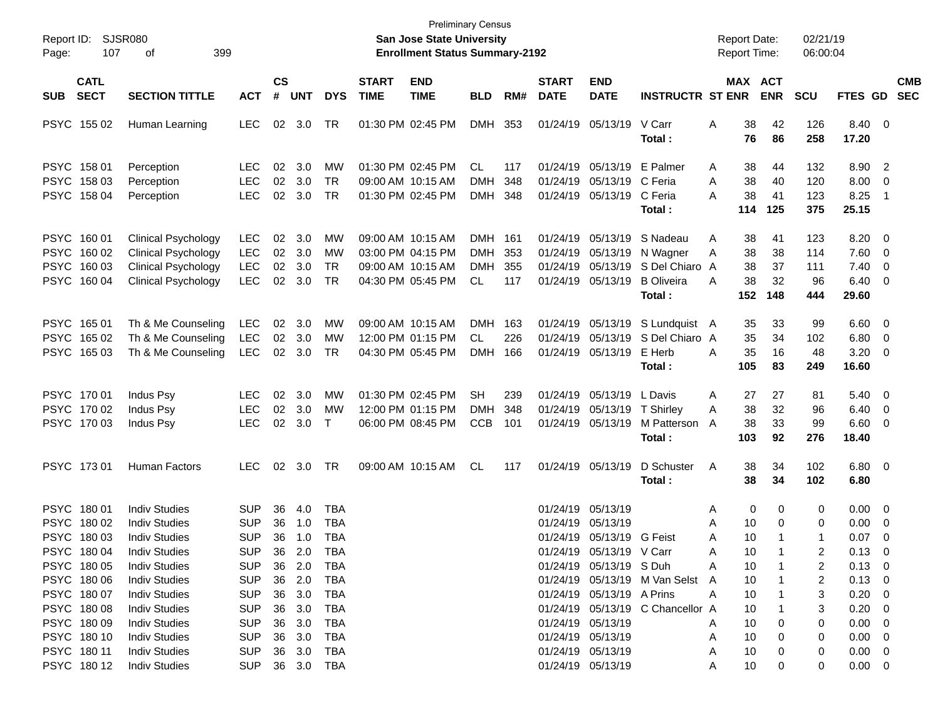| SJSR080<br>Report ID:<br>107<br>Page:                    | 399                                                                                                                  |                                                      |                      |                                 |                                        | <b>San Jose State University</b><br><b>Enrollment Status Summary-2192</b> | <b>Preliminary Census</b>                                                        |                                           |                   |                             |                                                                                  | <b>Report Date:</b><br><b>Report Time:</b>                          |                                                 | 02/21/19<br>06:00:04        |                                |                                                    |                                                                                     |                          |
|----------------------------------------------------------|----------------------------------------------------------------------------------------------------------------------|------------------------------------------------------|----------------------|---------------------------------|----------------------------------------|---------------------------------------------------------------------------|----------------------------------------------------------------------------------|-------------------------------------------|-------------------|-----------------------------|----------------------------------------------------------------------------------|---------------------------------------------------------------------|-------------------------------------------------|-----------------------------|--------------------------------|----------------------------------------------------|-------------------------------------------------------------------------------------|--------------------------|
| <b>CATL</b><br><b>SECT</b><br><b>SUB</b>                 | <b>SECTION TITTLE</b><br><b>ACT</b>                                                                                  |                                                      | <b>CS</b><br>#       | <b>UNT</b>                      | <b>DYS</b>                             | <b>START</b><br><b>TIME</b>                                               | <b>END</b><br><b>TIME</b>                                                        | <b>BLD</b>                                | RM#               | <b>START</b><br><b>DATE</b> | <b>END</b><br><b>DATE</b>                                                        | <b>INSTRUCTR ST ENR</b>                                             |                                                 | MAX ACT<br><b>ENR</b>       | <b>SCU</b>                     | FTES GD                                            |                                                                                     | <b>CMB</b><br><b>SEC</b> |
| PSYC 155 02                                              | Human Learning                                                                                                       | <b>LEC</b>                                           | $02\,$               | 3.0                             | TR                                     |                                                                           | 01:30 PM 02:45 PM                                                                | DMH                                       | 353               |                             | 01/24/19 05/13/19                                                                | V Carr<br>Total :                                                   | 38<br>Α<br>76                                   | 42<br>86                    | 126<br>258                     | 8.40 0<br>17.20                                    |                                                                                     |                          |
| PSYC 158 01<br>PSYC 158 03<br>PSYC 158 04                | Perception<br>Perception<br>Perception                                                                               | <b>LEC</b><br><b>LEC</b><br><b>LEC</b>               | 02<br>02<br>02       | 3.0<br>3.0<br>3.0               | MW<br><b>TR</b><br><b>TR</b>           |                                                                           | 01:30 PM 02:45 PM<br>09:00 AM 10:15 AM<br>01:30 PM 02:45 PM                      | CL<br><b>DMH</b><br><b>DMH</b>            | 117<br>348<br>348 |                             | 01/24/19 05/13/19<br>01/24/19 05/13/19 C Feria<br>01/24/19 05/13/19              | E Palmer<br>C Feria<br>Total:                                       | A<br>38<br>38<br>A<br>38<br>A<br>114            | 44<br>40<br>41<br>125       | 132<br>120<br>123<br>375       | 8.90<br>8.00<br>8.25<br>25.15                      | $\overline{\phantom{0}}^2$<br>$\overline{0}$<br>- 1                                 |                          |
| PSYC 160 01<br>PSYC 160 02<br>PSYC 160 03<br>PSYC 160 04 | <b>Clinical Psychology</b><br><b>Clinical Psychology</b><br><b>Clinical Psychology</b><br><b>Clinical Psychology</b> | LEC<br><b>LEC</b><br><b>LEC</b><br><b>LEC</b>        | 02<br>02<br>02<br>02 | 3.0<br>3.0<br>3.0<br>3.0        | MW<br>MW<br><b>TR</b><br><b>TR</b>     |                                                                           | 09:00 AM 10:15 AM<br>03:00 PM 04:15 PM<br>09:00 AM 10:15 AM<br>04:30 PM 05:45 PM | DMH 161<br><b>DMH</b><br><b>DMH</b><br>CL | 353<br>355<br>117 |                             | 01/24/19 05/13/19<br>01/24/19 05/13/19<br>01/24/19 05/13/19<br>01/24/19 05/13/19 | S Nadeau<br>N Wagner<br>S Del Chiaro<br><b>B</b> Oliveira<br>Total: | Α<br>38<br>38<br>Α<br>38<br>A<br>38<br>A<br>152 | 41<br>38<br>37<br>32<br>148 | 123<br>114<br>111<br>96<br>444 | 8.20<br>7.60<br>7.40<br>6.40<br>29.60              | $\overline{\mathbf{0}}$<br>$\overline{0}$<br>$\mathbf 0$<br>$\overline{\mathbf{0}}$ |                          |
| PSYC 165 01<br>PSYC 165 02<br>PSYC 165 03                | Th & Me Counseling<br>Th & Me Counseling<br>Th & Me Counseling                                                       | LEC<br><b>LEC</b><br><b>LEC</b>                      | 02                   | 3.0<br>02 3.0<br>$02 \quad 3.0$ | MW<br>МW<br>TR                         |                                                                           | 09:00 AM 10:15 AM<br>12:00 PM 01:15 PM<br>04:30 PM 05:45 PM                      | DMH<br><b>CL</b><br><b>DMH</b>            | 163<br>226<br>166 |                             | 01/24/19 05/13/19<br>01/24/19 05/13/19<br>01/24/19 05/13/19                      | S Lundquist A<br>S Del Chiaro A<br>E Herb<br>Total:                 | 35<br>35<br>35<br>A<br>105                      | 33<br>34<br>16<br>83        | 99<br>102<br>48<br>249         | 6.60<br>6.80<br>3.20<br>16.60                      | $\overline{\mathbf{0}}$<br>$\overline{\mathbf{0}}$<br>- 0                           |                          |
| PSYC 170 01<br>PSYC 170 02<br>PSYC 170 03                | Indus Psy<br>Indus Psy<br>Indus Psy                                                                                  | <b>LEC</b><br><b>LEC</b><br><b>LEC</b>               | 02<br>02             | 3.0<br>3.0<br>02 3.0            | МW<br>MW<br>$\top$                     |                                                                           | 01:30 PM 02:45 PM<br>12:00 PM 01:15 PM<br>06:00 PM 08:45 PM                      | <b>SH</b><br><b>DMH</b><br><b>CCB</b>     | 239<br>348<br>101 |                             | 01/24/19 05/13/19<br>01/24/19 05/13/19<br>01/24/19 05/13/19                      | L Davis<br>T Shirley<br>M Patterson<br>Total :                      | A<br>27<br>38<br>Α<br>38<br>A<br>103            | 27<br>32<br>33<br>92        | 81<br>96<br>99<br>276          | 5.40<br>6.40<br>6.60<br>18.40                      | - 0<br>$\overline{0}$<br>- 0                                                        |                          |
| PSYC 173 01                                              | Human Factors                                                                                                        | <b>LEC</b>                                           | 02                   | 3.0                             | TR                                     |                                                                           | 09:00 AM 10:15 AM                                                                | <b>CL</b>                                 | 117               |                             | 01/24/19 05/13/19                                                                | D Schuster<br>Total:                                                | Α<br>38<br>38                                   | 34<br>34                    | 102<br>102                     | $6.80$ 0<br>6.80                                   |                                                                                     |                          |
| PSYC 180 01<br>PSYC 180 02<br>PSYC 18003                 | <b>Indiv Studies</b><br><b>Indiv Studies</b><br><b>Indiv Studies</b>                                                 | <b>SUP</b><br><b>SUP</b><br><b>SUP</b>               | 36<br>36<br>36       | 4.0<br>1.0<br>1.0               | TBA<br>TBA<br><b>TBA</b>               |                                                                           |                                                                                  |                                           |                   |                             | 01/24/19 05/13/19<br>01/24/19 05/13/19<br>01/24/19 05/13/19 G Feist              |                                                                     | Α<br>A<br>10<br>10<br>Α                         | 0<br>0<br>0                 | 0<br>0<br>$\mathbf 1$          | 0.00<br>0.00<br>0.07                               | $\overline{\mathbf{0}}$<br>0<br>0                                                   |                          |
| PSYC 180 04<br>PSYC 180 05<br>PSYC 180 06<br>PSYC 180 07 | <b>Indiv Studies</b><br><b>Indiv Studies</b><br><b>Indiv Studies</b><br><b>Indiv Studies</b>                         | <b>SUP</b><br><b>SUP</b><br><b>SUP</b><br><b>SUP</b> |                      | 36 2.0<br>36 2.0<br>36 3.0      | <b>TBA</b><br>36 2.0 TBA<br>TBA<br>TBA |                                                                           |                                                                                  |                                           |                   |                             | 01/24/19 05/13/19 V Carr<br>01/24/19 05/13/19 S Duh<br>01/24/19 05/13/19 A Prins | 01/24/19 05/13/19 M Van Selst A                                     | 10<br>А<br>A<br>10<br>10<br>10<br>A             |                             | 2<br>2<br>3                    | 0.13<br>$0.13 \quad 0$<br>$0.13 \ 0$<br>$0.20 \ 0$ | $\Omega$                                                                            |                          |
| PSYC 18008<br>PSYC 180 09<br>PSYC 180 10                 | <b>Indiv Studies</b><br><b>Indiv Studies</b><br><b>Indiv Studies</b>                                                 | <b>SUP</b><br><b>SUP</b><br><b>SUP</b>               |                      | 36 3.0<br>36 3.0<br>36 3.0      | TBA<br>TBA<br>TBA                      |                                                                           |                                                                                  |                                           |                   |                             | 01/24/19 05/13/19<br>01/24/19 05/13/19                                           | 01/24/19 05/13/19 C Chancellor A                                    | 10<br>10<br>A<br>10<br>A                        | 0                           | 0<br>0                         | $0.20 \ 0$<br>$0.00 \t 0$<br>$0.00 \t 0$           |                                                                                     |                          |
| PSYC 180 11<br>PSYC 18012                                | <b>Indiv Studies</b><br><b>Indiv Studies</b>                                                                         | <b>SUP</b>                                           |                      | 36 3.0                          | TBA<br>SUP 36 3.0 TBA                  |                                                                           |                                                                                  |                                           |                   |                             | 01/24/19 05/13/19<br>01/24/19 05/13/19                                           |                                                                     | 10<br>A<br>10<br>A                              | 0                           | 0<br>0                         | $0.00 \quad 0$<br>$0.00 \quad 0$                   |                                                                                     |                          |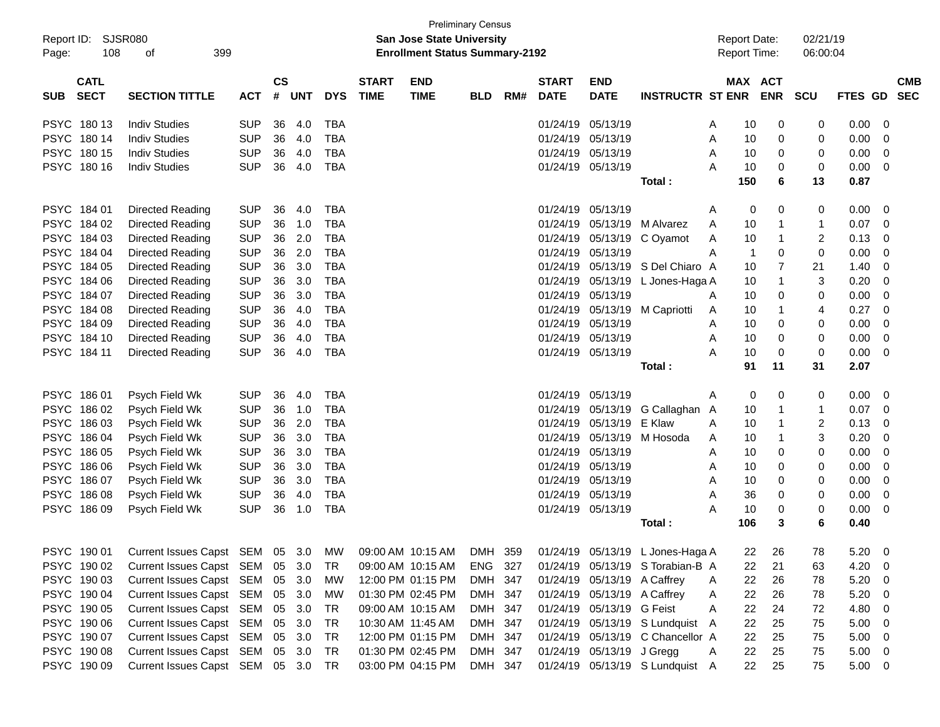| Report ID:<br>Page: | <b>SJSR080</b><br>108      | 399<br>of                                                                                     |            |                    |            |            |                             | <b>Preliminary Census</b><br>San Jose State University<br><b>Enrollment Status Summary-2192</b> |            |     |                             |                             |                                  |   |                | <b>Report Date:</b><br><b>Report Time:</b> | 02/21/19<br>06:00:04    |                |                          |
|---------------------|----------------------------|-----------------------------------------------------------------------------------------------|------------|--------------------|------------|------------|-----------------------------|-------------------------------------------------------------------------------------------------|------------|-----|-----------------------------|-----------------------------|----------------------------------|---|----------------|--------------------------------------------|-------------------------|----------------|--------------------------|
| <b>SUB</b>          | <b>CATL</b><br><b>SECT</b> | <b>SECTION TITTLE</b>                                                                         | <b>ACT</b> | $\mathsf{cs}$<br># | <b>UNT</b> | <b>DYS</b> | <b>START</b><br><b>TIME</b> | <b>END</b><br><b>TIME</b>                                                                       | <b>BLD</b> | RM# | <b>START</b><br><b>DATE</b> | <b>END</b><br><b>DATE</b>   | <b>INSTRUCTR ST ENR</b>          |   |                | MAX ACT<br><b>ENR</b>                      | <b>SCU</b>              | <b>FTES GD</b> | <b>CMB</b><br><b>SEC</b> |
|                     | PSYC 18013                 | <b>Indiv Studies</b>                                                                          | <b>SUP</b> | 36                 | 4.0        | <b>TBA</b> |                             |                                                                                                 |            |     | 01/24/19                    | 05/13/19                    |                                  | A | 10             | 0                                          | 0                       | 0.00           | 0                        |
|                     | PSYC 180 14                | <b>Indiv Studies</b>                                                                          | <b>SUP</b> | 36                 | 4.0        | <b>TBA</b> |                             |                                                                                                 |            |     | 01/24/19                    | 05/13/19                    |                                  | Α | 10             | 0                                          | 0                       | 0.00           | 0                        |
|                     | PSYC 180 15                | <b>Indiv Studies</b>                                                                          | <b>SUP</b> | 36                 | 4.0        | <b>TBA</b> |                             |                                                                                                 |            |     | 01/24/19                    | 05/13/19                    |                                  | A | 10             | 0                                          | 0                       | 0.00           | 0                        |
|                     | PSYC 180 16                | <b>Indiv Studies</b>                                                                          | <b>SUP</b> | 36                 | 4.0        | <b>TBA</b> |                             |                                                                                                 |            |     | 01/24/19                    | 05/13/19                    |                                  | A | 10             | 0                                          | 0                       | 0.00           | 0                        |
|                     |                            |                                                                                               |            |                    |            |            |                             |                                                                                                 |            |     |                             |                             | Total:                           |   | 150            | 6                                          | 13                      | 0.87           |                          |
|                     | PSYC 184 01                | Directed Reading                                                                              | <b>SUP</b> | 36                 | 4.0        | <b>TBA</b> |                             |                                                                                                 |            |     | 01/24/19                    | 05/13/19                    |                                  | A | 0              | 0                                          | 0                       | 0.00           | 0                        |
|                     | PSYC 184 02                | Directed Reading                                                                              | <b>SUP</b> | 36                 | 1.0        | <b>TBA</b> |                             |                                                                                                 |            |     | 01/24/19                    | 05/13/19                    | M Alvarez                        | A | 10             | 1                                          | 1                       | 0.07           | 0                        |
|                     | PSYC 184 03                | Directed Reading                                                                              | <b>SUP</b> | 36                 | 2.0        | <b>TBA</b> |                             |                                                                                                 |            |     | 01/24/19                    | 05/13/19                    | C Oyamot                         | A | 10             | 1                                          | 2                       | 0.13           | 0                        |
|                     | PSYC 184 04                | Directed Reading                                                                              | <b>SUP</b> | 36                 | 2.0        | <b>TBA</b> |                             |                                                                                                 |            |     | 01/24/19                    | 05/13/19                    |                                  | A | $\overline{1}$ | 0                                          | 0                       | 0.00           | 0                        |
|                     | PSYC 184 05                | Directed Reading                                                                              | <b>SUP</b> | 36                 | 3.0        | <b>TBA</b> |                             |                                                                                                 |            |     | 01/24/19                    | 05/13/19                    | S Del Chiaro A                   |   | 10             | $\overline{7}$                             | 21                      | 1.40           | 0                        |
|                     | PSYC 184 06                | Directed Reading                                                                              | <b>SUP</b> | 36                 | 3.0        | <b>TBA</b> |                             |                                                                                                 |            |     | 01/24/19                    | 05/13/19                    | L Jones-Haga A                   |   | 10             | 1                                          | 3                       | 0.20           | 0                        |
|                     | PSYC 184 07                | Directed Reading                                                                              | <b>SUP</b> | 36                 | 3.0        | <b>TBA</b> |                             |                                                                                                 |            |     | 01/24/19                    | 05/13/19                    |                                  | A | 10             | 0                                          | 0                       | 0.00           | 0                        |
|                     | PSYC 184 08                | Directed Reading                                                                              | <b>SUP</b> | 36                 | 4.0        | <b>TBA</b> |                             |                                                                                                 |            |     | 01/24/19                    | 05/13/19                    | M Capriotti                      | A | 10             | 1                                          | 4                       | 0.27           | $\mathbf 0$              |
|                     | PSYC 184 09                | Directed Reading                                                                              | <b>SUP</b> | 36                 | 4.0        | <b>TBA</b> |                             |                                                                                                 |            |     | 01/24/19                    | 05/13/19                    |                                  | A | 10             | 0                                          | 0                       | 0.00           | 0                        |
|                     | PSYC 184 10                | Directed Reading                                                                              | <b>SUP</b> | 36                 | 4.0        | <b>TBA</b> |                             |                                                                                                 |            |     | 01/24/19                    | 05/13/19                    |                                  | A | 10             | 0                                          | 0                       | 0.00           | 0                        |
|                     | PSYC 184 11                | Directed Reading                                                                              | <b>SUP</b> | 36                 | 4.0        | <b>TBA</b> |                             |                                                                                                 |            |     |                             | 01/24/19 05/13/19           |                                  | Α | 10             | 0                                          | 0                       | 0.00           | $\mathbf 0$              |
|                     |                            |                                                                                               |            |                    |            |            |                             |                                                                                                 |            |     |                             |                             | Total:                           |   | 91             | 11                                         | 31                      | 2.07           |                          |
|                     | PSYC 186 01                | Psych Field Wk                                                                                | <b>SUP</b> | 36                 | 4.0        | <b>TBA</b> |                             |                                                                                                 |            |     | 01/24/19                    | 05/13/19                    |                                  | A | 0              | 0                                          | 0                       | 0.00           | 0                        |
|                     | PSYC 186 02                | Psych Field Wk                                                                                | <b>SUP</b> | 36                 | 1.0        | <b>TBA</b> |                             |                                                                                                 |            |     | 01/24/19                    | 05/13/19                    | G Callaghan A                    |   | 10             | 1                                          | 1                       | 0.07           | 0                        |
|                     | PSYC 186 03                | Psych Field Wk                                                                                | <b>SUP</b> | 36                 | 2.0        | <b>TBA</b> |                             |                                                                                                 |            |     | 01/24/19                    | 05/13/19                    | E Klaw                           | A | 10             | 1                                          | $\overline{\mathbf{c}}$ | 0.13           | 0                        |
|                     | PSYC 186 04                | Psych Field Wk                                                                                | <b>SUP</b> | 36                 | 3.0        | <b>TBA</b> |                             |                                                                                                 |            |     | 01/24/19                    | 05/13/19                    | M Hosoda                         | A | 10             | 1                                          | 3                       | 0.20           | 0                        |
|                     | PSYC 186 05                | Psych Field Wk                                                                                | <b>SUP</b> | 36                 | 3.0        | <b>TBA</b> |                             |                                                                                                 |            |     | 01/24/19                    | 05/13/19                    |                                  | A | 10             | 0                                          | 0                       | 0.00           | 0                        |
|                     | PSYC 186 06                | Psych Field Wk                                                                                | <b>SUP</b> | 36                 | 3.0        | <b>TBA</b> |                             |                                                                                                 |            |     | 01/24/19                    | 05/13/19                    |                                  | A | 10             | 0                                          | 0                       | 0.00           | 0                        |
|                     | PSYC 186 07                | Psych Field Wk                                                                                | <b>SUP</b> | 36                 | 3.0        | <b>TBA</b> |                             |                                                                                                 |            |     | 01/24/19                    | 05/13/19                    |                                  | A | 10             | 0                                          | 0                       | 0.00           | 0                        |
|                     | PSYC 186 08                | Psych Field Wk                                                                                | <b>SUP</b> | 36                 | 4.0        | <b>TBA</b> |                             |                                                                                                 |            |     | 01/24/19                    | 05/13/19                    |                                  | A | 36             | 0                                          | 0                       | 0.00           | 0                        |
|                     | PSYC 186 09                | Psych Field Wk                                                                                | <b>SUP</b> | 36                 | 1.0        | <b>TBA</b> |                             |                                                                                                 |            |     |                             | 01/24/19 05/13/19           |                                  | A | 10             | 0                                          | 0                       | 0.00           | 0                        |
|                     |                            |                                                                                               |            |                    |            |            |                             |                                                                                                 |            |     |                             |                             | Total :                          |   | 106            | 3                                          | 6                       | 0.40           |                          |
|                     | PSYC 190 01                | Current Issues Capst SEM 05 3.0 MW 09:00 AM 10:15 AM DMH 359 01/24/19 05/13/19 L Jones-Haga A |            |                    |            |            |                             |                                                                                                 |            |     |                             |                             |                                  |   |                | 22 26                                      | 78                      | 5.20           | $\overline{0}$           |
|                     | PSYC 190 02                | Current Issues Capst SEM 05                                                                   |            |                    | 3.0        | TR         |                             | 09:00 AM 10:15 AM                                                                               | ENG 327    |     |                             |                             | 01/24/19 05/13/19 S Torabian-B A |   | 22             | 21                                         | 63                      | 4.20           | 0                        |
|                     | PSYC 190 03                | Current Issues Capst SEM                                                                      |            | 05                 | 3.0        | <b>MW</b>  |                             | 12:00 PM 01:15 PM                                                                               | DMH 347    |     |                             | 01/24/19 05/13/19 A Caffrey |                                  | A | 22             | 26                                         | 78                      | 5.20           | 0                        |
|                     | PSYC 190 04                | Current Issues Capst SEM                                                                      |            |                    | 05 3.0     | MW         |                             | 01:30 PM 02:45 PM                                                                               | DMH 347    |     |                             | 01/24/19 05/13/19 A Caffrey |                                  | A | 22             | 26                                         | 78                      | 5.20           | 0                        |
|                     | PSYC 190 05                | Current Issues Capst SEM                                                                      |            | 05                 | 3.0        | <b>TR</b>  |                             | 09:00 AM 10:15 AM                                                                               | DMH 347    |     |                             | 01/24/19 05/13/19 G Feist   |                                  | Α | 22             | 24                                         | 72                      | 4.80           | 0                        |
|                     | PSYC 190 06                | Current Issues Capst SEM                                                                      |            | 05                 | 3.0        | <b>TR</b>  |                             | 10:30 AM 11:45 AM                                                                               | DMH 347    |     |                             |                             | 01/24/19 05/13/19 S Lundquist A  |   | 22             | 25                                         | 75                      | 5.00           | 0                        |
|                     | PSYC 190 07                | Current Issues Capst SEM                                                                      |            | 05                 | 3.0        | <b>TR</b>  |                             | 12:00 PM 01:15 PM                                                                               | DMH 347    |     |                             |                             | 01/24/19 05/13/19 C Chancellor A |   | 22             | 25                                         | 75                      | 5.00           | 0                        |
|                     | PSYC 190 08                | Current Issues Capst SEM                                                                      |            |                    | 05 3.0     | <b>TR</b>  |                             | 01:30 PM 02:45 PM                                                                               | DMH 347    |     |                             | 01/24/19 05/13/19 J Gregg   |                                  | A | 22             | 25                                         | 75                      | 5.00           | 0                        |
|                     | PSYC 190 09                | Current Issues Capst SEM 05 3.0                                                               |            |                    |            | TR         |                             | 03:00 PM 04:15 PM                                                                               | DMH 347    |     |                             |                             | 01/24/19 05/13/19 S Lundquist A  |   | 22             | 25                                         | 75                      | $5.00 \t 0$    |                          |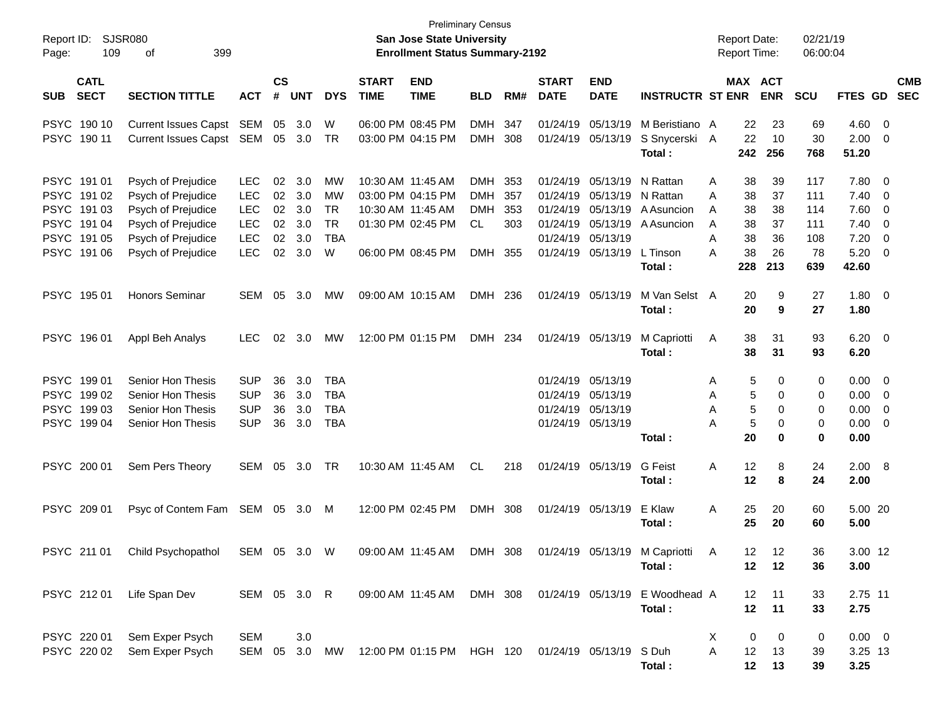| Report ID:<br>109<br>Page:                                                           | <b>SJSR080</b><br>399<br>οf                                                                                                      |                                                                           |                                  |                                        |                                                       |                             | <b>San Jose State University</b><br><b>Enrollment Status Summary-2192</b>                             | <b>Preliminary Census</b>                                   |                                 |                                                                      |                                                       |                                                                              | <b>Report Date:</b><br><b>Report Time:</b>                            |                                         | 02/21/19<br>06:00:04                         |                                                       |                                                                                                                                             |                          |
|--------------------------------------------------------------------------------------|----------------------------------------------------------------------------------------------------------------------------------|---------------------------------------------------------------------------|----------------------------------|----------------------------------------|-------------------------------------------------------|-----------------------------|-------------------------------------------------------------------------------------------------------|-------------------------------------------------------------|---------------------------------|----------------------------------------------------------------------|-------------------------------------------------------|------------------------------------------------------------------------------|-----------------------------------------------------------------------|-----------------------------------------|----------------------------------------------|-------------------------------------------------------|---------------------------------------------------------------------------------------------------------------------------------------------|--------------------------|
| <b>CATL</b><br><b>SECT</b><br><b>SUB</b>                                             | <b>SECTION TITTLE</b>                                                                                                            | <b>ACT</b>                                                                | <b>CS</b><br>#                   | <b>UNT</b>                             | <b>DYS</b>                                            | <b>START</b><br><b>TIME</b> | <b>END</b><br><b>TIME</b>                                                                             | <b>BLD</b>                                                  | RM#                             | <b>START</b><br><b>DATE</b>                                          | <b>END</b><br><b>DATE</b>                             | <b>INSTRUCTR ST ENR</b>                                                      |                                                                       | MAX ACT<br><b>ENR</b>                   | <b>SCU</b>                                   | FTES GD                                               |                                                                                                                                             | <b>CMB</b><br><b>SEC</b> |
| PSYC 190 10<br>PSYC 190 11                                                           | Current Issues Capst SEM<br>Current Issues Capst SEM 05                                                                          |                                                                           | 05                               | 3.0<br>3.0                             | W<br>TR                                               |                             | 06:00 PM 08:45 PM<br>03:00 PM 04:15 PM                                                                | <b>DMH</b><br><b>DMH</b>                                    | 347<br>308                      | 01/24/19<br>01/24/19                                                 | 05/13/19<br>05/13/19                                  | M Beristiano A<br>S Snycerski A<br>Total:                                    | 22<br>22<br>242                                                       | 23<br>10<br>256                         | 69<br>30<br>768                              | $4.60$ 0<br>2.00<br>51.20                             | - 0                                                                                                                                         |                          |
| PSYC 191 01<br>PSYC 191 02<br>PSYC 191 03<br>PSYC 19104<br>PSYC 19105<br>PSYC 191 06 | Psych of Prejudice<br>Psych of Prejudice<br>Psych of Prejudice<br>Psych of Prejudice<br>Psych of Prejudice<br>Psych of Prejudice | <b>LEC</b><br><b>LEC</b><br><b>LEC</b><br><b>LEC</b><br><b>LEC</b><br>LEC | 02<br>02<br>02<br>02<br>02<br>02 | 3.0<br>3.0<br>3.0<br>3.0<br>3.0<br>3.0 | MW<br>MW<br><b>TR</b><br><b>TR</b><br><b>TBA</b><br>W |                             | 10:30 AM 11:45 AM<br>03:00 PM 04:15 PM<br>10:30 AM 11:45 AM<br>01:30 PM 02:45 PM<br>06:00 PM 08:45 PM | <b>DMH</b><br><b>DMH</b><br><b>DMH</b><br>CL.<br><b>DMH</b> | 353<br>357<br>353<br>303<br>355 | 01/24/19<br>01/24/19<br>01/24/19<br>01/24/19<br>01/24/19<br>01/24/19 | 05/13/19<br>05/13/19 N Rattan<br>05/13/19<br>05/13/19 | N Rattan<br>05/13/19 A Asuncion<br>05/13/19 A Asuncion<br>L Tinson<br>Total: | 38<br>Α<br>A<br>38<br>38<br>A<br>38<br>A<br>A<br>38<br>38<br>A<br>228 | 39<br>37<br>38<br>37<br>36<br>26<br>213 | 117<br>111<br>114<br>111<br>108<br>78<br>639 | 7.80<br>7.40<br>7.60<br>7.40<br>7.20<br>5.20<br>42.60 | $\overline{\phantom{0}}$<br>$\overline{\mathbf{0}}$<br>$\overline{\mathbf{0}}$<br>$\overline{\mathbf{0}}$<br>$\overline{\mathbf{0}}$<br>- 0 |                          |
| PSYC 195 01                                                                          | <b>Honors Seminar</b>                                                                                                            | SEM                                                                       | 05                               | 3.0                                    | MW                                                    |                             | 09:00 AM 10:15 AM                                                                                     | DMH 236                                                     |                                 | 01/24/19                                                             | 05/13/19                                              | M Van Selst A<br>Total:                                                      | 20<br>20                                                              | 9<br>9                                  | 27<br>27                                     | 1.80 0<br>1.80                                        |                                                                                                                                             |                          |
| PSYC 196 01                                                                          | Appl Beh Analys                                                                                                                  | <b>LEC</b>                                                                | 02                               | 3.0                                    | MW                                                    |                             | 12:00 PM 01:15 PM                                                                                     | DMH 234                                                     |                                 |                                                                      | 01/24/19 05/13/19                                     | M Capriotti<br>Total:                                                        | Α<br>38<br>38                                                         | 31<br>31                                | 93<br>93                                     | $6.20 \t 0$<br>6.20                                   |                                                                                                                                             |                          |
| PSYC 19901<br>PSYC 199 02<br><b>PSYC</b><br>19903<br>PSYC 199 04                     | <b>Senior Hon Thesis</b><br>Senior Hon Thesis<br>Senior Hon Thesis<br>Senior Hon Thesis                                          | <b>SUP</b><br><b>SUP</b><br><b>SUP</b><br><b>SUP</b>                      | 36<br>36<br>36<br>36             | 3.0<br>3.0<br>3.0<br>3.0               | <b>TBA</b><br><b>TBA</b><br><b>TBA</b><br><b>TBA</b>  |                             |                                                                                                       |                                                             |                                 | 01/24/19<br>01/24/19<br>01/24/19                                     | 05/13/19<br>05/13/19<br>05/13/19<br>01/24/19 05/13/19 | Total :                                                                      | 5<br>Α<br>5<br>Α<br>5<br>Α<br>5<br>Α<br>20                            | 0<br>0<br>0<br>0<br>0                   | 0<br>0<br>0<br>0<br>0                        | $0.00 \t 0$<br>0.00<br>0.00<br>0.00<br>0.00           | $\overline{\phantom{0}}$<br>0<br>- 0                                                                                                        |                          |
| PSYC 200 01                                                                          | Sem Pers Theory                                                                                                                  | SEM                                                                       | 05                               | 3.0                                    | TR                                                    |                             | 10:30 AM 11:45 AM                                                                                     | CL.                                                         | 218                             |                                                                      | 01/24/19 05/13/19                                     | <b>G</b> Feist<br>Total :                                                    | 12<br>Α<br>12                                                         | 8<br>8                                  | 24<br>24                                     | 2.00 8<br>2.00                                        |                                                                                                                                             |                          |
| PSYC 209 01                                                                          | Psyc of Contem Fam SEM 05                                                                                                        |                                                                           |                                  | 3.0                                    | M                                                     |                             | 12:00 PM 02:45 PM                                                                                     | DMH 308                                                     |                                 |                                                                      | 01/24/19 05/13/19                                     | E Klaw<br>Total :                                                            | Α<br>25<br>25                                                         | 20<br>20                                | 60<br>60                                     | 5.00 20<br>5.00                                       |                                                                                                                                             |                          |
| PSYC 211 01                                                                          | Child Psychopathol                                                                                                               | SEM 05 3.0 W                                                              |                                  |                                        |                                                       |                             | 09:00 AM 11:45 AM DMH 308                                                                             |                                                             |                                 |                                                                      |                                                       | 01/24/19 05/13/19 M Capriotti<br>Total:                                      | 12.<br>A<br>12 <sub>2</sub>                                           | 12<br>12                                | 36<br>36                                     | 3.00 12<br>3.00                                       |                                                                                                                                             |                          |
| PSYC 21201                                                                           | Life Span Dev                                                                                                                    | SEM 05 3.0 R                                                              |                                  |                                        |                                                       |                             |                                                                                                       |                                                             |                                 |                                                                      |                                                       | 09:00 AM 11:45 AM DMH 308 01/24/19 05/13/19 E Woodhead A<br>Total:           | 12 <sup>°</sup><br>12                                                 | 11<br>11                                | 33<br>33                                     | 2.75 11<br>2.75                                       |                                                                                                                                             |                          |
| PSYC 220 01<br>PSYC 220 02                                                           | Sem Exper Psych<br>Sem Exper Psych                                                                                               | SEM<br>SEM 05 3.0                                                         |                                  | 3.0                                    |                                                       |                             | MW 12:00 PM 01:15 PM HGH 120 01/24/19 05/13/19 S Duh                                                  |                                                             |                                 |                                                                      |                                                       | Total:                                                                       | X<br>0<br>A<br>12<br>12                                               | 0<br>13<br>13                           | 0<br>39<br>39                                | $0.00 \t 0$<br>3.25 13<br>3.25                        |                                                                                                                                             |                          |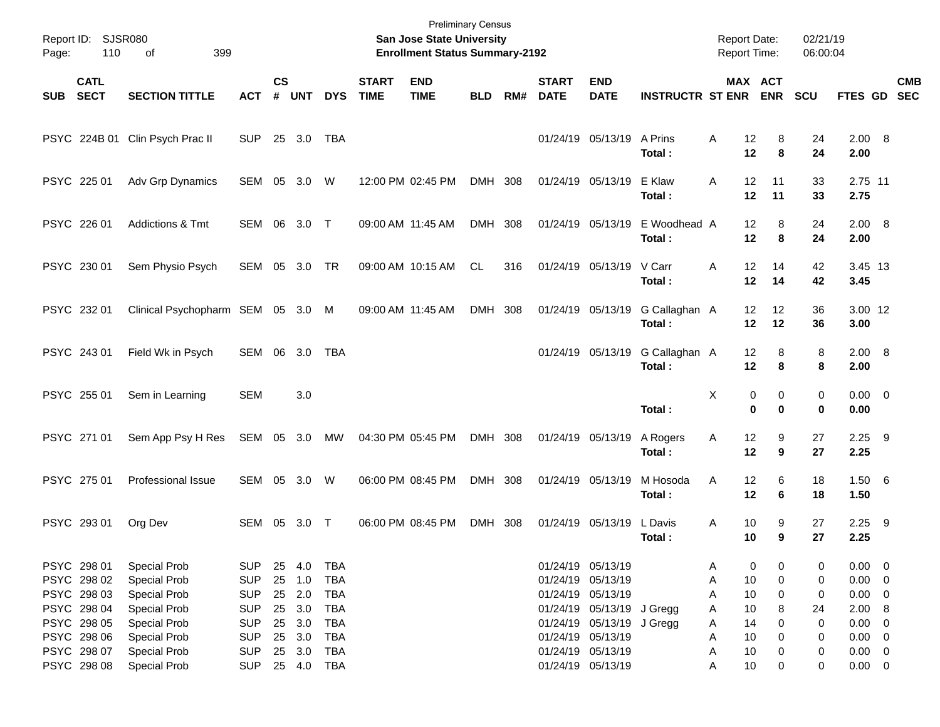| Page:      | Report ID: SJSR080<br>110                 | 399<br>οf                                                  |                                        |                |                          |                                        |                             | <b>Preliminary Census</b><br>San Jose State University<br><b>Enrollment Status Summary-2192</b> |            |     |                             |                                                             |                         | <b>Report Date:</b><br>Report Time: |                                | 02/21/19<br>06:00:04 |                                           |     |            |
|------------|-------------------------------------------|------------------------------------------------------------|----------------------------------------|----------------|--------------------------|----------------------------------------|-----------------------------|-------------------------------------------------------------------------------------------------|------------|-----|-----------------------------|-------------------------------------------------------------|-------------------------|-------------------------------------|--------------------------------|----------------------|-------------------------------------------|-----|------------|
| <b>SUB</b> | <b>CATL</b><br><b>SECT</b>                | <b>SECTION TITTLE</b>                                      | <b>ACT</b>                             | <b>CS</b><br># | <b>UNT</b>               | <b>DYS</b>                             | <b>START</b><br><b>TIME</b> | <b>END</b><br><b>TIME</b>                                                                       | <b>BLD</b> | RM# | <b>START</b><br><b>DATE</b> | <b>END</b><br><b>DATE</b>                                   | <b>INSTRUCTR ST ENR</b> |                                     | MAX ACT<br><b>ENR</b>          | <b>SCU</b>           | FTES GD SEC                               |     | <b>CMB</b> |
|            |                                           | PSYC 224B 01 Clin Psych Prac II                            | <b>SUP</b>                             |                | 25 3.0                   | TBA                                    |                             |                                                                                                 |            |     |                             | 01/24/19 05/13/19                                           | A Prins<br>Total:       | Α<br>12<br>12                       | 8<br>8                         | 24<br>24             | 2.00 8<br>2.00                            |     |            |
|            | PSYC 225 01                               | Adv Grp Dynamics                                           | SEM 05 3.0                             |                |                          | W                                      |                             | 12:00 PM 02:45 PM                                                                               | DMH 308    |     |                             | 01/24/19 05/13/19                                           | E Klaw<br>Total:        | 12<br>A<br>12                       | 11<br>11                       | 33<br>33             | 2.75 11<br>2.75                           |     |            |
|            | PSYC 226 01                               | Addictions & Tmt                                           | SEM 06 3.0 T                           |                |                          |                                        |                             | 09:00 AM 11:45 AM                                                                               | DMH 308    |     |                             | 01/24/19 05/13/19                                           | E Woodhead A<br>Total:  | 12<br>12                            | 8<br>8                         | 24<br>24             | 2.00 8<br>2.00                            |     |            |
|            | PSYC 230 01                               | Sem Physio Psych                                           | SEM 05 3.0 TR                          |                |                          |                                        |                             | 09:00 AM 10:15 AM                                                                               | CL.        | 316 |                             | 01/24/19 05/13/19                                           | V Carr<br>Total:        | 12<br>Α<br>12                       | 14<br>14                       | 42<br>42             | 3.45 13<br>3.45                           |     |            |
|            | PSYC 232 01                               | Clinical Psychopharm SEM 05 3.0                            |                                        |                |                          | M                                      |                             | 09:00 AM 11:45 AM                                                                               | DMH 308    |     |                             | 01/24/19 05/13/19                                           | G Callaghan A<br>Total: | 12<br>12                            | 12<br>12                       | 36<br>36             | 3.00 12<br>3.00                           |     |            |
|            | PSYC 243 01                               | Field Wk in Psych                                          | SEM 06                                 |                | 3.0                      | TBA                                    |                             |                                                                                                 |            |     |                             | 01/24/19 05/13/19                                           | G Callaghan A<br>Total: | 12<br>12                            | 8<br>8                         | 8<br>8               | 2.00 8<br>2.00                            |     |            |
|            | PSYC 255 01                               | Sem in Learning                                            | <b>SEM</b>                             |                | 3.0                      |                                        |                             |                                                                                                 |            |     |                             |                                                             | Total:                  | X                                   | 0<br>0<br>$\bf{0}$<br>$\bf{0}$ | 0<br>0               | $0.00 \t 0$<br>0.00                       |     |            |
|            | PSYC 271 01                               | Sem App Psy H Res                                          | SEM 05 3.0                             |                |                          | MW                                     |                             | 04:30 PM 05:45 PM                                                                               | DMH 308    |     |                             | 01/24/19 05/13/19                                           | A Rogers<br>Total:      | Α<br>12<br>12                       | 9<br>9                         | 27<br>27             | $2.25$ 9<br>2.25                          |     |            |
|            | PSYC 275 01                               | Professional Issue                                         | SEM 05 3.0                             |                |                          | W                                      |                             | 06:00 PM 08:45 PM                                                                               | DMH 308    |     | 01/24/19 05/13/19           |                                                             | M Hosoda<br>Total:      | 12<br>A<br>12                       | 6<br>6                         | 18<br>18             | 1.506<br>1.50                             |     |            |
|            | PSYC 293 01                               | Org Dev                                                    | SEM 05                                 |                | 3.0                      | $\top$                                 |                             | 06:00 PM 08:45 PM                                                                               | DMH 308    |     |                             | 01/24/19 05/13/19                                           | L Davis<br>Total:       | 10<br>Α<br>10                       | 9<br>9                         | 27<br>27             | 2.25<br>2.25                              | - 9 |            |
|            | PSYC 298 01<br>PSYC 298 02<br>PSYC 298 03 | <b>Special Prob</b><br><b>Special Prob</b><br>Special Prob | <b>SUP</b><br><b>SUP</b><br><b>SUP</b> | 25<br>25<br>25 | 4.0<br>1.0<br>2.0        | <b>TBA</b><br><b>TBA</b><br><b>TBA</b> |                             |                                                                                                 |            |     | 01/24/19 05/13/19           | 01/24/19 05/13/19<br>01/24/19 05/13/19                      |                         | Α<br>10<br>Α<br>10<br>Α             | 0<br>0<br>0<br>0               | 0<br>0<br>0          | $0.00 \t 0$<br>$0.00 \t 0$<br>$0.00 \t 0$ |     |            |
|            | PSYC 298 04<br>PSYC 298 05                | Special Prob<br>Special Prob                               | <b>SUP</b><br><b>SUP</b>               | 25<br>25       | 3.0<br>3.0               | TBA<br>TBA                             |                             |                                                                                                 |            |     |                             | 01/24/19 05/13/19 J Gregg<br>01/24/19 05/13/19 J Gregg      |                         | 10<br>Α<br>14<br>Α                  | 8<br>0                         | 24<br>0              | 2.00 8<br>$0.00 \t 0$                     |     |            |
|            | PSYC 298 06<br>PSYC 298 07<br>PSYC 298 08 | Special Prob<br>Special Prob<br>Special Prob               | <b>SUP</b><br><b>SUP</b><br><b>SUP</b> | 25<br>25       | 3.0<br>3.0<br>25 4.0 TBA | <b>TBA</b><br>TBA                      |                             |                                                                                                 |            |     |                             | 01/24/19 05/13/19<br>01/24/19 05/13/19<br>01/24/19 05/13/19 |                         | 10<br>Α<br>10<br>Α<br>10<br>Α       | 0<br>0<br>0                    | 0<br>0<br>0          | $0.00 \t 0$<br>$0.00 \t 0$<br>$0.00 \t 0$ |     |            |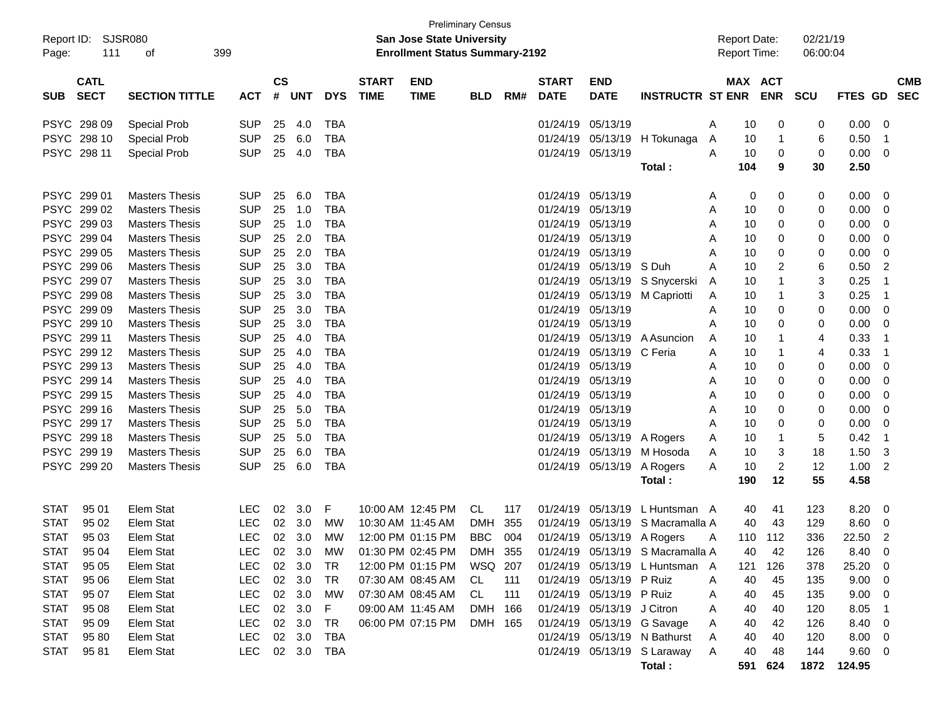| <b>Preliminary Census</b><br>Report ID: SJSR080<br><b>San Jose State University</b> |                            |                       |            |                    |            |              |                             |                                       |            |     |                             |                            |                                  |                                            |     |                       |                      |             |                          |
|-------------------------------------------------------------------------------------|----------------------------|-----------------------|------------|--------------------|------------|--------------|-----------------------------|---------------------------------------|------------|-----|-----------------------------|----------------------------|----------------------------------|--------------------------------------------|-----|-----------------------|----------------------|-------------|--------------------------|
| Page:                                                                               | 111                        | 399<br>οf             |            |                    |            |              |                             | <b>Enrollment Status Summary-2192</b> |            |     |                             |                            |                                  | <b>Report Date:</b><br><b>Report Time:</b> |     |                       | 02/21/19<br>06:00:04 |             |                          |
|                                                                                     |                            |                       |            |                    |            |              |                             |                                       |            |     |                             |                            |                                  |                                            |     |                       |                      |             |                          |
| <b>SUB</b>                                                                          | <b>CATL</b><br><b>SECT</b> | <b>SECTION TITTLE</b> | <b>ACT</b> | $\mathsf{cs}$<br># | <b>UNT</b> | <b>DYS</b>   | <b>START</b><br><b>TIME</b> | <b>END</b><br><b>TIME</b>             | <b>BLD</b> | RM# | <b>START</b><br><b>DATE</b> | <b>END</b><br><b>DATE</b>  | <b>INSTRUCTR ST ENR</b>          |                                            |     | MAX ACT<br><b>ENR</b> | SCU                  | FTES GD SEC | <b>CMB</b>               |
|                                                                                     |                            |                       |            |                    |            |              |                             |                                       |            |     |                             |                            |                                  |                                            |     |                       |                      |             |                          |
|                                                                                     | PSYC 298 09                | <b>Special Prob</b>   | <b>SUP</b> | 25                 | 4.0        | TBA          |                             |                                       |            |     | 01/24/19                    | 05/13/19                   |                                  | A                                          | 10  | 0                     | 0                    | 0.00        | - 0                      |
|                                                                                     | PSYC 298 10                | <b>Special Prob</b>   | <b>SUP</b> | 25                 | 6.0        | TBA          |                             |                                       |            |     |                             |                            | 01/24/19 05/13/19 H Tokunaga     | A                                          | 10  | $\mathbf 1$           | 6                    | 0.50        | $\overline{\phantom{1}}$ |
|                                                                                     | PSYC 298 11                | <b>Special Prob</b>   | <b>SUP</b> | 25                 | 4.0        | <b>TBA</b>   |                             |                                       |            |     |                             | 01/24/19 05/13/19          |                                  | A                                          | 10  | 0                     | 0                    | 0.00        | $\overline{\phantom{0}}$ |
|                                                                                     |                            |                       |            |                    |            |              |                             |                                       |            |     |                             |                            | Total:                           |                                            | 104 | 9                     | 30                   | 2.50        |                          |
|                                                                                     | PSYC 299 01                | <b>Masters Thesis</b> | <b>SUP</b> | 25                 | 6.0        | TBA          |                             |                                       |            |     | 01/24/19 05/13/19           |                            |                                  | A                                          | 0   | 0                     | 0                    | 0.00        | $\overline{\mathbf{0}}$  |
|                                                                                     | PSYC 299 02                | <b>Masters Thesis</b> | <b>SUP</b> | 25                 | 1.0        | <b>TBA</b>   |                             |                                       |            |     | 01/24/19                    | 05/13/19                   |                                  | A                                          | 10  | 0                     | 0                    | 0.00        | - 0                      |
|                                                                                     | PSYC 299 03                | <b>Masters Thesis</b> | <b>SUP</b> | 25                 | 1.0        | <b>TBA</b>   |                             |                                       |            |     |                             | 01/24/19 05/13/19          |                                  | A                                          | 10  | 0                     | 0                    | 0.00        | - 0                      |
|                                                                                     | PSYC 299 04                | <b>Masters Thesis</b> | <b>SUP</b> | 25                 | 2.0        | <b>TBA</b>   |                             |                                       |            |     |                             | 01/24/19 05/13/19          |                                  | A                                          | 10  | 0                     | 0                    | 0.00        | - 0                      |
|                                                                                     | PSYC 299 05                | <b>Masters Thesis</b> | <b>SUP</b> | 25                 | 2.0        | <b>TBA</b>   |                             |                                       |            |     | 01/24/19                    | 05/13/19                   |                                  | A                                          | 10  | 0                     | 0                    | 0.00        | - 0                      |
|                                                                                     | PSYC 299 06                | <b>Masters Thesis</b> | <b>SUP</b> | 25                 | 3.0        | <b>TBA</b>   |                             |                                       |            |     | 01/24/19                    | 05/13/19 S Duh             |                                  | A                                          | 10  | 2                     | 6                    | 0.50        | $\overline{2}$           |
|                                                                                     | PSYC 299 07                | <b>Masters Thesis</b> | <b>SUP</b> | 25                 | 3.0        | <b>TBA</b>   |                             |                                       |            |     | 01/24/19                    |                            | 05/13/19 S Snycerski             | A                                          | 10  | $\mathbf 1$           | 3                    | 0.25        | - 1                      |
|                                                                                     | PSYC 299 08                | <b>Masters Thesis</b> | <b>SUP</b> | 25                 | 3.0        | <b>TBA</b>   |                             |                                       |            |     | 01/24/19                    |                            | 05/13/19 M Capriotti             | A                                          | 10  | -1                    | 3                    | 0.25        | $\overline{1}$           |
|                                                                                     | PSYC 299 09                | <b>Masters Thesis</b> | <b>SUP</b> | 25                 | 3.0        | <b>TBA</b>   |                             |                                       |            |     |                             | 01/24/19 05/13/19          |                                  | A                                          | 10  | 0                     | 0                    | 0.00        | $\overline{\mathbf{0}}$  |
|                                                                                     | PSYC 299 10                | <b>Masters Thesis</b> | <b>SUP</b> | 25                 | 3.0        | <b>TBA</b>   |                             |                                       |            |     |                             | 01/24/19 05/13/19          |                                  | A                                          | 10  | 0                     | 0                    | 0.00        | $\overline{\mathbf{0}}$  |
|                                                                                     | PSYC 299 11                | <b>Masters Thesis</b> | <b>SUP</b> | 25                 | 4.0        | <b>TBA</b>   |                             |                                       |            |     | 01/24/19                    |                            | 05/13/19 A Asuncion              | A                                          | 10  | -1                    | 4                    | 0.33        | - 1                      |
|                                                                                     | PSYC 299 12                | <b>Masters Thesis</b> | <b>SUP</b> | 25                 | 4.0        | <b>TBA</b>   |                             |                                       |            |     | 01/24/19                    | 05/13/19 C Feria           |                                  | A                                          | 10  | -1                    | 4                    | 0.33        | - 1                      |
|                                                                                     | PSYC 299 13                | <b>Masters Thesis</b> | <b>SUP</b> | 25                 | 4.0        | <b>TBA</b>   |                             |                                       |            |     | 01/24/19                    | 05/13/19                   |                                  | A                                          | 10  | 0                     | 0                    | 0.00        | - 0                      |
|                                                                                     | PSYC 299 14                | <b>Masters Thesis</b> | <b>SUP</b> | 25                 | 4.0        | <b>TBA</b>   |                             |                                       |            |     | 01/24/19                    | 05/13/19                   |                                  | A                                          | 10  | 0                     | 0                    | 0.00        | $\overline{\mathbf{0}}$  |
|                                                                                     | PSYC 299 15                | <b>Masters Thesis</b> | <b>SUP</b> | 25                 | 4.0        | <b>TBA</b>   |                             |                                       |            |     | 01/24/19                    | 05/13/19                   |                                  | A                                          | 10  | 0                     | 0                    | 0.00        | - 0                      |
|                                                                                     | PSYC 299 16                | <b>Masters Thesis</b> | <b>SUP</b> | 25                 | 5.0        | <b>TBA</b>   |                             |                                       |            |     | 01/24/19                    | 05/13/19                   |                                  | A                                          | 10  | 0                     | 0                    | 0.00        | - 0                      |
|                                                                                     | PSYC 299 17                | <b>Masters Thesis</b> | <b>SUP</b> | 25                 | 5.0        | <b>TBA</b>   |                             |                                       |            |     |                             | 01/24/19 05/13/19          |                                  | A                                          | 10  | 0                     | 0                    | 0.00        | - 0                      |
|                                                                                     | PSYC 299 18                | <b>Masters Thesis</b> | <b>SUP</b> | 25                 | 5.0        | <b>TBA</b>   |                             |                                       |            |     |                             | 01/24/19 05/13/19 A Rogers |                                  | A                                          | 10  | -1                    | 5                    | 0.42        | - 1                      |
|                                                                                     | PSYC 299 19                | <b>Masters Thesis</b> | <b>SUP</b> | 25                 | 6.0        | <b>TBA</b>   |                             |                                       |            |     | 01/24/19                    | 05/13/19                   | M Hosoda                         | A                                          | 10  | 3                     | 18                   | 1.50        | -3                       |
|                                                                                     | PSYC 299 20                | <b>Masters Thesis</b> | <b>SUP</b> | 25                 | 6.0        | <b>TBA</b>   |                             |                                       |            |     |                             | 01/24/19 05/13/19          | A Rogers                         | A                                          | 10  | 2                     | 12                   | 1.00        | $\overline{2}$           |
|                                                                                     |                            |                       |            |                    |            |              |                             |                                       |            |     |                             |                            | Total:                           |                                            | 190 | 12                    | 55                   | 4.58        |                          |
| <b>STAT</b>                                                                         | 95 01                      | Elem Stat             | LEC.       | 02                 | 3.0        | F            |                             | 10:00 AM 12:45 PM                     | CL         | 117 | 01/24/19                    |                            | 05/13/19 L Huntsman A            |                                            | 40  | 41                    | 123                  | 8.20        | $\overline{\mathbf{0}}$  |
| <b>STAT</b>                                                                         | 95 02                      | Elem Stat             | <b>LEC</b> | 02                 | 3.0        | МW           |                             | 10:30 AM 11:45 AM                     | <b>DMH</b> | 355 | 01/24/19                    |                            | 05/13/19 S Macramalla A          |                                            | 40  | 43                    | 129                  | 8.60        | $\overline{\mathbf{0}}$  |
| <b>STAT</b>                                                                         | 95 03                      | Elem Stat             | <b>LEC</b> |                    | 02 3.0     | МW           |                             | 12:00 PM 01:15 PM                     | <b>BBC</b> | 004 |                             |                            | 01/24/19 05/13/19 A Rogers       | A                                          |     | 110 112               | 336                  | 22.50       | $\overline{2}$           |
|                                                                                     | STAT 95 04                 | Elem Stat             | <b>LEC</b> |                    | 02 3.0     | <b>MW</b>    |                             | 01:30 PM 02:45 PM                     | DMH 355    |     |                             |                            | 01/24/19 05/13/19 S Macramalla A |                                            | 40  | 42                    | 126                  | 8.40        | $\overline{\mathbf{0}}$  |
| <b>STAT</b>                                                                         | 95 05                      | Elem Stat             | <b>LEC</b> |                    | 02 3.0     | TR           |                             | 12:00 PM 01:15 PM                     | WSQ 207    |     |                             |                            | 01/24/19 05/13/19 L Huntsman A   |                                            | 121 | 126                   | 378                  | 25.20       | $\overline{\phantom{0}}$ |
| <b>STAT</b>                                                                         | 95 06                      | Elem Stat             | <b>LEC</b> |                    | 02 3.0     | TR           |                             | 07:30 AM 08:45 AM                     | CL.        | 111 |                             | 01/24/19 05/13/19 P Ruiz   |                                  | A                                          | 40  | 45                    | 135                  | 9.00 0      |                          |
| <b>STAT</b>                                                                         | 95 07                      | Elem Stat             | <b>LEC</b> |                    | 02 3.0     | MW           |                             | 07:30 AM 08:45 AM                     | CL         | 111 |                             | 01/24/19 05/13/19 P Ruiz   |                                  | A                                          | 40  | 45                    | 135                  | 9.00        | $\overline{\phantom{0}}$ |
| <b>STAT</b>                                                                         | 95 08                      | Elem Stat             | <b>LEC</b> |                    | 02 3.0     | $\mathsf{F}$ |                             | 09:00 AM 11:45 AM                     | DMH 166    |     |                             | 01/24/19 05/13/19 J Citron |                                  | A                                          | 40  | 40                    | 120                  | 8.05        | - 1                      |
| <b>STAT</b>                                                                         | 95 09                      | Elem Stat             | <b>LEC</b> |                    | 02 3.0     | TR           |                             | 06:00 PM 07:15 PM                     | DMH 165    |     |                             |                            | 01/24/19 05/13/19 G Savage       | A                                          | 40  | 42                    | 126                  | 8.40 0      |                          |
| <b>STAT</b>                                                                         | 95 80                      | Elem Stat             | <b>LEC</b> |                    | 02 3.0     | <b>TBA</b>   |                             |                                       |            |     |                             |                            | 01/24/19 05/13/19 N Bathurst     | A                                          | 40  | 40                    | 120                  | $8.00 \t 0$ |                          |
| <b>STAT</b>                                                                         | 9581                       | Elem Stat             | <b>LEC</b> |                    | 02 3.0 TBA |              |                             |                                       |            |     |                             |                            | 01/24/19 05/13/19 S Laraway      | A                                          | 40  | 48                    | 144                  | 9.60 0      |                          |
|                                                                                     |                            |                       |            |                    |            |              |                             |                                       |            |     |                             |                            | Total:                           |                                            | 591 | 624                   |                      | 1872 124.95 |                          |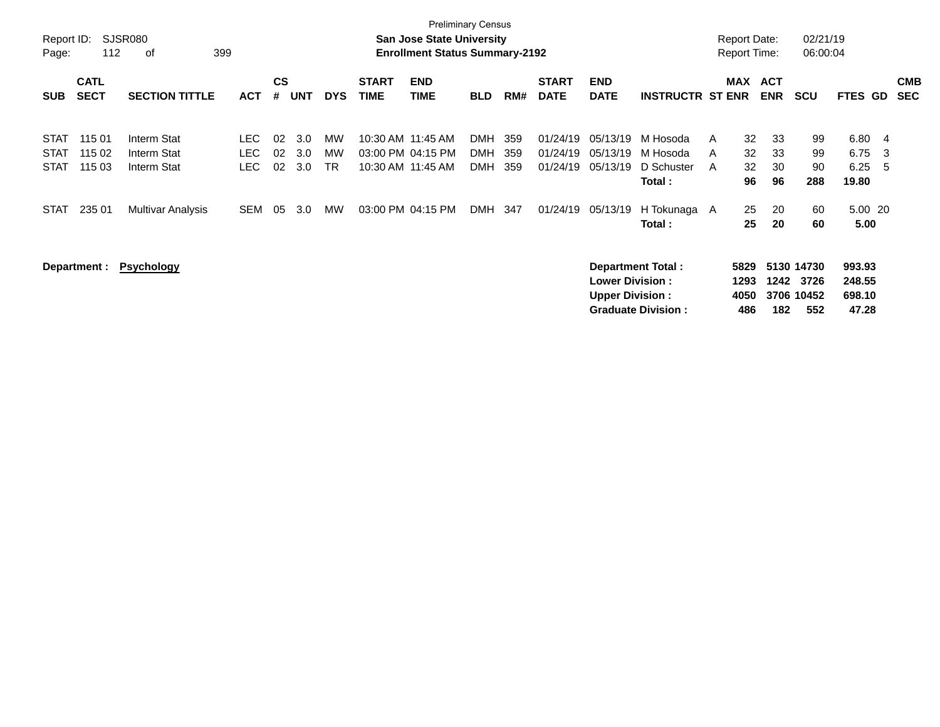| Report ID:<br>Page:                                      | <b>Preliminary Census</b><br>SJSR080<br><b>San Jose State University</b><br>112<br><b>Enrollment Status Summary-2192</b><br>399<br>οf |                                                                |                                                |                      |                          |                             |                                                             |                           |                                     |                   |                                              |                                                                              |                                                               |             | Report Date:<br><b>Report Time:</b> |                            | 02/21/19<br>06:00:04                          |                                             |                  |                          |
|----------------------------------------------------------|---------------------------------------------------------------------------------------------------------------------------------------|----------------------------------------------------------------|------------------------------------------------|----------------------|--------------------------|-----------------------------|-------------------------------------------------------------|---------------------------|-------------------------------------|-------------------|----------------------------------------------|------------------------------------------------------------------------------|---------------------------------------------------------------|-------------|-------------------------------------|----------------------------|-----------------------------------------------|---------------------------------------------|------------------|--------------------------|
| <b>SUB</b>                                               | <b>CATL</b><br><b>SECT</b>                                                                                                            | <b>SECTION TITTLE</b>                                          | <b>ACT</b>                                     | $\mathsf{cs}$<br>#   | <b>UNT</b>               | <b>DYS</b>                  | <b>START</b><br><b>TIME</b>                                 | <b>END</b><br><b>TIME</b> | <b>BLD</b>                          | RM#               | <b>START</b><br><b>DATE</b>                  | <b>END</b><br><b>DATE</b>                                                    | <b>INSTRUCTR ST ENR</b>                                       |             | MAX ACT                             | <b>ENR</b>                 | <b>SCU</b>                                    | <b>FTES GD</b>                              |                  | <b>CMB</b><br><b>SEC</b> |
| <b>STAT</b><br><b>STAT</b><br><b>STAT</b><br><b>STAT</b> | 115 01<br>115 02<br>115 03<br>235 01                                                                                                  | Interm Stat<br>Interm Stat<br>Interm Stat<br>Multivar Analysis | <b>LEC</b><br><b>LEC</b><br>LEC.<br><b>SEM</b> | 02<br>02<br>02<br>05 | 3.0<br>3.0<br>3.0<br>3.0 | МW<br>МW<br><b>TR</b><br>MW | 10:30 AM 11:45 AM<br>03:00 PM 04:15 PM<br>10:30 AM 11:45 AM | 03:00 PM 04:15 PM         | DMH<br>DMH<br><b>DMH</b><br>DMH 347 | 359<br>359<br>359 | 01/24/19<br>01/24/19<br>01/24/19<br>01/24/19 | 05/13/19<br>05/13/19<br>05/13/19<br>05/13/19                                 | M Hosoda<br>M Hosoda<br>D Schuster<br>Total :<br>H Tokunaga A | A<br>A<br>A | 32<br>32<br>32<br>96<br>25          | 33<br>33<br>30<br>96<br>20 | 99<br>99<br>90<br>288<br>60                   | 6.80<br>6.75<br>6.25<br>19.80<br>5.00 20    | - 4<br>-3<br>- 5 |                          |
|                                                          | Department :                                                                                                                          | <b>Psychology</b>                                              |                                                |                      |                          |                             |                                                             |                           |                                     |                   |                                              | <b>Department Total:</b><br><b>Lower Division:</b><br><b>Upper Division:</b> | Total :<br><b>Graduate Division:</b>                          |             | 25<br>5829<br>1293<br>4050<br>486   | 20<br>1242<br>182          | 60<br>5130 14730<br>3726<br>3706 10452<br>552 | 5.00<br>993.93<br>248.55<br>698.10<br>47.28 |                  |                          |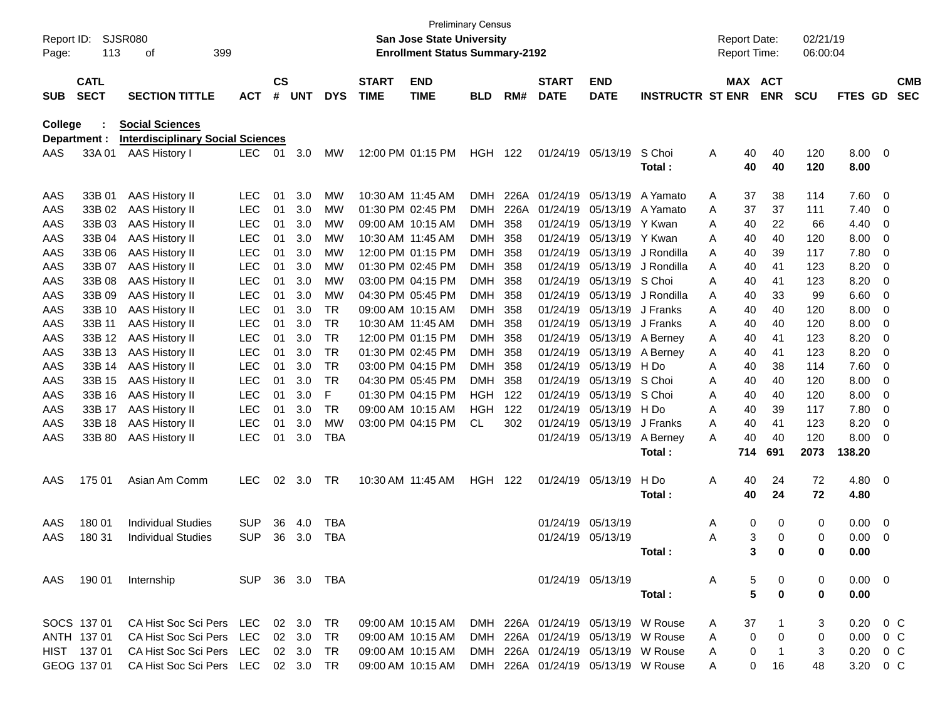| Report ID: |              | SJSR080                                  |                |               |                |            |              | San Jose State University             | <b>Preliminary Census</b> |       |              |                                    |                         | <b>Report Date:</b> |               | 02/21/19   |                |                          |            |
|------------|--------------|------------------------------------------|----------------|---------------|----------------|------------|--------------|---------------------------------------|---------------------------|-------|--------------|------------------------------------|-------------------------|---------------------|---------------|------------|----------------|--------------------------|------------|
| Page:      | 113          | 399<br>οf                                |                |               |                |            |              | <b>Enrollment Status Summary-2192</b> |                           |       |              |                                    |                         | Report Time:        |               | 06:00:04   |                |                          |            |
|            | <b>CATL</b>  |                                          |                | $\mathsf{cs}$ |                |            | <b>START</b> | <b>END</b>                            |                           |       | <b>START</b> | <b>END</b>                         |                         |                     | MAX ACT       |            |                |                          | <b>CMB</b> |
| <b>SUB</b> | <b>SECT</b>  | <b>SECTION TITTLE</b>                    | <b>ACT</b>     | #             | <b>UNT</b>     | <b>DYS</b> | <b>TIME</b>  | <b>TIME</b>                           | <b>BLD</b>                | RM#   | <b>DATE</b>  | <b>DATE</b>                        | <b>INSTRUCTR ST ENR</b> |                     | <b>ENR</b>    | <b>SCU</b> | <b>FTES GD</b> |                          | <b>SEC</b> |
| College    |              | <b>Social Sciences</b>                   |                |               |                |            |              |                                       |                           |       |              |                                    |                         |                     |               |            |                |                          |            |
|            | Department : | <b>Interdisciplinary Social Sciences</b> |                |               |                |            |              |                                       |                           |       |              |                                    |                         |                     |               |            |                |                          |            |
| AAS        | 33A 01       | <b>AAS History I</b>                     | LEC.           | 01            | 3.0            | MW         |              | 12:00 PM 01:15 PM                     | <b>HGH</b>                | - 122 |              | 01/24/19 05/13/19                  | S Choi                  | Α<br>40             | 40            | 120        | 8.00 0         |                          |            |
|            |              |                                          |                |               |                |            |              |                                       |                           |       |              |                                    | Total:                  | 40                  | 40            | 120        | 8.00           |                          |            |
| AAS        | 33B 01       | <b>AAS History II</b>                    | <b>LEC</b>     | 01            | 3.0            | МW         |              | 10:30 AM 11:45 AM                     | DMH                       | 226A  |              | 01/24/19 05/13/19                  | A Yamato                | 37<br>A             | 38            | 114        | 7.60           | $\overline{\phantom{0}}$ |            |
| AAS        | 33B 02       | <b>AAS History II</b>                    | <b>LEC</b>     | 01            | 3.0            | MW         |              | 01:30 PM 02:45 PM                     | DMH                       | 226A  | 01/24/19     | 05/13/19                           | A Yamato                | 37<br>Α             | 37            | 111        | 7.40           | 0                        |            |
| AAS        | 33B 03       | <b>AAS History II</b>                    | <b>LEC</b>     | 01            | 3.0            | <b>MW</b>  |              | 09:00 AM 10:15 AM                     | <b>DMH</b>                | 358   | 01/24/19     | 05/13/19                           | Y Kwan                  | Α<br>40             | 22            | 66         | 4.40           | 0                        |            |
| AAS        | 33B 04       | <b>AAS History II</b>                    | <b>LEC</b>     | 01            | 3.0            | МW         |              | 10:30 AM 11:45 AM                     | DMH                       | 358   | 01/24/19     | 05/13/19                           | Y Kwan                  | A<br>40             | 40            | 120        | 8.00           | 0                        |            |
| AAS        | 33B 06       | <b>AAS History II</b>                    | <b>LEC</b>     | 01            | 3.0            | МW         |              | 12:00 PM 01:15 PM                     | DMH                       | 358   | 01/24/19     | 05/13/19                           | J Rondilla              | A<br>40             | 39            | 117        | 7.80           | 0                        |            |
| AAS        | 33B 07       | <b>AAS History II</b>                    | LEC            | 01            | 3.0            | <b>MW</b>  |              | 01:30 PM 02:45 PM                     | DMH.                      | 358   | 01/24/19     | 05/13/19                           | J Rondilla              | Α<br>40             | 41            | 123        | 8.20           | 0                        |            |
| AAS        | 33B 08       | <b>AAS History II</b>                    | <b>LEC</b>     | 01            | 3.0            | МW         |              | 03:00 PM 04:15 PM                     | DMH.                      | 358   | 01/24/19     | 05/13/19                           | S Choi                  | Α<br>40             | 41            | 123        | 8.20           | 0                        |            |
| AAS        | 33B 09       | <b>AAS History II</b>                    | LEC            | 01            | 3.0            | <b>MW</b>  |              | 04:30 PM 05:45 PM                     | DMH.                      | 358   | 01/24/19     | 05/13/19                           | J Rondilla              | Α<br>40             | 33            | 99         | 6.60           | 0                        |            |
| AAS        | 33B 10       | <b>AAS History II</b>                    | <b>LEC</b>     | 01            | 3.0            | <b>TR</b>  |              | 09:00 AM 10:15 AM                     | DMH.                      | 358   | 01/24/19     | 05/13/19                           | J Franks                | A<br>40             | 40            | 120        | 8.00           | 0                        |            |
| AAS        | 33B 11       | <b>AAS History II</b>                    | <b>LEC</b>     | 01            | 3.0            | <b>TR</b>  |              | 10:30 AM 11:45 AM                     | DMH                       | 358   | 01/24/19     | 05/13/19                           | J Franks                | A<br>40             | 40            | 120        | 8.00           | 0                        |            |
| AAS        | 33B 12       | <b>AAS History II</b>                    | LEC            | 01            | 3.0            | <b>TR</b>  |              | 12:00 PM 01:15 PM                     | <b>DMH</b>                | 358   | 01/24/19     | 05/13/19                           | A Berney                | Α<br>40             | 41            | 123        | 8.20           | 0                        |            |
| AAS        | 33B 13       | <b>AAS History II</b>                    | <b>LEC</b>     | 01            | 3.0            | <b>TR</b>  |              | 01:30 PM 02:45 PM                     | DMH.                      | 358   | 01/24/19     | 05/13/19                           | A Berney                | Α<br>40             | 41            | 123        | 8.20           | 0                        |            |
| AAS        | 33B 14       | <b>AAS History II</b>                    | <b>LEC</b>     | 01            | 3.0            | <b>TR</b>  |              | 03:00 PM 04:15 PM                     | DMH.                      | 358   | 01/24/19     | 05/13/19                           | H Do                    | Α<br>40             | 38            | 114        | 7.60           | 0                        |            |
| AAS        | 33B 15       | <b>AAS History II</b>                    | LEC            | 01            | 3.0            | <b>TR</b>  |              | 04:30 PM 05:45 PM                     | <b>DMH</b>                | 358   | 01/24/19     | 05/13/19                           | S Choi                  | Α<br>40             | 40            | 120        | 8.00           | 0                        |            |
| AAS        | 33B 16       | <b>AAS History II</b>                    | <b>LEC</b>     | 01            | 3.0            | F          |              | 01:30 PM 04:15 PM                     | HGH                       | 122   | 01/24/19     | 05/13/19                           | S Choi                  | A<br>40             | 40            | 120        | 8.00           | 0                        |            |
| AAS        | 33B 17       | <b>AAS History II</b>                    | <b>LEC</b>     | 01            | 3.0            | TR         |              | 09:00 AM 10:15 AM                     | HGH                       | 122   | 01/24/19     | 05/13/19                           | H Do                    | A<br>40             | 39            | 117        | 7.80           | 0                        |            |
| AAS        | 33B 18       | <b>AAS History II</b>                    | <b>LEC</b>     | 01            | 3.0            | <b>MW</b>  |              | 03:00 PM 04:15 PM                     | <b>CL</b>                 | 302   | 01/24/19     | 05/13/19                           | J Franks                | 40<br>A             | 41            | 123        | 8.20           | 0                        |            |
| AAS        | 33B 80       | <b>AAS History II</b>                    | <b>LEC</b>     | 01            | 3.0            | <b>TBA</b> |              |                                       |                           |       |              | 01/24/19 05/13/19                  | A Berney                | A<br>40             | 40            | 120        | 8.00           | - 0                      |            |
|            |              |                                          |                |               |                |            |              |                                       |                           |       |              |                                    | Total:                  | 714                 | 691           | 2073       | 138.20         |                          |            |
| AAS        | 175 01       | Asian Am Comm                            | <b>LEC</b>     | 02            | 3.0            | <b>TR</b>  |              | 10:30 AM 11:45 AM                     | <b>HGH</b>                | - 122 |              | 01/24/19 05/13/19                  | H Do                    | Α<br>40             | 24            | 72         | 4.80           | $\overline{\phantom{0}}$ |            |
|            |              |                                          |                |               |                |            |              |                                       |                           |       |              |                                    | Total:                  | 40                  | 24            | 72         | 4.80           |                          |            |
| AAS        | 180 01       | <b>Individual Studies</b>                | <b>SUP</b>     | 36            | 4.0            | <b>TBA</b> |              |                                       |                           |       |              | 01/24/19 05/13/19                  |                         | Α                   | 0<br>0        | 0          | 0.00           | $\overline{\mathbf{0}}$  |            |
| AAS        | 180 31       | <b>Individual Studies</b>                | SUP            | 36            | 3.0            | <b>TBA</b> |              |                                       |                           |       |              | 01/24/19 05/13/19                  |                         | Α                   | 3<br>0        | 0          | 0.00           | - 0                      |            |
|            |              |                                          |                |               |                |            |              |                                       |                           |       |              |                                    | Total:                  |                     | 3<br>0        | 0          | 0.00           |                          |            |
|            | AAS 190 01   | Internship                               | SUP 36 3.0 TBA |               |                |            |              |                                       |                           |       |              | 01/24/19 05/13/19                  |                         | A                   | 5<br>0        | 0          | $0.00 \t 0$    |                          |            |
|            |              |                                          |                |               |                |            |              |                                       |                           |       |              |                                    | Total:                  |                     | 5<br>$\bf{0}$ | 0          | 0.00           |                          |            |
|            | SOCS 137 01  | CA Hist Soc Sci Pers LEC 02 3.0          |                |               |                | TR         |              | 09:00 AM 10:15 AM                     |                           |       |              | DMH 226A 01/24/19 05/13/19 W Rouse |                         | 37<br>A             |               | 3          | $0.20 \t 0 C$  |                          |            |
|            | ANTH 137 01  | CA Hist Soc Sci Pers LEC                 |                |               | $02 \quad 3.0$ | TR         |              | 09:00 AM 10:15 AM                     |                           |       |              | DMH 226A 01/24/19 05/13/19 W Rouse |                         | A                   | 0<br>0        | 0          | $0.00 \t 0 C$  |                          |            |
|            | HIST 137 01  | CA Hist Soc Sci Pers LEC 02 3.0          |                |               |                | TR.        |              | 09:00 AM 10:15 AM                     |                           |       |              | DMH 226A 01/24/19 05/13/19 W Rouse |                         | A                   | 0<br>-1       | 3          | $0.20 \t 0 C$  |                          |            |
|            | GEOG 137 01  | CA Hist Soc Sci Pers LEC 02 3.0 TR       |                |               |                |            |              | 09:00 AM 10:15 AM                     |                           |       |              | DMH 226A 01/24/19 05/13/19 W Rouse |                         | A                   | 0<br>16       | 48         | 3.20 0 C       |                          |            |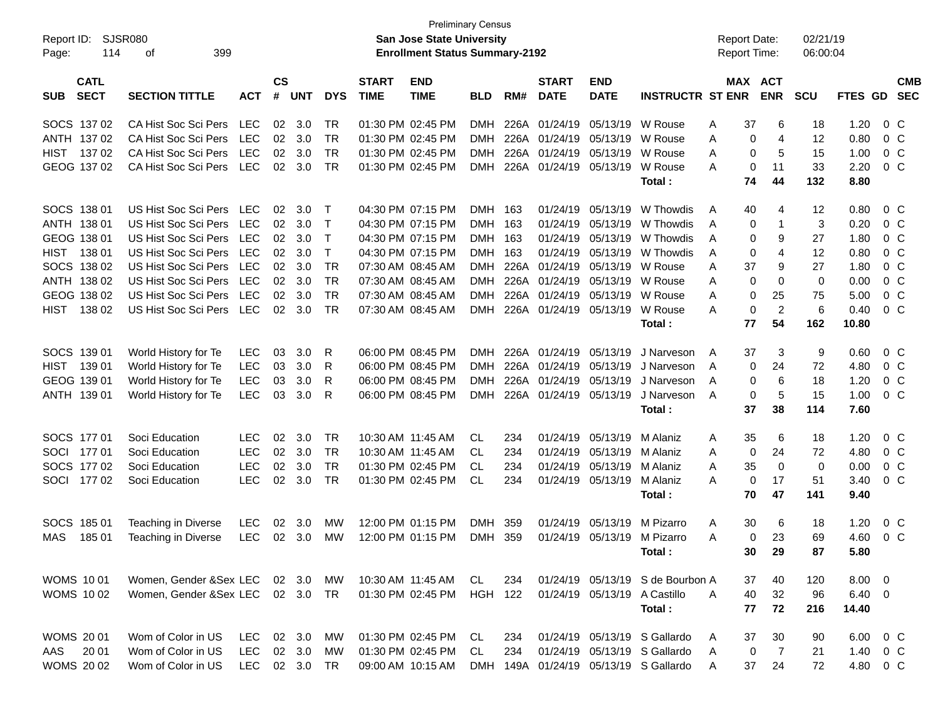| Report ID:<br>114<br>Page:               | <b>SJSR080</b><br>399<br>οf                                 |            |    |                  |              |                             | <b>Preliminary Census</b><br>San Jose State University<br><b>Enrollment Status Summary-2192</b> |                |      |                             |                              |                                                              | <b>Report Date:</b><br><b>Report Time:</b> |                       | 02/21/19<br>06:00:04 |              |                |            |
|------------------------------------------|-------------------------------------------------------------|------------|----|------------------|--------------|-----------------------------|-------------------------------------------------------------------------------------------------|----------------|------|-----------------------------|------------------------------|--------------------------------------------------------------|--------------------------------------------|-----------------------|----------------------|--------------|----------------|------------|
| <b>CATL</b><br><b>SECT</b><br><b>SUB</b> | <b>SECTION TITTLE</b><br><b>ACT</b><br>CA Hist Soc Sci Pers |            |    |                  | <b>DYS</b>   | <b>START</b><br><b>TIME</b> | <b>END</b><br><b>TIME</b>                                                                       | <b>BLD</b>     | RM#  | <b>START</b><br><b>DATE</b> | <b>END</b><br><b>DATE</b>    | <b>INSTRUCTR ST ENR</b>                                      |                                            | MAX ACT<br><b>ENR</b> | <b>SCU</b>           | FTES GD SEC  |                | <b>CMB</b> |
| SOCS 137 02                              |                                                             | LEC        | 02 | 3.0              | TR           |                             | 01:30 PM 02:45 PM                                                                               | <b>DMH</b>     | 226A |                             | 01/24/19 05/13/19            | W Rouse                                                      | 37<br>A                                    | 6                     | 18                   | 1.20         | 0 <sup>o</sup> |            |
| ANTH 137 02                              | CA Hist Soc Sci Pers                                        | LEC        | 02 | 3.0              | TR           |                             | 01:30 PM 02:45 PM                                                                               | <b>DMH</b>     |      | 226A 01/24/19 05/13/19      |                              | W Rouse                                                      | Α                                          | 0<br>4                | 12                   | 0.80         | 0 <sup>o</sup> |            |
| <b>HIST</b><br>13702                     | CA Hist Soc Sci Pers                                        | LEC        | 02 | 3.0              | TR           |                             | 01:30 PM 02:45 PM                                                                               | <b>DMH</b>     |      | 226A 01/24/19 05/13/19      |                              | W Rouse                                                      | Α                                          | 0<br>5                | 15                   | 1.00         | 0 <sup>o</sup> |            |
| GEOG 137 02                              | CA Hist Soc Sci Pers                                        | LEC        | 02 | 3.0              | TR           |                             | 01:30 PM 02:45 PM                                                                               | <b>DMH</b>     |      |                             | 226A 01/24/19 05/13/19       | W Rouse                                                      | Α                                          | 11<br>0               | 33                   | 2.20         | 0 <sup>o</sup> |            |
|                                          |                                                             |            |    |                  |              |                             |                                                                                                 |                |      |                             |                              | Total:                                                       | 74                                         | 44                    | 132                  | 8.80         |                |            |
| SOCS 138 01                              | US Hist Soc Sci Pers LEC                                    |            | 02 | 3.0              | $\top$       |                             | 04:30 PM 07:15 PM                                                                               | DMH 163        |      | 01/24/19                    | 05/13/19                     | W Thowdis                                                    | 40<br>A                                    | 4                     | 12                   | 0.80         | $0\,$ C        |            |
| ANTH 138 01                              | US Hist Soc Sci Pers LEC                                    |            | 02 | 3.0              | $\top$       |                             | 04:30 PM 07:15 PM                                                                               | <b>DMH</b>     | 163  |                             | 01/24/19 05/13/19            | W Thowdis                                                    | A                                          | 0<br>1                | 3                    | 0.20         | 0 <sup>o</sup> |            |
| GEOG 138 01                              | US Hist Soc Sci Pers LEC                                    |            | 02 | 3.0              | $\top$       |                             | 04:30 PM 07:15 PM                                                                               | <b>DMH</b>     | 163  |                             | 01/24/19 05/13/19            | W Thowdis                                                    | A                                          | 9<br>0                | 27                   | 1.80         | 0 <sup>o</sup> |            |
| <b>HIST</b><br>138 01                    | US Hist Soc Sci Pers                                        | LEC        | 02 | 3.0              | $\mathsf{T}$ |                             | 04:30 PM 07:15 PM                                                                               | <b>DMH</b>     | 163  |                             | 01/24/19 05/13/19            | W Thowdis                                                    | Α                                          | 0<br>4                | 12                   | 0.80         | 0 <sup>o</sup> |            |
| SOCS 138 02                              | US Hist Soc Sci Pers                                        | LEC        | 02 | 3.0              | <b>TR</b>    |                             | 07:30 AM 08:45 AM                                                                               | <b>DMH</b>     |      | 226A 01/24/19 05/13/19      |                              | W Rouse                                                      | 37<br>Α                                    | 9                     | 27                   | 1.80         | 0 <sup>o</sup> |            |
| ANTH 138 02                              | US Hist Soc Sci Pers                                        | LEC        | 02 | 3.0              | <b>TR</b>    |                             | 07:30 AM 08:45 AM                                                                               | <b>DMH</b>     | 226A | 01/24/19 05/13/19           |                              | W Rouse                                                      | Α                                          | 0<br>0                | 0                    | 0.00         | 0 <sup>o</sup> |            |
| GEOG 138 02                              | US Hist Soc Sci Pers                                        | LEC        | 02 | 3.0              | TR           |                             | 07:30 AM 08:45 AM                                                                               | <b>DMH</b>     | 226A |                             | 01/24/19 05/13/19            | W Rouse                                                      | Α                                          | 0<br>25               | 75                   | 5.00         | 0 <sup>o</sup> |            |
| <b>HIST</b><br>138 02                    | US Hist Soc Sci Pers                                        | LEC        | 02 | 3.0              | <b>TR</b>    |                             | 07:30 AM 08:45 AM                                                                               | <b>DMH</b>     |      |                             | 226A 01/24/19 05/13/19       | W Rouse                                                      | Α                                          | $\overline{c}$<br>0   | 6                    | 0.40         | 0 <sup>o</sup> |            |
|                                          |                                                             |            |    |                  |              |                             |                                                                                                 |                |      |                             |                              | Total:                                                       | 77                                         | 54                    | 162                  | 10.80        |                |            |
| SOCS 139 01                              | World History for Te                                        | LEC        | 03 | 3.0              | R            |                             | 06:00 PM 08:45 PM                                                                               | <b>DMH</b>     |      | 226A 01/24/19 05/13/19      |                              | J Narveson                                                   | 37<br>A                                    | 3                     | 9                    | 0.60         | $0\,C$         |            |
| <b>HIST</b><br>139 01                    | World History for Te                                        | <b>LEC</b> | 03 | 3.0              | R            |                             | 06:00 PM 08:45 PM                                                                               | <b>DMH</b>     |      | 226A 01/24/19 05/13/19      |                              | J Narveson                                                   | A                                          | 24<br>0               | 72                   | 4.80         | 0 <sup>o</sup> |            |
| GEOG 139 01                              | World History for Te                                        | <b>LEC</b> | 03 | 3.0              | R            |                             | 06:00 PM 08:45 PM                                                                               | <b>DMH</b>     | 226A | 01/24/19 05/13/19           |                              | J Narveson                                                   | A                                          | 6<br>0                | 18                   | 1.20         | 0 <sup>o</sup> |            |
| ANTH 139 01                              | World History for Te                                        | <b>LEC</b> | 03 | 3.0              | R            |                             | 06:00 PM 08:45 PM                                                                               | <b>DMH</b>     |      | 226A 01/24/19 05/13/19      |                              | J Narveson                                                   | A                                          | 5<br>0                | 15                   | 1.00         | 0 <sup>o</sup> |            |
|                                          |                                                             |            |    |                  |              |                             |                                                                                                 |                |      |                             |                              | Total:                                                       | 37                                         | 38                    | 114                  | 7.60         |                |            |
| SOCS 177 01                              | Soci Education                                              | <b>LEC</b> | 02 | 3.0              | TR           |                             | 10:30 AM 11:45 AM                                                                               | CL             | 234  |                             | 01/24/19 05/13/19            | M Alaniz                                                     | 35<br>Α                                    | 6                     | 18                   | 1.20         | $0\,C$         |            |
| SOCI 177 01                              | Soci Education                                              | <b>LEC</b> | 02 | 3.0              | TR           |                             | 10:30 AM 11:45 AM                                                                               | CL             | 234  |                             | 01/24/19 05/13/19            | M Alaniz                                                     | Α                                          | 0<br>24               | 72                   | 4.80         | 0 <sup>o</sup> |            |
| SOCS 177 02                              | Soci Education                                              | <b>LEC</b> | 02 | 3.0              | <b>TR</b>    |                             | 01:30 PM 02:45 PM                                                                               | CL.            | 234  |                             | 01/24/19 05/13/19            | M Alaniz                                                     | 35<br>Α                                    | $\mathbf 0$           | $\mathbf 0$          | 0.00         | 0 <sup>o</sup> |            |
| SOCI 177 02                              | Soci Education                                              | <b>LEC</b> | 02 | 3.0              | TR           |                             | 01:30 PM 02:45 PM                                                                               | CL             | 234  |                             | 01/24/19 05/13/19            | M Alaniz                                                     | A                                          | 0<br>17               | 51                   | 3.40         | 0 <sup>o</sup> |            |
|                                          |                                                             |            |    |                  |              |                             |                                                                                                 |                |      |                             |                              | Total:                                                       | 70                                         | 47                    | 141                  | 9.40         |                |            |
| SOCS 185 01                              | Teaching in Diverse                                         | LEC        | 02 | 3.0              | МW           |                             | 12:00 PM 01:15 PM                                                                               | <b>DMH</b>     | 359  | 01/24/19                    | 05/13/19                     | M Pizarro                                                    | 30<br>A                                    | 6                     | 18                   | 1.20         | $0\,$ C        |            |
| <b>MAS</b><br>18501                      | Teaching in Diverse                                         | LEC        | 02 | 3.0              | MW           |                             | 12:00 PM 01:15 PM                                                                               | DMH 359        |      |                             | 01/24/19 05/13/19            | M Pizarro                                                    | Α                                          | 23<br>0               | 69                   | 4.60         | 0 <sup>o</sup> |            |
|                                          |                                                             |            |    |                  |              |                             |                                                                                                 |                |      |                             |                              | Total:                                                       |                                            | 30 29                 | 87                   | 5.80         |                |            |
| <b>WOMS 1001</b>                         | Women, Gender & Sex LEC 02 3.0 MW                           |            |    |                  |              |                             | 10:30 AM 11:45 AM                                                                               | CL             | 234  |                             |                              | 01/24/19 05/13/19 S de Bourbon A                             | 37                                         | 40                    | 120                  | $8.00 \t 0$  |                |            |
| <b>WOMS 1002</b>                         | Women, Gender & Sex LEC 02 3.0 TR                           |            |    |                  |              |                             | 01:30 PM 02:45 PM                                                                               | <b>HGH 122</b> |      |                             | 01/24/19 05/13/19 A Castillo |                                                              | 40<br>A                                    | 32                    | 96                   | 6.40 0       |                |            |
|                                          |                                                             |            |    |                  |              |                             |                                                                                                 |                |      |                             |                              | Total:                                                       | 77                                         | 72                    | 216                  | 14.40        |                |            |
|                                          |                                                             |            |    |                  |              |                             |                                                                                                 |                |      |                             |                              |                                                              |                                            |                       |                      |              |                |            |
| <b>WOMS 2001</b><br>AAS<br>20 01         | Wom of Color in US<br>Wom of Color in US                    | LEC<br>LEC |    | 02 3.0<br>02 3.0 | МW           |                             | 01:30 PM 02:45 PM<br>01:30 PM 02:45 PM                                                          | CL.<br>CL      | 234  |                             |                              | 01/24/19 05/13/19 S Gallardo<br>01/24/19 05/13/19 S Gallardo | 37<br>A                                    | 30                    | 90                   | 6.00<br>1.40 | $0\,$ C        |            |
| <b>WOMS 2002</b>                         | Wom of Color in US                                          | <b>LEC</b> |    |                  | МW           |                             | 09:00 AM 10:15 AM                                                                               | DMH            | 234  |                             |                              | 149A 01/24/19 05/13/19 S Gallardo                            | A<br>37                                    | 0<br>$\overline{7}$   | 21<br>72             |              | $0\,$ C        |            |
|                                          |                                                             |            |    | 02 3.0 TR        |              |                             |                                                                                                 |                |      |                             |                              |                                                              | A                                          | 24                    |                      | 4.80         | $0\,C$         |            |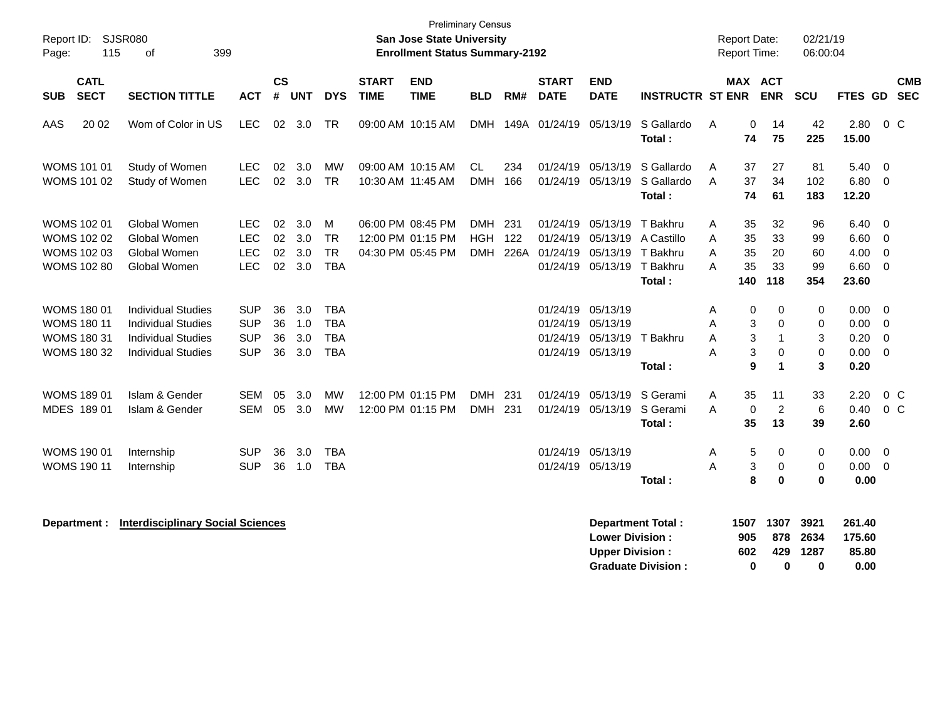| Report ID:<br>115<br>Page:                                                           | SJSR080<br>399<br>οf                                                                                             |                                                      |                      |                          |                                                      |                             | San Jose State University<br><b>Enrollment Status Summary-2192</b> | <b>Preliminary Census</b>       |             |                                       |                                                                                           |                                                          |                  | <b>Report Date:</b><br>Report Time: |                                          | 02/21/19<br>06:00:04                    |                                       |                                                                                        |
|--------------------------------------------------------------------------------------|------------------------------------------------------------------------------------------------------------------|------------------------------------------------------|----------------------|--------------------------|------------------------------------------------------|-----------------------------|--------------------------------------------------------------------|---------------------------------|-------------|---------------------------------------|-------------------------------------------------------------------------------------------|----------------------------------------------------------|------------------|-------------------------------------|------------------------------------------|-----------------------------------------|---------------------------------------|----------------------------------------------------------------------------------------|
| <b>CATL</b><br><b>SECT</b><br><b>SUB</b>                                             | <b>SECTION TITTLE</b>                                                                                            | <b>ACT</b>                                           | $\mathsf{cs}$<br>#   | <b>UNT</b>               | <b>DYS</b>                                           | <b>START</b><br><b>TIME</b> | <b>END</b><br><b>TIME</b>                                          | <b>BLD</b>                      | RM#         | <b>START</b><br><b>DATE</b>           | <b>END</b><br><b>DATE</b>                                                                 | <b>INSTRUCTR ST ENR</b>                                  |                  |                                     | <b>MAX ACT</b><br><b>ENR</b>             | SCU                                     | FTES GD                               | <b>CMB</b><br><b>SEC</b>                                                               |
| AAS<br>20 02                                                                         | Wom of Color in US                                                                                               | <b>LEC</b>                                           | 02                   | 3.0                      | TR                                                   |                             | 09:00 AM 10:15 AM                                                  | <b>DMH</b>                      |             | 149A 01/24/19                         | 05/13/19                                                                                  | S Gallardo<br>Total:                                     | Α                | 0<br>74                             | 14<br>75                                 | 42<br>225                               | 2.80<br>15.00                         | $0\,C$                                                                                 |
| <b>WOMS 101 01</b><br>WOMS 101 02                                                    | Study of Women<br>Study of Women                                                                                 | <b>LEC</b><br><b>LEC</b>                             | 02<br>02             | 3.0<br>3.0               | <b>MW</b><br><b>TR</b>                               |                             | 09:00 AM 10:15 AM<br>10:30 AM 11:45 AM                             | CL.<br><b>DMH</b>               | 234<br>166  | 01/24/19<br>01/24/19                  | 05/13/19<br>05/13/19                                                                      | S Gallardo<br>S Gallardo<br>Total:                       | A<br>A           | 37<br>37<br>74                      | 27<br>34<br>61                           | 81<br>102<br>183                        | 5.40<br>6.80<br>12.20                 | $\overline{0}$<br>$\overline{0}$                                                       |
| <b>WOMS 102 01</b><br><b>WOMS 102 02</b><br><b>WOMS 102 03</b><br><b>WOMS 102 80</b> | Global Women<br>Global Women<br>Global Women<br>Global Women                                                     | <b>LEC</b><br><b>LEC</b><br><b>LEC</b><br><b>LEC</b> | 02<br>02<br>02<br>02 | 3.0<br>3.0<br>3.0<br>3.0 | м<br><b>TR</b><br><b>TR</b><br><b>TBA</b>            |                             | 06:00 PM 08:45 PM<br>12:00 PM 01:15 PM<br>04:30 PM 05:45 PM        | <b>DMH</b><br>HGH<br><b>DMH</b> | 231<br>122  | 01/24/19<br>01/24/19<br>226A 01/24/19 | 05/13/19<br>05/13/19<br>05/13/19<br>01/24/19 05/13/19                                     | T Bakhru<br>A Castillo<br>T Bakhru<br>T Bakhru<br>Total: | A<br>A<br>A<br>A | 35<br>35<br>35<br>35<br>140         | 32<br>33<br>20<br>33<br>118              | 96<br>99<br>60<br>99<br>354             | 6.40<br>6.60<br>4.00<br>6.60<br>23.60 | $\overline{\mathbf{0}}$<br>$\overline{0}$<br>$\overline{0}$<br>$\overline{\mathbf{0}}$ |
| <b>WOMS 180 01</b><br><b>WOMS 180 11</b><br>WOMS 180 31<br><b>WOMS 180 32</b>        | <b>Individual Studies</b><br><b>Individual Studies</b><br><b>Individual Studies</b><br><b>Individual Studies</b> | <b>SUP</b><br><b>SUP</b><br><b>SUP</b><br><b>SUP</b> | 36<br>36<br>36<br>36 | 3.0<br>1.0<br>3.0<br>3.0 | <b>TBA</b><br><b>TBA</b><br><b>TBA</b><br><b>TBA</b> |                             |                                                                    |                                 |             |                                       | 01/24/19 05/13/19<br>01/24/19 05/13/19<br>01/24/19 05/13/19 T Bakhru<br>01/24/19 05/13/19 | Total:                                                   | A<br>A<br>A<br>A | 0<br>3<br>3<br>3<br>9               | 0<br>0<br>1<br>0<br>$\blacktriangleleft$ | 0<br>$\mathbf 0$<br>3<br>$\pmb{0}$<br>3 | 0.00<br>0.00<br>0.20<br>0.00<br>0.20  | $\overline{\mathbf{0}}$<br>0<br>$\overline{0}$<br>$\mathbf 0$                          |
| <b>WOMS 189 01</b><br>MDES 189 01                                                    | Islam & Gender<br>Islam & Gender                                                                                 | SEM<br>SEM                                           | 05<br>05             | 3.0<br>3.0               | МW<br><b>MW</b>                                      |                             | 12:00 PM 01:15 PM<br>12:00 PM 01:15 PM                             | <b>DMH</b><br><b>DMH</b>        | -231<br>231 | 01/24/19                              | 05/13/19<br>01/24/19 05/13/19                                                             | S Gerami<br>S Gerami<br>Total:                           | Α<br>A           | 35<br>$\pmb{0}$<br>35               | 11<br>$\overline{2}$<br>13               | 33<br>$\,6$<br>39                       | 2.20<br>0.40<br>2.60                  | $0\,C$<br>$0\,C$                                                                       |
| <b>WOMS 190 01</b><br><b>WOMS 190 11</b>                                             | Internship<br>Internship                                                                                         | <b>SUP</b><br><b>SUP</b>                             | 36<br>36             | 3.0<br>1.0               | <b>TBA</b><br><b>TBA</b>                             |                             |                                                                    |                                 |             |                                       | 01/24/19 05/13/19<br>01/24/19 05/13/19                                                    | Total:                                                   | A<br>A           | 5<br>3<br>8                         | 0<br>0<br>0                              | 0<br>0<br>$\bf{0}$                      | 0.00<br>0.00<br>0.00                  | $\overline{0}$<br>$\overline{\mathbf{0}}$                                              |
| Department :                                                                         | <b>Interdisciplinary Social Sciences</b>                                                                         |                                                      |                      |                          |                                                      |                             |                                                                    |                                 |             |                                       | <b>Lower Division:</b><br><b>Upper Division:</b>                                          | <b>Department Total:</b><br><b>Graduate Division:</b>    |                  | 1507<br>905<br>602<br>$\bf{0}$      | 1307<br>878<br>429<br>$\bf{0}$           | 3921<br>2634<br>1287<br>$\bf{0}$        | 261.40<br>175.60<br>85.80<br>0.00     |                                                                                        |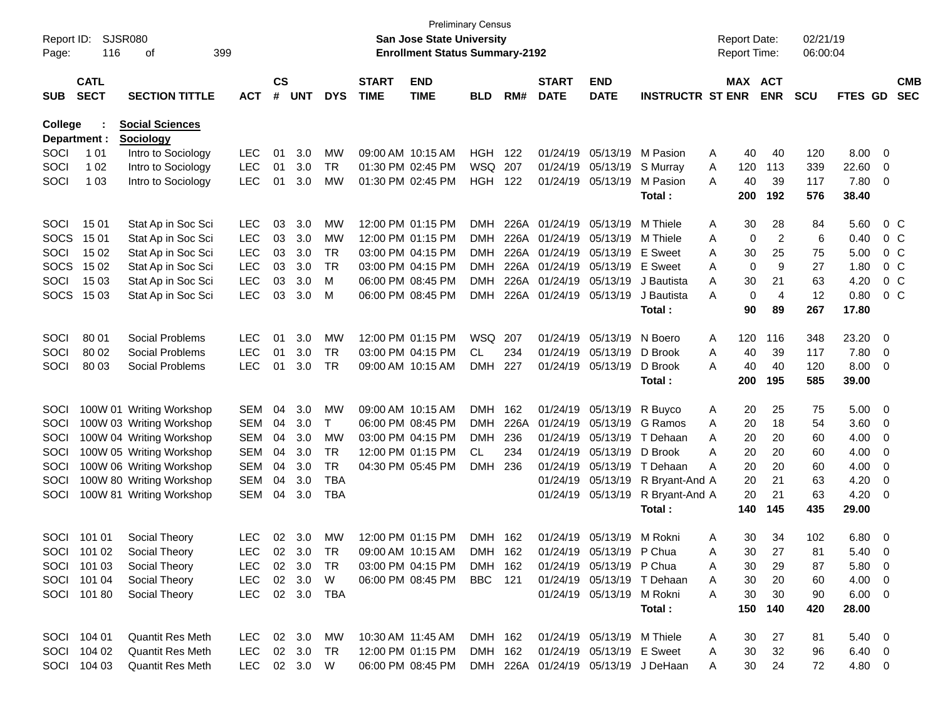| Report ID:<br>Page: | 116                        | <b>SJSR080</b><br>оf     | 399            |                |            |                        |                             | San Jose State University<br><b>Enrollment Status Summary-2192</b> | Preliminary Census |       |                             |                            |                                     |   | <b>Report Date:</b><br><b>Report Time:</b> |                      | 02/21/19<br>06:00:04 |                |                         |                          |
|---------------------|----------------------------|--------------------------|----------------|----------------|------------|------------------------|-----------------------------|--------------------------------------------------------------------|--------------------|-------|-----------------------------|----------------------------|-------------------------------------|---|--------------------------------------------|----------------------|----------------------|----------------|-------------------------|--------------------------|
| <b>SUB</b>          | <b>CATL</b><br><b>SECT</b> | <b>SECTION TITTLE</b>    | <b>ACT</b>     | <b>CS</b><br># | <b>UNT</b> | <b>DYS</b>             | <b>START</b><br><b>TIME</b> | <b>END</b><br><b>TIME</b>                                          | <b>BLD</b>         | RM#   | <b>START</b><br><b>DATE</b> | <b>END</b><br><b>DATE</b>  | <b>INSTRUCTR ST ENR</b>             |   | MAX ACT                                    | <b>ENR</b>           | <b>SCU</b>           | FTES GD        |                         | <b>CMB</b><br><b>SEC</b> |
| <b>College</b>      |                            | <b>Social Sciences</b>   |                |                |            |                        |                             |                                                                    |                    |       |                             |                            |                                     |   |                                            |                      |                      |                |                         |                          |
|                     | Department :               | <b>Sociology</b>         |                |                |            |                        |                             |                                                                    |                    |       |                             |                            |                                     |   |                                            |                      |                      |                |                         |                          |
| SOCI                | 1 0 1                      | Intro to Sociology       | <b>LEC</b>     | 01             | 3.0        | MW                     |                             | 09:00 AM 10:15 AM                                                  | HGH                | - 122 |                             | 01/24/19 05/13/19          | M Pasion                            | Α | 40                                         | 40                   | 120                  | 8.00           | $\overline{\mathbf{0}}$ |                          |
| SOCI                | 1 0 2                      | Intro to Sociology       | <b>LEC</b>     | 01             | 3.0        | TR                     |                             | 01:30 PM 02:45 PM                                                  | WSQ 207            |       |                             | 01/24/19 05/13/19          | S Murray<br>M Pasion                | Α | 120<br>40                                  | 113                  | 339                  | 22.60          | 0                       |                          |
| SOCI                | 1 0 3                      | Intro to Sociology       | <b>LEC</b>     | 01             | 3.0        | МW                     |                             | 01:30 PM 02:45 PM                                                  | HGH                | 122   |                             | 01/24/19 05/13/19          | Total :                             | A | 200                                        | 39<br>192            | 117<br>576           | 7.80<br>38.40  | 0                       |                          |
|                     |                            |                          |                |                |            |                        |                             | 12:00 PM 01:15 PM                                                  |                    |       | 226A 01/24/19 05/13/19      |                            | M Thiele                            |   |                                            |                      |                      |                |                         |                          |
| SOCI                | 15 01                      | Stat Ap in Soc Sci       | <b>LEC</b>     | 03             | 3.0        | МW                     |                             | 12:00 PM 01:15 PM                                                  | DMH                | 226A  |                             | 01/24/19 05/13/19          |                                     | A | 30                                         | 28                   | 84                   | 5.60           |                         | $0\,$ C                  |
| <b>SOCS</b>         | 15 01                      | Stat Ap in Soc Sci       | <b>LEC</b>     | 03             | 3.0        | MW                     |                             | 03:00 PM 04:15 PM                                                  | DMH                |       | 226A 01/24/19 05/13/19      |                            | M Thiele                            | A | 0                                          | $\overline{c}$       | 6                    | 0.40           |                         | 0 <sup>o</sup>           |
| SOCI                | 15 02                      | Stat Ap in Soc Sci       | <b>LEC</b>     | 03             | 3.0        | <b>TR</b><br><b>TR</b> |                             | 03:00 PM 04:15 PM                                                  | DMH                |       | 226A 01/24/19 05/13/19      |                            | <b>E</b> Sweet<br>E Sweet           | A | 30                                         | 25                   | 75                   | 5.00           |                         | 0 <sup>o</sup>           |
| <b>SOCS</b>         | 15 02                      | Stat Ap in Soc Sci       | <b>LEC</b>     | 03             | 3.0        |                        |                             |                                                                    | DMH                |       |                             |                            |                                     | A | 0                                          | 9                    | 27                   | 1.80           |                         | 0 <sup>o</sup>           |
| SOCI                | 15 03                      | Stat Ap in Soc Sci       | <b>LEC</b>     | 03<br>03       | 3.0        | M                      |                             | 06:00 PM 08:45 PM                                                  | DMH                |       | 226A 01/24/19 05/13/19      |                            | J Bautista<br>J Bautista            | A | 30<br>$\mathbf 0$                          | 21<br>$\overline{4}$ | 63                   | 4.20           |                         | 0 <sup>o</sup>           |
| SOCS                | 15 03                      | Stat Ap in Soc Sci       | <b>LEC</b>     |                | 3.0        | M                      |                             | 06:00 PM 08:45 PM                                                  | DMH                |       | 226A 01/24/19 05/13/19      |                            | Total:                              | A | 90                                         | 89                   | 12<br>267            | 0.80<br>17.80  |                         | 0 <sup>o</sup>           |
|                     |                            |                          |                |                |            |                        |                             |                                                                    |                    |       |                             |                            |                                     |   |                                            |                      |                      |                |                         |                          |
| SOCI                | 80 01                      | Social Problems          | LEC            | 01             | 3.0        | МW                     |                             | 12:00 PM 01:15 PM                                                  | WSQ 207            |       |                             | 01/24/19 05/13/19          | N Boero                             | A | 120                                        | 116                  | 348                  | 23.20          | 0                       |                          |
| SOCI                | 80 02                      | Social Problems          | <b>LEC</b>     | 01             | 3.0        | <b>TR</b>              |                             | 03:00 PM 04:15 PM                                                  | <b>CL</b>          | 234   |                             | 01/24/19 05/13/19          | D Brook                             | A | 40                                         | 39                   | 117                  | 7.80           | 0                       |                          |
| SOCI                | 80 03                      | Social Problems          | <b>LEC</b>     | 01             | 3.0        | <b>TR</b>              |                             | 09:00 AM 10:15 AM                                                  | DMH.               | 227   |                             | 01/24/19 05/13/19          | D Brook                             | A | 40                                         | 40                   | 120                  | 8.00           | $\overline{\mathbf{0}}$ |                          |
|                     |                            |                          |                |                |            |                        |                             |                                                                    |                    |       |                             |                            | Total :                             |   | 200                                        | 195                  | 585                  | 39.00          |                         |                          |
| SOCI                |                            | 100W 01 Writing Workshop | <b>SEM</b>     | 04             | 3.0        | MW                     |                             | 09:00 AM 10:15 AM                                                  | <b>DMH</b>         | 162   |                             | 01/24/19 05/13/19          | R Buyco                             | A | 20                                         | 25                   | 75                   | 5.00           | $\overline{\mathbf{0}}$ |                          |
| SOCI                |                            | 100W 03 Writing Workshop | <b>SEM</b>     | 04             | 3.0        | T                      |                             | 06:00 PM 08:45 PM                                                  | <b>DMH</b>         | 226A  |                             | 01/24/19 05/13/19          | G Ramos                             | A | 20                                         | 18                   | 54                   | 3.60           | - 0                     |                          |
| SOCI                |                            | 100W 04 Writing Workshop | <b>SEM</b>     | 04             | 3.0        | <b>MW</b>              |                             | 03:00 PM 04:15 PM                                                  | <b>DMH</b>         | 236   |                             | 01/24/19 05/13/19          | T Dehaan                            | A | 20                                         | 20                   | 60                   | 4.00           | 0                       |                          |
| SOCI                |                            | 100W 05 Writing Workshop | <b>SEM</b>     | 04             | 3.0        | TR                     |                             | 12:00 PM 01:15 PM                                                  | <b>CL</b>          | 234   |                             | 01/24/19 05/13/19          | D Brook                             | Α | 20                                         | 20                   | 60                   | 4.00           | 0                       |                          |
| SOCI                |                            | 100W 06 Writing Workshop | <b>SEM</b>     | 04             | 3.0        | <b>TR</b>              |                             | 04:30 PM 05:45 PM                                                  | DMH.               | 236   |                             | 01/24/19 05/13/19          | T Dehaan                            | A | 20                                         | 20                   | 60                   | 4.00           | 0                       |                          |
| SOCI                |                            | 100W 80 Writing Workshop | <b>SEM</b>     | 04             | 3.0        | <b>TBA</b>             |                             |                                                                    |                    |       |                             | 01/24/19 05/13/19          | R Bryant-And A                      |   | 20                                         | 21                   | 63                   | 4.20           | 0                       |                          |
| SOCI                |                            | 100W 81 Writing Workshop | <b>SEM</b>     | 04             | 3.0        | <b>TBA</b>             |                             |                                                                    |                    |       |                             | 01/24/19 05/13/19          | R Bryant-And A                      |   | 20                                         | 21                   | 63                   | 4.20           | 0                       |                          |
|                     |                            |                          |                |                |            |                        |                             |                                                                    |                    |       |                             |                            | Total:                              |   | 140                                        | 145                  | 435                  | 29.00          |                         |                          |
| SOCI                | 101 01                     | Social Theory            | <b>LEC</b>     | 02             | 3.0        | <b>MW</b>              |                             | 12:00 PM 01:15 PM                                                  | <b>DMH</b>         | 162   |                             | 01/24/19 05/13/19          | M Rokni                             | A | 30                                         | 34                   | 102                  | 6.80           | $\overline{\mathbf{0}}$ |                          |
|                     | SOCI 101 02                | Social Theory            | <b>LEC</b>     |                | 02 3.0     | TR                     |                             | 09:00 AM 10:15 AM                                                  | DMH 162            |       |                             | 01/24/19 05/13/19 P Chua   |                                     | A | 30                                         | 27                   | 81                   | 5.40           | $\Omega$                |                          |
|                     | SOCI 101 03                | Social Theory            | LEC 02 3.0     |                |            | TR.                    |                             | 03:00 PM 04:15 PM                                                  | DMH 162            |       |                             | 01/24/19 05/13/19 P Chua   |                                     | A | 30                                         | 29                   | 87                   | $5.80\ 0$      |                         |                          |
|                     | SOCI 101 04                | Social Theory            | LEC 02 3.0     |                |            | W                      |                             | 06:00 PM 08:45 PM                                                  | <b>BBC</b> 121     |       |                             |                            | 01/24/19 05/13/19 T Dehaan          | Α | 30                                         | 20                   | 60                   | $4.00 \quad 0$ |                         |                          |
|                     | SOCI 101 80                | Social Theory            | LEC 02 3.0 TBA |                |            |                        |                             |                                                                    |                    |       |                             | 01/24/19 05/13/19 M Rokni  |                                     | A | 30                                         | 30                   | 90                   | $6.00 \quad 0$ |                         |                          |
|                     |                            |                          |                |                |            |                        |                             |                                                                    |                    |       |                             |                            | Total:                              |   |                                            | 150 140              | 420                  | 28.00          |                         |                          |
|                     | SOCI 104 01                | <b>Quantit Res Meth</b>  | LEC 02 3.0 MW  |                |            |                        |                             | 10:30 AM 11:45 AM                                                  | DMH 162            |       |                             | 01/24/19 05/13/19 M Thiele |                                     | A | 30                                         | 27                   | 81                   | $5.40 \quad 0$ |                         |                          |
|                     | SOCI 104 02                | <b>Quantit Res Meth</b>  | LEC            |                | 02 3.0     | TR                     |                             | 12:00 PM 01:15 PM                                                  | DMH 162            |       |                             | 01/24/19 05/13/19 E Sweet  |                                     | A | 30                                         | 32                   | 96                   | 6.40 0         |                         |                          |
|                     | SOCI 104 03                | Quantit Res Meth         | LEC 02 3.0 W   |                |            |                        |                             | 06:00 PM 08:45 PM                                                  |                    |       |                             |                            | DMH 226A 01/24/19 05/13/19 J DeHaan | A | 30                                         | 24                   | 72                   | 4.80 0         |                         |                          |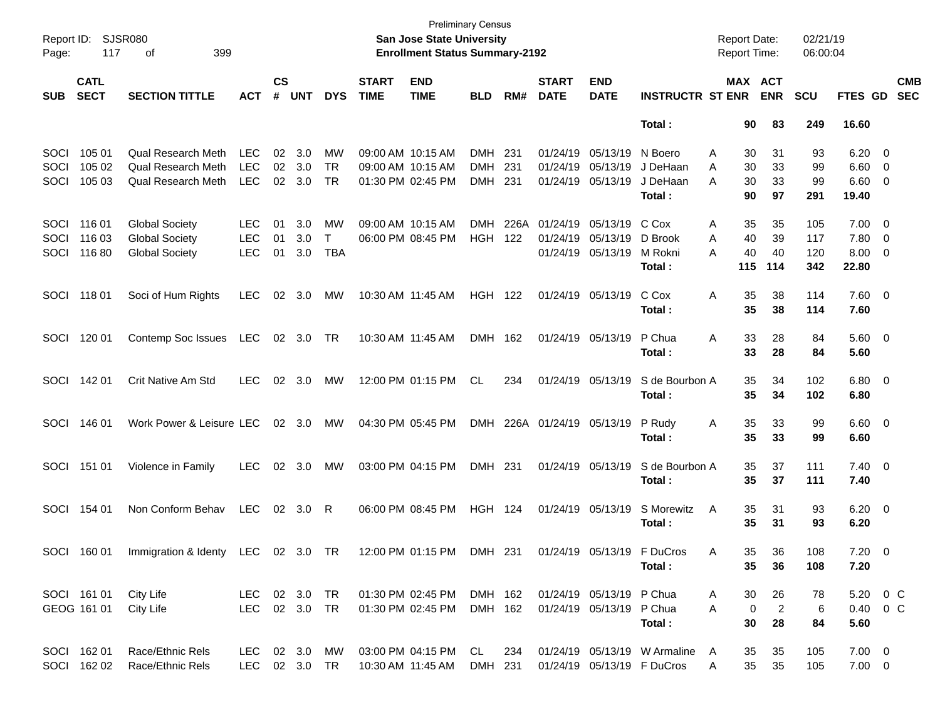|            |             |                                                |               |                 |            |            |                   | <b>Preliminary Census</b>              |                |      |                   |                               |                              |                     |                |            |               |                          |            |
|------------|-------------|------------------------------------------------|---------------|-----------------|------------|------------|-------------------|----------------------------------------|----------------|------|-------------------|-------------------------------|------------------------------|---------------------|----------------|------------|---------------|--------------------------|------------|
| Report ID: |             | SJSR080                                        |               |                 |            |            |                   | <b>San Jose State University</b>       |                |      |                   |                               |                              | <b>Report Date:</b> |                | 02/21/19   |               |                          |            |
| Page:      | 117         | 399<br>οf                                      |               |                 |            |            |                   | <b>Enrollment Status Summary-2192</b>  |                |      |                   |                               |                              | <b>Report Time:</b> |                | 06:00:04   |               |                          |            |
|            | <b>CATL</b> |                                                |               | $\mathsf{cs}$   |            |            | <b>START</b>      | <b>END</b>                             |                |      | <b>START</b>      | <b>END</b>                    |                              | <b>MAX ACT</b>      |                |            |               |                          | <b>CMB</b> |
| <b>SUB</b> | <b>SECT</b> | <b>SECTION TITTLE</b>                          | <b>ACT</b>    | #               | <b>UNT</b> | <b>DYS</b> | <b>TIME</b>       | <b>TIME</b>                            | <b>BLD</b>     | RM#  | <b>DATE</b>       | <b>DATE</b>                   | <b>INSTRUCTR ST ENR</b>      |                     | <b>ENR</b>     | <b>SCU</b> | FTES GD       |                          | <b>SEC</b> |
|            |             |                                                |               |                 |            |            |                   |                                        |                |      |                   |                               | Total:                       | 90                  | 83             | 249        | 16.60         |                          |            |
| SOCI       | 105 01      | <b>Qual Research Meth</b>                      | <b>LEC</b>    | 02              | 3.0        | MW         | 09:00 AM 10:15 AM |                                        | <b>DMH</b>     | 231  | 01/24/19          | 05/13/19                      | N Boero                      | Α<br>30             | 31             | 93         | 6.20          | $\overline{\mathbf{0}}$  |            |
| SOCI       | 105 02      | <b>Qual Research Meth</b>                      | <b>LEC</b>    | 02              | 3.0        | <b>TR</b>  |                   | 09:00 AM 10:15 AM                      | <b>DMH</b>     | 231  | 01/24/19          | 05/13/19                      | J DeHaan                     | 30<br>A             | 33             | 99         | 6.60          | $\overline{\mathbf{0}}$  |            |
| SOCI       | 105 03      | <b>Qual Research Meth</b>                      | <b>LEC</b>    | 02              | 3.0        | <b>TR</b>  |                   | 01:30 PM 02:45 PM                      | <b>DMH</b>     | 231  | 01/24/19          | 05/13/19                      | J DeHaan                     | А<br>30             | 33             | 99         | 6.60          | $\overline{\mathbf{0}}$  |            |
|            |             |                                                |               |                 |            |            |                   |                                        |                |      |                   |                               | Total:                       | 90                  | 97             | 291        | 19.40         |                          |            |
|            |             |                                                |               |                 |            |            |                   |                                        | <b>DMH</b>     | 226A | 01/24/19          |                               | C Cox                        |                     |                |            |               |                          |            |
| SOCI       | 116 01      | <b>Global Society</b>                          | <b>LEC</b>    | 01              | 3.0        | MW         |                   | 09:00 AM 10:15 AM<br>06:00 PM 08:45 PM |                |      |                   | 05/13/19                      | D Brook                      | 35<br>Α             | 35             | 105        | 7.00          | $\overline{\phantom{0}}$ |            |
| SOCI       | 116 03      | <b>Global Society</b><br><b>Global Society</b> | <b>LEC</b>    | 01              | 3.0        | T          |                   |                                        | <b>HGH</b>     | 122  | 01/24/19          | 05/13/19<br>01/24/19 05/13/19 |                              | 40<br>A             | 39             | 117        | 7.80          | $\overline{\mathbf{0}}$  |            |
| SOCI       | 11680       |                                                | <b>LEC</b>    | 01              | 3.0        | <b>TBA</b> |                   |                                        |                |      |                   |                               | M Rokni<br>Total:            | 40<br>А<br>115      | 40<br>114      | 120<br>342 | 8.00<br>22.80 | 0                        |            |
|            |             |                                                |               |                 |            |            |                   |                                        |                |      |                   |                               |                              |                     |                |            |               |                          |            |
| SOCI       | 11801       | Soci of Hum Rights                             | <b>LEC</b>    | 02              | 3.0        | MW         | 10:30 AM 11:45 AM |                                        | <b>HGH</b>     | 122  | 01/24/19 05/13/19 |                               | C Cox                        | Α<br>35             | 38             | 114        | 7.60 0        |                          |            |
|            |             |                                                |               |                 |            |            |                   |                                        |                |      |                   |                               | Total:                       | 35                  | 38             | 114        | 7.60          |                          |            |
|            |             |                                                |               |                 |            |            |                   |                                        |                |      |                   |                               |                              |                     |                |            |               |                          |            |
| SOCI       | 120 01      | Contemp Soc Issues                             | LEC           | 02              | 3.0        | TR         | 10:30 AM 11:45 AM |                                        | <b>DMH</b>     | 162  | 01/24/19 05/13/19 |                               | P Chua                       | Α<br>33             | 28             | 84         | 5.60 0        |                          |            |
|            |             |                                                |               |                 |            |            |                   |                                        |                |      |                   |                               | Total:                       | 33                  | 28             | 84         | 5.60          |                          |            |
| SOCI       | 142 01      | Crit Native Am Std                             | <b>LEC</b>    | 02              | 3.0        | МW         |                   | 12:00 PM 01:15 PM                      | CL.            | 234  | 01/24/19 05/13/19 |                               | S de Bourbon A               | 35                  | 34             | 102        | $6.80$ 0      |                          |            |
|            |             |                                                |               |                 |            |            |                   |                                        |                |      |                   |                               | Total:                       | 35                  | 34             | 102        | 6.80          |                          |            |
|            |             |                                                |               |                 |            |            |                   |                                        |                |      |                   |                               |                              |                     |                |            |               |                          |            |
| SOCI       | 146 01      | Work Power & Leisure LEC                       |               | 02 <sub>o</sub> | 3.0        | МW         | 04:30 PM 05:45 PM |                                        | <b>DMH</b>     | 226A | 01/24/19 05/13/19 |                               | P Rudy                       | 35<br>A             | 33             | 99         | $6.60$ 0      |                          |            |
|            |             |                                                |               |                 |            |            |                   |                                        |                |      |                   |                               | Total:                       | 35                  | 33             | 99         | 6.60          |                          |            |
|            |             |                                                |               |                 |            |            |                   |                                        |                |      |                   |                               |                              |                     |                |            |               |                          |            |
| SOCI       | 151 01      | Violence in Family                             | <b>LEC</b>    | 02              | 3.0        | МW         | 03:00 PM 04:15 PM |                                        | DMH 231        |      | 01/24/19 05/13/19 |                               | S de Bourbon A               | 35                  | 37             | 111        | $7.40 \ 0$    |                          |            |
|            |             |                                                |               |                 |            |            |                   |                                        |                |      |                   |                               | Total:                       | 35                  | 37             | 111        | 7.40          |                          |            |
| SOCI       | 154 01      | Non Conform Behav                              | <b>LEC</b>    | 02              | 3.0        | R          |                   | 06:00 PM 08:45 PM                      | <b>HGH 124</b> |      | 01/24/19 05/13/19 |                               | S Morewitz                   | A<br>35             | 31             | 93         | $6.20 \t 0$   |                          |            |
|            |             |                                                |               |                 |            |            |                   |                                        |                |      |                   |                               | Total:                       | 35                  | 31             | 93         | 6.20          |                          |            |
|            |             |                                                |               |                 |            |            |                   |                                        |                |      |                   |                               |                              |                     |                |            |               |                          |            |
|            | SOCI 160 01 | Immigration & Identy LEC 02 3.0 TR             |               |                 |            |            |                   | 12:00 PM 01:15 PM DMH 231              |                |      |                   |                               | 01/24/19 05/13/19 F DuCros   | 35.<br>A            | 36             | 108        | $7.20 \t 0$   |                          |            |
|            |             |                                                |               |                 |            |            |                   |                                        |                |      |                   |                               | Total:                       | 35                  | 36             | 108        | 7.20          |                          |            |
|            | SOCI 161 01 | City Life                                      | LEC 02 3.0 TR |                 |            |            |                   | 01:30 PM 02:45 PM                      | DMH 162        |      |                   | 01/24/19 05/13/19 P Chua      |                              | 30<br>A             | 26             | 78         | 5.20 0 C      |                          |            |
|            | GEOG 161 01 | City Life                                      | <b>LEC</b>    |                 | 02 3.0 TR  |            |                   | 01:30 PM 02:45 PM                      | DMH 162        |      |                   | 01/24/19 05/13/19 P Chua      |                              | $\mathbf 0$<br>A    | $\overline{2}$ | 6          | 0.40 0 C      |                          |            |
|            |             |                                                |               |                 |            |            |                   |                                        |                |      |                   |                               | Total:                       | 30                  | 28             | 84         | 5.60          |                          |            |
|            |             |                                                |               |                 |            |            |                   |                                        |                |      |                   |                               |                              |                     |                |            |               |                          |            |
|            | SOCI 162 01 | Race/Ethnic Rels                               | LEC           |                 | 02 3.0     | MW         |                   | 03:00 PM 04:15 PM                      | CL.            | 234  |                   |                               | 01/24/19 05/13/19 W Armaline | A<br>35             | 35             | 105        | $7.00 \t 0$   |                          |            |
|            | SOCI 162 02 | Race/Ethnic Rels                               | <b>LEC</b>    |                 | 02 3.0 TR  |            | 10:30 AM 11:45 AM |                                        | DMH 231        |      |                   |                               | 01/24/19 05/13/19 F DuCros   | 35<br>Α             | 35             | 105        | $7.00 \t 0$   |                          |            |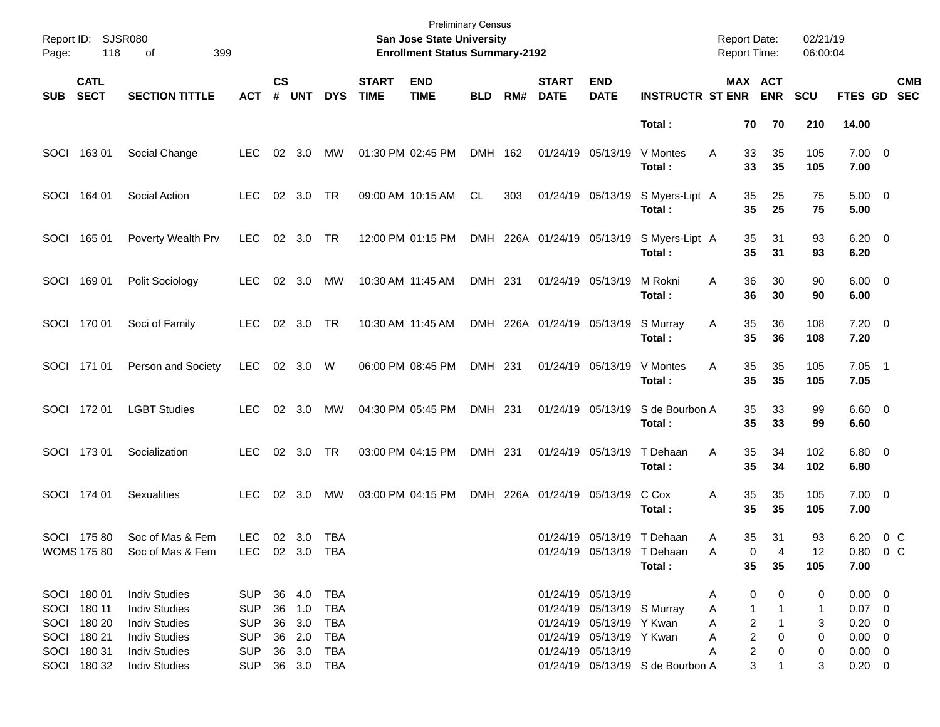| Page:      | Report ID: SJSR080<br>118<br>399<br>οf |                                      |                              |                |            |            |                             | <b>Preliminary Census</b><br>San Jose State University<br><b>Enrollment Status Summary-2192</b> |            |     |                             |                            |                                                   | <b>Report Date:</b><br><b>Report Time:</b> |                                       | 02/21/19<br>06:00:04 |                          |     |                          |
|------------|----------------------------------------|--------------------------------------|------------------------------|----------------|------------|------------|-----------------------------|-------------------------------------------------------------------------------------------------|------------|-----|-----------------------------|----------------------------|---------------------------------------------------|--------------------------------------------|---------------------------------------|----------------------|--------------------------|-----|--------------------------|
| <b>SUB</b> | <b>CATL</b><br><b>SECT</b>             | <b>SECTION TITTLE</b>                | <b>ACT</b>                   | <b>CS</b><br># | <b>UNT</b> | <b>DYS</b> | <b>START</b><br><b>TIME</b> | <b>END</b><br><b>TIME</b>                                                                       | <b>BLD</b> | RM# | <b>START</b><br><b>DATE</b> | <b>END</b><br><b>DATE</b>  | <b>INSTRUCTR ST ENR</b>                           |                                            | MAX ACT<br><b>ENR</b>                 | <b>SCU</b>           | FTES GD                  |     | <b>CMB</b><br><b>SEC</b> |
|            |                                        |                                      |                              |                |            |            |                             |                                                                                                 |            |     |                             |                            | Total:                                            |                                            | 70<br>70                              | 210                  | 14.00                    |     |                          |
| SOCI       | 16301                                  | Social Change                        | <b>LEC</b>                   |                | 02 3.0     | MW         |                             | 01:30 PM 02:45 PM                                                                               | DMH 162    |     |                             | 01/24/19 05/13/19          | V Montes<br>Total:                                | A                                          | 33<br>35<br>33<br>35                  | 105<br>105           | $7.00 \t 0$<br>7.00      |     |                          |
| SOCI       | 164 01                                 | Social Action                        | <b>LEC</b>                   |                | 02 3.0     | TR         |                             | 09:00 AM 10:15 AM                                                                               | CL         | 303 |                             | 01/24/19 05/13/19          | S Myers-Lipt A<br>Total:                          |                                            | 35<br>25<br>35<br>25                  | 75<br>75             | $5.00 \t 0$<br>5.00      |     |                          |
| SOCI       | 165 01                                 | Poverty Wealth Prv                   | <b>LEC</b>                   |                | 02 3.0     | TR         |                             | 12:00 PM 01:15 PM                                                                               |            |     | DMH 226A 01/24/19 05/13/19  |                            | S Myers-Lipt A<br>Total:                          |                                            | 35<br>31<br>35<br>31                  | 93<br>93             | $6.20 \quad 0$<br>6.20   |     |                          |
| SOCI       | 16901                                  | Polit Sociology                      | <b>LEC</b>                   | 02             | 3.0        | <b>MW</b>  |                             | 10:30 AM 11:45 AM                                                                               | DMH 231    |     |                             | 01/24/19 05/13/19          | M Rokni<br>Total:                                 | A                                          | 36<br>30<br>36<br>30                  | 90<br>90             | $6.00 \quad 0$<br>6.00   |     |                          |
| SOCI       | 170 01                                 | Soci of Family                       | <b>LEC</b>                   |                | 02 3.0     | TR         |                             | 10:30 AM 11:45 AM                                                                               |            |     | DMH 226A 01/24/19 05/13/19  |                            | S Murray<br>Total:                                | A                                          | 35<br>36<br>35<br>36                  | 108<br>108           | $7.20 \t 0$<br>7.20      |     |                          |
|            | SOCI 171 01                            | Person and Society                   | <b>LEC</b>                   |                | 02 3.0     | W          |                             | 06:00 PM 08:45 PM                                                                               | DMH 231    |     |                             | 01/24/19 05/13/19          | V Montes<br>Total:                                | A                                          | 35<br>35<br>35<br>35                  | 105<br>105           | $7.05$ 1<br>7.05         |     |                          |
| SOCI       | 17201                                  | <b>LGBT Studies</b>                  | <b>LEC</b>                   |                | 02 3.0     | MW         |                             | 04:30 PM 05:45 PM                                                                               | DMH 231    |     |                             | 01/24/19 05/13/19          | S de Bourbon A<br>Total:                          |                                            | 35<br>33<br>35<br>33                  | 99<br>99             | $6.60$ 0<br>6.60         |     |                          |
| SOCI       | 17301                                  | Socialization                        | <b>LEC</b>                   |                | 02 3.0     | TR         |                             | 03:00 PM 04:15 PM                                                                               | DMH 231    |     |                             | 01/24/19 05/13/19          | T Dehaan<br>Total:                                | A                                          | 35<br>34<br>35<br>34                  | 102<br>102           | $6.80$ 0<br>6.80         |     |                          |
|            | SOCI 174 01                            | <b>Sexualities</b>                   | <b>LEC</b>                   |                | 02 3.0     | MW         |                             | 03:00 PM 04:15 PM                                                                               |            |     | DMH 226A 01/24/19 05/13/19  |                            | C Cox<br>Total:                                   | Α                                          | 35<br>35<br>35<br>35                  | 105<br>105           | $7.00 \t 0$<br>7.00      |     |                          |
|            | SOCI 175 80<br><b>WOMS 175 80</b>      | Soc of Mas & Fem<br>Soc of Mas & Fem | <b>LEC</b><br>LEC 02 3.0 TBA |                | 02 3.0     | <b>TBA</b> |                             |                                                                                                 |            |     |                             | 01/24/19 05/13/19          | T Dehaan<br>01/24/19 05/13/19 T Dehaan<br>Total : | Α<br>A                                     | 35<br>31<br>$\Omega$<br>4<br>35<br>35 | 93<br>12<br>105      | 6.20<br>0.80 0 C<br>7.00 | 0 C |                          |
|            | SOCI 180 01                            | <b>Indiv Studies</b>                 | SUP                          |                | 36 4.0     | TBA        |                             |                                                                                                 |            |     |                             | 01/24/19 05/13/19          |                                                   | A                                          | 0<br>0                                | 0                    | $0.00 \t 0$              |     |                          |
| SOCI       | 180 11                                 | <b>Indiv Studies</b>                 | <b>SUP</b>                   |                | 36 1.0     | TBA        |                             |                                                                                                 |            |     |                             | 01/24/19 05/13/19 S Murray |                                                   | A                                          | 1<br>-1                               | 1                    | $0.07$ 0                 |     |                          |
|            | SOCI 180 20                            | <b>Indiv Studies</b>                 | <b>SUP</b>                   |                | 36 3.0     | TBA        |                             |                                                                                                 |            |     |                             | 01/24/19 05/13/19 Y Kwan   |                                                   | A                                          | 2<br>1                                | 3                    | $0.20 \ 0$               |     |                          |
|            | SOCI 180 21                            | <b>Indiv Studies</b>                 | <b>SUP</b>                   |                | 36 2.0     | TBA        |                             |                                                                                                 |            |     |                             | 01/24/19 05/13/19 Y Kwan   |                                                   | A                                          | 2<br>0                                | 0                    | $0.00 \t 0$              |     |                          |
|            | SOCI 180 31                            | <b>Indiv Studies</b>                 | <b>SUP</b>                   |                | 36 3.0     | TBA        |                             |                                                                                                 |            |     |                             | 01/24/19 05/13/19          |                                                   | A                                          | 2<br>0                                | 0                    | $0.00 \t 0$              |     |                          |
|            | SOCI 180 32                            | <b>Indiv Studies</b>                 | SUP 36 3.0 TBA               |                |            |            |                             |                                                                                                 |            |     |                             |                            | 01/24/19 05/13/19 S de Bourbon A                  |                                            | 3<br>1                                | 3                    | $0.20 \ 0$               |     |                          |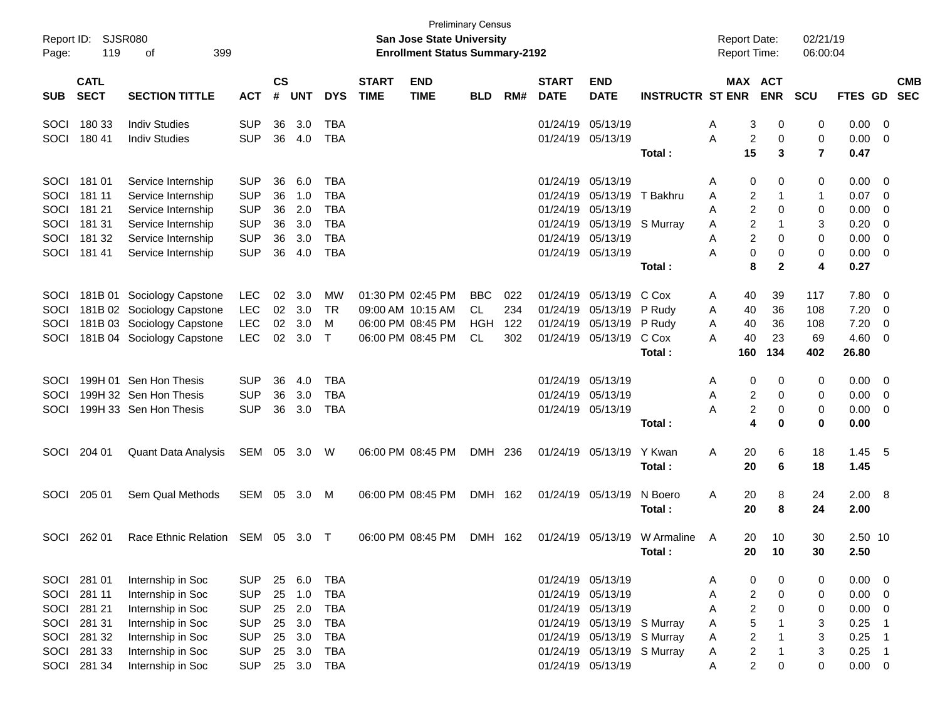| Report ID:<br>Page: | 119                                                               | <b>SJSR080</b><br>399<br>οf |            |    |            |            |                             | San Jose State University<br><b>Enrollment Status Summary-2192</b> | <b>Preliminary Census</b> |     |                             |                            |                         | <b>Report Date:</b><br><b>Report Time:</b> |                |                       | 02/21/19<br>06:00:04 |                |                         |                          |
|---------------------|-------------------------------------------------------------------|-----------------------------|------------|----|------------|------------|-----------------------------|--------------------------------------------------------------------|---------------------------|-----|-----------------------------|----------------------------|-------------------------|--------------------------------------------|----------------|-----------------------|----------------------|----------------|-------------------------|--------------------------|
| <b>SUB</b>          | <b>CATL</b><br><b>SECT</b><br><b>SECTION TITTLE</b><br><b>ACT</b> |                             |            |    | <b>UNT</b> | <b>DYS</b> | <b>START</b><br><b>TIME</b> | <b>END</b><br><b>TIME</b>                                          | <b>BLD</b>                | RM# | <b>START</b><br><b>DATE</b> | <b>END</b><br><b>DATE</b>  | <b>INSTRUCTR ST ENR</b> |                                            |                | MAX ACT<br><b>ENR</b> | <b>SCU</b>           | <b>FTES GD</b> |                         | <b>CMB</b><br><b>SEC</b> |
| SOCI                | 180 33                                                            | <b>Indiv Studies</b>        | <b>SUP</b> | 36 | 3.0        | TBA        |                             |                                                                    |                           |     |                             | 01/24/19 05/13/19          |                         | Α                                          | 3              | 0                     | 0                    | 0.00           | $\overline{0}$          |                          |
| SOCI                | 180 41                                                            | <b>Indiv Studies</b>        | <b>SUP</b> | 36 | 4.0        | <b>TBA</b> |                             |                                                                    |                           |     |                             | 01/24/19 05/13/19          |                         | Α                                          | 2              | 0                     | 0                    | 0.00           | 0                       |                          |
|                     |                                                                   |                             |            |    |            |            |                             |                                                                    |                           |     |                             |                            | Total:                  |                                            | 15             | 3                     | $\overline{7}$       | 0.47           |                         |                          |
| SOCI                | 181 01                                                            | Service Internship          | <b>SUP</b> | 36 | 6.0        | <b>TBA</b> |                             |                                                                    |                           |     |                             | 01/24/19 05/13/19          |                         | Α                                          | 0              | 0                     | 0                    | 0.00           | 0                       |                          |
| SOCI                | 181 11                                                            | Service Internship          | <b>SUP</b> | 36 | 1.0        | <b>TBA</b> |                             |                                                                    |                           |     |                             | 01/24/19 05/13/19          | T Bakhru                | A                                          | 2              |                       | -1                   | 0.07           | 0                       |                          |
| SOCI                | 181 21                                                            | Service Internship          | <b>SUP</b> | 36 | 2.0        | <b>TBA</b> |                             |                                                                    |                           |     |                             | 01/24/19 05/13/19          |                         | A                                          | 2              | 0                     | 0                    | 0.00           | 0                       |                          |
| SOCI                | 181 31                                                            | Service Internship          | <b>SUP</b> | 36 | 3.0        | <b>TBA</b> |                             |                                                                    |                           |     |                             | 01/24/19 05/13/19          | S Murray                | Α                                          | 2              |                       | 3                    | 0.20           | 0                       |                          |
| SOCI                | 181 32                                                            | Service Internship          | <b>SUP</b> | 36 | 3.0        | <b>TBA</b> |                             |                                                                    |                           |     |                             | 01/24/19 05/13/19          |                         | A                                          | 2              | 0                     | 0                    | 0.00           | 0                       |                          |
| SOCI                | 181 41                                                            | Service Internship          | <b>SUP</b> | 36 | 4.0        | <b>TBA</b> |                             |                                                                    |                           |     |                             | 01/24/19 05/13/19          |                         | А                                          | 0              | 0                     | 0                    | 0.00           | 0                       |                          |
|                     |                                                                   |                             |            |    |            |            |                             |                                                                    |                           |     |                             |                            | Total:                  |                                            | 8              | $\mathbf{2}$          | 4                    | 0.27           |                         |                          |
| SOCI                |                                                                   | 181B 01 Sociology Capstone  | LEC        | 02 | 3.0        | MW         |                             | 01:30 PM 02:45 PM                                                  | <b>BBC</b>                | 022 |                             | 01/24/19 05/13/19          | C Cox                   | A                                          | 40             | 39                    | 117                  | 7.80           | 0                       |                          |
| SOCI                |                                                                   | 181B 02 Sociology Capstone  | LEC        | 02 | 3.0        | TR         |                             | 09:00 AM 10:15 AM                                                  | CL                        | 234 |                             | 01/24/19 05/13/19          | P Rudy                  | Α                                          | 40             | 36                    | 108                  | 7.20           | 0                       |                          |
| SOCI                |                                                                   | 181B 03 Sociology Capstone  | LEC        | 02 | 3.0        | М          |                             | 06:00 PM 08:45 PM                                                  | HGH                       | 122 |                             | 01/24/19 05/13/19          | P Rudy                  | Α                                          | 40             | 36                    | 108                  | 7.20           | 0                       |                          |
| SOCI                |                                                                   | 181B 04 Sociology Capstone  | <b>LEC</b> | 02 | 3.0        | $\top$     |                             | 06:00 PM 08:45 PM                                                  | <b>CL</b>                 | 302 |                             | 01/24/19 05/13/19          | C Cox                   | A                                          | 40             | 23                    | 69                   | 4.60           | 0                       |                          |
|                     |                                                                   |                             |            |    |            |            |                             |                                                                    |                           |     |                             |                            | Total :                 |                                            | 160            | 134                   | 402                  | 26.80          |                         |                          |
| SOCI                |                                                                   | 199H 01 Sen Hon Thesis      | <b>SUP</b> | 36 | 4.0        | <b>TBA</b> |                             |                                                                    |                           |     |                             | 01/24/19 05/13/19          |                         | Α                                          | 0              | 0                     | 0                    | 0.00           | $\overline{0}$          |                          |
| SOCI                |                                                                   | 199H 32 Sen Hon Thesis      | <b>SUP</b> | 36 | 3.0        | TBA        |                             |                                                                    |                           |     |                             | 01/24/19 05/13/19          |                         | A                                          | 2              | 0                     | 0                    | 0.00           | $\mathbf 0$             |                          |
| SOCI                |                                                                   | 199H 33 Sen Hon Thesis      | <b>SUP</b> | 36 | 3.0        | <b>TBA</b> |                             |                                                                    |                           |     |                             | 01/24/19 05/13/19          |                         | А                                          | 2              | 0                     | 0                    | 0.00           | 0                       |                          |
|                     |                                                                   |                             |            |    |            |            |                             |                                                                    |                           |     |                             |                            | Total:                  |                                            | 4              | 0                     | 0                    | 0.00           |                         |                          |
| SOCI                | 204 01                                                            | <b>Quant Data Analysis</b>  | SEM 05     |    | 3.0        | W          |                             | 06:00 PM 08:45 PM                                                  | DMH 236                   |     |                             | 01/24/19 05/13/19          | Y Kwan                  | Α                                          | 20             | 6                     | 18                   | 1.45           | - 5                     |                          |
|                     |                                                                   |                             |            |    |            |            |                             |                                                                    |                           |     |                             |                            | Total :                 |                                            | 20             | 6                     | 18                   | 1.45           |                         |                          |
|                     |                                                                   |                             |            |    |            |            |                             |                                                                    |                           |     |                             |                            |                         |                                            |                |                       |                      |                |                         |                          |
| SOCI                | 205 01                                                            | Sem Qual Methods            | SEM        | 05 | - 3.0      | M          |                             | 06:00 PM 08:45 PM                                                  | DMH 162                   |     |                             | 01/24/19 05/13/19          | N Boero<br>Total :      | Α                                          | 20<br>20       | 8<br>8                | 24<br>24             | 2.00<br>2.00   | $_{\rm 8}$              |                          |
|                     |                                                                   |                             |            |    |            |            |                             |                                                                    |                           |     |                             |                            |                         |                                            |                |                       |                      |                |                         |                          |
| SOCI                | 262 01                                                            | <b>Race Ethnic Relation</b> | SEM        | 05 | -3.0       | $\top$     |                             | 06:00 PM 08:45 PM                                                  | DMH 162                   |     |                             | 01/24/19 05/13/19          | W Armaline              | A                                          | 20             | 10                    | 30                   | 2.50 10        |                         |                          |
|                     |                                                                   |                             |            |    |            |            |                             |                                                                    |                           |     |                             |                            | Total:                  |                                            | 20             | 10                    | 30                   | 2.50           |                         |                          |
|                     | SOCI 281 01                                                       | Internship in Soc           | <b>SUP</b> |    | 25 6.0     | TBA        |                             |                                                                    |                           |     |                             | 01/24/19 05/13/19          |                         | A                                          | 0              | 0                     | 0                    | 0.00           | $\overline{\mathbf{0}}$ |                          |
| SOCI                | 281 11                                                            | Internship in Soc           | <b>SUP</b> | 25 | 1.0        | <b>TBA</b> |                             |                                                                    |                           |     |                             | 01/24/19 05/13/19          |                         | A                                          | 2              | 0                     | 0                    | 0.00           | $\overline{0}$          |                          |
| SOCI                | 281 21                                                            | Internship in Soc           | <b>SUP</b> | 25 | 2.0        | <b>TBA</b> |                             |                                                                    |                           |     |                             | 01/24/19 05/13/19          |                         | A                                          | $\overline{c}$ | 0                     | 0                    | 0.00           | $\overline{0}$          |                          |
| SOCI                | 281 31                                                            | Internship in Soc           | <b>SUP</b> | 25 | 3.0        | <b>TBA</b> |                             |                                                                    |                           |     |                             | 01/24/19 05/13/19 S Murray |                         | A                                          | 5              |                       | 3                    | 0.25           | -1                      |                          |
| SOCI                | 281 32                                                            | Internship in Soc           | <b>SUP</b> | 25 | 3.0        | <b>TBA</b> |                             |                                                                    |                           |     |                             | 01/24/19 05/13/19 S Murray |                         | A                                          | $\overline{c}$ |                       | 3                    | 0.25           | - 1                     |                          |
| SOCI                | 281 33                                                            | Internship in Soc           | <b>SUP</b> | 25 | 3.0        | <b>TBA</b> |                             |                                                                    |                           |     |                             | 01/24/19 05/13/19 S Murray |                         | A                                          | $\overline{c}$ | -1                    | 3                    | 0.25           | - 1                     |                          |
|                     | SOCI 281 34                                                       | Internship in Soc           | <b>SUP</b> |    | 25 3.0     | <b>TBA</b> |                             |                                                                    |                           |     |                             | 01/24/19 05/13/19          |                         | A                                          | $\overline{c}$ | 0                     | 0                    | $0.00 \t 0$    |                         |                          |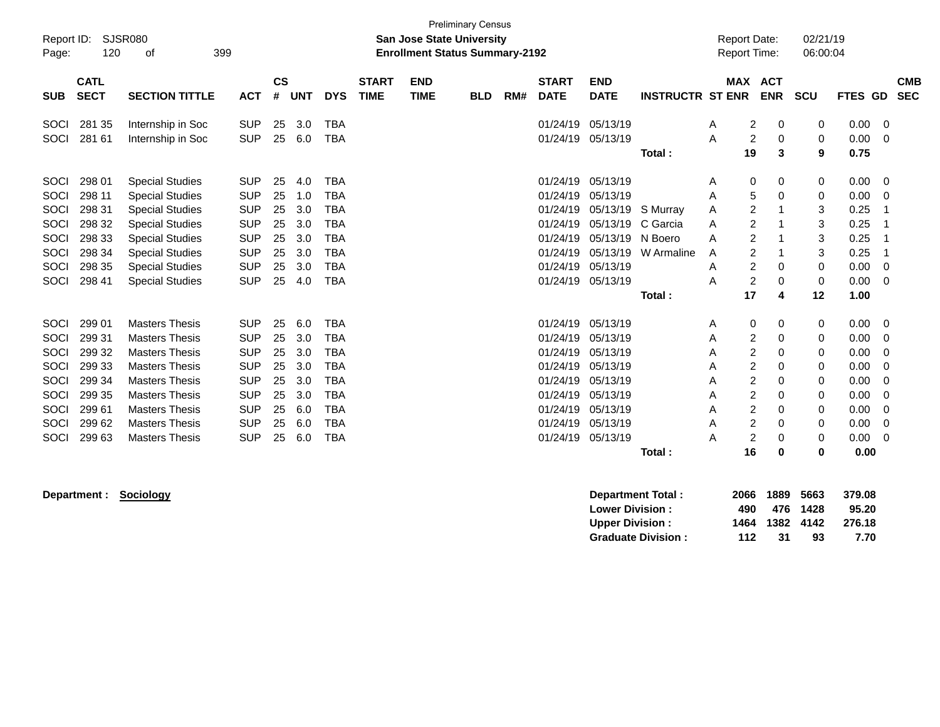| Report ID:<br>Page:                                                  | 120                                                                                    | SJSR080<br>399<br>of                                                                                                                                                                                                          |                                                                                                                            |                                                    |                                                             |                                                                                                                            |                             | <b>San Jose State University</b><br><b>Enrollment Status Summary-2192</b> | <b>Preliminary Census</b> |     |                                                                                                          |                                                                                                          |                                                         |                                           | <b>Report Date:</b><br>Report Time:                                                                                                                         |                                                | 02/21/19<br>06:00:04                           |                                                                              |                                                                                     |
|----------------------------------------------------------------------|----------------------------------------------------------------------------------------|-------------------------------------------------------------------------------------------------------------------------------------------------------------------------------------------------------------------------------|----------------------------------------------------------------------------------------------------------------------------|----------------------------------------------------|-------------------------------------------------------------|----------------------------------------------------------------------------------------------------------------------------|-----------------------------|---------------------------------------------------------------------------|---------------------------|-----|----------------------------------------------------------------------------------------------------------|----------------------------------------------------------------------------------------------------------|---------------------------------------------------------|-------------------------------------------|-------------------------------------------------------------------------------------------------------------------------------------------------------------|------------------------------------------------|------------------------------------------------|------------------------------------------------------------------------------|-------------------------------------------------------------------------------------|
| <b>SUB</b>                                                           | <b>CATL</b><br><b>SECT</b>                                                             | <b>SECTION TITTLE</b>                                                                                                                                                                                                         | <b>ACT</b>                                                                                                                 | <b>CS</b><br>#                                     | <b>UNT</b>                                                  | <b>DYS</b>                                                                                                                 | <b>START</b><br><b>TIME</b> | <b>END</b><br><b>TIME</b>                                                 | <b>BLD</b>                | RM# | <b>START</b><br><b>DATE</b>                                                                              | <b>END</b><br><b>DATE</b>                                                                                | <b>INSTRUCTR ST ENR</b>                                 |                                           |                                                                                                                                                             | <b>MAX ACT</b><br><b>ENR</b>                   | <b>SCU</b>                                     | FTES GD                                                                      | <b>CMB</b><br><b>SEC</b>                                                            |
| SOCI<br>SOCI                                                         | 281 35<br>281 61                                                                       | Internship in Soc<br>Internship in Soc                                                                                                                                                                                        | <b>SUP</b><br><b>SUP</b>                                                                                                   | 25<br>25                                           | 3.0<br>6.0                                                  | <b>TBA</b><br><b>TBA</b>                                                                                                   |                             |                                                                           |                           |     | 01/24/19<br>01/24/19                                                                                     | 05/13/19<br>05/13/19                                                                                     | Total:                                                  | A<br>A                                    | 2<br>$\overline{c}$<br>19                                                                                                                                   | 0<br>0<br>3                                    | 0<br>0<br>9                                    | 0.00<br>0.00<br>0.75                                                         | 0<br>0                                                                              |
| SOCI<br>SOCI<br>SOCI<br>SOCI<br>SOCI<br>SOCI<br>SOCI<br>SOCI         | 298 01<br>298 11<br>298 31<br>298 32<br>298 33<br>298 34<br>298 35<br>298 41           | <b>Special Studies</b><br><b>Special Studies</b><br><b>Special Studies</b><br><b>Special Studies</b><br><b>Special Studies</b><br><b>Special Studies</b><br><b>Special Studies</b><br><b>Special Studies</b>                  | <b>SUP</b><br><b>SUP</b><br><b>SUP</b><br><b>SUP</b><br><b>SUP</b><br><b>SUP</b><br><b>SUP</b><br><b>SUP</b>               | 25<br>25<br>25<br>25<br>25<br>25<br>25<br>25       | 4.0<br>1.0<br>3.0<br>3.0<br>3.0<br>3.0<br>3.0<br>4.0        | <b>TBA</b><br><b>TBA</b><br><b>TBA</b><br><b>TBA</b><br><b>TBA</b><br><b>TBA</b><br><b>TBA</b><br><b>TBA</b>               |                             |                                                                           |                           |     | 01/24/19<br>01/24/19<br>01/24/19<br>01/24/19<br>01/24/19<br>01/24/19<br>01/24/19<br>01/24/19             | 05/13/19<br>05/13/19<br>05/13/19<br>05/13/19<br>05/13/19<br>05/13/19<br>05/13/19<br>05/13/19             | S Murray<br>C Garcia<br>N Boero<br>W Armaline<br>Total: | A<br>A<br>Α<br>A<br>A<br>A<br>A<br>A      | 0<br>5<br>$\overline{c}$<br>$\overline{2}$<br>$\overline{c}$<br>$\overline{c}$<br>$\overline{2}$<br>$\overline{c}$<br>17                                    | 0<br>0<br>0<br>0<br>4                          | 0<br>0<br>3<br>3<br>3<br>3<br>0<br>0<br>12     | 0.00<br>0.00<br>0.25<br>0.25<br>0.25<br>0.25<br>0.00<br>0.00<br>1.00         | 0<br>0<br>$\Omega$<br>$\Omega$                                                      |
| SOCI<br>SOCI<br>SOCI<br>SOCI<br>SOCI<br>SOCI<br>SOCI<br>SOCI<br>SOCI | 299 01<br>299 31<br>299 32<br>299 33<br>299 34<br>299 35<br>299 61<br>299 62<br>299 63 | <b>Masters Thesis</b><br><b>Masters Thesis</b><br><b>Masters Thesis</b><br><b>Masters Thesis</b><br><b>Masters Thesis</b><br><b>Masters Thesis</b><br><b>Masters Thesis</b><br><b>Masters Thesis</b><br><b>Masters Thesis</b> | <b>SUP</b><br><b>SUP</b><br><b>SUP</b><br><b>SUP</b><br><b>SUP</b><br><b>SUP</b><br><b>SUP</b><br><b>SUP</b><br><b>SUP</b> | 25<br>25<br>25<br>25<br>25<br>25<br>25<br>25<br>25 | 6.0<br>3.0<br>3.0<br>3.0<br>3.0<br>3.0<br>6.0<br>6.0<br>6.0 | <b>TBA</b><br><b>TBA</b><br><b>TBA</b><br><b>TBA</b><br><b>TBA</b><br><b>TBA</b><br><b>TBA</b><br><b>TBA</b><br><b>TBA</b> |                             |                                                                           |                           |     | 01/24/19<br>01/24/19<br>01/24/19<br>01/24/19<br>01/24/19<br>01/24/19<br>01/24/19<br>01/24/19<br>01/24/19 | 05/13/19<br>05/13/19<br>05/13/19<br>05/13/19<br>05/13/19<br>05/13/19<br>05/13/19<br>05/13/19<br>05/13/19 | Total:                                                  | A<br>Α<br>Α<br>A<br>A<br>Α<br>A<br>A<br>A | 0<br>$\overline{c}$<br>$\overline{c}$<br>$\overline{c}$<br>$\boldsymbol{2}$<br>$\boldsymbol{2}$<br>$\overline{c}$<br>$\overline{2}$<br>$\overline{c}$<br>16 | 0<br>0<br>0<br>0<br>0<br>0<br>0<br>0<br>0<br>0 | 0<br>0<br>0<br>0<br>0<br>0<br>0<br>0<br>0<br>0 | 0.00<br>0.00<br>0.00<br>0.00<br>0.00<br>0.00<br>0.00<br>0.00<br>0.00<br>0.00 | 0<br>0<br>0<br>$\Omega$<br>$\Omega$<br>$\Omega$<br>$\Omega$<br>$\Omega$<br>$\Omega$ |

**Department : Sociology Department Total : 2066 1889 5663 379.08 Lower Division : 490 476 1428 95.20 Upper Division : 1464 1382 4142 276.18 Graduate Division : 112 31 93 7.70**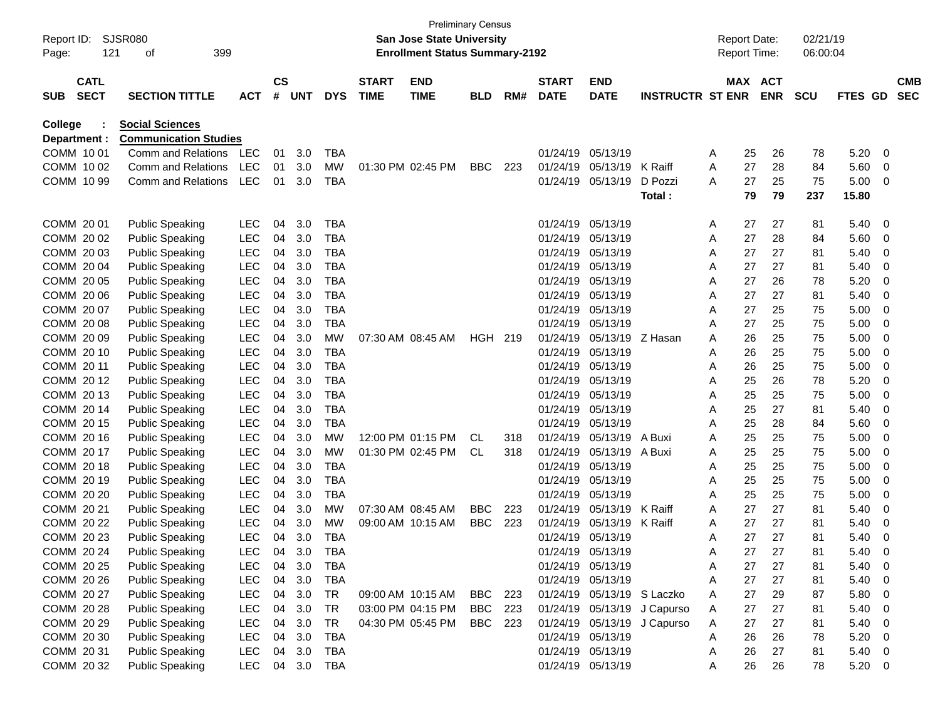| Report ID:<br>Page: |                            | SJSR080<br>121<br>οf         | 399        |                |        |            |                             | <b>Preliminary Census</b><br>San Jose State University<br><b>Enrollment Status Summary-2192</b> |                |     |                             |                            |                             | <b>Report Date:</b><br><b>Report Time:</b> |    |                       | 02/21/19<br>06:00:04 |         |   |                          |
|---------------------|----------------------------|------------------------------|------------|----------------|--------|------------|-----------------------------|-------------------------------------------------------------------------------------------------|----------------|-----|-----------------------------|----------------------------|-----------------------------|--------------------------------------------|----|-----------------------|----------------------|---------|---|--------------------------|
| SUB                 | <b>CATL</b><br><b>SECT</b> | <b>SECTION TITTLE</b>        | <b>ACT</b> | <b>CS</b><br># | UNT    | <b>DYS</b> | <b>START</b><br><b>TIME</b> | <b>END</b><br><b>TIME</b>                                                                       | <b>BLD</b>     | RM# | <b>START</b><br><b>DATE</b> | <b>END</b><br><b>DATE</b>  | <b>INSTRUCTR ST ENR</b>     |                                            |    | MAX ACT<br><b>ENR</b> | <b>SCU</b>           | FTES GD |   | <b>CMB</b><br><b>SEC</b> |
| College             |                            | <b>Social Sciences</b>       |            |                |        |            |                             |                                                                                                 |                |     |                             |                            |                             |                                            |    |                       |                      |         |   |                          |
| Department :        |                            | <b>Communication Studies</b> |            |                |        |            |                             |                                                                                                 |                |     |                             |                            |                             |                                            |    |                       |                      |         |   |                          |
| COMM 1001           |                            | Comm and Relations           | LEC        | 01             | 3.0    | TBA        |                             |                                                                                                 |                |     | 01/24/19                    | 05/13/19                   |                             | A                                          | 25 | 26                    | 78                   | 5.20    | 0 |                          |
| COMM 1002           |                            | Comm and Relations           | <b>LEC</b> | 01             | 3.0    | MW         |                             | 01:30 PM 02:45 PM                                                                               | <b>BBC</b>     | 223 | 01/24/19                    | 05/13/19                   | K Raiff                     | Α                                          | 27 | 28                    | 84                   | 5.60    | 0 |                          |
| COMM 10 99          |                            | Comm and Relations           | <b>LEC</b> | 01             | 3.0    | TBA        |                             |                                                                                                 |                |     | 01/24/19                    | 05/13/19                   | D Pozzi                     | A                                          | 27 | 25                    | 75                   | 5.00    | 0 |                          |
|                     |                            |                              |            |                |        |            |                             |                                                                                                 |                |     |                             |                            | Total:                      |                                            | 79 | 79                    | 237                  | 15.80   |   |                          |
| COMM 20 01          |                            | <b>Public Speaking</b>       | <b>LEC</b> | 04             | 3.0    | TBA        |                             |                                                                                                 |                |     | 01/24/19                    | 05/13/19                   |                             | A                                          | 27 | 27                    | 81                   | 5.40    | 0 |                          |
| COMM 20 02          |                            | <b>Public Speaking</b>       | <b>LEC</b> | 04             | 3.0    | <b>TBA</b> |                             |                                                                                                 |                |     | 01/24/19                    | 05/13/19                   |                             | Α                                          | 27 | 28                    | 84                   | 5.60    | 0 |                          |
| COMM 2003           |                            | <b>Public Speaking</b>       | <b>LEC</b> | 04             | 3.0    | <b>TBA</b> |                             |                                                                                                 |                |     | 01/24/19                    | 05/13/19                   |                             | A                                          | 27 | 27                    | 81                   | 5.40    | 0 |                          |
| COMM 20 04          |                            | <b>Public Speaking</b>       | <b>LEC</b> | 04             | 3.0    | <b>TBA</b> |                             |                                                                                                 |                |     | 01/24/19                    | 05/13/19                   |                             | Α                                          | 27 | 27                    | 81                   | 5.40    | 0 |                          |
| COMM 20 05          |                            | <b>Public Speaking</b>       | <b>LEC</b> | 04             | 3.0    | <b>TBA</b> |                             |                                                                                                 |                |     | 01/24/19                    | 05/13/19                   |                             | A                                          | 27 | 26                    | 78                   | 5.20    | 0 |                          |
| COMM 20 06          |                            | <b>Public Speaking</b>       | <b>LEC</b> | 04             | 3.0    | <b>TBA</b> |                             |                                                                                                 |                |     | 01/24/19                    | 05/13/19                   |                             | A                                          | 27 | 27                    | 81                   | 5.40    | 0 |                          |
| COMM 20 07          |                            | <b>Public Speaking</b>       | <b>LEC</b> | 04             | 3.0    | <b>TBA</b> |                             |                                                                                                 |                |     | 01/24/19                    | 05/13/19                   |                             | Α                                          | 27 | 25                    | 75                   | 5.00    | 0 |                          |
| COMM 20 08          |                            | <b>Public Speaking</b>       | <b>LEC</b> | 04             | 3.0    | <b>TBA</b> |                             |                                                                                                 |                |     | 01/24/19                    | 05/13/19                   |                             | A                                          | 27 | 25                    | 75                   | 5.00    | 0 |                          |
| COMM 20 09          |                            | <b>Public Speaking</b>       | <b>LEC</b> | 04             | 3.0    | MW         |                             | 07:30 AM 08:45 AM                                                                               | HGH 219        |     | 01/24/19                    | 05/13/19                   | Z Hasan                     | A                                          | 26 | 25                    | 75                   | 5.00    | 0 |                          |
| COMM 20 10          |                            | <b>Public Speaking</b>       | <b>LEC</b> | 04             | 3.0    | TBA        |                             |                                                                                                 |                |     | 01/24/19                    | 05/13/19                   |                             | Α                                          | 26 | 25                    | 75                   | 5.00    | 0 |                          |
| COMM 20 11          |                            | <b>Public Speaking</b>       | <b>LEC</b> | 04             | 3.0    | <b>TBA</b> |                             |                                                                                                 |                |     | 01/24/19                    | 05/13/19                   |                             | Α                                          | 26 | 25                    | 75                   | 5.00    | 0 |                          |
| COMM 2012           |                            | <b>Public Speaking</b>       | <b>LEC</b> | 04             | 3.0    | <b>TBA</b> |                             |                                                                                                 |                |     | 01/24/19                    | 05/13/19                   |                             | Α                                          | 25 | 26                    | 78                   | 5.20    | 0 |                          |
| COMM 2013           |                            | <b>Public Speaking</b>       | <b>LEC</b> | 04             | 3.0    | TBA        |                             |                                                                                                 |                |     | 01/24/19                    | 05/13/19                   |                             | Α                                          | 25 | 25                    | 75                   | 5.00    | 0 |                          |
| COMM 20 14          |                            | <b>Public Speaking</b>       | <b>LEC</b> | 04             | 3.0    | <b>TBA</b> |                             |                                                                                                 |                |     | 01/24/19                    | 05/13/19                   |                             | Α                                          | 25 | 27                    | 81                   | 5.40    | 0 |                          |
| COMM 20 15          |                            | <b>Public Speaking</b>       | <b>LEC</b> | 04             | 3.0    | <b>TBA</b> |                             |                                                                                                 |                |     | 01/24/19                    | 05/13/19                   |                             | Α                                          | 25 | 28                    | 84                   | 5.60    | 0 |                          |
| COMM 20 16          |                            | <b>Public Speaking</b>       | <b>LEC</b> | 04             | 3.0    | MW         |                             | 12:00 PM 01:15 PM                                                                               | CL             | 318 | 01/24/19                    | 05/13/19                   | A Buxi                      | Α                                          | 25 | 25                    | 75                   | 5.00    | 0 |                          |
| COMM 20 17          |                            | <b>Public Speaking</b>       | <b>LEC</b> | 04             | 3.0    | MW         |                             | 01:30 PM 02:45 PM                                                                               | CL             | 318 | 01/24/19                    | 05/13/19                   | A Buxi                      | Α                                          | 25 | 25                    | 75                   | 5.00    | 0 |                          |
| COMM 20 18          |                            | <b>Public Speaking</b>       | <b>LEC</b> | 04             | 3.0    | <b>TBA</b> |                             |                                                                                                 |                |     | 01/24/19                    | 05/13/19                   |                             | Α                                          | 25 | 25                    | 75                   | 5.00    | 0 |                          |
| COMM 2019           |                            | <b>Public Speaking</b>       | <b>LEC</b> | 04             | 3.0    | <b>TBA</b> |                             |                                                                                                 |                |     | 01/24/19                    | 05/13/19                   |                             | Α                                          | 25 | 25                    | 75                   | 5.00    | 0 |                          |
| COMM 20 20          |                            | <b>Public Speaking</b>       | <b>LEC</b> | 04             | 3.0    | TBA        |                             |                                                                                                 |                |     | 01/24/19                    | 05/13/19                   |                             | Α                                          | 25 | 25                    | 75                   | 5.00    | 0 |                          |
| COMM 20 21          |                            | <b>Public Speaking</b>       | <b>LEC</b> | 04             | 3.0    | MW         |                             | 07:30 AM 08:45 AM                                                                               | <b>BBC</b>     | 223 | 01/24/19                    | 05/13/19                   | K Raiff                     | A                                          | 27 | 27                    | 81                   | 5.40    | 0 |                          |
| COMM 20 22          |                            | <b>Public Speaking</b>       | <b>LEC</b> | 04             | 3.0    | MW         |                             | 09:00 AM 10:15 AM                                                                               | <b>BBC</b>     | 223 | 01/24/19                    | 05/13/19                   | K Raiff                     | A                                          | 27 | 27                    | 81                   | 5.40    | 0 |                          |
| COMM 20 23          |                            | <b>Public Speaking</b>       | <b>LEC</b> | 04             | 3.0    | <b>TBA</b> |                             |                                                                                                 |                |     | 01/24/19 05/13/19           |                            |                             | A                                          | 27 | 27                    | 81                   | 5.40    | 0 |                          |
| COMM 20 24          |                            | <b>Public Speaking</b>       | <b>LEC</b> | 04             | 3.0    | <b>TBA</b> |                             |                                                                                                 |                |     | 01/24/19 05/13/19           |                            |                             | Α                                          | 27 | 27                    | 81                   | 5.40    | 0 |                          |
| COMM 20 25          |                            | <b>Public Speaking</b>       | <b>LEC</b> | 04             | 3.0    | <b>TBA</b> |                             |                                                                                                 |                |     |                             | 01/24/19 05/13/19          |                             | Α                                          | 27 | 27                    | 81                   | 5.40    | 0 |                          |
| COMM 20 26          |                            | <b>Public Speaking</b>       | <b>LEC</b> | 04             | 3.0    | <b>TBA</b> |                             |                                                                                                 |                |     |                             | 01/24/19 05/13/19          |                             | Α                                          | 27 | 27                    | 81                   | 5.40    | 0 |                          |
| COMM 20 27          |                            | <b>Public Speaking</b>       | <b>LEC</b> | 04             | 3.0    | <b>TR</b>  |                             | 09:00 AM 10:15 AM                                                                               | <b>BBC</b>     | 223 |                             | 01/24/19 05/13/19 S Laczko |                             | Α                                          | 27 | 29                    | 87                   | 5.80    | 0 |                          |
| COMM 20 28          |                            | <b>Public Speaking</b>       | <b>LEC</b> | 04             | 3.0    | <b>TR</b>  |                             | 03:00 PM 04:15 PM                                                                               | BBC            | 223 |                             |                            | 01/24/19 05/13/19 J Capurso | Α                                          | 27 | 27                    | 81                   | 5.40    | 0 |                          |
| COMM 20 29          |                            | <b>Public Speaking</b>       | <b>LEC</b> | 04             | 3.0    | <b>TR</b>  |                             | 04:30 PM 05:45 PM                                                                               | <b>BBC</b> 223 |     |                             | 01/24/19 05/13/19          | J Capurso                   | Α                                          | 27 | 27                    | 81                   | 5.40    | 0 |                          |
| COMM 20 30          |                            | <b>Public Speaking</b>       | <b>LEC</b> | 04             | 3.0    | <b>TBA</b> |                             |                                                                                                 |                |     |                             | 01/24/19 05/13/19          |                             | A                                          | 26 | 26                    | 78                   | 5.20    | 0 |                          |
| COMM 20 31          |                            | <b>Public Speaking</b>       | <b>LEC</b> |                | 04 3.0 | TBA        |                             |                                                                                                 |                |     | 01/24/19 05/13/19           |                            |                             | A                                          | 26 | 27                    | 81                   | 5.40    | 0 |                          |
| COMM 20 32          |                            | <b>Public Speaking</b>       | <b>LEC</b> |                | 04 3.0 | <b>TBA</b> |                             |                                                                                                 |                |     | 01/24/19 05/13/19           |                            |                             | A                                          | 26 | 26                    | 78                   | 5.20    | 0 |                          |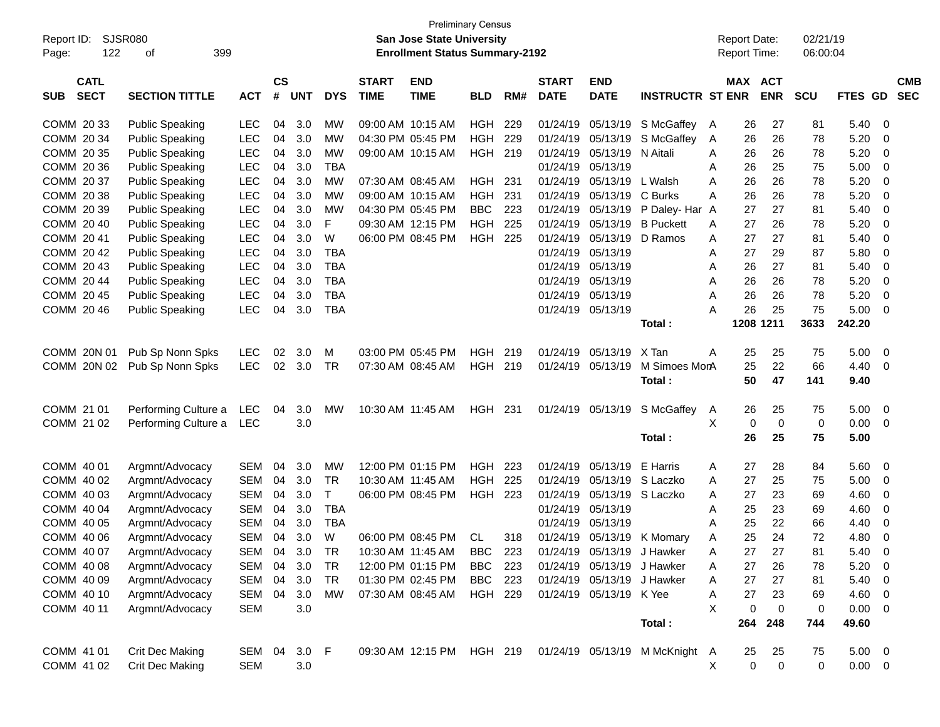| Report ID:<br>122<br>Page:               | <b>SJSR080</b><br>399<br>οf        |                          |                    |            |                 |                             | <b>San Jose State University</b><br><b>Enrollment Status Summary-2192</b> | <b>Preliminary Census</b> |            |                             |                           |                                |        | <b>Report Date:</b><br><b>Report Time:</b> |            | 02/21/19<br>06:00:04 |              |             |                          |
|------------------------------------------|------------------------------------|--------------------------|--------------------|------------|-----------------|-----------------------------|---------------------------------------------------------------------------|---------------------------|------------|-----------------------------|---------------------------|--------------------------------|--------|--------------------------------------------|------------|----------------------|--------------|-------------|--------------------------|
| <b>CATL</b><br><b>SECT</b><br><b>SUB</b> | <b>SECTION TITTLE</b>              | <b>ACT</b>               | $\mathsf{cs}$<br># | <b>UNT</b> | <b>DYS</b>      | <b>START</b><br><b>TIME</b> | <b>END</b><br><b>TIME</b>                                                 | <b>BLD</b>                | RM#        | <b>START</b><br><b>DATE</b> | <b>END</b><br><b>DATE</b> | <b>INSTRUCTR ST ENR</b>        |        | <b>MAX ACT</b>                             | <b>ENR</b> | <b>SCU</b>           | FTES GD      |             | <b>CMB</b><br><b>SEC</b> |
| COMM 20 33                               | <b>Public Speaking</b>             | <b>LEC</b>               | 04                 | 3.0        | MW              |                             | 09:00 AM 10:15 AM                                                         | <b>HGH</b>                | 229        | 01/24/19                    | 05/13/19                  | S McGaffey                     | A      | 26                                         | 27         | 81                   | 5.40         | - 0         |                          |
| COMM 20 34                               | <b>Public Speaking</b>             | <b>LEC</b>               | 04                 | 3.0        | <b>MW</b>       |                             | 04:30 PM 05:45 PM                                                         | <b>HGH</b>                | 229        | 01/24/19                    | 05/13/19                  | S McGaffey                     | A      | 26                                         | 26         | 78                   | 5.20         | 0           |                          |
| COMM 20 35                               | <b>Public Speaking</b>             | <b>LEC</b>               | 04                 | 3.0        | <b>MW</b>       |                             | 09:00 AM 10:15 AM                                                         | HGH 219                   |            | 01/24/19                    | 05/13/19                  | N Aitali                       | A      | 26                                         | 26         | 78                   | 5.20         | 0           |                          |
| COMM 20 36                               | <b>Public Speaking</b>             | <b>LEC</b>               | 04                 | 3.0        | <b>TBA</b>      |                             |                                                                           |                           |            | 01/24/19                    | 05/13/19                  |                                | A      | 26                                         | 25         | 75                   | 5.00         | 0           |                          |
| COMM 20 37                               | <b>Public Speaking</b>             | LEC                      | 04                 | 3.0        | <b>MW</b>       |                             | 07:30 AM 08:45 AM                                                         | <b>HGH 231</b>            |            | 01/24/19                    | 05/13/19                  | L Walsh                        | A      | 26                                         | 26         | 78                   | 5.20         | 0           |                          |
| COMM 20 38                               | <b>Public Speaking</b>             | <b>LEC</b>               | 04                 | 3.0        | <b>MW</b>       |                             | 09:00 AM 10:15 AM                                                         | <b>HGH</b>                | 231        | 01/24/19                    | 05/13/19                  | C Burks                        | A      | 26                                         | 26         | 78                   | 5.20         | 0           |                          |
| COMM 20 39                               | <b>Public Speaking</b>             | <b>LEC</b>               | 04                 | 3.0        | <b>MW</b>       |                             | 04:30 PM 05:45 PM                                                         | <b>BBC</b>                | 223        | 01/24/19                    | 05/13/19                  | P Daley- Har A                 |        | 27                                         | 27         | 81                   | 5.40         | 0           |                          |
| COMM 20 40                               | <b>Public Speaking</b>             | LEC                      | 04                 | 3.0        | F               |                             | 09:30 AM 12:15 PM                                                         | <b>HGH</b>                | 225        | 01/24/19                    | 05/13/19                  | <b>B</b> Puckett               | A      | 27                                         | 26         | 78                   | 5.20         | 0           |                          |
| COMM 20 41                               | <b>Public Speaking</b>             | <b>LEC</b>               | 04                 | 3.0        | W               |                             | 06:00 PM 08:45 PM                                                         | <b>HGH 225</b>            |            | 01/24/19                    | 05/13/19                  | D Ramos                        | A      | 27                                         | 27         | 81                   | 5.40         | 0           |                          |
| COMM 20 42                               | <b>Public Speaking</b>             | <b>LEC</b>               | 04                 | 3.0        | <b>TBA</b>      |                             |                                                                           |                           |            | 01/24/19                    | 05/13/19                  |                                | A      | 27                                         | 29         | 87                   | 5.80         | 0           |                          |
| COMM 20 43                               | <b>Public Speaking</b>             | <b>LEC</b>               | 04                 | 3.0        | <b>TBA</b>      |                             |                                                                           |                           |            | 01/24/19                    | 05/13/19                  |                                | A      | 26                                         | 27         | 81                   | 5.40         | 0           |                          |
| COMM 20 44                               | <b>Public Speaking</b>             | <b>LEC</b>               | 04                 | 3.0        | <b>TBA</b>      |                             |                                                                           |                           |            | 01/24/19                    | 05/13/19                  |                                | A      | 26                                         | 26         | 78                   | 5.20         | 0           |                          |
| COMM 20 45                               | <b>Public Speaking</b>             | <b>LEC</b>               | 04                 | 3.0        | <b>TBA</b>      |                             |                                                                           |                           |            | 01/24/19                    | 05/13/19                  |                                | A      | 26                                         | 26         | 78                   | 5.20         | 0           |                          |
| COMM 20 46                               | <b>Public Speaking</b>             | <b>LEC</b>               | 04                 | 3.0        | <b>TBA</b>      |                             |                                                                           |                           |            | 01/24/19                    | 05/13/19                  |                                | A      | 26                                         | 25         | 75                   | 5.00         | $\Omega$    |                          |
|                                          |                                    |                          |                    |            |                 |                             |                                                                           |                           |            |                             |                           | Total:                         |        |                                            | 1208 1211  | 3633                 | 242.20       |             |                          |
| COMM 20N 01                              | Pub Sp Nonn Spks                   | LEC.                     | 02                 | 3.0        | м               |                             | 03:00 PM 05:45 PM                                                         | <b>HGH</b>                | 219        | 01/24/19                    | 05/13/19                  | X Tan                          | A      |                                            | 25         | 75                   | 5.00         | - 0         |                          |
| COMM 20N 02                              | Pub Sp Nonn Spks                   | <b>LEC</b>               | 02                 | 3.0        | <b>TR</b>       |                             | 07:30 AM 08:45 AM                                                         | HGH 219                   |            | 01/24/19                    | 05/13/19                  | M Simoes MorA                  |        | 25<br>25                                   | 22         | 66                   | 4.40         | - 0         |                          |
|                                          |                                    |                          |                    |            |                 |                             |                                                                           |                           |            |                             |                           | Total:                         |        | 50                                         | 47         | 141                  | 9.40         |             |                          |
|                                          |                                    |                          |                    |            |                 |                             |                                                                           |                           |            |                             |                           |                                |        |                                            |            |                      |              |             |                          |
| COMM 21 01                               | Performing Culture a               | <b>LEC</b>               | 04                 | 3.0        | <b>MW</b>       |                             | 10:30 AM 11:45 AM                                                         | HGH 231                   |            | 01/24/19                    | 05/13/19                  | S McGaffey                     | A      | 26                                         | 25         | 75                   | 5.00         | - 0         |                          |
| COMM 21 02                               | Performing Culture a               | <b>LEC</b>               |                    | 3.0        |                 |                             |                                                                           |                           |            |                             |                           |                                | X      | 0                                          | 0          | 0                    | 0.00         | - 0         |                          |
|                                          |                                    |                          |                    |            |                 |                             |                                                                           |                           |            |                             |                           | Total:                         |        | 26                                         | 25         | 75                   | 5.00         |             |                          |
|                                          |                                    |                          |                    |            |                 |                             |                                                                           |                           |            |                             |                           |                                |        |                                            |            |                      |              |             |                          |
| COMM 40 01<br>COMM 40 02                 | Argmnt/Advocacy                    | <b>SEM</b><br><b>SEM</b> | 04<br>04           | 3.0<br>3.0 | MW<br><b>TR</b> | 10:30 AM 11:45 AM           | 12:00 PM 01:15 PM                                                         | <b>HGH</b><br><b>HGH</b>  | 223<br>225 | 01/24/19<br>01/24/19        | 05/13/19<br>05/13/19      | E Harris<br>S Laczko           | A      | 27<br>27                                   | 28<br>25   | 84<br>75             | 5.60<br>5.00 | - 0<br>0    |                          |
| COMM 40 03                               | Argmnt/Advocacy<br>Argmnt/Advocacy | <b>SEM</b>               | 04                 | 3.0        | T               |                             | 06:00 PM 08:45 PM                                                         | <b>HGH 223</b>            |            | 01/24/19                    | 05/13/19                  | S Laczko                       | A<br>A | 27                                         | 23         | 69                   | 4.60         | 0           |                          |
| COMM 40 04                               | Argmnt/Advocacy                    | <b>SEM</b>               | 04                 | 3.0        | <b>TBA</b>      |                             |                                                                           |                           |            | 01/24/19                    | 05/13/19                  |                                | A      | 25                                         | 23         | 69                   | 4.60         | 0           |                          |
| COMM 40 05                               | Argmnt/Advocacy                    | <b>SEM</b>               | 04                 | 3.0        | <b>TBA</b>      |                             |                                                                           |                           |            | 01/24/19                    | 05/13/19                  |                                | A      | 25                                         | 22         | 66                   | 4.40         | 0           |                          |
| COMM 40 06                               | Argmnt/Advocacy                    | <b>SEM</b>               | 04                 | 3.0        | W               |                             | 06:00 PM 08:45 PM                                                         | CL                        | 318        |                             |                           | 01/24/19 05/13/19 K Momary     | A      | 25                                         | 24         | 72                   | 4.80         | $\Omega$    |                          |
| COMM 40 07                               | Argmnt/Advocacy                    | <b>SEM</b>               | 04                 | 3.0        | <b>TR</b>       | 10:30 AM 11:45 AM           |                                                                           | <b>BBC</b>                | 223        | 01/24/19                    | 05/13/19                  | J Hawker                       | A      | 27                                         | 27         | 81                   | 5.40         | $\mathbf 0$ |                          |
| COMM 40 08                               | Argmnt/Advocacy                    | <b>SEM</b>               | 04                 | 3.0        | <b>TR</b>       |                             | 12:00 PM 01:15 PM                                                         | <b>BBC</b>                | 223        |                             | 01/24/19 05/13/19         | J Hawker                       | A      | 27                                         | 26         | 78                   | 5.20         | -0          |                          |
| COMM 40 09                               | Argmnt/Advocacy                    | <b>SEM</b>               |                    | 04 3.0     | <b>TR</b>       |                             | 01:30 PM 02:45 PM                                                         | <b>BBC</b>                | 223        |                             | 01/24/19 05/13/19         | J Hawker                       | Α      | 27                                         | 27         | 81                   | 5.40         | 0           |                          |
| COMM 40 10                               | Argmnt/Advocacy                    | SEM                      | 04                 | 3.0        | <b>MW</b>       |                             | 07:30 AM 08:45 AM                                                         | <b>HGH 229</b>            |            |                             | 01/24/19 05/13/19 K Yee   |                                | Α      | 27                                         | 23         | 69                   | 4.60         | 0           |                          |
| COMM 40 11                               | Argmnt/Advocacy                    | <b>SEM</b>               |                    | 3.0        |                 |                             |                                                                           |                           |            |                             |                           |                                | X      | 0                                          | 0          | 0                    | 0.00         | - 0         |                          |
|                                          |                                    |                          |                    |            |                 |                             |                                                                           |                           |            |                             |                           | Total:                         |        | 264                                        | 248        | 744                  | 49.60        |             |                          |
|                                          |                                    |                          |                    |            |                 |                             |                                                                           |                           |            |                             |                           |                                |        |                                            |            |                      |              |             |                          |
| COMM 41 01                               | Crit Dec Making                    | SEM                      | 04                 | $3.0$ F    |                 |                             | 09:30 AM 12:15 PM                                                         | HGH 219                   |            |                             |                           | 01/24/19 05/13/19 M McKnight A |        | 25                                         | 25         | 75                   | $5.00 \t 0$  |             |                          |
| COMM 41 02                               | Crit Dec Making                    | <b>SEM</b>               |                    | 3.0        |                 |                             |                                                                           |                           |            |                             |                           |                                | X      | 0                                          | $\pmb{0}$  | 0                    | $0.00 \t 0$  |             |                          |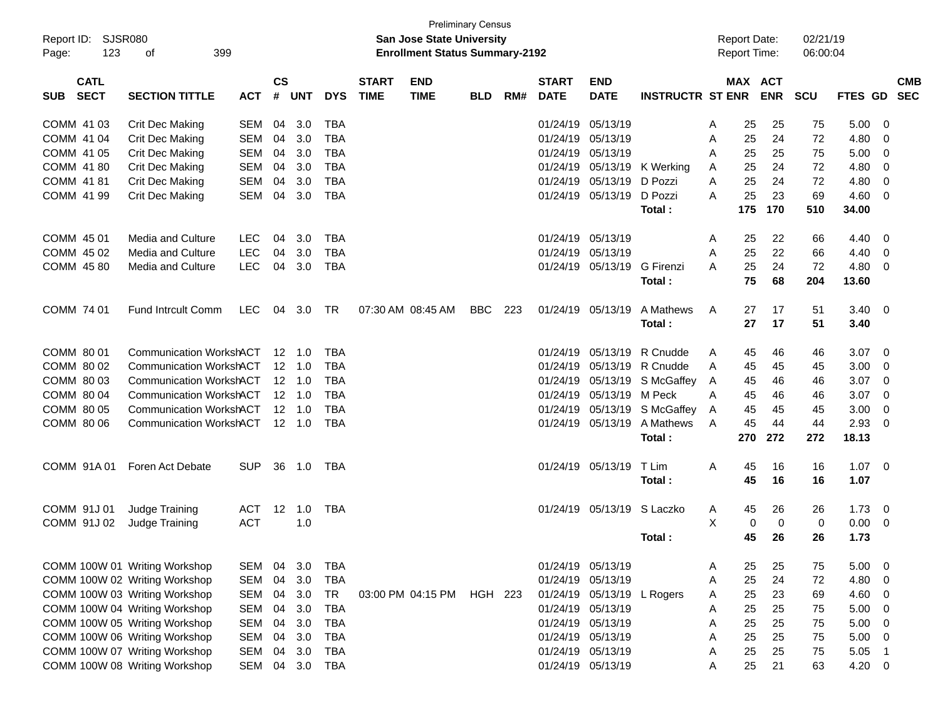| Report ID: SJSR080<br>123<br>Page:       | 399<br>οf                                                                                          |                                        |                    |                                                    |                                        |                             | San Jose State University<br><b>Enrollment Status Summary-2192</b> | <b>Preliminary Census</b> |     |                                                             |                                           |                                   |             | <b>Report Date:</b><br><b>Report Time:</b> |                   | 02/21/19<br>06:00:04 |                       |                                              |                          |
|------------------------------------------|----------------------------------------------------------------------------------------------------|----------------------------------------|--------------------|----------------------------------------------------|----------------------------------------|-----------------------------|--------------------------------------------------------------------|---------------------------|-----|-------------------------------------------------------------|-------------------------------------------|-----------------------------------|-------------|--------------------------------------------|-------------------|----------------------|-----------------------|----------------------------------------------|--------------------------|
| <b>CATL</b><br><b>SECT</b><br><b>SUB</b> | <b>SECTION TITTLE</b>                                                                              | <b>ACT</b>                             | $\mathsf{cs}$<br># | <b>UNT</b>                                         | <b>DYS</b>                             | <b>START</b><br><b>TIME</b> | <b>END</b><br><b>TIME</b>                                          | <b>BLD</b>                | RM# | <b>START</b><br><b>DATE</b>                                 | <b>END</b><br><b>DATE</b>                 | <b>INSTRUCTR ST ENR</b>           |             | <b>MAX ACT</b>                             | <b>ENR</b>        | <b>SCU</b>           | <b>FTES GD</b>        |                                              | <b>CMB</b><br><b>SEC</b> |
| COMM 41 03<br>COMM 41 04                 | Crit Dec Making<br>Crit Dec Making                                                                 | <b>SEM</b><br><b>SEM</b>               | 04<br>04           | 3.0<br>3.0                                         | <b>TBA</b><br><b>TBA</b>               |                             |                                                                    |                           |     | 01/24/19<br>01/24/19                                        | 05/13/19<br>05/13/19                      |                                   | Α<br>Α      | 25<br>25                                   | 25<br>24          | 75<br>72             | 5.00<br>4.80          | 0<br>0                                       |                          |
| COMM 41 05<br>COMM 41 80<br>COMM 41 81   | Crit Dec Making<br>Crit Dec Making<br>Crit Dec Making                                              | <b>SEM</b><br><b>SEM</b><br><b>SEM</b> | 04<br>04<br>04     | 3.0<br>3.0<br>3.0                                  | <b>TBA</b><br><b>TBA</b><br><b>TBA</b> |                             |                                                                    |                           |     | 01/24/19<br>01/24/19<br>01/24/19                            | 05/13/19<br>05/13/19<br>05/13/19          | K Werking<br>D Pozzi              | Α<br>Α<br>A | 25<br>25<br>25                             | 25<br>24<br>24    | 75<br>72<br>72       | 5.00<br>4.80<br>4.80  | 0<br>$\mathbf 0$<br>$\mathbf 0$              |                          |
| COMM 41 99                               | Crit Dec Making                                                                                    | <b>SEM</b>                             | 04                 | 3.0                                                | <b>TBA</b>                             |                             |                                                                    |                           |     | 01/24/19                                                    | 05/13/19                                  | D Pozzi<br>Total:                 | A           | 25<br>175                                  | 23<br>170         | 69<br>510            | 4.60<br>34.00         | $\mathbf 0$                                  |                          |
| COMM 45 01<br>COMM 45 02<br>COMM 45 80   | <b>Media and Culture</b><br><b>Media and Culture</b><br>Media and Culture                          | <b>LEC</b><br><b>LEC</b><br><b>LEC</b> | 04<br>04<br>04     | 3.0<br>3.0<br>3.0                                  | <b>TBA</b><br><b>TBA</b><br><b>TBA</b> |                             |                                                                    |                           |     | 01/24/19<br>01/24/19                                        | 05/13/19<br>05/13/19<br>01/24/19 05/13/19 | G Firenzi                         | Α<br>Α<br>A | 25<br>25<br>25                             | 22<br>22<br>24    | 66<br>66<br>72       | 4.40<br>4.40<br>4.80  | $\mathbf 0$<br>0<br>0                        |                          |
| COMM 74 01                               | <b>Fund Intrcult Comm</b>                                                                          | LEC                                    | 04                 | 3.0                                                | <b>TR</b>                              |                             | 07:30 AM 08:45 AM                                                  | <b>BBC</b>                | 223 | 01/24/19                                                    | 05/13/19                                  | Total:<br>A Mathews               | A           | 75<br>27                                   | 68<br>17          | 204<br>51            | 13.60<br>3.40         | $\overline{0}$                               |                          |
| COMM 80 01                               | <b>Communication WorkshACT</b>                                                                     |                                        | 12                 | 1.0                                                | <b>TBA</b>                             |                             |                                                                    |                           |     | 01/24/19                                                    | 05/13/19                                  | Total:<br>R Cnudde                | A           | 27<br>45                                   | 17<br>46          | 51<br>46             | 3.40<br>3.07          | $\mathbf 0$                                  |                          |
| COMM 80 02<br>COMM 80 03<br>COMM 80 04   | <b>Communication WorkshACT</b><br><b>Communication WorkshACT</b><br><b>Communication WorkshACT</b> |                                        |                    | $12 \quad 1.0$<br>$12 \quad 1.0$<br>$12 \quad 1.0$ | <b>TBA</b><br><b>TBA</b><br><b>TBA</b> |                             |                                                                    |                           |     | 01/24/19<br>01/24/19<br>01/24/19                            | 05/13/19<br>05/13/19<br>05/13/19          | R Cnudde<br>S McGaffey<br>M Peck  | A<br>A<br>Α | 45<br>45<br>45                             | 45<br>46<br>46    | 45<br>46<br>46       | 3.00<br>3.07<br>3.07  | 0<br>$\mathbf 0$<br>$\mathbf 0$              |                          |
| COMM 80 05<br>COMM 80 06                 | <b>Communication WorkshACT</b><br><b>Communication WorkshACT</b>                                   |                                        | 12                 | 1.0<br>$12 \quad 1.0$                              | <b>TBA</b><br><b>TBA</b>               |                             |                                                                    |                           |     | 01/24/19                                                    | 05/13/19<br>01/24/19 05/13/19             | S McGaffey<br>A Mathews<br>Total: | A<br>A      | 45<br>45<br>270                            | 45<br>44<br>272   | 45<br>44<br>272      | 3.00<br>2.93<br>18.13 | $\mathbf 0$<br>$\mathbf 0$                   |                          |
| COMM 91A01                               | Foren Act Debate                                                                                   | <b>SUP</b>                             | 36                 | 1.0                                                | TBA                                    |                             |                                                                    |                           |     | 01/24/19 05/13/19                                           |                                           | T Lim<br>Total:                   | A           | 45<br>45                                   | 16<br>16          | 16<br>16             | 1.07<br>1.07          | $\overline{0}$                               |                          |
| COMM 91J 01<br>COMM 91J 02               | Judge Training<br>Judge Training                                                                   | ACT<br><b>ACT</b>                      | $12 \overline{ }$  | 1.0<br>1.0                                         | <b>TBA</b>                             |                             |                                                                    |                           |     |                                                             | 01/24/19 05/13/19                         | S Laczko                          | Α<br>X      | 45<br>0                                    | 26<br>$\mathbf 0$ | 26<br>0              | 1.73<br>0.00          | 0<br>0                                       |                          |
|                                          | COMM 100W 01 Writing Workshop                                                                      | SEM                                    | 04                 | 3.0                                                | TBA                                    |                             |                                                                    |                           |     | 01/24/19 05/13/19                                           |                                           | Total:                            | A           | 45<br>25                                   | 26<br>25          | 26<br>75             | 1.73<br>5.00          | 0                                            |                          |
|                                          | COMM 100W 02 Writing Workshop<br>COMM 100W 03 Writing Workshop<br>COMM 100W 04 Writing Workshop    | <b>SEM</b><br>SEM<br><b>SEM</b>        | 04<br>04<br>04     | 3.0<br>3.0<br>3.0                                  | <b>TBA</b><br>TR<br><b>TBA</b>         |                             | 03:00 PM 04:15 PM                                                  | HGH 223                   |     | 01/24/19 05/13/19<br>01/24/19 05/13/19                      | 01/24/19 05/13/19                         | L Rogers                          | Α<br>A<br>Α | 25<br>25<br>25                             | 24<br>23<br>25    | 72<br>69<br>75       | 4.80<br>4.60<br>5.00  | 0<br>$\mathbf 0$<br>$\mathbf 0$              |                          |
|                                          | COMM 100W 05 Writing Workshop<br>COMM 100W 06 Writing Workshop<br>COMM 100W 07 Writing Workshop    | <b>SEM</b><br><b>SEM</b><br><b>SEM</b> | 04<br>04<br>04     | 3.0<br>3.0<br>3.0                                  | <b>TBA</b><br><b>TBA</b><br><b>TBA</b> |                             |                                                                    |                           |     | 01/24/19 05/13/19<br>01/24/19 05/13/19<br>01/24/19 05/13/19 |                                           |                                   | Α<br>Α<br>Α | 25<br>25<br>25                             | 25<br>25<br>25    | 75<br>75<br>75       | 5.00<br>5.00<br>5.05  | $\mathbf 0$<br>$\mathbf 0$<br>$\overline{1}$ |                          |
|                                          | COMM 100W 08 Writing Workshop                                                                      | SEM                                    |                    | 04 3.0                                             | <b>TBA</b>                             |                             |                                                                    |                           |     | 01/24/19 05/13/19                                           |                                           |                                   | Α           | 25                                         | 21                | 63                   | 4.20                  | $\overline{0}$                               |                          |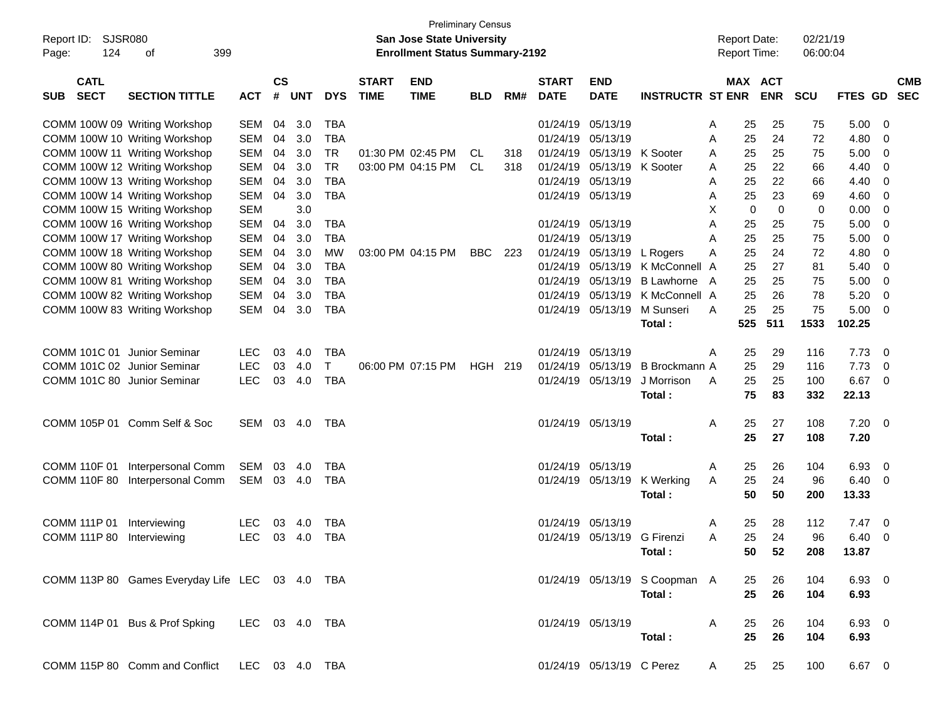| SJSR080<br>Report ID:<br>124<br>399<br>Page:<br>οf                |                                      |            |                         |                             | <b>Preliminary Census</b><br><b>San Jose State University</b><br><b>Enrollment Status Summary-2192</b> |            |     |                             |                               |                               |        |          | <b>Report Date:</b><br>Report Time: | 02/21/19<br>06:00:04 |               |                          |                          |
|-------------------------------------------------------------------|--------------------------------------|------------|-------------------------|-----------------------------|--------------------------------------------------------------------------------------------------------|------------|-----|-----------------------------|-------------------------------|-------------------------------|--------|----------|-------------------------------------|----------------------|---------------|--------------------------|--------------------------|
| <b>CATL</b><br><b>SECT</b><br><b>SECTION TITTLE</b><br><b>SUB</b> | $\mathsf{cs}$<br>#<br><b>ACT</b>     | <b>UNT</b> | <b>DYS</b>              | <b>START</b><br><b>TIME</b> | <b>END</b><br><b>TIME</b>                                                                              | <b>BLD</b> | RM# | <b>START</b><br><b>DATE</b> | <b>END</b><br><b>DATE</b>     | <b>INSTRUCTR ST ENR</b>       |        |          | MAX ACT<br><b>ENR</b>               | <b>SCU</b>           | FTES GD       |                          | <b>CMB</b><br><b>SEC</b> |
| COMM 100W 09 Writing Workshop                                     | <b>SEM</b><br>04                     | 3.0        | TBA                     |                             |                                                                                                        |            |     | 01/24/19                    | 05/13/19                      |                               | A      | 25       | 25                                  | 75                   | 5.00          | - 0                      |                          |
| COMM 100W 10 Writing Workshop<br>COMM 100W 11 Writing Workshop    | <b>SEM</b><br>04<br><b>SEM</b><br>04 | 3.0<br>3.0 | <b>TBA</b><br><b>TR</b> |                             | 01:30 PM 02:45 PM                                                                                      | CL         | 318 | 01/24/19<br>01/24/19        | 05/13/19<br>05/13/19 K Sooter |                               | A      | 25<br>25 | 24<br>25                            | 72<br>75             | 4.80<br>5.00  | 0<br>- 0                 |                          |
| COMM 100W 12 Writing Workshop                                     | <b>SEM</b><br>04                     | 3.0        | <b>TR</b>               |                             | 03:00 PM 04:15 PM                                                                                      | CL         | 318 | 01/24/19                    | 05/13/19                      | K Sooter                      | A<br>A | 25       | 22                                  | 66                   | 4.40          | 0                        |                          |
| COMM 100W 13 Writing Workshop                                     | <b>SEM</b><br>04                     | 3.0        | <b>TBA</b>              |                             |                                                                                                        |            |     | 01/24/19                    | 05/13/19                      |                               | A      | 25       | 22                                  | 66                   | 4.40          | 0                        |                          |
| COMM 100W 14 Writing Workshop                                     | <b>SEM</b><br>04                     | 3.0        | <b>TBA</b>              |                             |                                                                                                        |            |     | 01/24/19 05/13/19           |                               |                               | A      | 25       | 23                                  | 69                   | 4.60          | 0                        |                          |
| COMM 100W 15 Writing Workshop                                     | <b>SEM</b>                           | 3.0        |                         |                             |                                                                                                        |            |     |                             |                               |                               | X      | 0        | $\mathbf 0$                         | 0                    | 0.00          | - 0                      |                          |
| COMM 100W 16 Writing Workshop                                     | <b>SEM</b><br>04                     | 3.0        | <b>TBA</b>              |                             |                                                                                                        |            |     | 01/24/19                    | 05/13/19                      |                               | A      | 25       | 25                                  | 75                   | 5.00          | - 0                      |                          |
| COMM 100W 17 Writing Workshop                                     | <b>SEM</b><br>04                     | 3.0        | <b>TBA</b>              |                             |                                                                                                        |            |     | 01/24/19                    | 05/13/19                      |                               | A      | 25       | 25                                  | 75                   | 5.00          | 0                        |                          |
| COMM 100W 18 Writing Workshop                                     | <b>SEM</b><br>04                     | 3.0        | <b>MW</b>               |                             | 03:00 PM 04:15 PM                                                                                      | BBC        | 223 | 01/24/19                    | 05/13/19                      | L Rogers                      | A      | 25       | 24                                  | 72                   | 4.80          | 0                        |                          |
| COMM 100W 80 Writing Workshop                                     | <b>SEM</b><br>04                     | 3.0        | TBA                     |                             |                                                                                                        |            |     | 01/24/19                    | 05/13/19                      | K McConnell A                 |        | 25       | 27                                  | 81                   | 5.40          | 0                        |                          |
| COMM 100W 81 Writing Workshop                                     | <b>SEM</b><br>04                     | 3.0        | <b>TBA</b>              |                             |                                                                                                        |            |     | 01/24/19                    | 05/13/19                      | B Lawhorne A                  |        | 25       | 25                                  | 75                   | 5.00          | - 0                      |                          |
| COMM 100W 82 Writing Workshop                                     | <b>SEM</b><br>04                     | 3.0        | <b>TBA</b>              |                             |                                                                                                        |            |     | 01/24/19                    | 05/13/19                      | K McConnell A                 |        | 25       | 26                                  | 78                   | 5.20          | - 0                      |                          |
| COMM 100W 83 Writing Workshop                                     | <b>SEM</b><br>04                     | 3.0        | <b>TBA</b>              |                             |                                                                                                        |            |     | 01/24/19                    | 05/13/19                      | M Sunseri                     | A      | 25       | 25                                  | 75                   | 5.00          | - 0                      |                          |
|                                                                   |                                      |            |                         |                             |                                                                                                        |            |     |                             |                               | Total:                        |        | 525      | 511                                 | 1533                 | 102.25        |                          |                          |
|                                                                   |                                      |            |                         |                             |                                                                                                        |            |     |                             |                               |                               |        |          |                                     |                      |               |                          |                          |
| COMM 101C 01 Junior Seminar<br><b>LEC</b>                         | 03                                   | 4.0        | TBA                     |                             |                                                                                                        |            |     | 01/24/19                    | 05/13/19                      |                               | A      | 25       | 29                                  | 116                  | 7.73          | - 0                      |                          |
| <b>LEC</b><br>COMM 101C 02 Junior Seminar                         | 03                                   | 4.0        | Τ                       |                             | 06:00 PM 07:15 PM                                                                                      | HGH 219    |     | 01/24/19                    | 05/13/19                      | B Brockmann A                 |        | 25       | 29                                  | 116                  | 7.73          | - 0                      |                          |
| COMM 101C 80 Junior Seminar                                       | <b>LEC</b><br>03                     | 4.0        | <b>TBA</b>              |                             |                                                                                                        |            |     |                             | 01/24/19 05/13/19             | J Morrison                    | A      | 25       | 25                                  | 100                  | 6.67          | - 0                      |                          |
|                                                                   |                                      |            |                         |                             |                                                                                                        |            |     |                             |                               | Total:                        |        | 75       | 83                                  | 332                  | 22.13         |                          |                          |
| COMM 105P 01 Comm Self & Soc                                      | SEM<br>03                            | -4.0       | TBA                     |                             |                                                                                                        |            |     | 01/24/19 05/13/19           |                               |                               | A      | 25       | 27                                  | 108                  | 7.20          | $\overline{\phantom{0}}$ |                          |
|                                                                   |                                      |            |                         |                             |                                                                                                        |            |     |                             |                               | Total:                        |        | 25       | 27                                  | 108                  | 7.20          |                          |                          |
|                                                                   |                                      |            |                         |                             |                                                                                                        |            |     |                             |                               |                               |        |          |                                     |                      |               |                          |                          |
| COMM 110F 01<br>Interpersonal Comm                                | SEM<br>03                            | 4.0        | TBA                     |                             |                                                                                                        |            |     | 01/24/19                    | 05/13/19                      |                               | A      | 25       | 26                                  | 104                  | 6.93          | - 0                      |                          |
| COMM 110F 80 Interpersonal Comm                                   | SEM                                  | 03 4.0     | TBA                     |                             |                                                                                                        |            |     |                             | 01/24/19 05/13/19             | K Werking                     | A      | 25       | 24                                  | 96                   | 6.40          | - 0                      |                          |
|                                                                   |                                      |            |                         |                             |                                                                                                        |            |     |                             |                               | Total:                        |        | 50       | 50                                  | 200                  | 13.33         |                          |                          |
|                                                                   |                                      |            |                         |                             |                                                                                                        |            |     |                             |                               |                               |        |          |                                     |                      |               |                          |                          |
| COMM 111P 01<br>Interviewing                                      | <b>LEC</b><br>03                     | 4.0        | TBA                     |                             |                                                                                                        |            |     | 01/24/19                    | 05/13/19                      |                               | A      | 25       | 28<br>24                            | 112                  | 7.47          | - 0                      |                          |
| COMM 111P 80<br>Interviewing                                      | <b>LEC</b><br>03                     | 4.0        | TBA                     |                             |                                                                                                        |            |     | 01/24/19                    | 05/13/19 G Firenzi            | Total:                        | A      | 25<br>50 | 52                                  | 96<br>208            | 6.40<br>13.87 | - 0                      |                          |
|                                                                   |                                      |            |                         |                             |                                                                                                        |            |     |                             |                               |                               |        |          |                                     |                      |               |                          |                          |
| COMM 113P 80 Games Everyday Life LEC 03 4.0 TBA                   |                                      |            |                         |                             |                                                                                                        |            |     |                             |                               | 01/24/19 05/13/19 S Coopman A |        | 25       | 26                                  | 104                  | 6.93 0        |                          |                          |
|                                                                   |                                      |            |                         |                             |                                                                                                        |            |     |                             |                               | Total:                        |        | 25       | 26                                  | 104                  | 6.93          |                          |                          |
|                                                                   |                                      |            |                         |                             |                                                                                                        |            |     |                             |                               |                               |        |          |                                     |                      |               |                          |                          |
| COMM 114P 01 Bus & Prof Spking                                    | LEC 03 4.0 TBA                       |            |                         |                             |                                                                                                        |            |     | 01/24/19 05/13/19           |                               |                               | A      | 25       | 26                                  | 104                  | 6.93 0        |                          |                          |
|                                                                   |                                      |            |                         |                             |                                                                                                        |            |     |                             |                               | Total:                        |        | 25       | 26                                  | 104                  | 6.93          |                          |                          |
| COMM 115P 80 Comm and Conflict                                    | LEC 03 4.0 TBA                       |            |                         |                             |                                                                                                        |            |     |                             | 01/24/19 05/13/19 C Perez     |                               | A      | 25       | 25                                  | 100                  | 6.67 0        |                          |                          |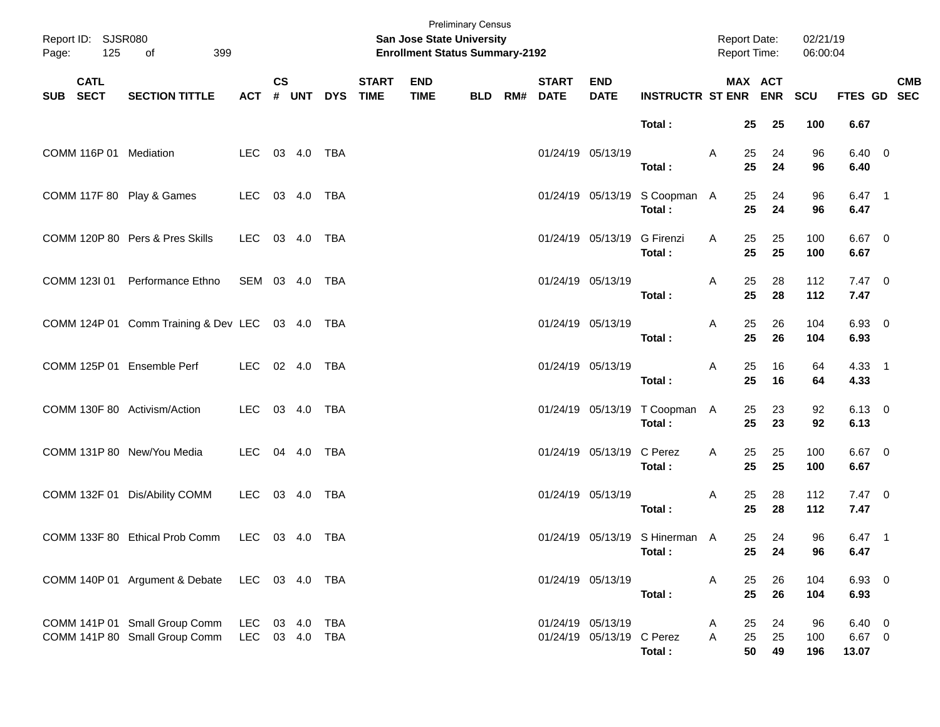| Report ID: SJSR080<br>125<br>Page: | 399<br>of                                                      |                   |               |        |            |                             | <b>Preliminary Census</b><br><b>San Jose State University</b><br><b>Enrollment Status Summary-2192</b> |            |                          |                           |                                           | Report Date:<br>Report Time: |                |                       | 02/21/19<br>06:00:04 |                                |            |
|------------------------------------|----------------------------------------------------------------|-------------------|---------------|--------|------------|-----------------------------|--------------------------------------------------------------------------------------------------------|------------|--------------------------|---------------------------|-------------------------------------------|------------------------------|----------------|-----------------------|----------------------|--------------------------------|------------|
| <b>CATL</b><br>SUB SECT            | <b>SECTION TITTLE</b>                                          | <b>ACT</b>        | $\mathsf{cs}$ | # UNT  | <b>DYS</b> | <b>START</b><br><b>TIME</b> | <b>END</b><br><b>TIME</b>                                                                              | <b>BLD</b> | <b>START</b><br>RM# DATE | <b>END</b><br><b>DATE</b> | <b>INSTRUCTR ST ENR</b>                   |                              |                | MAX ACT<br><b>ENR</b> | SCU                  | FTES GD SEC                    | <b>CMB</b> |
|                                    |                                                                |                   |               |        |            |                             |                                                                                                        |            |                          |                           | Total:                                    |                              | 25             | 25                    | 100                  | 6.67                           |            |
| COMM 116P 01 Mediation             |                                                                | LEC               |               | 03 4.0 | TBA        |                             |                                                                                                        |            | 01/24/19 05/13/19        |                           | Total:                                    | A                            | 25<br>25       | 24<br>24              | 96<br>96             | $6.40 \quad 0$<br>6.40         |            |
| COMM 117F 80 Play & Games          |                                                                | LEC               |               | 03 4.0 | TBA        |                             |                                                                                                        |            |                          |                           | 01/24/19 05/13/19 S Coopman A<br>Total:   |                              | 25<br>25       | 24<br>24              | 96<br>96             | $6.47$ 1<br>6.47               |            |
|                                    | COMM 120P 80 Pers & Pres Skills                                | LEC               |               | 03 4.0 | TBA        |                             |                                                                                                        |            |                          | 01/24/19 05/13/19         | <b>G</b> Firenzi<br>Total:                | A                            | 25<br>25       | 25<br>25              | 100<br>100           | $6.67$ 0<br>6.67               |            |
| COMM 123I 01                       | Performance Ethno                                              | SEM 03 4.0        |               |        | TBA        |                             |                                                                                                        |            | 01/24/19 05/13/19        |                           | Total:                                    | A                            | 25<br>25       | 28<br>28              | 112<br>112           | $7.47\ 0$<br>7.47              |            |
|                                    | COMM 124P 01 Comm Training & Dev LEC 03 4.0 TBA                |                   |               |        |            |                             |                                                                                                        |            | 01/24/19 05/13/19        |                           | Total:                                    | A                            | 25<br>25       | 26<br>26              | 104<br>104           | 6.93 0<br>6.93                 |            |
| COMM 125P 01 Ensemble Perf         |                                                                | LEC 02 4.0        |               |        | TBA        |                             |                                                                                                        |            | 01/24/19 05/13/19        |                           | Total:                                    | A                            | 25<br>25       | 16<br>16              | 64<br>64             | $4.33$ 1<br>4.33               |            |
| COMM 130F 80 Activism/Action       |                                                                | LEC               |               | 03 4.0 | <b>TBA</b> |                             |                                                                                                        |            |                          |                           | 01/24/19 05/13/19 T Coopman A<br>Total:   |                              | 25<br>25       | 23<br>23              | 92<br>92             | $6.13 \quad 0$<br>6.13         |            |
| COMM 131P 80 New/You Media         |                                                                | LEC               |               | 04 4.0 | TBA        |                             |                                                                                                        |            |                          | 01/24/19 05/13/19         | C Perez<br>Total:                         | A                            | 25<br>25       | 25<br>25              | 100<br>100           | $6.67$ 0<br>6.67               |            |
|                                    | COMM 132F 01 Dis/Ability COMM                                  | LEC               |               | 03 4.0 | TBA        |                             |                                                                                                        |            | 01/24/19 05/13/19        |                           | Total:                                    | A                            | 25<br>25       | 28<br>28              | 112<br>112           | $7.47\ 0$<br>7.47              |            |
|                                    | COMM 133F 80 Ethical Prob Comm                                 | LEC 03 4.0 TBA    |               |        |            |                             |                                                                                                        |            |                          |                           | 01/24/19 05/13/19 S Hinerman A<br>Total : |                              | 25             | 24<br>25 24           | 96<br>96             | $6.47$ 1<br>6.47               |            |
|                                    | COMM 140P 01 Argument & Debate LEC 03 4.0 TBA                  |                   |               |        |            |                             |                                                                                                        |            | 01/24/19 05/13/19        |                           | Total:                                    | A                            | 25<br>25       | 26<br>26              | 104<br>104           | 6.93 0<br>6.93                 |            |
|                                    | COMM 141P 01 Small Group Comm<br>COMM 141P 80 Small Group Comm | LEC<br>LEC 03 4.0 |               | 03 4.0 | TBA<br>TBA |                             |                                                                                                        |            | 01/24/19 05/13/19        | 01/24/19 05/13/19 C Perez | Total:                                    | A<br>A                       | 25<br>25<br>50 | 24<br>25<br>49        | 96<br>100<br>196     | $6.40\ 0$<br>$6.67$ 0<br>13.07 |            |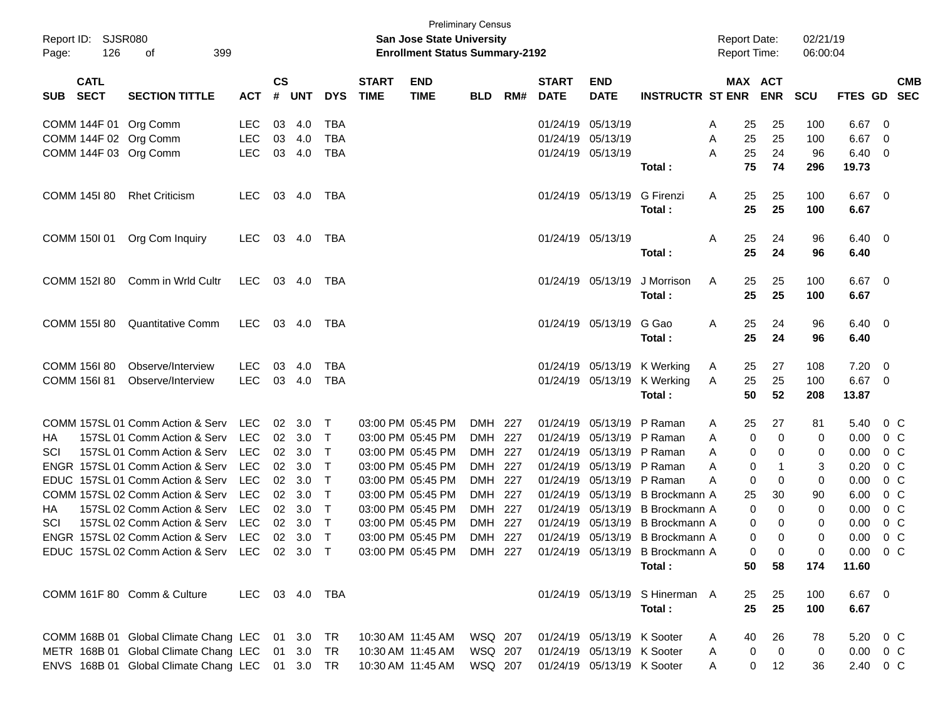| Page:     | Report ID: SJSR080<br>126 | 399<br>of                                                            |                          |                    |                  |                  |                             | <b>San Jose State University</b><br><b>Enrollment Status Summary-2192</b> | <b>Preliminary Census</b> |     |                             |                            |                                 | <b>Report Date:</b><br><b>Report Time:</b> |                       | 02/21/19<br>06:00:04 |                |                                  |                          |
|-----------|---------------------------|----------------------------------------------------------------------|--------------------------|--------------------|------------------|------------------|-----------------------------|---------------------------------------------------------------------------|---------------------------|-----|-----------------------------|----------------------------|---------------------------------|--------------------------------------------|-----------------------|----------------------|----------------|----------------------------------|--------------------------|
| SUB SECT  | <b>CATL</b>               | <b>SECTION TITTLE</b>                                                | <b>ACT</b>               | $\mathsf{cs}$<br># | <b>UNT</b>       | <b>DYS</b>       | <b>START</b><br><b>TIME</b> | <b>END</b><br><b>TIME</b>                                                 | <b>BLD</b>                | RM# | <b>START</b><br><b>DATE</b> | <b>END</b><br><b>DATE</b>  | <b>INSTRUCTR ST ENR</b>         |                                            | MAX ACT<br><b>ENR</b> | <b>SCU</b>           | FTES GD        |                                  | <b>CMB</b><br><b>SEC</b> |
|           |                           | COMM 144F 01 Org Comm                                                | <b>LEC</b>               | 03                 | 4.0              | <b>TBA</b>       |                             |                                                                           |                           |     |                             | 01/24/19 05/13/19          |                                 | A<br>25                                    | 25                    | 100                  | 6.67           | - 0                              |                          |
|           |                           | COMM 144F 02 Org Comm                                                | LEC                      | 03                 | 4.0              | <b>TBA</b>       |                             |                                                                           |                           |     |                             | 01/24/19 05/13/19          |                                 | 25<br>A                                    | 25                    | 100                  | 6.67           | - 0                              |                          |
|           |                           | COMM 144F 03 Org Comm                                                | <b>LEC</b>               |                    | 03 4.0           | TBA              |                             |                                                                           |                           |     |                             | 01/24/19 05/13/19          |                                 | 25<br>A                                    | 24                    | 96                   | 6.40           | - 0                              |                          |
|           |                           |                                                                      |                          |                    |                  |                  |                             |                                                                           |                           |     |                             |                            | Total:                          | 75                                         | 74                    | 296                  | 19.73          |                                  |                          |
|           | COMM 145I 80              | <b>Rhet Criticism</b>                                                | LEC.                     |                    | 03 4.0           | TBA              |                             |                                                                           |                           |     |                             | 01/24/19 05/13/19          | G Firenzi                       | Α<br>25                                    | 25                    | 100                  | $6.67$ 0       |                                  |                          |
|           |                           |                                                                      |                          |                    |                  |                  |                             |                                                                           |                           |     |                             |                            | Total:                          | 25                                         | 25                    | 100                  | 6.67           |                                  |                          |
|           | COMM 150I 01              | Org Com Inquiry                                                      | LEC.                     |                    | 03 4.0           | TBA              |                             |                                                                           |                           |     |                             | 01/24/19 05/13/19          |                                 | 25<br>A                                    | 24                    | 96                   | $6.40 \quad 0$ |                                  |                          |
|           |                           |                                                                      |                          |                    |                  |                  |                             |                                                                           |                           |     |                             |                            | Total:                          | 25                                         | 24                    | 96                   | 6.40           |                                  |                          |
|           | COMM 152l 80              | Comm in Wrld Cultr                                                   | LEC                      |                    | 03 4.0           | TBA              |                             |                                                                           |                           |     |                             | 01/24/19 05/13/19          | J Morrison                      | Α<br>25                                    | 25                    | 100                  | $6.67$ 0       |                                  |                          |
|           |                           |                                                                      |                          |                    |                  |                  |                             |                                                                           |                           |     |                             |                            | Total:                          | 25                                         | 25                    | 100                  | 6.67           |                                  |                          |
|           | <b>COMM 155I 80</b>       | <b>Quantitative Comm</b>                                             | LEC                      |                    | 03 4.0           | TBA              |                             |                                                                           |                           |     |                             | 01/24/19 05/13/19          | G Gao                           | Α<br>25                                    | 24                    | 96                   | $6.40 \quad 0$ |                                  |                          |
|           |                           |                                                                      |                          |                    |                  |                  |                             |                                                                           |                           |     |                             |                            | Total:                          | 25                                         | 24                    | 96                   | 6.40           |                                  |                          |
|           | COMM 156I 80              | Observe/Interview                                                    | <b>LEC</b>               | 03                 | 4.0              | TBA              |                             |                                                                           |                           |     |                             |                            | 01/24/19 05/13/19 K Werking     | A<br>25                                    | 27                    | 108                  | 7.20           | - 0                              |                          |
|           | <b>COMM 156I 81</b>       | Observe/Interview                                                    | <b>LEC</b>               |                    | 03 4.0           | TBA              |                             |                                                                           |                           |     |                             | 01/24/19 05/13/19          | K Werking                       | 25<br>A                                    | 25                    | 100                  | $6.67$ 0       |                                  |                          |
|           |                           |                                                                      |                          |                    |                  |                  |                             |                                                                           |                           |     |                             |                            | Total:                          | 50                                         | 52                    | 208                  | 13.87          |                                  |                          |
|           |                           | COMM 157SL 01 Comm Action & Serv                                     | LEC                      |                    | 02 3.0           | $\top$           |                             | 03:00 PM 05:45 PM                                                         | DMH 227                   |     |                             | 01/24/19 05/13/19 P Raman  |                                 | A<br>25                                    | 27                    | 81                   | 5.40           |                                  | $0\,C$                   |
| HА        |                           | 157SL 01 Comm Action & Serv                                          | <b>LEC</b>               |                    | 02 3.0           | $\top$           |                             | 03:00 PM 05:45 PM                                                         | DMH 227                   |     |                             | 01/24/19 05/13/19 P Raman  |                                 | A                                          | 0<br>0                | 0                    | 0.00           | $0\,$ C                          |                          |
| SCI       |                           | 157SL 01 Comm Action & Serv                                          | <b>LEC</b>               |                    | 02 3.0           | $\top$           |                             | 03:00 PM 05:45 PM                                                         | DMH 227                   |     |                             | 01/24/19 05/13/19 P Raman  |                                 | A                                          | 0<br>0                | 0                    | 0.00           |                                  | $0\,C$                   |
|           |                           | ENGR 157SL 01 Comm Action & Serv                                     | <b>LEC</b><br><b>LEC</b> |                    | 02 3.0           | $\top$           |                             | 03:00 PM 05:45 PM                                                         | DMH 227                   |     | 01/24/19                    | 05/13/19 P Raman           |                                 | A                                          | 0<br>-1               | 3                    | 0.20           |                                  | $0\,C$                   |
|           |                           | EDUC 157SL 01 Comm Action & Serv<br>COMM 157SL 02 Comm Action & Serv | <b>LEC</b>               |                    | 02 3.0<br>02 3.0 | $\top$<br>$\top$ |                             | 03:00 PM 05:45 PM<br>03:00 PM 05:45 PM                                    | DMH 227<br>DMH 227        |     | 01/24/19<br>01/24/19        | 05/13/19 P Raman           | 05/13/19 B Brockmann A          | A                                          | 0<br>0                | 0<br>90              | 0.00           | 0 <sup>o</sup><br>0 <sup>o</sup> |                          |
|           |                           | 157SL 02 Comm Action & Serv                                          | <b>LEC</b>               |                    | 02 3.0           | $\top$           |                             | 03:00 PM 05:45 PM                                                         | DMH 227                   |     | 01/24/19                    |                            | 05/13/19 B Brockmann A          | 25                                         | 30<br>0<br>0          | 0                    | 6.00           |                                  | $0\,C$                   |
| HА<br>SCI |                           | 157SL 02 Comm Action & Serv                                          | LEC                      |                    | 02 3.0           | $\top$           |                             | 03:00 PM 05:45 PM                                                         | DMH 227                   |     | 01/24/19                    | 05/13/19                   | B Brockmann A                   |                                            | 0<br>0                | 0                    | 0.00<br>0.00   |                                  | $0\,C$                   |
|           |                           | ENGR 157SL 02 Comm Action & Serv                                     | LEC                      |                    | 02 3.0           | $\top$           |                             | 03:00 PM 05:45 PM                                                         | DMH 227                   |     |                             |                            | 01/24/19 05/13/19 B Brockmann A |                                            | 0<br>0                | 0                    | 0.00           |                                  | $0\,C$                   |
|           |                           | EDUC 157SL 02 Comm Action & Serv LEC 02 3.0 T                        |                          |                    |                  |                  |                             | 03:00 PM 05:45 PM                                                         | DMH 227                   |     |                             |                            | 01/24/19 05/13/19 B Brockmann A |                                            | $\Omega$<br>0         | 0                    | 0.00           |                                  | 0 C                      |
|           |                           |                                                                      |                          |                    |                  |                  |                             |                                                                           |                           |     |                             |                            | Total:                          | 50                                         | 58                    | 174                  | 11.60          |                                  |                          |
|           |                           | COMM 161F 80 Comm & Culture                                          | LEC 03 4.0 TBA           |                    |                  |                  |                             |                                                                           |                           |     |                             |                            | 01/24/19 05/13/19 S Hinerman A  | 25                                         | 25                    | 100                  | $6.67$ 0       |                                  |                          |
|           |                           |                                                                      |                          |                    |                  |                  |                             |                                                                           |                           |     |                             |                            | Total:                          | 25                                         | 25                    | 100                  | 6.67           |                                  |                          |
|           |                           | COMM 168B 01 Global Climate Chang LEC 01 3.0 TR                      |                          |                    |                  |                  |                             | 10:30 AM 11:45 AM                                                         | WSQ 207                   |     |                             | 01/24/19 05/13/19 K Sooter |                                 | 40<br>A                                    | 26                    | 78                   | 5.20 0 C       |                                  |                          |
|           |                           | METR 168B 01 Global Climate Chang LEC 01 3.0                         |                          |                    |                  | TR               |                             | 10:30 AM 11:45 AM                                                         | WSQ 207                   |     |                             | 01/24/19 05/13/19 K Sooter |                                 | A                                          | $\overline{0}$<br>0   | 0                    | $0.00 \t 0 C$  |                                  |                          |
|           |                           | ENVS 168B 01 Global Climate Chang LEC 01 3.0 TR                      |                          |                    |                  |                  |                             | 10:30 AM 11:45 AM   WSQ   207                                             |                           |     |                             | 01/24/19 05/13/19 K Sooter |                                 | A                                          | 0<br>12               | 36                   | 2.40 0 C       |                                  |                          |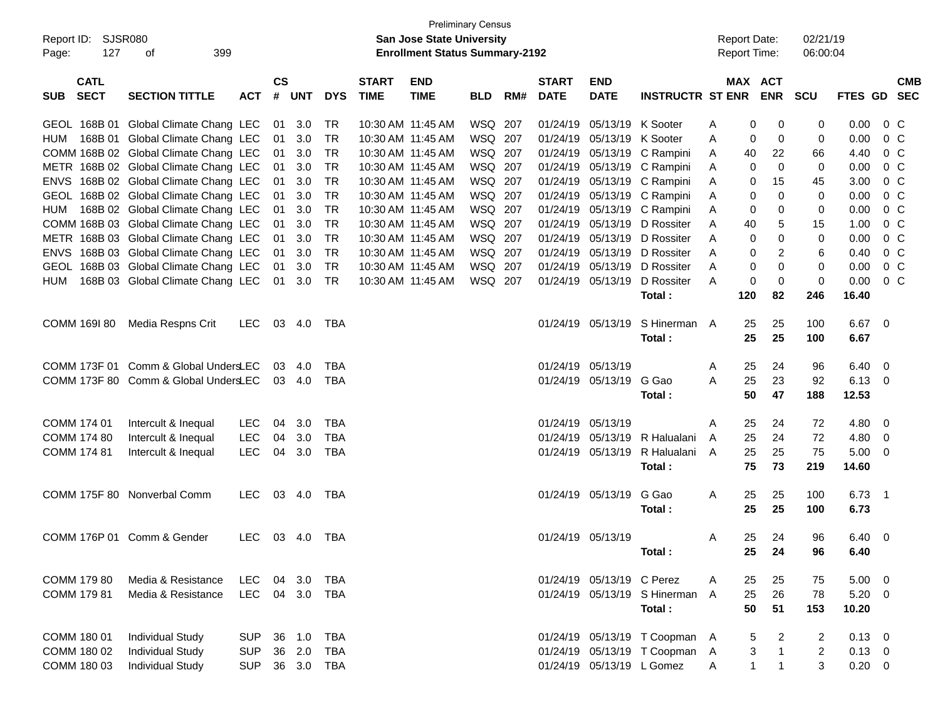| Report ID: SJSR080<br>127<br>Page:       | 399<br>οf                                                                     |            |                    |            |                        |                             | San Jose State University<br><b>Enrollment Status Summary-2192</b> | <b>Preliminary Census</b> |     |                             |                            |                                           |        |              | <b>Report Date:</b><br><b>Report Time:</b> | 02/21/19<br>06:00:04 |                |                                  |            |
|------------------------------------------|-------------------------------------------------------------------------------|------------|--------------------|------------|------------------------|-----------------------------|--------------------------------------------------------------------|---------------------------|-----|-----------------------------|----------------------------|-------------------------------------------|--------|--------------|--------------------------------------------|----------------------|----------------|----------------------------------|------------|
| <b>CATL</b><br><b>SECT</b><br><b>SUB</b> | <b>SECTION TITTLE</b>                                                         | <b>ACT</b> | $\mathsf{cs}$<br># | <b>UNT</b> | <b>DYS</b>             | <b>START</b><br><b>TIME</b> | <b>END</b><br><b>TIME</b>                                          | <b>BLD</b>                | RM# | <b>START</b><br><b>DATE</b> | <b>END</b><br><b>DATE</b>  | <b>INSTRUCTR ST ENR ENR</b>               |        |              | <b>MAX ACT</b>                             | <b>SCU</b>           | FTES GD SEC    |                                  | <b>CMB</b> |
|                                          | GEOL 168B 01 Global Climate Chang LEC                                         |            | 01                 | 3.0        | TR                     |                             | 10:30 AM 11:45 AM                                                  | WSQ 207                   |     |                             | 01/24/19 05/13/19 K Sooter |                                           | Α      | 0            | 0                                          | 0                    | 0.00           | $0\,C$                           |            |
|                                          | HUM 168B 01 Global Climate Chang LEC                                          |            | 01                 | 3.0        | <b>TR</b>              |                             | 10:30 AM 11:45 AM                                                  | WSQ 207                   |     |                             | 01/24/19 05/13/19 K Sooter |                                           | Α      | 0            | 0                                          | 0                    | 0.00           | 0 <sup>o</sup>                   |            |
|                                          | COMM 168B 02 Global Climate Chang LEC                                         |            | 01                 | 3.0        | TR                     |                             | 10:30 AM 11:45 AM                                                  | WSQ 207                   |     |                             |                            | 01/24/19 05/13/19 C Rampini               | A      | 40           | 22                                         | 66                   | 4.40           | 0 <sup>o</sup>                   |            |
|                                          | METR 168B 02 Global Climate Chang LEC                                         |            | 01                 | 3.0        | TR                     |                             | 10:30 AM 11:45 AM                                                  | WSQ 207                   |     |                             |                            | 01/24/19 05/13/19 C Rampini               | A      | 0            | 0                                          | 0                    | 0.00           | 0 <sup>o</sup>                   |            |
|                                          | ENVS 168B 02 Global Climate Chang LEC                                         |            | 01                 | 3.0        | TR                     |                             | 10:30 AM 11:45 AM                                                  | WSQ 207                   |     |                             |                            | 01/24/19 05/13/19 C Rampini               | Α      | 0            | 15                                         | 45                   | 3.00           | 0 <sup>o</sup>                   |            |
|                                          | GEOL 168B 02 Global Climate Chang LEC                                         |            | 01                 | 3.0        | <b>TR</b><br><b>TR</b> |                             | 10:30 AM 11:45 AM                                                  | WSQ 207                   |     |                             |                            | 01/24/19 05/13/19 C Rampini               | Α      | 0            | 0                                          | 0                    | 0.00           | 0 <sup>o</sup>                   |            |
|                                          | HUM 168B 02 Global Climate Chang LEC<br>COMM 168B 03 Global Climate Chang LEC |            | 01<br>01           | 3.0<br>3.0 | TR                     |                             | 10:30 AM 11:45 AM                                                  | WSQ 207<br>WSQ 207        |     |                             | 01/24/19 05/13/19          | 01/24/19 05/13/19 C Rampini<br>D Rossiter | A      | 0            | 0<br>5                                     | 0<br>15              | 0.00<br>1.00   | 0 <sup>o</sup><br>0 <sup>o</sup> |            |
|                                          | METR 168B 03 Global Climate Chang LEC                                         |            | 01                 | 3.0        | <b>TR</b>              |                             | 10:30 AM 11:45 AM<br>10:30 AM 11:45 AM                             | WSQ 207                   |     |                             | 01/24/19 05/13/19          | D Rossiter                                | Α<br>Α | 40<br>0      | 0                                          | 0                    | 0.00           | 0 <sup>o</sup>                   |            |
|                                          | ENVS 168B 03 Global Climate Chang LEC                                         |            | 01                 | 3.0        | <b>TR</b>              |                             | 10:30 AM 11:45 AM                                                  | WSQ 207                   |     |                             | 01/24/19 05/13/19          | D Rossiter                                | A      | 0            | 2                                          | 6                    | 0.40           | 0 <sup>o</sup>                   |            |
|                                          | GEOL 168B 03 Global Climate Chang LEC                                         |            | 01                 | 3.0        | <b>TR</b>              |                             | 10:30 AM 11:45 AM                                                  | WSQ 207                   |     |                             | 01/24/19 05/13/19          | D Rossiter                                | A      | 0            | 0                                          | 0                    | 0.00           | 0 <sup>o</sup>                   |            |
| <b>HUM</b>                               | 168B 03 Global Climate Chang LEC                                              |            | 01                 | 3.0        | TR                     |                             | 10:30 AM 11:45 AM                                                  | WSQ 207                   |     |                             | 01/24/19 05/13/19          | D Rossiter                                | A      | 0            | 0                                          | 0                    | 0.00           | 0 <sup>o</sup>                   |            |
|                                          |                                                                               |            |                    |            |                        |                             |                                                                    |                           |     |                             |                            | Total:                                    |        | 120          | 82                                         | 246                  | 16.40          |                                  |            |
| COMM 169I 80                             | Media Respns Crit                                                             | <b>LEC</b> |                    | 03 4.0     | TBA                    |                             |                                                                    |                           |     |                             | 01/24/19 05/13/19          | S Hinerman A                              |        | 25           | 25                                         | 100                  | $6.67$ 0       |                                  |            |
|                                          |                                                                               |            |                    |            |                        |                             |                                                                    |                           |     |                             |                            | Total:                                    |        | 25           | 25                                         | 100                  | 6.67           |                                  |            |
|                                          | COMM 173F 01 Comm & Global UndersLEC                                          |            | 03                 | 4.0        | <b>TBA</b>             |                             |                                                                    |                           |     |                             | 01/24/19 05/13/19          |                                           | Α      | 25           | 24                                         | 96                   | 6.40           | $\overline{\mathbf{0}}$          |            |
|                                          | COMM 173F 80 Comm & Global UndersLEC                                          |            |                    | 03 4.0     | <b>TBA</b>             |                             |                                                                    |                           |     |                             | 01/24/19 05/13/19          | G Gao                                     | Α      | 25           | 23                                         | 92                   | $6.13 \quad 0$ |                                  |            |
|                                          |                                                                               |            |                    |            |                        |                             |                                                                    |                           |     |                             |                            | Total:                                    |        | 50           | 47                                         | 188                  | 12.53          |                                  |            |
| COMM 174 01                              | Intercult & Inequal                                                           | LEC        | 04                 | 3.0        | TBA                    |                             |                                                                    |                           |     |                             | 01/24/19 05/13/19          |                                           | A      | 25           | 24                                         | 72                   | 4.80           | $\overline{\phantom{0}}$         |            |
| COMM 174 80                              | Intercult & Inequal                                                           | LEC        | 04                 | 3.0        | <b>TBA</b>             |                             |                                                                    |                           |     |                             | 01/24/19 05/13/19          | R Halualani                               | A      | 25           | 24                                         | 72                   | 4.80           | $\overline{\mathbf{0}}$          |            |
| COMM 174 81                              | Intercult & Inequal                                                           | LEC        | 04                 | 3.0        | <b>TBA</b>             |                             |                                                                    |                           |     |                             |                            | 01/24/19 05/13/19 R Halualani             | A      | 25           | 25                                         | 75                   | $5.00 \t 0$    |                                  |            |
|                                          |                                                                               |            |                    |            |                        |                             |                                                                    |                           |     |                             |                            | Total:                                    |        | 75           | 73                                         | 219                  | 14.60          |                                  |            |
|                                          | COMM 175F 80 Nonverbal Comm                                                   | <b>LEC</b> |                    | 03 4.0     | TBA                    |                             |                                                                    |                           |     |                             | 01/24/19 05/13/19          | G Gao                                     | Α      | 25           | 25                                         | 100                  | 6.73           | $\overline{\phantom{0}}$ 1       |            |
|                                          |                                                                               |            |                    |            |                        |                             |                                                                    |                           |     |                             |                            | Total:                                    |        | 25           | 25                                         | 100                  | 6.73           |                                  |            |
|                                          | COMM 176P 01 Comm & Gender                                                    | <b>LEC</b> |                    | 03 4.0     | TBA                    |                             |                                                                    |                           |     |                             | 01/24/19 05/13/19          |                                           | Α      | 25           | 24                                         | 96                   | 6.40           | $\overline{\phantom{0}}$         |            |
|                                          |                                                                               |            |                    |            |                        |                             |                                                                    |                           |     |                             |                            | Total:                                    |        |              | 25 24                                      | 96                   | 6.40           |                                  |            |
| COMM 179 80                              | Media & Resistance                                                            | LEC        | 04                 | 3.0        | TBA                    |                             |                                                                    |                           |     |                             | 01/24/19 05/13/19 C Perez  |                                           | A      | 25           | 25                                         | 75                   | $5.00 \t 0$    |                                  |            |
| COMM 179 81                              | Media & Resistance                                                            | LEC        | 04                 | 3.0        | TBA                    |                             |                                                                    |                           |     |                             |                            | 01/24/19 05/13/19 S Hinerman A            |        | 25           | 26                                         | 78                   | $5.20 \ 0$     |                                  |            |
|                                          |                                                                               |            |                    |            |                        |                             |                                                                    |                           |     |                             |                            | Total:                                    |        | 50           | 51                                         | 153                  | 10.20          |                                  |            |
| COMM 180 01                              | <b>Individual Study</b>                                                       | <b>SUP</b> | 36                 | 1.0        | TBA                    |                             |                                                                    |                           |     |                             |                            | 01/24/19 05/13/19 T Coopman A             |        | 5            | 2                                          | $\overline{2}$       | $0.13 \ 0$     |                                  |            |
| COMM 180 02                              | <b>Individual Study</b>                                                       | <b>SUP</b> | 36                 | 2.0        | <b>TBA</b>             |                             |                                                                    |                           |     |                             |                            | 01/24/19 05/13/19 T Coopman A             |        | 3            | $\mathbf{1}$                               | $\overline{c}$       | $0.13 \ 0$     |                                  |            |
| COMM 180 03                              | <b>Individual Study</b>                                                       | <b>SUP</b> |                    | 36 3.0     | TBA                    |                             |                                                                    |                           |     |                             | 01/24/19 05/13/19 L Gomez  |                                           | Α      | $\mathbf{1}$ | $\mathbf{1}$                               | 3                    | $0.20 \t 0$    |                                  |            |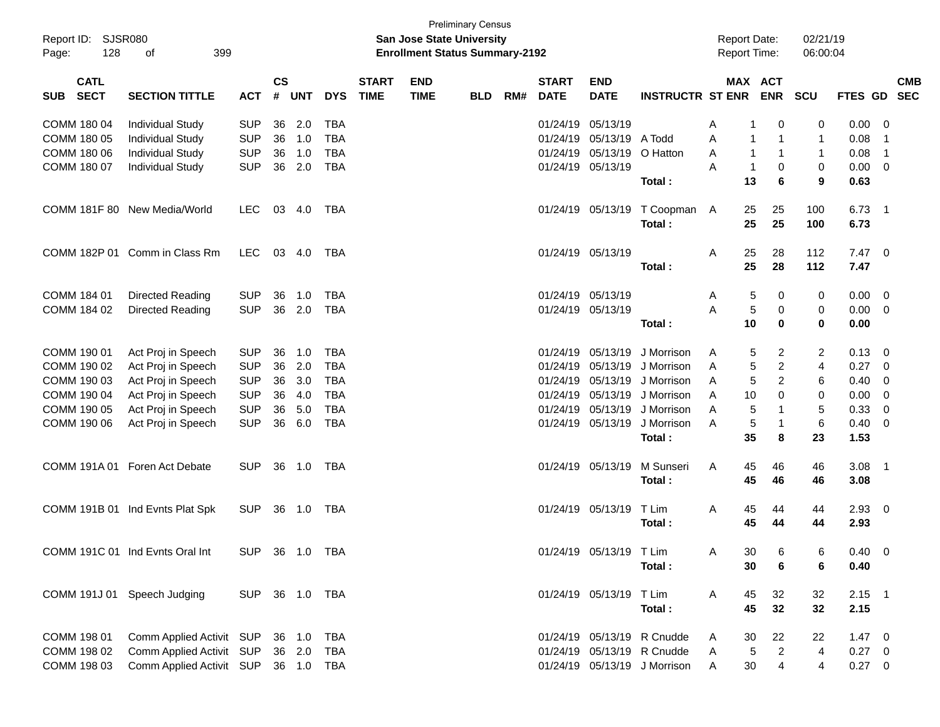| <b>SJSR080</b><br>Report ID:<br>128<br>Page: | 399<br>оf                       |                |                    |            |            |                             | San Jose State University<br><b>Enrollment Status Summary-2192</b> | <b>Preliminary Census</b> |     |                             |                           |                              |   | <b>Report Date:</b><br>Report Time: |                | 02/21/19<br>06:00:04 |                |                            |
|----------------------------------------------|---------------------------------|----------------|--------------------|------------|------------|-----------------------------|--------------------------------------------------------------------|---------------------------|-----|-----------------------------|---------------------------|------------------------------|---|-------------------------------------|----------------|----------------------|----------------|----------------------------|
| <b>CATL</b><br><b>SECT</b><br><b>SUB</b>     | <b>SECTION TITTLE</b>           | <b>ACT</b>     | $\mathsf{cs}$<br># | <b>UNT</b> | <b>DYS</b> | <b>START</b><br><b>TIME</b> | <b>END</b><br><b>TIME</b>                                          | <b>BLD</b>                | RM# | <b>START</b><br><b>DATE</b> | <b>END</b><br><b>DATE</b> | <b>INSTRUCTR ST ENR</b>      |   | MAX ACT                             | <b>ENR</b>     | <b>SCU</b>           | FTES GD        | <b>CMB</b><br><b>SEC</b>   |
| COMM 180 04                                  | <b>Individual Study</b>         | <b>SUP</b>     | 36                 | 2.0        | TBA        |                             |                                                                    |                           |     | 01/24/19                    | 05/13/19                  |                              | Α | -1                                  | 0              | 0                    | 0.00           | 0                          |
| COMM 180 05                                  | <b>Individual Study</b>         | <b>SUP</b>     | 36                 | 1.0        | <b>TBA</b> |                             |                                                                    |                           |     | 01/24/19                    | 05/13/19                  | A Todd                       | Α | $\overline{1}$                      | 1              | $\mathbf{1}$         | 0.08           | $\overline{1}$             |
| COMM 180 06                                  | <b>Individual Study</b>         | <b>SUP</b>     | 36                 | 1.0        | <b>TBA</b> |                             |                                                                    |                           |     | 01/24/19                    | 05/13/19                  | O Hatton                     | A | $\mathbf{1}$                        | 1              | $\mathbf{1}$         | 0.08           | $\overline{1}$             |
| COMM 180 07                                  | <b>Individual Study</b>         | <b>SUP</b>     | 36                 | 2.0        | <b>TBA</b> |                             |                                                                    |                           |     |                             | 01/24/19 05/13/19         |                              | Α | $\mathbf 1$                         | 0              | 0                    | 0.00           | 0                          |
|                                              |                                 |                |                    |            |            |                             |                                                                    |                           |     |                             |                           | Total:                       |   | 13                                  | 6              | 9                    | 0.63           |                            |
|                                              | COMM 181F 80 New Media/World    | <b>LEC</b>     | 03                 | 4.0        | TBA        |                             |                                                                    |                           |     |                             | 01/24/19 05/13/19         | T Coopman A                  |   | 25                                  | 25             | 100                  | 6.73           | $\overline{\phantom{0}}$ 1 |
|                                              |                                 |                |                    |            |            |                             |                                                                    |                           |     |                             |                           | Total:                       |   | 25                                  | 25             | 100                  | 6.73           |                            |
|                                              | COMM 182P 01 Comm in Class Rm   | <b>LEC</b>     | 03                 | 4.0        | TBA        |                             |                                                                    |                           |     | 01/24/19 05/13/19           |                           |                              | Α | 25                                  | 28             | 112                  | $7.47\quad 0$  |                            |
|                                              |                                 |                |                    |            |            |                             |                                                                    |                           |     |                             |                           | Total:                       |   | 25                                  | 28             | 112                  | 7.47           |                            |
| COMM 184 01                                  | Directed Reading                | <b>SUP</b>     | 36                 | 1.0        | <b>TBA</b> |                             |                                                                    |                           |     | 01/24/19                    | 05/13/19                  |                              | Α | 5                                   | 0              | 0                    | 0.00           | 0                          |
| COMM 184 02                                  | Directed Reading                | <b>SUP</b>     | 36                 | 2.0        | TBA        |                             |                                                                    |                           |     |                             | 01/24/19 05/13/19         |                              | A | 5                                   | 0              | 0                    | 0.00           | 0                          |
|                                              |                                 |                |                    |            |            |                             |                                                                    |                           |     |                             |                           | Total:                       |   | 10                                  | 0              | 0                    | 0.00           |                            |
| COMM 190 01                                  | Act Proj in Speech              | <b>SUP</b>     | 36                 | 1.0        | <b>TBA</b> |                             |                                                                    |                           |     | 01/24/19                    | 05/13/19                  | J Morrison                   | A | 5                                   | 2              | $\overline{a}$       | 0.13           | 0                          |
| COMM 190 02                                  | Act Proj in Speech              | <b>SUP</b>     | 36                 | 2.0        | <b>TBA</b> |                             |                                                                    |                           |     | 01/24/19                    | 05/13/19                  | J Morrison                   | A | 5                                   | 2              | 4                    | 0.27           | 0                          |
| COMM 190 03                                  | Act Proj in Speech              | <b>SUP</b>     | 36                 | 3.0        | <b>TBA</b> |                             |                                                                    |                           |     | 01/24/19                    | 05/13/19                  | J Morrison                   | A | 5                                   | 2              | 6                    | 0.40           | 0                          |
| COMM 190 04                                  | Act Proj in Speech              | <b>SUP</b>     | 36                 | 4.0        | <b>TBA</b> |                             |                                                                    |                           |     | 01/24/19                    | 05/13/19                  | J Morrison                   | A | 10                                  | 0              | 0                    | 0.00           | 0                          |
| COMM 190 05                                  | Act Proj in Speech              | <b>SUP</b>     | 36                 | 5.0        | <b>TBA</b> |                             |                                                                    |                           |     | 01/24/19                    | 05/13/19                  | J Morrison                   | A | 5                                   | 1              | 5                    | 0.33           | 0                          |
| COMM 190 06                                  | Act Proj in Speech              | <b>SUP</b>     | 36                 | 6.0        | <b>TBA</b> |                             |                                                                    |                           |     |                             | 01/24/19 05/13/19         | J Morrison                   | A | 5                                   | 1              | 6                    | 0.40           | 0                          |
|                                              |                                 |                |                    |            |            |                             |                                                                    |                           |     |                             |                           | Total:                       |   | 35                                  | 8              | 23                   | 1.53           |                            |
|                                              | COMM 191A 01 Foren Act Debate   | <b>SUP</b>     | 36                 | 1.0        | TBA        |                             |                                                                    |                           |     |                             | 01/24/19 05/13/19         | M Sunseri                    | Α | 45                                  | 46             | 46                   | 3.08           | $\overline{1}$             |
|                                              |                                 |                |                    |            |            |                             |                                                                    |                           |     |                             |                           | Total:                       |   | 45                                  | 46             | 46                   | 3.08           |                            |
|                                              | COMM 191B 01 Ind Evnts Plat Spk | <b>SUP</b>     | 36                 | 1.0        | TBA        |                             |                                                                    |                           |     |                             | 01/24/19 05/13/19         | T Lim                        | A | 45                                  | 44             | 44                   | 2.93           | $\overline{\mathbf{0}}$    |
|                                              |                                 |                |                    |            |            |                             |                                                                    |                           |     |                             |                           | Total:                       |   | 45                                  | 44             | 44                   | 2.93           |                            |
|                                              | COMM 191C 01 Ind Evnts Oral Int | SUP            |                    | 36 1.0     | TBA        |                             |                                                                    |                           |     |                             | 01/24/19 05/13/19 T Lim   |                              | A | 30                                  | 6              | 6                    | $0.40 \ 0$     |                            |
|                                              |                                 |                |                    |            |            |                             |                                                                    |                           |     |                             |                           | Total:                       |   | 30                                  | 6              | 6                    | 0.40           |                            |
|                                              | COMM 191J 01 Speech Judging     | SUP 36 1.0 TBA |                    |            |            |                             |                                                                    |                           |     |                             | 01/24/19 05/13/19 T Lim   |                              | A | 45                                  | 32             | 32                   | $2.15$ 1       |                            |
|                                              |                                 |                |                    |            |            |                             |                                                                    |                           |     |                             |                           | Total:                       |   | 45                                  | 32             | 32                   | 2.15           |                            |
| COMM 198 01                                  | Comm Applied Activit SUP        |                |                    | 36 1.0     | TBA        |                             |                                                                    |                           |     |                             |                           | 01/24/19 05/13/19 R Cnudde   | A | 30                                  | 22             | 22                   | $1.47 \quad 0$ |                            |
| COMM 198 02                                  | Comm Applied Activit SUP        |                |                    | 36 2.0     | TBA        |                             |                                                                    |                           |     |                             |                           | 01/24/19 05/13/19 R Cnudde   | A | 5                                   | $\overline{a}$ | 4                    | 0.27           | $\overline{\mathbf{0}}$    |
| COMM 198 03                                  | Comm Applied Activit SUP 36 1.0 |                |                    |            | TBA        |                             |                                                                    |                           |     |                             |                           | 01/24/19 05/13/19 J Morrison | A | 30                                  | 4              | 4                    | $0.27 \t 0$    |                            |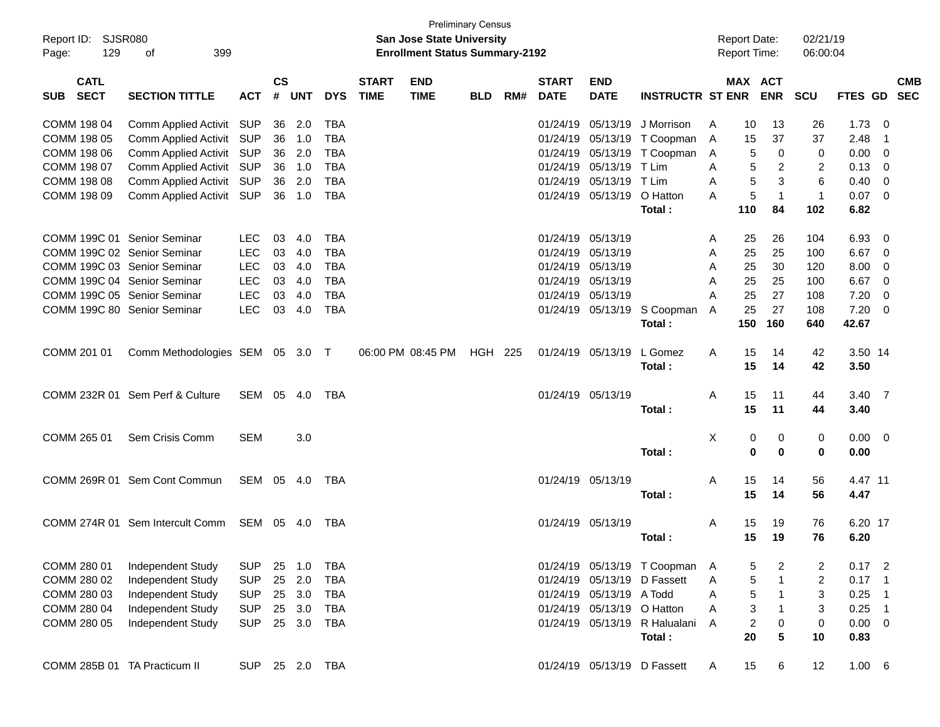| Report ID:<br>129<br>Page:               | <b>SJSR080</b><br>399<br>οf     |                |                    |            |            |                             | <b>San Jose State University</b><br><b>Enrollment Status Summary-2192</b> | <b>Preliminary Census</b> |     |                             |                           |                             |   | <b>Report Date:</b><br><b>Report Time:</b> |                | 02/21/19<br>06:00:04 |                |                          |                          |
|------------------------------------------|---------------------------------|----------------|--------------------|------------|------------|-----------------------------|---------------------------------------------------------------------------|---------------------------|-----|-----------------------------|---------------------------|-----------------------------|---|--------------------------------------------|----------------|----------------------|----------------|--------------------------|--------------------------|
| <b>CATL</b><br><b>SECT</b><br><b>SUB</b> | <b>SECTION TITTLE</b>           | <b>ACT</b>     | $\mathsf{cs}$<br># | <b>UNT</b> | <b>DYS</b> | <b>START</b><br><b>TIME</b> | <b>END</b><br><b>TIME</b>                                                 | <b>BLD</b>                | RM# | <b>START</b><br><b>DATE</b> | <b>END</b><br><b>DATE</b> | <b>INSTRUCTR ST ENR</b>     |   | <b>MAX ACT</b>                             | <b>ENR</b>     | <b>SCU</b>           | <b>FTES GD</b> |                          | <b>CMB</b><br><b>SEC</b> |
| COMM 198 04                              | Comm Applied Activit SUP        |                | 36                 | 2.0        | TBA        |                             |                                                                           |                           |     | 01/24/19                    | 05/13/19                  | J Morrison                  | A | 10                                         | 13             | 26                   | 1.73           | - 0                      |                          |
| COMM 198 05                              | Comm Applied Activit SUP        |                | 36                 | 1.0        | <b>TBA</b> |                             |                                                                           |                           |     | 01/24/19                    | 05/13/19                  | T Coopman                   | A | 15                                         | 37             | 37                   | 2.48           | $\overline{1}$           |                          |
| COMM 198 06                              | Comm Applied Activit SUP        |                | 36                 | 2.0        | <b>TBA</b> |                             |                                                                           |                           |     | 01/24/19                    | 05/13/19                  | T Coopman                   | A | 5                                          | 0              | 0                    | 0.00           | $\mathbf 0$              |                          |
| COMM 198 07                              | Comm Applied Activit SUP        |                | 36                 | 1.0        | <b>TBA</b> |                             |                                                                           |                           |     | 01/24/19                    | 05/13/19                  | T Lim                       | A | 5                                          | $\overline{2}$ | $\overline{c}$       | 0.13           | $\overline{0}$           |                          |
| COMM 198 08                              | Comm Applied Activit SUP        |                | 36                 | 2.0        | <b>TBA</b> |                             |                                                                           |                           |     | 01/24/19                    | 05/13/19                  | T Lim                       | A | 5                                          | 3              | 6                    | 0.40           | $\mathbf 0$              |                          |
| COMM 198 09                              | Comm Applied Activit SUP        |                | 36                 | 1.0        | <b>TBA</b> |                             |                                                                           |                           |     | 01/24/19                    | 05/13/19                  | O Hatton                    | A | 5                                          | $\overline{1}$ | $\mathbf{1}$         | 0.07           | $\mathbf 0$              |                          |
|                                          |                                 |                |                    |            |            |                             |                                                                           |                           |     |                             |                           | Total:                      |   | 110                                        | 84             | 102                  | 6.82           |                          |                          |
| COMM 199C 01 Senior Seminar              |                                 | <b>LEC</b>     | 03                 | 4.0        | TBA        |                             |                                                                           |                           |     | 01/24/19                    | 05/13/19                  |                             | Α | 25                                         | 26             | 104                  | 6.93           | $\mathbf 0$              |                          |
| COMM 199C 02 Senior Seminar              |                                 | <b>LEC</b>     | 03                 | 4.0        | <b>TBA</b> |                             |                                                                           |                           |     | 01/24/19                    | 05/13/19                  |                             | A | 25                                         | 25             | 100                  | 6.67           | $\mathbf 0$              |                          |
| COMM 199C 03 Senior Seminar              |                                 | <b>LEC</b>     | 03                 | 4.0        | <b>TBA</b> |                             |                                                                           |                           |     | 01/24/19                    | 05/13/19                  |                             | A | 25                                         | 30             | 120                  | 8.00           | 0                        |                          |
| COMM 199C 04 Senior Seminar              |                                 | <b>LEC</b>     | 03                 | 4.0        | <b>TBA</b> |                             |                                                                           |                           |     | 01/24/19                    | 05/13/19                  |                             | A | 25                                         | 25             | 100                  | 6.67           | $\mathbf 0$              |                          |
| COMM 199C 05 Senior Seminar              |                                 | <b>LEC</b>     | 03                 | 4.0        | <b>TBA</b> |                             |                                                                           |                           |     | 01/24/19                    | 05/13/19                  |                             | A | 25                                         | 27             | 108                  | 7.20           | $\mathbf 0$              |                          |
| COMM 199C 80 Senior Seminar              |                                 | <b>LEC</b>     | 03                 | 4.0        | <b>TBA</b> |                             |                                                                           |                           |     |                             | 01/24/19 05/13/19         | S Coopman                   | A | 25                                         | 27             | 108                  | 7.20           | $\mathbf 0$              |                          |
|                                          |                                 |                |                    |            |            |                             |                                                                           |                           |     |                             |                           | Total:                      |   | 150                                        | 160            | 640                  | 42.67          |                          |                          |
| COMM 201 01                              | Comm Methodologies SEM 05 3.0 T |                |                    |            |            |                             | 06:00 PM 08:45 PM                                                         | <b>HGH 225</b>            |     |                             | 01/24/19 05/13/19         | L Gomez                     | A | 15                                         | 14             | 42                   | 3.50 14        |                          |                          |
|                                          |                                 |                |                    |            |            |                             |                                                                           |                           |     |                             |                           | Total:                      |   | 15                                         | 14             | 42                   | 3.50           |                          |                          |
|                                          | COMM 232R 01 Sem Perf & Culture | SEM 05 4.0     |                    |            | TBA        |                             |                                                                           |                           |     |                             | 01/24/19 05/13/19         |                             | A | 15                                         | 11             | 44                   | $3.40 \quad 7$ |                          |                          |
|                                          |                                 |                |                    |            |            |                             |                                                                           |                           |     |                             |                           | Total:                      |   | 15                                         | 11             | 44                   | 3.40           |                          |                          |
| COMM 265 01                              | Sem Crisis Comm                 | <b>SEM</b>     |                    | 3.0        |            |                             |                                                                           |                           |     |                             |                           |                             | X | 0                                          | 0              | 0                    | $0.00 \t 0$    |                          |                          |
|                                          |                                 |                |                    |            |            |                             |                                                                           |                           |     |                             |                           | Total:                      |   | 0                                          | 0              | 0                    | 0.00           |                          |                          |
|                                          | COMM 269R 01 Sem Cont Commun    | SEM 05 4.0     |                    |            | TBA        |                             |                                                                           |                           |     |                             | 01/24/19 05/13/19         |                             | A | 15                                         | 14             | 56                   | 4.47 11        |                          |                          |
|                                          |                                 |                |                    |            |            |                             |                                                                           |                           |     |                             |                           | Total:                      |   | 15                                         | 14             | 56                   | 4.47           |                          |                          |
|                                          | COMM 274R 01 Sem Intercult Comm | SEM 05 4.0     |                    |            | TBA        |                             |                                                                           |                           |     |                             | 01/24/19 05/13/19         |                             | A | 15                                         | 19             | 76                   | 6.20 17        |                          |                          |
|                                          |                                 |                |                    |            |            |                             |                                                                           |                           |     |                             |                           | Total:                      |   | 15                                         | 19             | 76                   | 6.20           |                          |                          |
| COMM 280 01                              | Independent Study               | <b>SUP</b>     | 25                 | 1.0        | <b>TBA</b> |                             |                                                                           |                           |     |                             |                           | 01/24/19 05/13/19 T Coopman | A | 5                                          | 2              | 2                    | 0.17           | $\overline{\phantom{a}}$ |                          |
| COMM 280 02                              | Independent Study               | <b>SUP</b>     | 25                 | 2.0        | <b>TBA</b> |                             |                                                                           |                           |     |                             | 01/24/19 05/13/19         | D Fassett                   | Α | 5                                          | $\mathbf{1}$   | $\overline{c}$       | 0.17           | $\overline{1}$           |                          |
| COMM 280 03                              | Independent Study               | <b>SUP</b>     | 25                 | 3.0        | <b>TBA</b> |                             |                                                                           |                           |     |                             | 01/24/19 05/13/19         | A Todd                      | Α | 5                                          | $\mathbf{1}$   | 3                    | 0.25           | $\overline{1}$           |                          |
| COMM 280 04                              | Independent Study               | <b>SUP</b>     | 25                 | 3.0        | <b>TBA</b> |                             |                                                                           |                           |     |                             | 01/24/19 05/13/19         | O Hatton                    | Α | 3                                          | $\mathbf{1}$   | 3                    | 0.25           | $\overline{1}$           |                          |
| COMM 280 05                              | Independent Study               | <b>SUP</b>     | 25                 | 3.0        | <b>TBA</b> |                             |                                                                           |                           |     |                             | 01/24/19 05/13/19         | R Halualani                 | A | $\overline{c}$                             | $\pmb{0}$      | 0                    | 0.00           | $\overline{\mathbf{0}}$  |                          |
|                                          |                                 |                |                    |            |            |                             |                                                                           |                           |     |                             |                           | Total:                      |   | 20                                         | 5              | 10                   | 0.83           |                          |                          |
| COMM 285B 01 TA Practicum II             |                                 | SUP 25 2.0 TBA |                    |            |            |                             |                                                                           |                           |     |                             |                           | 01/24/19 05/13/19 D Fassett | A | 15                                         | 6              | 12                   | 1.00 6         |                          |                          |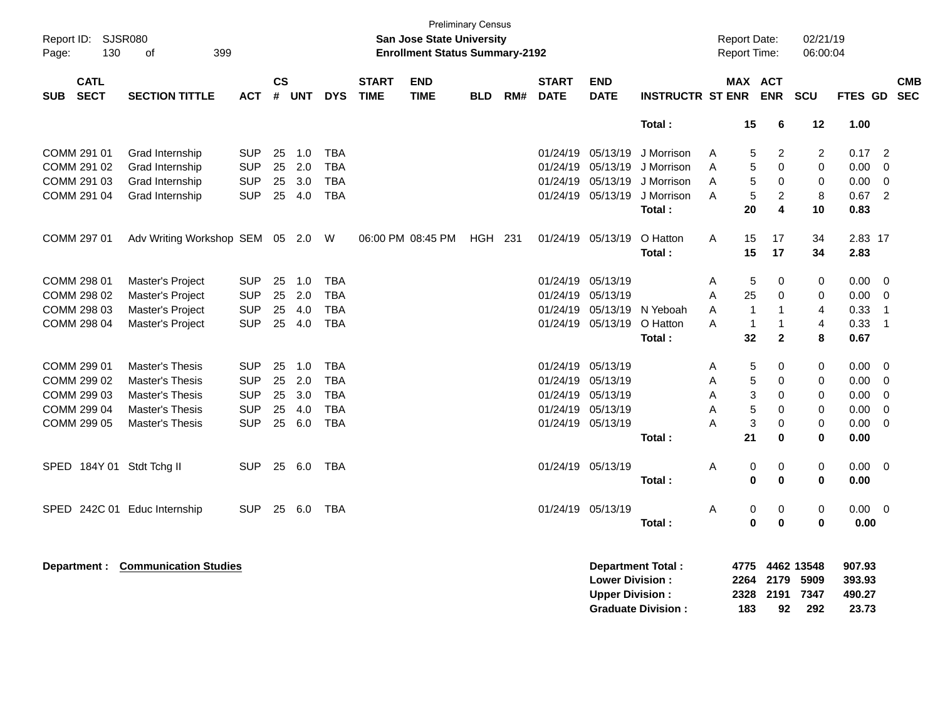| Report ID: SJSR080<br>130<br>of<br>399<br>Page:<br><b>CATL</b> |              |                                   |            |               |       |            |                             | <b>Preliminary Census</b><br><b>San Jose State University</b><br><b>Enrollment Status Summary-2192</b> |            |     |                             |                           |                           |   | <b>Report Date:</b><br><b>Report Time:</b> |                         | 02/21/19<br>06:00:04 |          |                         |                          |
|----------------------------------------------------------------|--------------|-----------------------------------|------------|---------------|-------|------------|-----------------------------|--------------------------------------------------------------------------------------------------------|------------|-----|-----------------------------|---------------------------|---------------------------|---|--------------------------------------------|-------------------------|----------------------|----------|-------------------------|--------------------------|
| <b>SUB</b>                                                     | <b>SECT</b>  | <b>SECTION TITTLE</b>             | <b>ACT</b> | $\mathsf{cs}$ | # UNT | <b>DYS</b> | <b>START</b><br><b>TIME</b> | <b>END</b><br><b>TIME</b>                                                                              | <b>BLD</b> | RM# | <b>START</b><br><b>DATE</b> | <b>END</b><br><b>DATE</b> | <b>INSTRUCTR ST ENR</b>   |   | MAX ACT                                    | <b>ENR</b>              | SCU                  | FTES GD  |                         | <b>CMB</b><br><b>SEC</b> |
|                                                                |              |                                   |            |               |       |            |                             |                                                                                                        |            |     |                             |                           | Total:                    |   | 15                                         | 6                       | 12                   | 1.00     |                         |                          |
|                                                                | COMM 291 01  | Grad Internship                   | SUP        | 25            | 1.0   | <b>TBA</b> |                             |                                                                                                        |            |     | 01/24/19                    | 05/13/19                  | J Morrison                | A | 5                                          | $\overline{c}$          | 2                    | 0.17     | $\overline{2}$          |                          |
|                                                                | COMM 291 02  | Grad Internship                   | <b>SUP</b> | 25            | 2.0   | <b>TBA</b> |                             |                                                                                                        |            |     | 01/24/19                    | 05/13/19                  | J Morrison                | A | 5                                          | $\Omega$                | 0                    | 0.00     | $\overline{0}$          |                          |
|                                                                | COMM 291 03  | Grad Internship                   | <b>SUP</b> | 25            | 3.0   | <b>TBA</b> |                             |                                                                                                        |            |     | 01/24/19                    | 05/13/19                  | J Morrison                | A | 5                                          | $\mathbf 0$             | 0                    | 0.00     | 0                       |                          |
|                                                                | COMM 291 04  | Grad Internship                   | <b>SUP</b> | 25            | 4.0   | <b>TBA</b> |                             |                                                                                                        |            |     | 01/24/19                    | 05/13/19                  | J Morrison                | A | 5                                          | $\overline{c}$          | 8                    | 0.67     | $\overline{2}$          |                          |
|                                                                |              |                                   |            |               |       |            |                             |                                                                                                        |            |     |                             |                           | Total:                    |   | 20                                         | $\overline{\mathbf{4}}$ | 10                   | 0.83     |                         |                          |
|                                                                | COMM 297 01  | Adv Writing Workshop SEM 05 2.0 W |            |               |       |            |                             | 06:00 PM 08:45 PM                                                                                      | HGH 231    |     |                             | 01/24/19 05/13/19         | O Hatton                  | Α | 15                                         | 17                      | 34                   | 2.83 17  |                         |                          |
|                                                                |              |                                   |            |               |       |            |                             |                                                                                                        |            |     |                             |                           | Total:                    |   | 15                                         | 17                      | 34                   | 2.83     |                         |                          |
|                                                                | COMM 298 01  | Master's Project                  | <b>SUP</b> | 25            | 1.0   | <b>TBA</b> |                             |                                                                                                        |            |     | 01/24/19                    | 05/13/19                  |                           | A | 5                                          | $\mathbf 0$             | 0                    | 0.00     | $\overline{0}$          |                          |
|                                                                | COMM 298 02  | Master's Project                  | <b>SUP</b> | 25            | 2.0   | <b>TBA</b> |                             |                                                                                                        |            |     | 01/24/19                    | 05/13/19                  |                           | A | 25                                         | $\mathbf 0$             | 0                    | 0.00     | - 0                     |                          |
|                                                                | COMM 298 03  | Master's Project                  | <b>SUP</b> | 25            | 4.0   | <b>TBA</b> |                             |                                                                                                        |            |     | 01/24/19                    | 05/13/19                  | N Yeboah                  | A | 1                                          | 1                       | 4                    | 0.33     | $\overline{1}$          |                          |
|                                                                | COMM 298 04  | Master's Project                  | <b>SUP</b> | 25            | 4.0   | <b>TBA</b> |                             |                                                                                                        |            |     | 01/24/19                    | 05/13/19                  | O Hatton                  | A | $\mathbf{1}$                               | $\mathbf{1}$            | 4                    | 0.33     | $\overline{1}$          |                          |
|                                                                |              |                                   |            |               |       |            |                             |                                                                                                        |            |     |                             |                           | Total:                    |   | 32                                         | $\mathbf{2}$            | 8                    | 0.67     |                         |                          |
|                                                                | COMM 299 01  | Master's Thesis                   | <b>SUP</b> | 25            | 1.0   | <b>TBA</b> |                             |                                                                                                        |            |     | 01/24/19                    | 05/13/19                  |                           | A | 5                                          | 0                       | 0                    | 0.00     | 0                       |                          |
|                                                                | COMM 299 02  | <b>Master's Thesis</b>            | <b>SUP</b> | 25            | 2.0   | <b>TBA</b> |                             |                                                                                                        |            |     | 01/24/19                    | 05/13/19                  |                           | Α | 5                                          | $\mathbf 0$             | 0                    | 0.00     | $\overline{0}$          |                          |
|                                                                | COMM 299 03  | <b>Master's Thesis</b>            | <b>SUP</b> | 25            | 3.0   | <b>TBA</b> |                             |                                                                                                        |            |     | 01/24/19                    | 05/13/19                  |                           | A | 3                                          | $\mathbf 0$             | 0                    | 0.00     | $\mathbf 0$             |                          |
|                                                                | COMM 299 04  | <b>Master's Thesis</b>            | <b>SUP</b> | 25            | 4.0   | <b>TBA</b> |                             |                                                                                                        |            |     | 01/24/19                    | 05/13/19                  |                           | A | 5                                          | $\mathbf 0$             | $\mathbf 0$          | 0.00     | $\mathbf 0$             |                          |
|                                                                | COMM 299 05  | <b>Master's Thesis</b>            | <b>SUP</b> | 25            | 6.0   | <b>TBA</b> |                             |                                                                                                        |            |     | 01/24/19 05/13/19           |                           |                           | A | 3                                          | $\mathbf 0$             | $\mathbf 0$          | 0.00     | $\overline{0}$          |                          |
|                                                                |              |                                   |            |               |       |            |                             |                                                                                                        |            |     |                             |                           | Total:                    |   | 21                                         | $\mathbf 0$             | 0                    | 0.00     |                         |                          |
|                                                                |              | SPED 184Y 01 Stdt Tchg II         | <b>SUP</b> | 25            | 6.0   | <b>TBA</b> |                             |                                                                                                        |            |     | 01/24/19                    | 05/13/19                  |                           | A | 0                                          | 0                       | $\mathbf 0$          | 0.00     | - 0                     |                          |
|                                                                |              |                                   |            |               |       |            |                             |                                                                                                        |            |     |                             |                           | Total:                    |   | $\bf{0}$                                   | $\mathbf 0$             | 0                    | 0.00     |                         |                          |
| SPED                                                           |              | 242C 01 Educ Internship           | <b>SUP</b> | 25            | 6.0   | <b>TBA</b> |                             |                                                                                                        |            |     | 01/24/19 05/13/19           |                           |                           | Α | 0                                          | 0                       | 0                    | $0.00\,$ | $\overline{\mathbf{0}}$ |                          |
|                                                                |              |                                   |            |               |       |            |                             |                                                                                                        |            |     |                             |                           | Total:                    |   | $\bf{0}$                                   | $\mathbf 0$             | $\bf{0}$             | 0.00     |                         |                          |
|                                                                | Department : | <b>Communication Studies</b>      |            |               |       |            |                             |                                                                                                        |            |     |                             |                           | <b>Department Total:</b>  |   | 4775                                       |                         | 4462 13548           | 907.93   |                         |                          |
|                                                                |              |                                   |            |               |       |            |                             |                                                                                                        |            |     |                             | <b>Lower Division:</b>    |                           |   | 2264                                       | 2179                    | 5909                 | 393.93   |                         |                          |
|                                                                |              |                                   |            |               |       |            |                             |                                                                                                        |            |     |                             | <b>Upper Division:</b>    |                           |   | 2328                                       | 2191                    | 7347                 | 490.27   |                         |                          |
|                                                                |              |                                   |            |               |       |            |                             |                                                                                                        |            |     |                             |                           | <b>Graduate Division:</b> |   | 183                                        | 92                      | 292                  | 23.73    |                         |                          |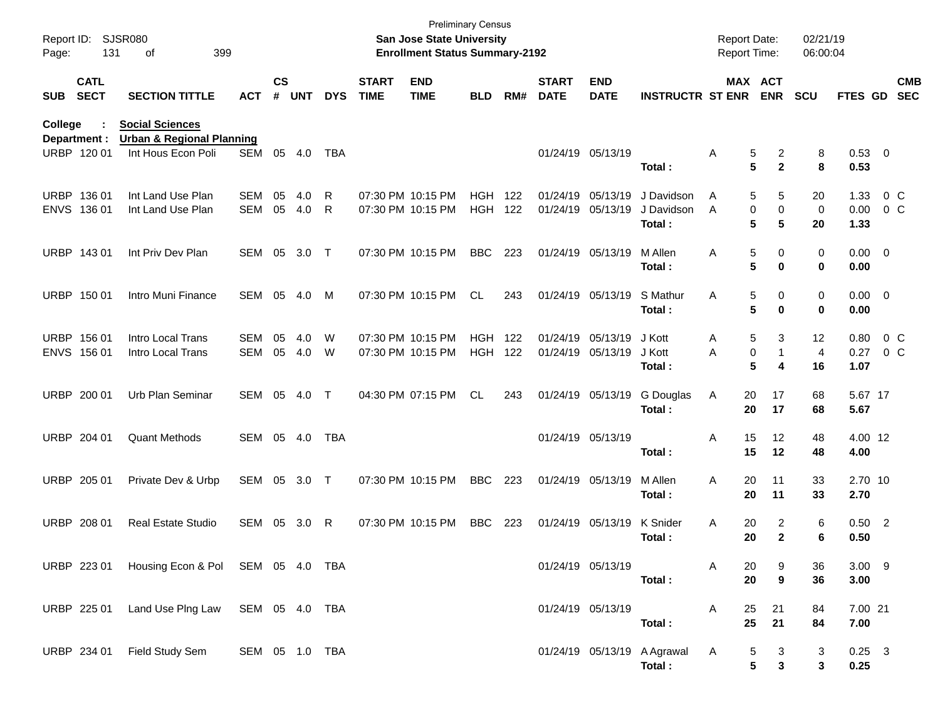| Page:       | Report ID: SJSR080<br>131  | 399<br>of                                                      |                |                    |            |            |                             | San Jose State University<br><b>Enrollment Status Summary-2192</b> | <b>Preliminary Census</b> |     |                             |                           |                                       | <b>Report Date:</b><br>Report Time: |                       |                      | 02/21/19<br>06:00:04   |             |                          |
|-------------|----------------------------|----------------------------------------------------------------|----------------|--------------------|------------|------------|-----------------------------|--------------------------------------------------------------------|---------------------------|-----|-----------------------------|---------------------------|---------------------------------------|-------------------------------------|-----------------------|----------------------|------------------------|-------------|--------------------------|
| SUB         | <b>CATL</b><br><b>SECT</b> | <b>SECTION TITTLE</b>                                          | <b>ACT</b>     | $\mathsf{cs}$<br># | <b>UNT</b> | <b>DYS</b> | <b>START</b><br><b>TIME</b> | <b>END</b><br><b>TIME</b>                                          | <b>BLD</b>                | RM# | <b>START</b><br><b>DATE</b> | <b>END</b><br><b>DATE</b> | <b>INSTRUCTR ST ENR</b>               |                                     | MAX ACT<br><b>ENR</b> | <b>SCU</b>           | <b>FTES GD</b>         |             | <b>CMB</b><br><b>SEC</b> |
| College     | Department :               | <b>Social Sciences</b><br><b>Urban &amp; Regional Planning</b> |                |                    |            |            |                             |                                                                    |                           |     |                             |                           |                                       |                                     |                       |                      |                        |             |                          |
|             | URBP 120 01                | Int Hous Econ Poli                                             | SEM            | 05                 | 4.0        | TBA        |                             |                                                                    |                           |     |                             | 01/24/19 05/13/19         | Total :                               | Α                                   | 5<br>5                | 2<br>$\mathbf{2}$    | 8<br>8<br>0.53         | 0.53 0      |                          |
| <b>URBP</b> | 136 01                     | Int Land Use Plan                                              | <b>SEM</b>     | 05                 | 4.0        | R          |                             | 07:30 PM 10:15 PM                                                  | <b>HGH</b>                | 122 |                             | 01/24/19 05/13/19         | J Davidson                            | A                                   | 5                     | 5<br>20              | 1.33                   |             | 0 <sup>o</sup>           |
|             | ENVS 136 01                | Int Land Use Plan                                              | <b>SEM</b>     | 05                 | 4.0        | R          |                             | 07:30 PM 10:15 PM                                                  | <b>HGH</b>                | 122 |                             | 01/24/19 05/13/19         | J Davidson                            | A                                   | 0                     | 0                    | 0.00<br>0              |             | 0 <sup>o</sup>           |
|             |                            |                                                                |                |                    |            |            |                             |                                                                    |                           |     |                             |                           | Total:                                |                                     | 5                     | 5<br>20              | 1.33                   |             |                          |
|             | URBP 143 01                | Int Priv Dev Plan                                              | SEM            | 05                 | 3.0        | $\top$     |                             | 07:30 PM 10:15 PM                                                  | <b>BBC</b>                | 223 |                             | 01/24/19 05/13/19         | M Allen<br>Total:                     | Α                                   | 5<br>5                | 0<br>0               | 0<br>0<br>0.00         | $0.00 \t 0$ |                          |
|             | URBP 150 01                | Intro Muni Finance                                             | SEM            | 05                 | 4.0        | M          |                             | 07:30 PM 10:15 PM                                                  | <b>CL</b>                 | 243 |                             | 01/24/19 05/13/19         | S Mathur<br>Total:                    | Α                                   | 5<br>5                | 0<br>0               | 0<br>0<br>0.00         | $0.00 \t 0$ |                          |
| <b>URBP</b> | 156 01                     | Intro Local Trans                                              | <b>SEM</b>     | 05                 | 4.0        | W          |                             | 07:30 PM 10:15 PM                                                  | <b>HGH</b>                | 122 |                             | 01/24/19 05/13/19         | J Kott                                | Α                                   | 5                     | 3<br>12              | 0.80                   |             | 0 <sup>o</sup>           |
|             | ENVS 156 01                | Intro Local Trans                                              | SEM            | 05                 | 4.0        | W          |                             | 07:30 PM 10:15 PM                                                  | <b>HGH</b>                | 122 |                             | 01/24/19 05/13/19         | J Kott                                | Α                                   | 0                     | 1                    | 0.27<br>$\overline{4}$ |             | 0 <sup>o</sup>           |
|             |                            |                                                                |                |                    |            |            |                             |                                                                    |                           |     |                             |                           | Total:                                |                                     | 5                     | 4<br>16              | 1.07                   |             |                          |
|             | URBP 200 01                | Urb Plan Seminar                                               | SEM            | 05                 | 4.0        | $\top$     |                             | 04:30 PM 07:15 PM                                                  | <b>CL</b>                 | 243 |                             | 01/24/19 05/13/19         | G Douglas<br>Total:                   | Α                                   | 20<br>20              | 17<br>68<br>17<br>68 | 5.67                   | 5.67 17     |                          |
|             | URBP 204 01                | <b>Quant Methods</b>                                           | SEM            |                    | 05 4.0     | <b>TBA</b> |                             |                                                                    |                           |     |                             | 01/24/19 05/13/19         | Total:                                | Α                                   | 15<br>15              | 12<br>48<br>12<br>48 | 4.00                   | 4.00 12     |                          |
|             |                            |                                                                |                |                    |            |            |                             |                                                                    |                           |     |                             |                           |                                       |                                     |                       |                      |                        |             |                          |
|             | URBP 205 01                | Private Dev & Urbp                                             | SEM            | 05                 | 3.0        | $\top$     |                             | 07:30 PM 10:15 PM                                                  | <b>BBC</b>                | 223 |                             | 01/24/19 05/13/19         | M Allen<br>Total:                     | Α                                   | 20<br>11<br>20<br>11  | 33<br>33             | 2.70                   | 2.70 10     |                          |
|             | URBP 208 01                | <b>Real Estate Studio</b>                                      | SEM            | 05                 | 3.0        | R          |                             | 07:30 PM 10:15 PM                                                  | <b>BBC</b>                | 223 |                             | 01/24/19 05/13/19         | <b>K</b> Snider                       | Α                                   | 20                    | 2                    | 6                      | $0.50$ 2    |                          |
|             |                            |                                                                |                |                    |            |            |                             |                                                                    |                           |     |                             |                           | Total:                                |                                     | 20                    | $\mathbf{2}$         | 0.50<br>6              |             |                          |
|             | URBP 223 01                | Housing Econ & Pol SEM 05 4.0 TBA                              |                |                    |            |            |                             |                                                                    |                           |     |                             | 01/24/19 05/13/19         |                                       | A                                   | 20                    | 9<br>36              |                        | $3.00$ 9    |                          |
|             |                            |                                                                |                |                    |            |            |                             |                                                                    |                           |     |                             |                           | Total:                                |                                     | 20                    | 9<br>36              | 3.00                   |             |                          |
|             | URBP 225 01                | Land Use Plng Law SEM 05 4.0 TBA                               |                |                    |            |            |                             |                                                                    |                           |     |                             | 01/24/19 05/13/19         |                                       | Α                                   | 25<br>21              | 84                   |                        | 7.00 21     |                          |
|             |                            |                                                                |                |                    |            |            |                             |                                                                    |                           |     |                             |                           | Total:                                |                                     | 25<br>21              | 84                   | 7.00                   |             |                          |
|             | URBP 234 01                | Field Study Sem                                                | SEM 05 1.0 TBA |                    |            |            |                             |                                                                    |                           |     |                             |                           | 01/24/19 05/13/19 A Agrawal<br>Total: | A                                   | 5<br>5                | 3<br>3               | 3<br>0.25<br>3         | $0.25$ 3    |                          |
|             |                            |                                                                |                |                    |            |            |                             |                                                                    |                           |     |                             |                           |                                       |                                     |                       |                      |                        |             |                          |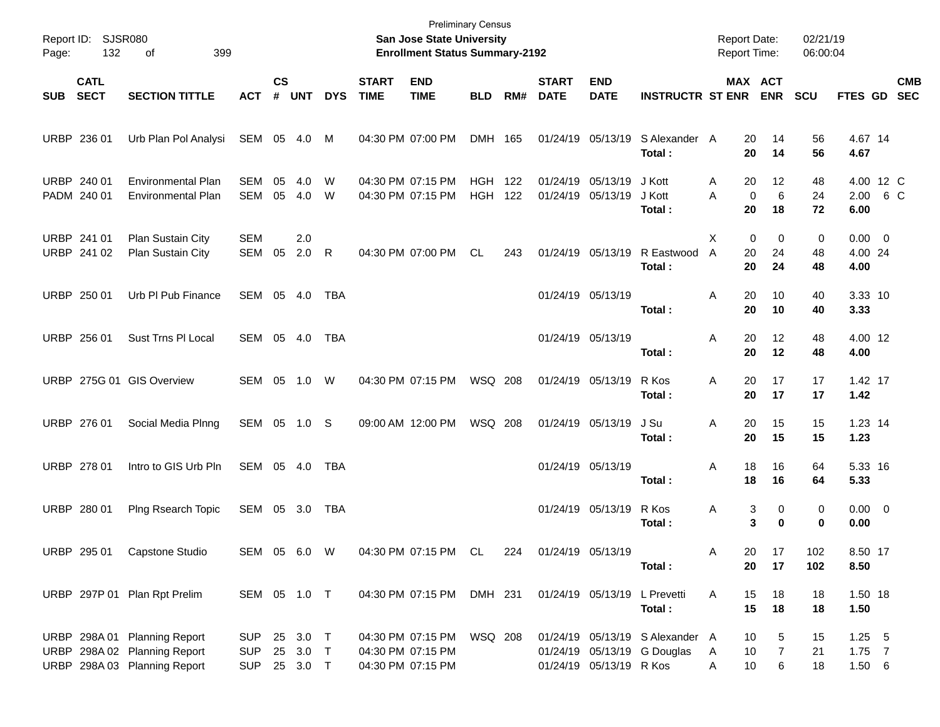| Report ID: SJSR080<br>132<br>399<br>Page:<br>of |                            |                                                                                              |                                   |                    | <b>Preliminary Census</b><br>San Jose State University<br><b>Enrollment Status Summary-2192</b> |              |                             |                                                             |                              |     |                             |                                        |                                                                |                                 | <b>Report Date:</b><br><b>Report Time:</b> | 02/21/19<br>06:00:04 |                                   |  |            |
|-------------------------------------------------|----------------------------|----------------------------------------------------------------------------------------------|-----------------------------------|--------------------|-------------------------------------------------------------------------------------------------|--------------|-----------------------------|-------------------------------------------------------------|------------------------------|-----|-----------------------------|----------------------------------------|----------------------------------------------------------------|---------------------------------|--------------------------------------------|----------------------|-----------------------------------|--|------------|
| <b>SUB</b>                                      | <b>CATL</b><br><b>SECT</b> | <b>SECTION TITTLE</b>                                                                        | ACT                               | $\mathsf{cs}$<br># | <b>UNT</b>                                                                                      | <b>DYS</b>   | <b>START</b><br><b>TIME</b> | <b>END</b><br><b>TIME</b>                                   | <b>BLD</b>                   | RM# | <b>START</b><br><b>DATE</b> | <b>END</b><br><b>DATE</b>              | <b>INSTRUCTR ST ENR</b>                                        |                                 | MAX ACT<br><b>ENR</b>                      | <b>SCU</b>           | FTES GD SEC                       |  | <b>CMB</b> |
|                                                 | URBP 236 01                | Urb Plan Pol Analysi                                                                         | SEM 05 4.0                        |                    |                                                                                                 | M            |                             | 04:30 PM 07:00 PM                                           | DMH 165                      |     |                             | 01/24/19 05/13/19                      | S Alexander A<br>Total:                                        | 20<br>20                        | 14<br>14                                   | 56<br>56             | 4.67 14<br>4.67                   |  |            |
|                                                 | URBP 240 01<br>PADM 240 01 | <b>Environmental Plan</b><br><b>Environmental Plan</b>                                       | <b>SEM</b><br><b>SEM</b>          | 05<br>05           | 4.0<br>4.0                                                                                      | W<br>W       |                             | 04:30 PM 07:15 PM<br>04:30 PM 07:15 PM                      | <b>HGH 122</b><br><b>HGH</b> | 122 |                             | 01/24/19 05/13/19<br>01/24/19 05/13/19 | J Kott<br>J Kott<br>Total:                                     | 20<br>Α<br>A<br>20              | 12<br>6<br>$\mathbf 0$<br>18               | 48<br>24<br>72       | 4.00 12 C<br>2.00 6 C<br>6.00     |  |            |
|                                                 | URBP 241 01<br>URBP 241 02 | Plan Sustain City<br>Plan Sustain City                                                       | <b>SEM</b><br>SEM                 | 05                 | 2.0<br>2.0                                                                                      | $\mathsf{R}$ |                             | 04:30 PM 07:00 PM                                           | <b>CL</b>                    | 243 |                             | 01/24/19 05/13/19                      | R Eastwood<br>Total:                                           | X<br>$\overline{A}$<br>20<br>20 | $\Omega$<br>$\Omega$<br>24<br>24           | 0<br>48<br>48        | $0.00 \t 0$<br>4.00 24<br>4.00    |  |            |
|                                                 | URBP 250 01                | Urb PI Pub Finance                                                                           | SEM                               |                    | 05 4.0                                                                                          | TBA          |                             |                                                             |                              |     |                             | 01/24/19 05/13/19                      | Total:                                                         | 20<br>A<br>20                   | 10<br>10                                   | 40<br>40             | 3.33 10<br>3.33                   |  |            |
|                                                 | URBP 256 01                | Sust Trns PI Local                                                                           | SEM                               |                    | 05 4.0                                                                                          | TBA          |                             |                                                             |                              |     |                             | 01/24/19 05/13/19                      | Total:                                                         | 20<br>Α<br>20                   | 12<br>12                                   | 48<br>48             | 4.00 12<br>4.00                   |  |            |
|                                                 |                            | URBP 275G 01 GIS Overview                                                                    | SEM                               |                    | 05 1.0                                                                                          | W            |                             | 04:30 PM 07:15 PM                                           | WSQ 208                      |     |                             | 01/24/19 05/13/19                      | R Kos<br>Total:                                                | 20<br>Α<br>20                   | 17<br>17                                   | 17<br>17             | 1.42 17<br>1.42                   |  |            |
|                                                 | URBP 276 01                | Social Media Plnng                                                                           | SEM 05 1.0 S                      |                    |                                                                                                 |              |                             | 09:00 AM 12:00 PM                                           | <b>WSQ 208</b>               |     |                             | 01/24/19 05/13/19                      | J Su<br>Total:                                                 | 20<br>Α<br>20                   | 15<br>15                                   | 15<br>15             | 1.23 14<br>1.23                   |  |            |
|                                                 | URBP 278 01                | Intro to GIS Urb Pln                                                                         | SEM                               |                    | 05 4.0                                                                                          | TBA          |                             |                                                             |                              |     |                             | 01/24/19 05/13/19                      | Total:                                                         | 18<br>Α<br>18                   | 16<br>16                                   | 64<br>64             | 5.33 16<br>5.33                   |  |            |
| <b>URBP</b>                                     | 280 01                     | Plng Rsearch Topic                                                                           | SEM                               |                    | 05 3.0                                                                                          | TBA          |                             |                                                             |                              |     |                             | 01/24/19 05/13/19                      | R Kos<br>Total:                                                | Α                               | 3<br>0<br>3<br>$\bf{0}$                    | 0<br>0               | $0.00 \t 0$<br>0.00               |  |            |
|                                                 |                            | URBP 295 01 Capstone Studio                                                                  | SEM 05 6.0 W                      |                    |                                                                                                 |              |                             | 04:30 PM 07:15 PM CL                                        |                              | 224 | 01/24/19 05/13/19           |                                        | Total:                                                         | Α<br>20<br>20                   | 17<br>17                                   | 102<br>102           | 8.50 17<br>8.50                   |  |            |
|                                                 |                            | URBP 297P 01 Plan Rpt Prelim                                                                 | SEM 05 1.0 T                      |                    |                                                                                                 |              |                             | 04:30 PM 07:15 PM                                           | DMH 231                      |     |                             |                                        | 01/24/19 05/13/19 L Prevetti<br>Total:                         | 15<br>Α<br>15                   | 18<br>18                                   | 18<br>18             | 1.50 18<br>1.50                   |  |            |
|                                                 |                            | URBP 298A 01 Planning Report<br>URBP 298A 02 Planning Report<br>URBP 298A 03 Planning Report | SUP<br><b>SUP</b><br>SUP 25 3.0 T |                    | 25 3.0 T<br>25 3.0 T                                                                            |              |                             | 04:30 PM 07:15 PM<br>04:30 PM 07:15 PM<br>04:30 PM 07:15 PM | WSQ 208                      |     |                             | 01/24/19 05/13/19 R Kos                | 01/24/19 05/13/19 S Alexander A<br>01/24/19 05/13/19 G Douglas | 10<br>10<br>A<br>10<br>Α        | 5<br>$\overline{7}$<br>6                   | 15<br>21<br>18       | $1.25$ 5<br>$1.75$ 7<br>$1.50\ 6$ |  |            |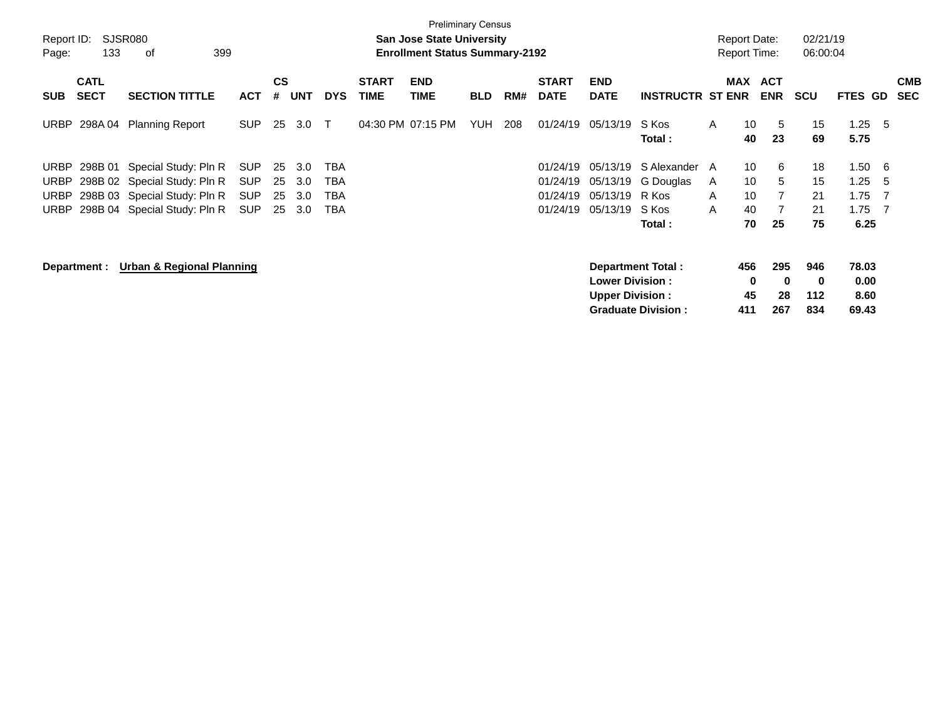| <b>SJSR080</b><br>Report ID:<br>133<br>399<br>οf<br>Page: |                            |                                                              |                          |                    | <b>Preliminary Census</b><br><b>San Jose State University</b><br><b>Enrollment Status Summary-2192</b> |                   |                             |                           |            |     |                             |                                                  |                           |        | <b>Report Date:</b><br>Report Time: |                          | 02/21/19<br>06:00:04 |                       |            |                          |
|-----------------------------------------------------------|----------------------------|--------------------------------------------------------------|--------------------------|--------------------|--------------------------------------------------------------------------------------------------------|-------------------|-----------------------------|---------------------------|------------|-----|-----------------------------|--------------------------------------------------|---------------------------|--------|-------------------------------------|--------------------------|----------------------|-----------------------|------------|--------------------------|
| <b>SUB</b>                                                | <b>CATL</b><br><b>SECT</b> | <b>SECTION TITTLE</b>                                        | <b>ACT</b>               | $\mathsf{cs}$<br># | <b>UNT</b>                                                                                             | <b>DYS</b>        | <b>START</b><br><b>TIME</b> | <b>END</b><br><b>TIME</b> | <b>BLD</b> | RM# | <b>START</b><br><b>DATE</b> | <b>END</b><br><b>DATE</b>                        | <b>INSTRUCTR ST ENR</b>   |        | MAX                                 | <b>ACT</b><br><b>ENR</b> | <b>SCU</b>           | FTES GD               |            | <b>CMB</b><br><b>SEC</b> |
| URBP                                                      | 298A 04                    | <b>Planning Report</b>                                       | <b>SUP</b>               | 25                 | 3.0                                                                                                    | $\top$            |                             | 04:30 PM 07:15 PM         | <b>YUH</b> | 208 | 01/24/19                    | 05/13/19                                         | S Kos<br>Total:           | A      | 10<br>40                            | 5<br>23                  | 15<br>69             | 1.25<br>5.75          | - 5        |                          |
| URBP                                                      |                            | 298B 01 Special Study: Pln R                                 | <b>SUP</b>               | 25                 | 3.0                                                                                                    | TBA               |                             |                           |            |     | 01/24/19                    | 05/13/19                                         | S Alexander A             |        | 10<br>10                            | 6                        | 18                   | 1.50                  | - 6        |                          |
| URBP<br>URBP                                              |                            | 298B 02 Special Study: Pln R<br>298B 03 Special Study: Pln R | <b>SUP</b><br><b>SUP</b> | 25<br>25           | 3.0<br>3.0                                                                                             | TBA<br><b>TBA</b> |                             |                           |            |     | 01/24/19<br>01/24/19        | 05/13/19<br>05/13/19                             | G Douglas<br>R Kos        | A<br>A | 10                                  | 5                        | 15<br>21             | 1.25<br>1.75          | - 5<br>- 7 |                          |
| URBP                                                      |                            | 298B 04 Special Study: Pln R                                 | <b>SUP</b>               | 25                 | 3.0                                                                                                    | TBA               |                             |                           |            |     | 01/24/19                    | 05/13/19                                         | S Kos<br>Total:           | A      | 40<br>70                            | 25                       | 21<br>75             | 1.75<br>6.25          | - 7        |                          |
| <b>Urban &amp; Regional Planning</b><br>Department :      |                            |                                                              |                          |                    |                                                                                                        |                   |                             |                           |            |     |                             |                                                  | Department Total:         |        | 456                                 | 295                      | 946                  | 78.03                 |            |                          |
|                                                           |                            |                                                              |                          |                    |                                                                                                        |                   |                             |                           |            |     |                             | <b>Lower Division:</b><br><b>Upper Division:</b> | <b>Graduate Division:</b> |        | 0<br>45<br>411                      | $\bf{0}$<br>28<br>267    | 0<br>112<br>834      | 0.00<br>8.60<br>69.43 |            |                          |